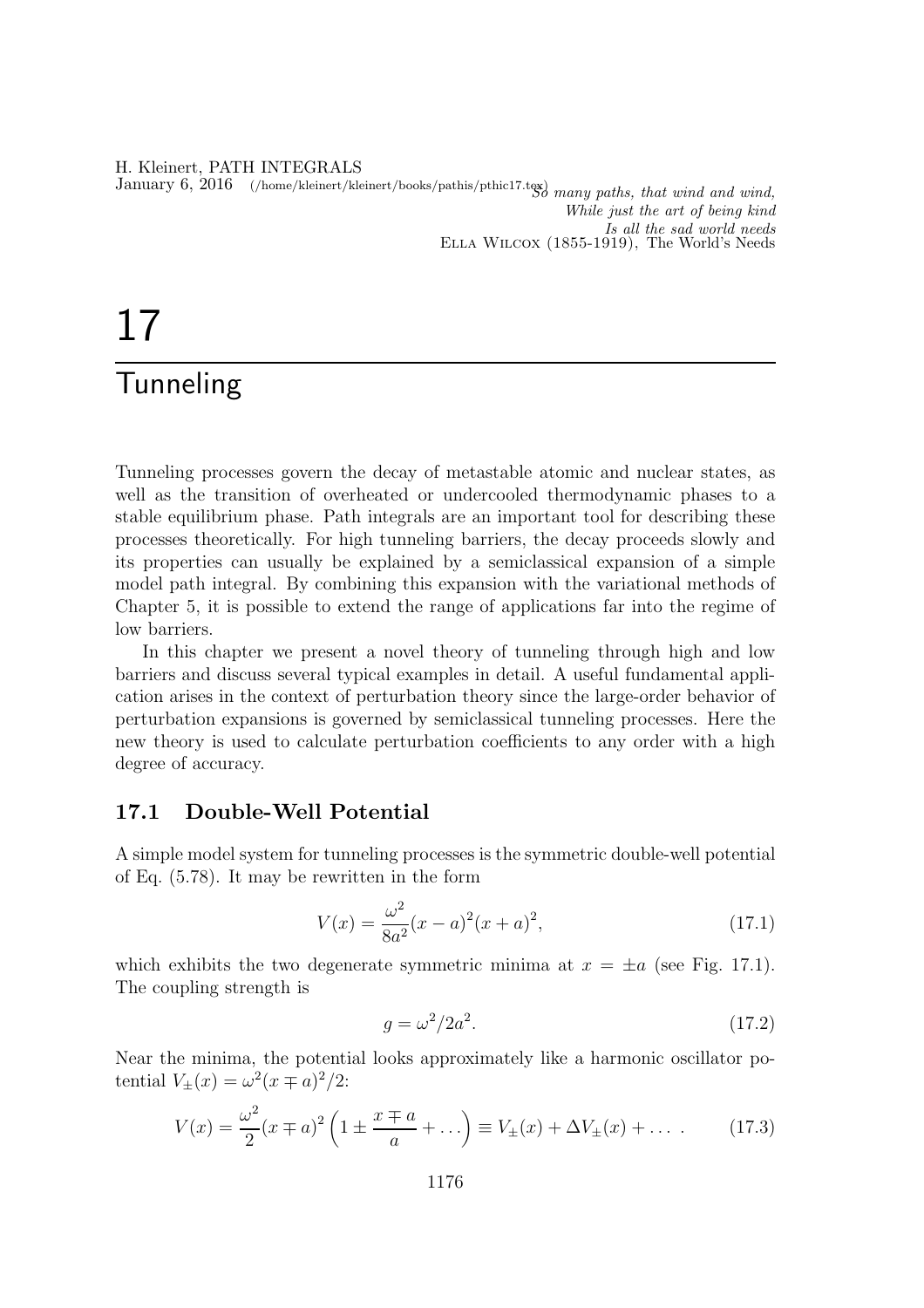#### H. Kleinert, PATH INTEGRALS January 6, 2016 (/home/kleinert/kleinert/books/pathis/pthic17.tex) many paths, that wind and wind, While just the art of being kind Is all the sad world needs Ella Wilcox (1855-1919), The World's Needs

# 17

# **Tunneling**

Tunneling processes govern the decay of metastable atomic and nuclear states, as well as the transition of overheated or undercooled thermodynamic phases to a stable equilibrium phase. Path integrals are an important tool for describing these processes theoretically. For high tunneling barriers, the decay proceeds slowly and its properties can usually be explained by a semiclassical expansion of a simple model path integral. By combining this expansion with the variational methods of Chapter 5, it is possible to extend the range of applications far into the regime of low barriers.

In this chapter we present a novel theory of tunneling through high and low barriers and discuss several typical examples in detail. A useful fundamental application arises in the context of perturbation theory since the large-order behavior of perturbation expansions is governed by semiclassical tunneling processes. Here the new theory is used to calculate perturbation coefficients to any order with a high degree of accuracy.

### 17.1 Double-Well Potential

A simple model system for tunneling processes is the symmetric double-well potential of Eq. (5.78). It may be rewritten in the form

$$
V(x) = \frac{\omega^2}{8a^2}(x-a)^2(x+a)^2,
$$
\n(17.1)

which exhibits the two degenerate symmetric minima at  $x = \pm a$  (see Fig. 17.1). The coupling strength is

$$
g = \omega^2 / 2a^2. \tag{17.2}
$$

Near the minima, the potential looks approximately like a harmonic oscillator potential  $V_{\pm}(x) = \omega^2(x \mp a)^2/2$ :

$$
V(x) = \frac{\omega^2}{2}(x \mp a)^2 \left(1 \pm \frac{x \mp a}{a} + \ldots\right) \equiv V_{\pm}(x) + \Delta V_{\pm}(x) + \ldots \qquad (17.3)
$$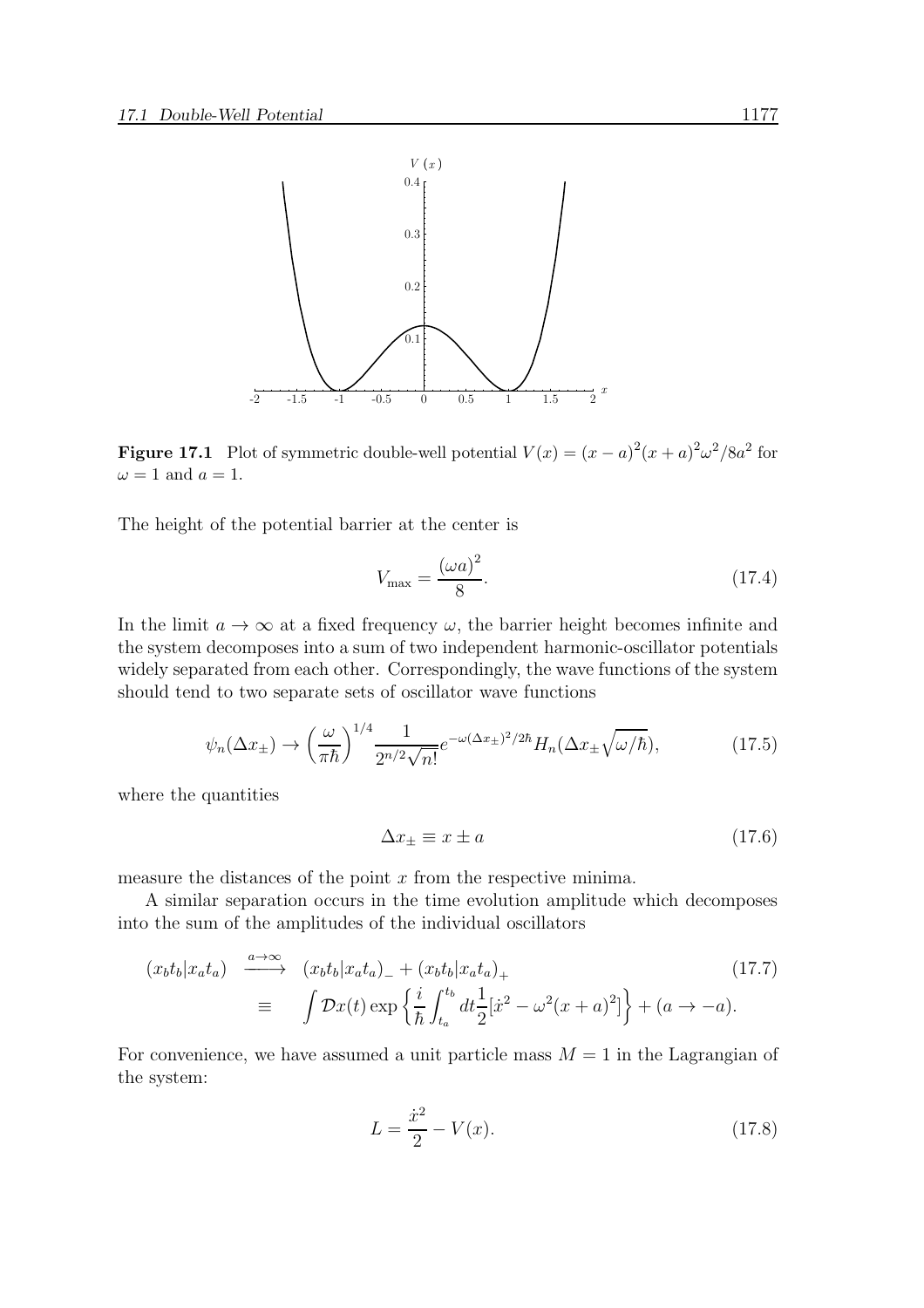

**Figure 17.1** Plot of symmetric double-well potential  $V(x) = (x - a)^2 (x + a)^2 \omega^2 / 8a^2$  for  $\omega = 1$  and  $a = 1$ .

The height of the potential barrier at the center is

$$
V_{\text{max}} = \frac{(\omega a)^2}{8}.\tag{17.4}
$$

In the limit  $a \to \infty$  at a fixed frequency  $\omega$ , the barrier height becomes infinite and the system decomposes into a sum of two independent harmonic-oscillator potentials widely separated from each other. Correspondingly, the wave functions of the system should tend to two separate sets of oscillator wave functions

$$
\psi_n(\Delta x_\pm) \to \left(\frac{\omega}{\pi \hbar}\right)^{1/4} \frac{1}{2^{n/2} \sqrt{n!}} e^{-\omega(\Delta x_\pm)^2/2\hbar} H_n(\Delta x_\pm \sqrt{\omega/\hbar}),\tag{17.5}
$$

where the quantities

$$
\Delta x_{\pm} \equiv x \pm a \tag{17.6}
$$

measure the distances of the point  $x$  from the respective minima.

A similar separation occurs in the time evolution amplitude which decomposes into the sum of the amplitudes of the individual oscillators

$$
(x_b t_b | x_a t_a) \xrightarrow{a \to \infty} (x_b t_b | x_a t_a)_{-} + (x_b t_b | x_a t_a)_{+}
$$
  
\n
$$
\equiv \int \mathcal{D}x(t) \exp\left\{\frac{i}{\hbar} \int_{t_a}^{t_b} dt \frac{1}{2} [\dot{x}^2 - \omega^2 (x + a)^2] \right\} + (a \to -a).
$$
\n(17.7)

For convenience, we have assumed a unit particle mass  $M = 1$  in the Lagrangian of the system:

$$
L = \frac{\dot{x}^2}{2} - V(x). \tag{17.8}
$$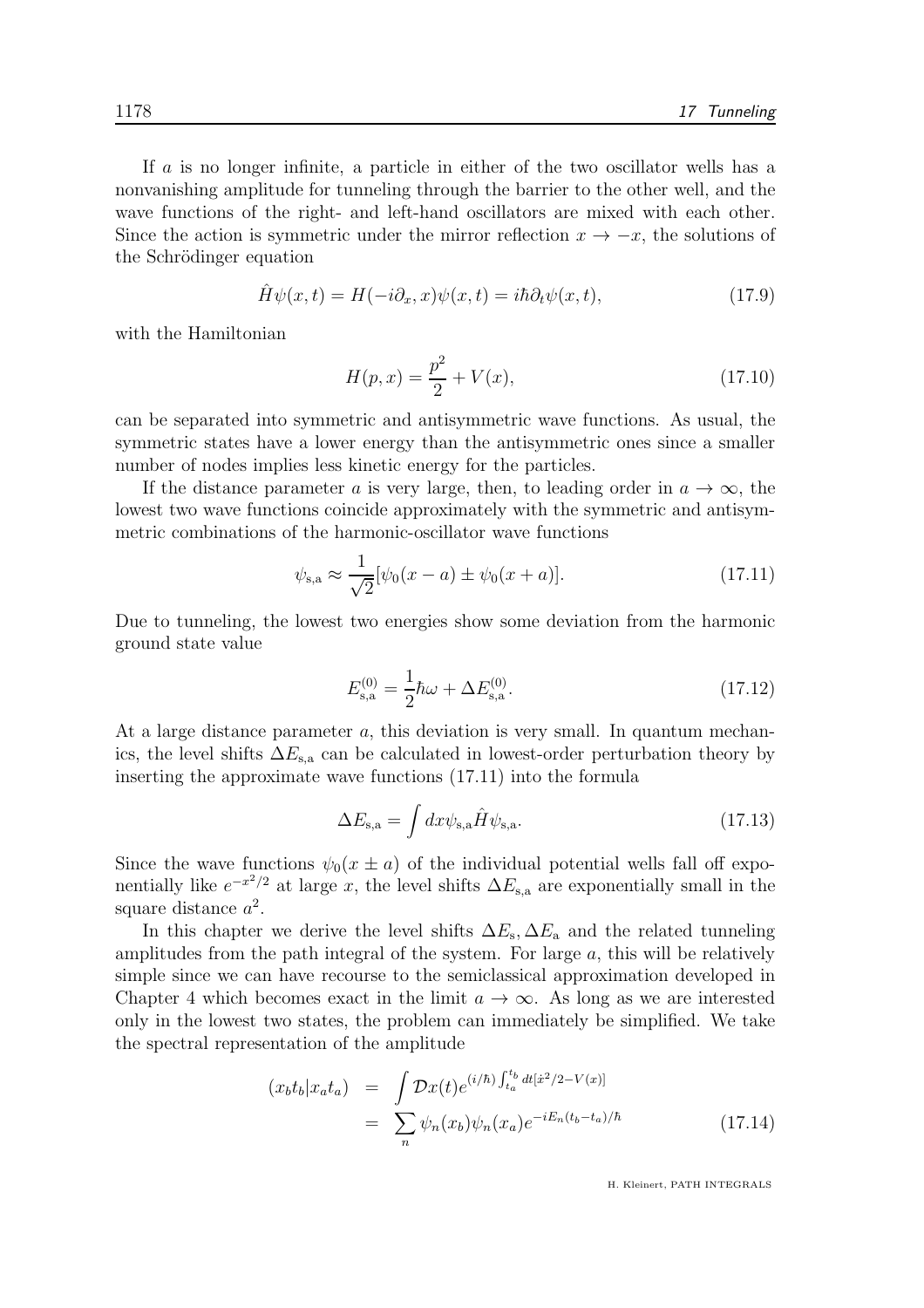If a is no longer infinite, a particle in either of the two oscillator wells has a nonvanishing amplitude for tunneling through the barrier to the other well, and the wave functions of the right- and left-hand oscillators are mixed with each other. Since the action is symmetric under the mirror reflection  $x \to -x$ , the solutions of the Schrödinger equation

$$
\hat{H}\psi(x,t) = H(-i\partial_x, x)\psi(x,t) = i\hbar\partial_t\psi(x,t),\tag{17.9}
$$

with the Hamiltonian

$$
H(p,x) = \frac{p^2}{2} + V(x),\tag{17.10}
$$

can be separated into symmetric and antisymmetric wave functions. As usual, the symmetric states have a lower energy than the antisymmetric ones since a smaller number of nodes implies less kinetic energy for the particles.

If the distance parameter a is very large, then, to leading order in  $a \to \infty$ , the lowest two wave functions coincide approximately with the symmetric and antisymmetric combinations of the harmonic-oscillator wave functions

$$
\psi_{s,a} \approx \frac{1}{\sqrt{2}} [\psi_0(x-a) \pm \psi_0(x+a)].
$$
\n(17.11)

Due to tunneling, the lowest two energies show some deviation from the harmonic ground state value

$$
E_{\rm s,a}^{(0)} = \frac{1}{2}\hbar\omega + \Delta E_{\rm s,a}^{(0)}.\tag{17.12}
$$

At a large distance parameter a, this deviation is very small. In quantum mechanics, the level shifts  $\Delta E_{s,a}$  can be calculated in lowest-order perturbation theory by inserting the approximate wave functions (17.11) into the formula

$$
\Delta E_{\mathbf{s},\mathbf{a}} = \int dx \psi_{\mathbf{s},\mathbf{a}} \hat{H} \psi_{\mathbf{s},\mathbf{a}}.\tag{17.13}
$$

Since the wave functions  $\psi_0(x \pm a)$  of the individual potential wells fall off exponentially like  $e^{-x^2/2}$  at large x, the level shifts  $\Delta E_{s,a}$  are exponentially small in the square distance  $a^2$ .

In this chapter we derive the level shifts  $\Delta E_{\rm s}$ ,  $\Delta E_{\rm a}$  and the related tunneling amplitudes from the path integral of the system. For large  $a$ , this will be relatively simple since we can have recourse to the semiclassical approximation developed in Chapter 4 which becomes exact in the limit  $a \to \infty$ . As long as we are interested only in the lowest two states, the problem can immediately be simplified. We take the spectral representation of the amplitude

$$
(x_b t_b | x_a t_a) = \int \mathcal{D}x(t) e^{(i/\hbar) \int_{t_a}^{t_b} dt [\dot{x}^2/2 - V(x)]}
$$
  

$$
= \sum_n \psi_n(x_b) \psi_n(x_a) e^{-iE_n(t_b - t_a)/\hbar}
$$
(17.14)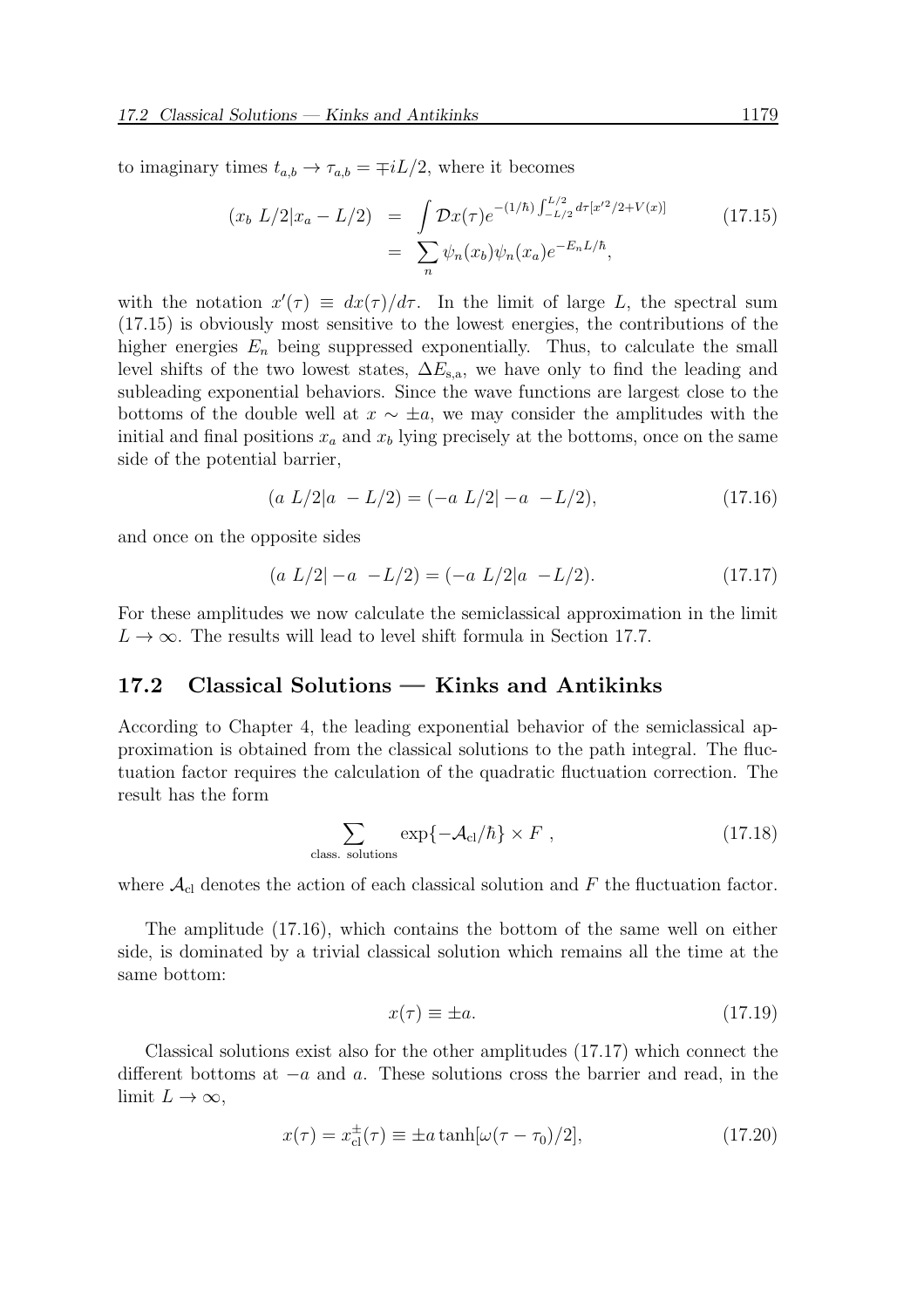to imaginary times  $t_{a,b} \to \tau_{a,b} = \mp iL/2$ , where it becomes

$$
(x_b L/2|x_a - L/2) = \int \mathcal{D}x(\tau)e^{-(1/\hbar)\int_{-L/2}^{L/2} d\tau [x'^2/2 + V(x)]}
$$
\n
$$
= \sum_n \psi_n(x_b)\psi_n(x_a)e^{-E_nL/\hbar},
$$
\n(17.15)

with the notation  $x'(\tau) \equiv dx(\tau)/d\tau$ . In the limit of large L, the spectral sum (17.15) is obviously most sensitive to the lowest energies, the contributions of the higher energies  $E_n$  being suppressed exponentially. Thus, to calculate the small level shifts of the two lowest states,  $\Delta E_{s,a}$ , we have only to find the leading and subleading exponential behaviors. Since the wave functions are largest close to the bottoms of the double well at  $x \sim \pm a$ , we may consider the amplitudes with the initial and final positions  $x_a$  and  $x_b$  lying precisely at the bottoms, once on the same side of the potential barrier,

$$
(a L/2|a - L/2) = (-a L/2|-a - L/2), \qquad (17.16)
$$

and once on the opposite sides

$$
(a L/2) - a - L/2) = (-a L/2)a - L/2.
$$
 (17.17)

For these amplitudes we now calculate the semiclassical approximation in the limit  $L \to \infty$ . The results will lead to level shift formula in Section 17.7.

#### 17.2 Classical Solutions — Kinks and Antikinks

According to Chapter 4, the leading exponential behavior of the semiclassical approximation is obtained from the classical solutions to the path integral. The fluctuation factor requires the calculation of the quadratic fluctuation correction. The result has the form

$$
\sum_{\text{class. solutions}} \exp\{-\mathcal{A}_{\text{cl}}/\hbar\} \times F , \qquad (17.18)
$$

where  $\mathcal{A}_{\text{cl}}$  denotes the action of each classical solution and F the fluctuation factor.

The amplitude (17.16), which contains the bottom of the same well on either side, is dominated by a trivial classical solution which remains all the time at the same bottom:

$$
x(\tau) \equiv \pm a. \tag{17.19}
$$

Classical solutions exist also for the other amplitudes (17.17) which connect the different bottoms at  $-a$  and  $a$ . These solutions cross the barrier and read, in the limit  $L \to \infty$ ,

$$
x(\tau) = x_{\text{cl}}^{\pm}(\tau) \equiv \pm a \tanh[\omega(\tau - \tau_0)/2],\tag{17.20}
$$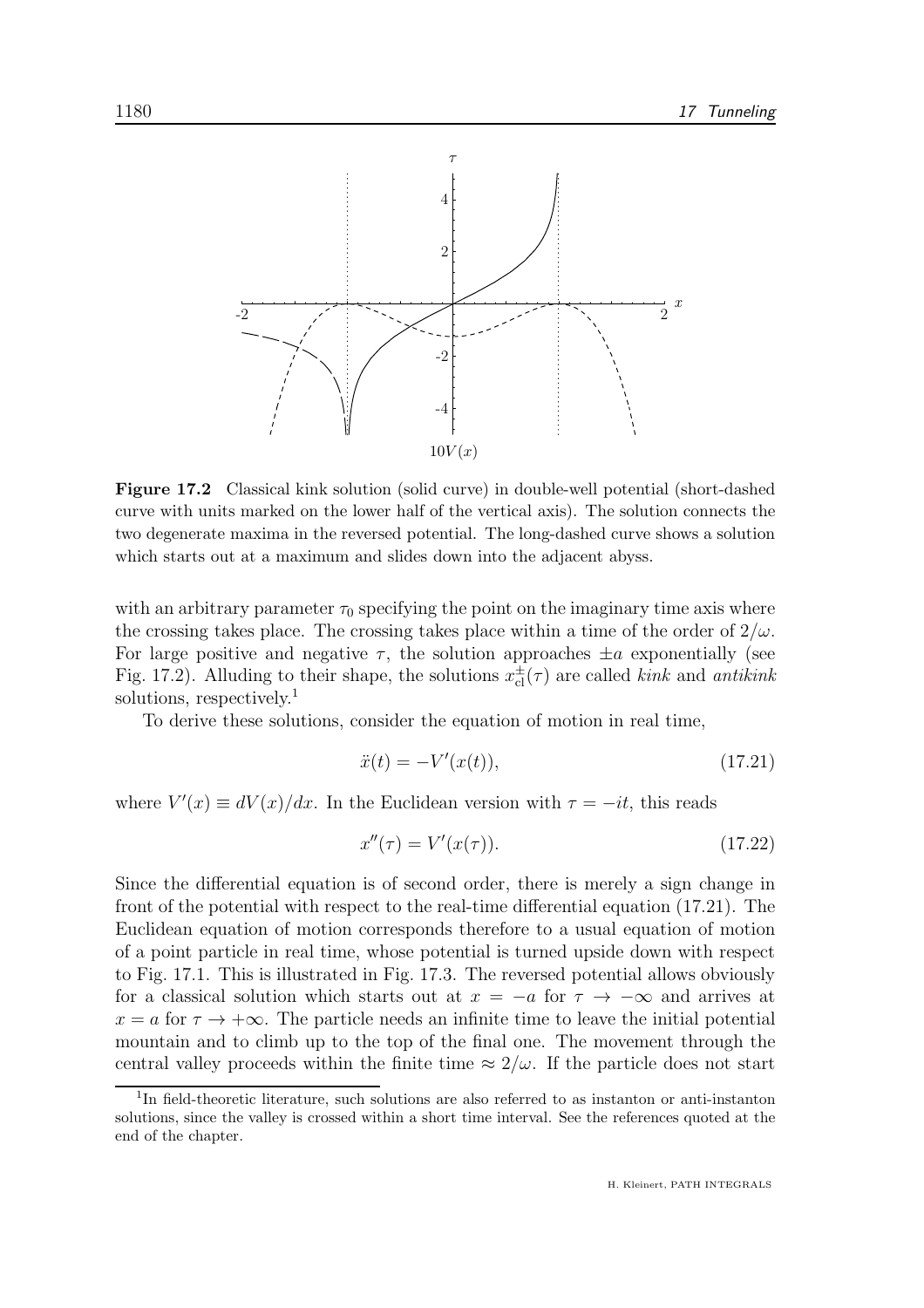

Figure 17.2 Classical kink solution (solid curve) in double-well potential (short-dashed curve with units marked on the lower half of the vertical axis). The solution connects the two degenerate maxima in the reversed potential. The long-dashed curve shows a solution which starts out at a maximum and slides down into the adjacent abyss.

with an arbitrary parameter  $\tau_0$  specifying the point on the imaginary time axis where the crossing takes place. The crossing takes place within a time of the order of  $2/\omega$ . For large positive and negative  $\tau$ , the solution approaches  $\pm a$  exponentially (see Fig. 17.2). Alluding to their shape, the solutions  $x_{\text{cl}}^{\pm}(\tau)$  are called *kink* and *antikink* solutions, respectively.<sup>1</sup>

To derive these solutions, consider the equation of motion in real time,

$$
\ddot{x}(t) = -V'(x(t)),\tag{17.21}
$$

where  $V'(x) \equiv dV(x)/dx$ . In the Euclidean version with  $\tau = -it$ , this reads

$$
x''(\tau) = V'(x(\tau)).
$$
\n(17.22)

Since the differential equation is of second order, there is merely a sign change in front of the potential with respect to the real-time differential equation (17.21). The Euclidean equation of motion corresponds therefore to a usual equation of motion of a point particle in real time, whose potential is turned upside down with respect to Fig. 17.1. This is illustrated in Fig. 17.3. The reversed potential allows obviously for a classical solution which starts out at  $x = -a$  for  $\tau \to -\infty$  and arrives at  $x = a$  for  $\tau \to +\infty$ . The particle needs an infinite time to leave the initial potential mountain and to climb up to the top of the final one. The movement through the central valley proceeds within the finite time  $\approx 2/\omega$ . If the particle does not start

<sup>&</sup>lt;sup>1</sup>In field-theoretic literature, such solutions are also referred to as instanton or anti-instanton solutions, since the valley is crossed within a short time interval. See the references quoted at the end of the chapter.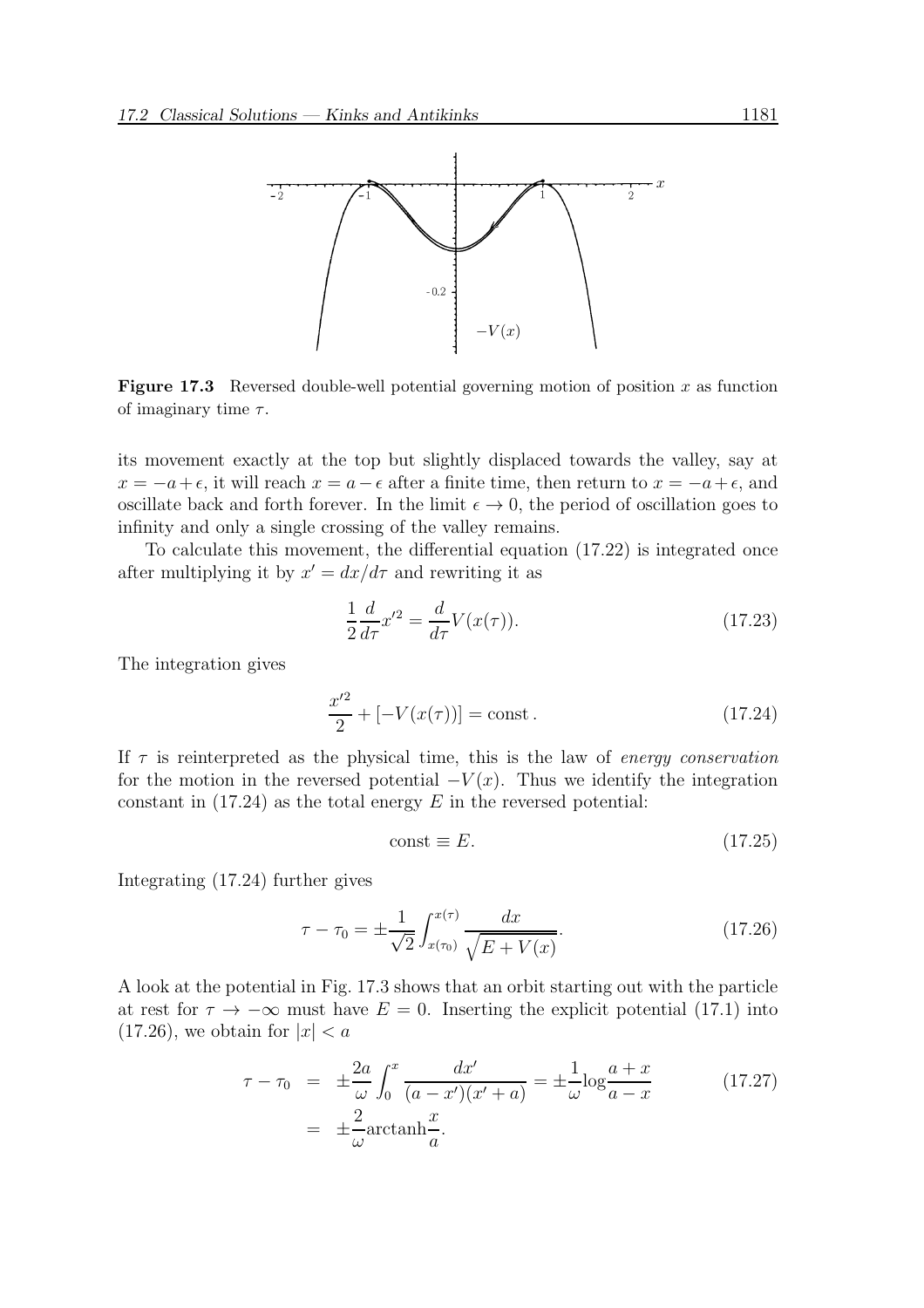

**Figure 17.3** Reversed double-well potential governing motion of position x as function of imaginary time  $\tau$ .

its movement exactly at the top but slightly displaced towards the valley, say at  $x = -a + \epsilon$ , it will reach  $x = a - \epsilon$  after a finite time, then return to  $x = -a + \epsilon$ , and oscillate back and forth forever. In the limit  $\epsilon \to 0$ , the period of oscillation goes to infinity and only a single crossing of the valley remains.

To calculate this movement, the differential equation (17.22) is integrated once after multiplying it by  $x' = dx/d\tau$  and rewriting it as

$$
\frac{1}{2}\frac{d}{d\tau}x'^2 = \frac{d}{d\tau}V(x(\tau)).\tag{17.23}
$$

The integration gives

$$
\frac{x^2}{2} + [-V(x(\tau))] = \text{const.}\tag{17.24}
$$

If  $\tau$  is reinterpreted as the physical time, this is the law of energy conservation for the motion in the reversed potential  $-V(x)$ . Thus we identify the integration constant in  $(17.24)$  as the total energy E in the reversed potential:

$$
const \equiv E. \tag{17.25}
$$

Integrating (17.24) further gives

$$
\tau - \tau_0 = \pm \frac{1}{\sqrt{2}} \int_{x(\tau_0)}^{x(\tau)} \frac{dx}{\sqrt{E + V(x)}}.
$$
\n(17.26)

A look at the potential in Fig. 17.3 shows that an orbit starting out with the particle at rest for  $\tau \to -\infty$  must have  $E = 0$ . Inserting the explicit potential (17.1) into  $(17.26)$ , we obtain for  $|x| < a$ 

$$
\tau - \tau_0 = \pm \frac{2a}{\omega} \int_0^x \frac{dx'}{(a - x')(x' + a)} = \pm \frac{1}{\omega} \log \frac{a + x}{a - x}
$$
(17.27)  
=  $\pm \frac{2}{\omega} \operatorname{arctanh} \frac{x}{a}.$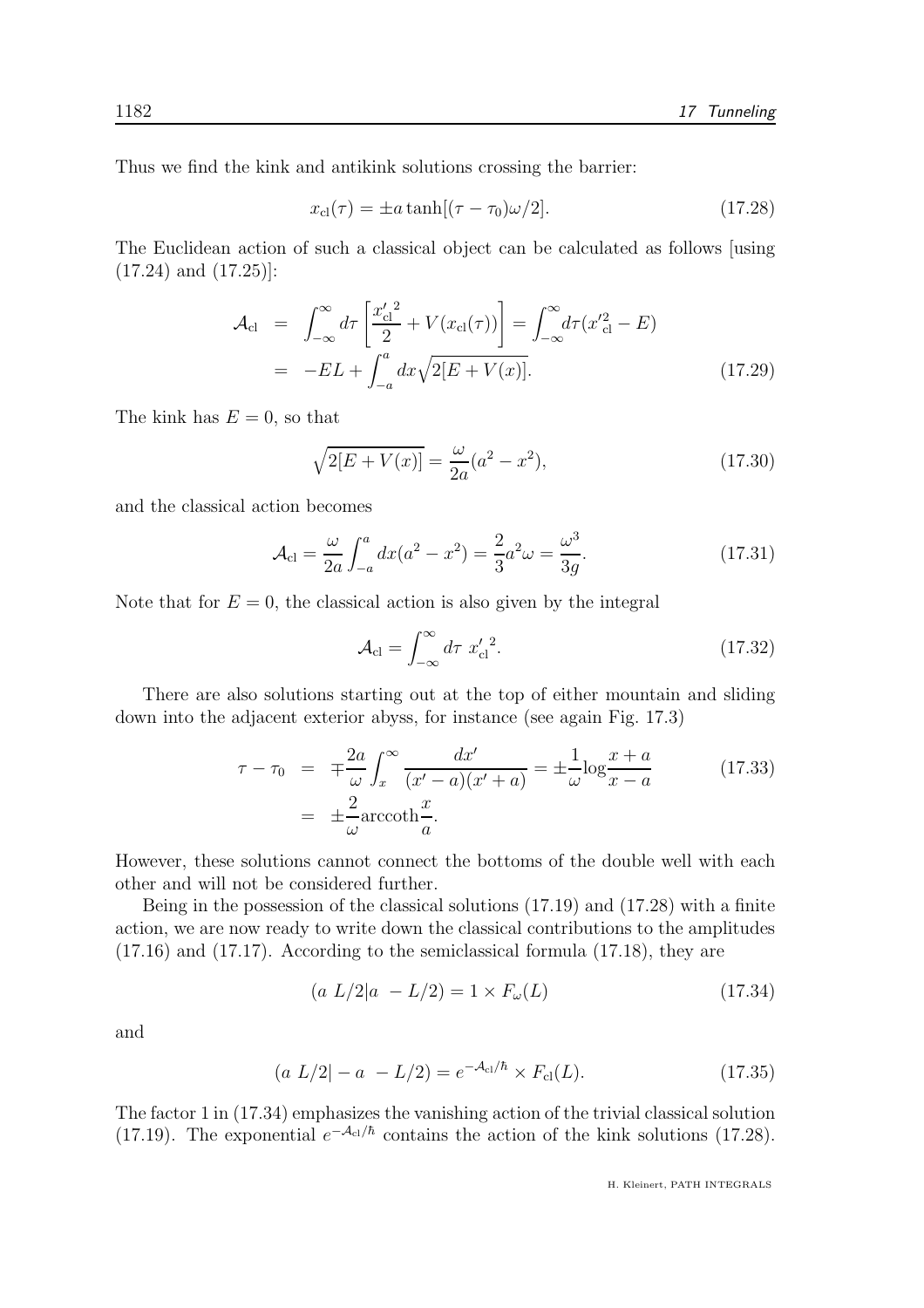Thus we find the kink and antikink solutions crossing the barrier:

$$
x_{\rm cl}(\tau) = \pm a \tanh[(\tau - \tau_0)\omega/2]. \tag{17.28}
$$

The Euclidean action of such a classical object can be calculated as follows [using (17.24) and (17.25)]:

$$
\mathcal{A}_{\text{cl}} = \int_{-\infty}^{\infty} d\tau \left[ \frac{x_{\text{cl}}^{\prime \, 2}}{2} + V(x_{\text{cl}}(\tau)) \right] = \int_{-\infty}^{\infty} d\tau (x_{\text{cl}}^{\prime 2} - E)
$$
  
= -EL +  $\int_{-a}^{a} dx \sqrt{2[E + V(x)]}$ . (17.29)

The kink has  $E = 0$ , so that

$$
\sqrt{2[E + V(x)]} = \frac{\omega}{2a}(a^2 - x^2),\tag{17.30}
$$

and the classical action becomes

$$
\mathcal{A}_{\rm cl} = \frac{\omega}{2a} \int_{-a}^{a} dx (a^2 - x^2) = \frac{2}{3} a^2 \omega = \frac{\omega^3}{3g}.
$$
 (17.31)

Note that for  $E = 0$ , the classical action is also given by the integral

$$
\mathcal{A}_{\rm cl} = \int_{-\infty}^{\infty} d\tau \; x_{\rm cl}'^2. \tag{17.32}
$$

There are also solutions starting out at the top of either mountain and sliding down into the adjacent exterior abyss, for instance (see again Fig. 17.3)

$$
\tau - \tau_0 = \mp \frac{2a}{\omega} \int_x^\infty \frac{dx'}{(x'-a)(x'+a)} = \pm \frac{1}{\omega} \log \frac{x+a}{x-a}
$$
(17.33)  

$$
= \pm \frac{2}{\omega} \operatorname{arccoth} \frac{x}{a}.
$$

However, these solutions cannot connect the bottoms of the double well with each other and will not be considered further.

Being in the possession of the classical solutions (17.19) and (17.28) with a finite action, we are now ready to write down the classical contributions to the amplitudes (17.16) and (17.17). According to the semiclassical formula (17.18), they are

$$
(a L/2|a - L/2) = 1 \times F_{\omega}(L) \tag{17.34}
$$

and

$$
(a L/2) - a - L/2 = e^{-A_{\rm cl}/\hbar} \times F_{\rm cl}(L). \tag{17.35}
$$

The factor 1 in (17.34) emphasizes the vanishing action of the trivial classical solution (17.19). The exponential  $e^{-\mathcal{A}_{cl}/\hbar}$  contains the action of the kink solutions (17.28).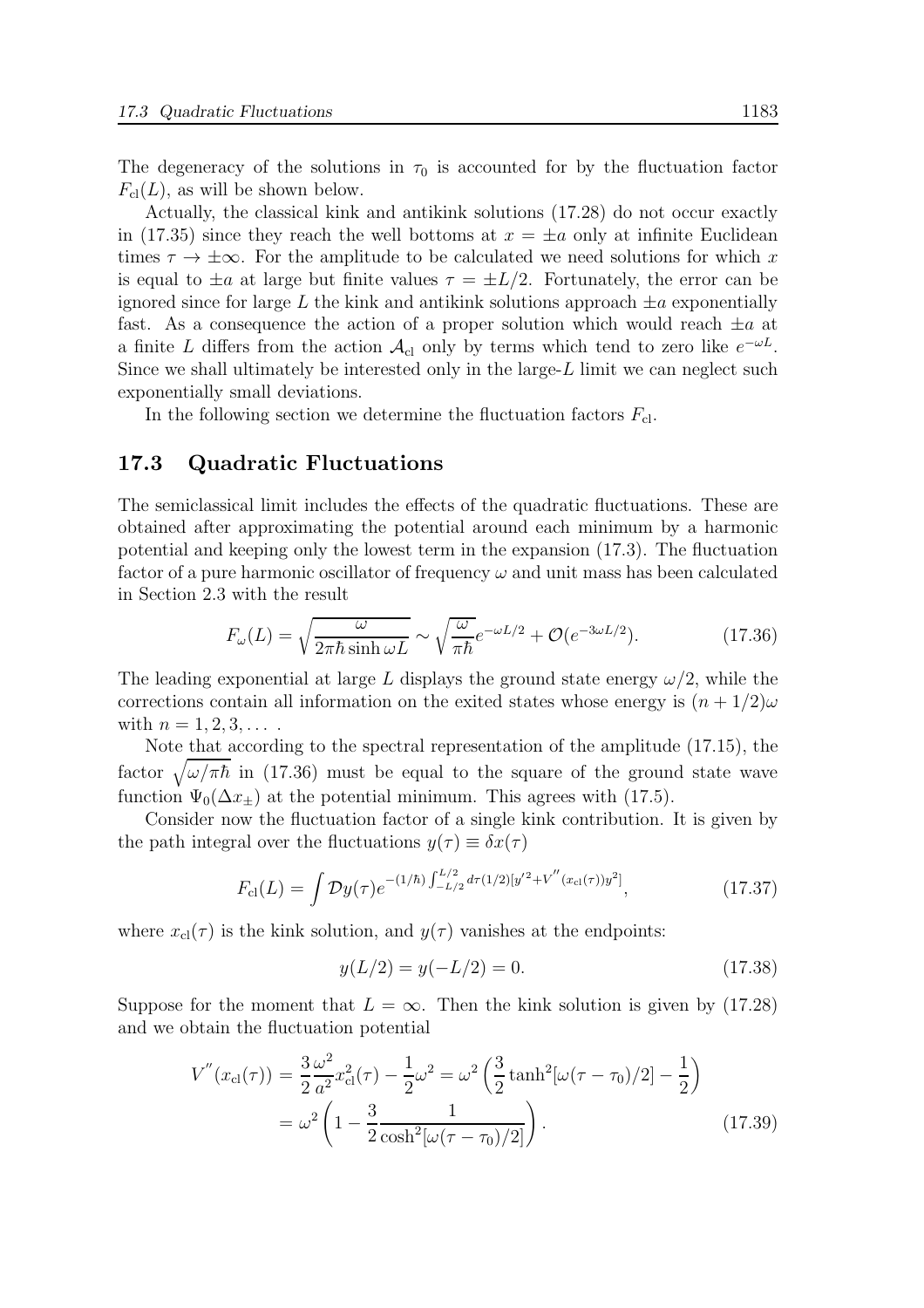The degeneracy of the solutions in  $\tau_0$  is accounted for by the fluctuation factor  $F_{\text{cl}}(L)$ , as will be shown below.

Actually, the classical kink and antikink solutions (17.28) do not occur exactly in (17.35) since they reach the well bottoms at  $x = \pm a$  only at infinite Euclidean times  $\tau \to \pm \infty$ . For the amplitude to be calculated we need solutions for which x is equal to  $\pm a$  at large but finite values  $\tau = \pm L/2$ . Fortunately, the error can be ignored since for large L the kink and antikink solutions approach  $\pm a$  exponentially fast. As a consequence the action of a proper solution which would reach  $\pm a$  at a finite L differs from the action  $\mathcal{A}_{\text{cl}}$  only by terms which tend to zero like  $e^{-\omega L}$ . Since we shall ultimately be interested only in the large-L limit we can neglect such exponentially small deviations.

In the following section we determine the fluctuation factors  $F_{\text{cl}}$ .

#### 17.3 Quadratic Fluctuations

The semiclassical limit includes the effects of the quadratic fluctuations. These are obtained after approximating the potential around each minimum by a harmonic potential and keeping only the lowest term in the expansion (17.3). The fluctuation factor of a pure harmonic oscillator of frequency  $\omega$  and unit mass has been calculated in Section 2.3 with the result

$$
F_{\omega}(L) = \sqrt{\frac{\omega}{2\pi\hbar \sinh \omega L}} \sim \sqrt{\frac{\omega}{\pi\hbar}} e^{-\omega L/2} + \mathcal{O}(e^{-3\omega L/2}).
$$
 (17.36)

The leading exponential at large L displays the ground state energy  $\omega/2$ , while the corrections contain all information on the exited states whose energy is  $(n + 1/2)\omega$ with  $n = 1, 2, 3, \ldots$ .

Note that according to the spectral representation of the amplitude (17.15), the factor  $\sqrt{\omega/\pi\hbar}$  in (17.36) must be equal to the square of the ground state wave function  $\Psi_0(\Delta x_\pm)$  at the potential minimum. This agrees with (17.5).

Consider now the fluctuation factor of a single kink contribution. It is given by the path integral over the fluctuations  $y(\tau) \equiv \delta x(\tau)$ 

$$
F_{\rm cl}(L) = \int \mathcal{D}y(\tau) e^{-(1/\hbar) \int_{-L/2}^{L/2} d\tau (1/2) [y'^2 + V''(x_{\rm cl}(\tau))y^2]},\tag{17.37}
$$

where  $x_{\text{cl}}(\tau)$  is the kink solution, and  $y(\tau)$  vanishes at the endpoints:

$$
y(L/2) = y(-L/2) = 0.
$$
\n(17.38)

Suppose for the moment that  $L = \infty$ . Then the kink solution is given by (17.28) and we obtain the fluctuation potential

$$
V''(x_{\rm cl}(\tau)) = \frac{3}{2} \frac{\omega^2}{a^2} x_{\rm cl}^2(\tau) - \frac{1}{2} \omega^2 = \omega^2 \left(\frac{3}{2} \tanh^2[\omega(\tau - \tau_0)/2] - \frac{1}{2}\right)
$$
  
=  $\omega^2 \left(1 - \frac{3}{2} \frac{1}{\cosh^2[\omega(\tau - \tau_0)/2]}\right).$  (17.39)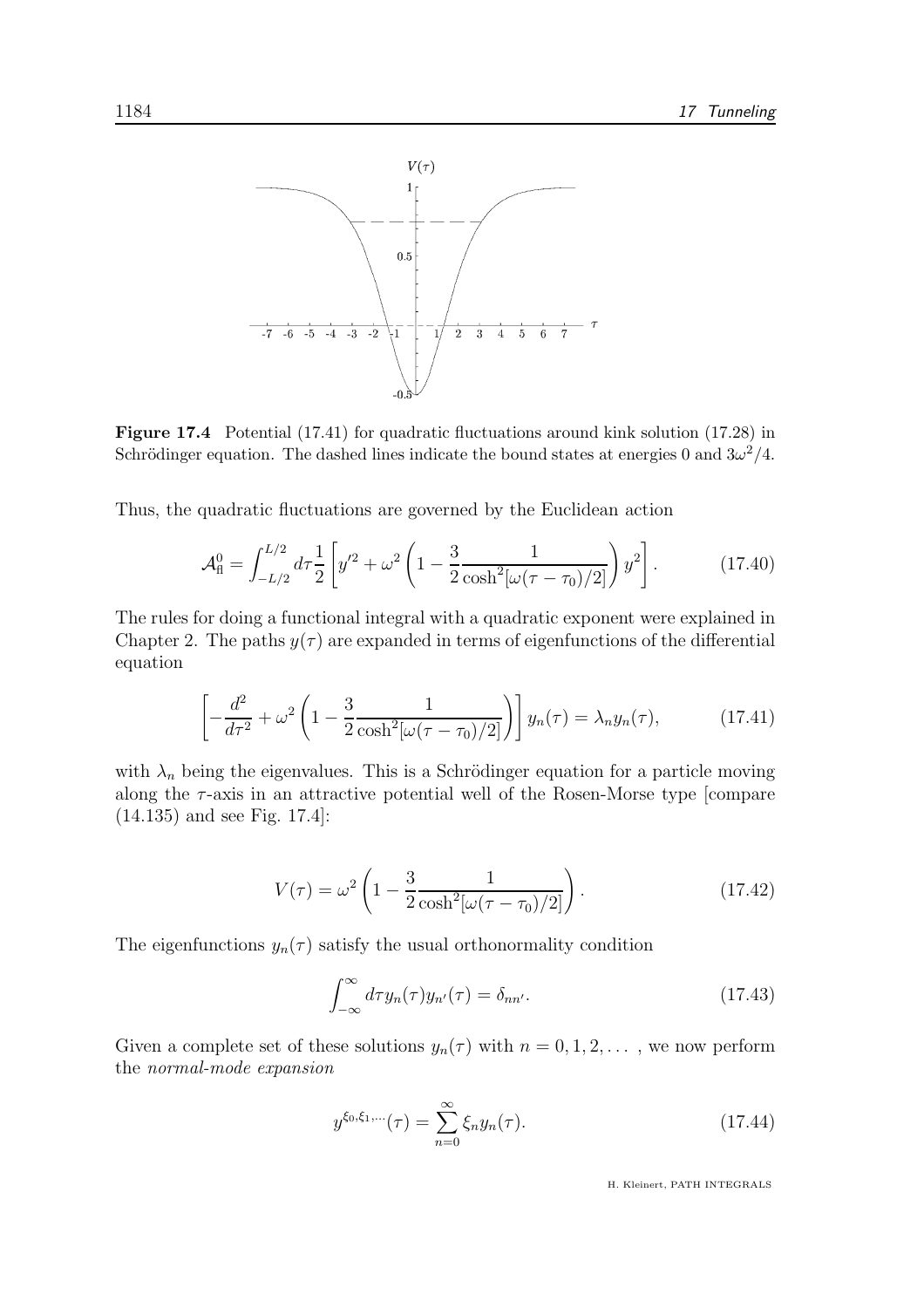

Figure 17.4 Potential (17.41) for quadratic fluctuations around kink solution (17.28) in Schrödinger equation. The dashed lines indicate the bound states at energies 0 and  $3\omega^2/4$ .

Thus, the quadratic fluctuations are governed by the Euclidean action

$$
\mathcal{A}_{\rm fl}^0 = \int_{-L/2}^{L/2} d\tau \frac{1}{2} \left[ y'^2 + \omega^2 \left( 1 - \frac{3}{2} \frac{1}{\cosh^2[\omega(\tau - \tau_0)/2]} \right) y^2 \right]. \tag{17.40}
$$

The rules for doing a functional integral with a quadratic exponent were explained in Chapter 2. The paths  $y(\tau)$  are expanded in terms of eigenfunctions of the differential equation

$$
\left[ -\frac{d^2}{d\tau^2} + \omega^2 \left( 1 - \frac{3}{2} \frac{1}{\cosh^2[\omega(\tau - \tau_0)/2]} \right) \right] y_n(\tau) = \lambda_n y_n(\tau), \quad (17.41)
$$

with  $\lambda_n$  being the eigenvalues. This is a Schrödinger equation for a particle moving along the  $\tau$ -axis in an attractive potential well of the Rosen-Morse type [compare (14.135) and see Fig. 17.4]:

$$
V(\tau) = \omega^2 \left( 1 - \frac{3}{2} \frac{1}{\cosh^2[\omega(\tau - \tau_0)/2]} \right). \tag{17.42}
$$

The eigenfunctions  $y_n(\tau)$  satisfy the usual orthonormality condition

$$
\int_{-\infty}^{\infty} d\tau y_n(\tau) y_{n'}(\tau) = \delta_{nn'}.
$$
\n(17.43)

Given a complete set of these solutions  $y_n(\tau)$  with  $n = 0, 1, 2, \ldots$ , we now perform the normal-mode expansion

$$
y^{\xi_0, \xi_1, \dots}(\tau) = \sum_{n=0}^{\infty} \xi_n y_n(\tau). \tag{17.44}
$$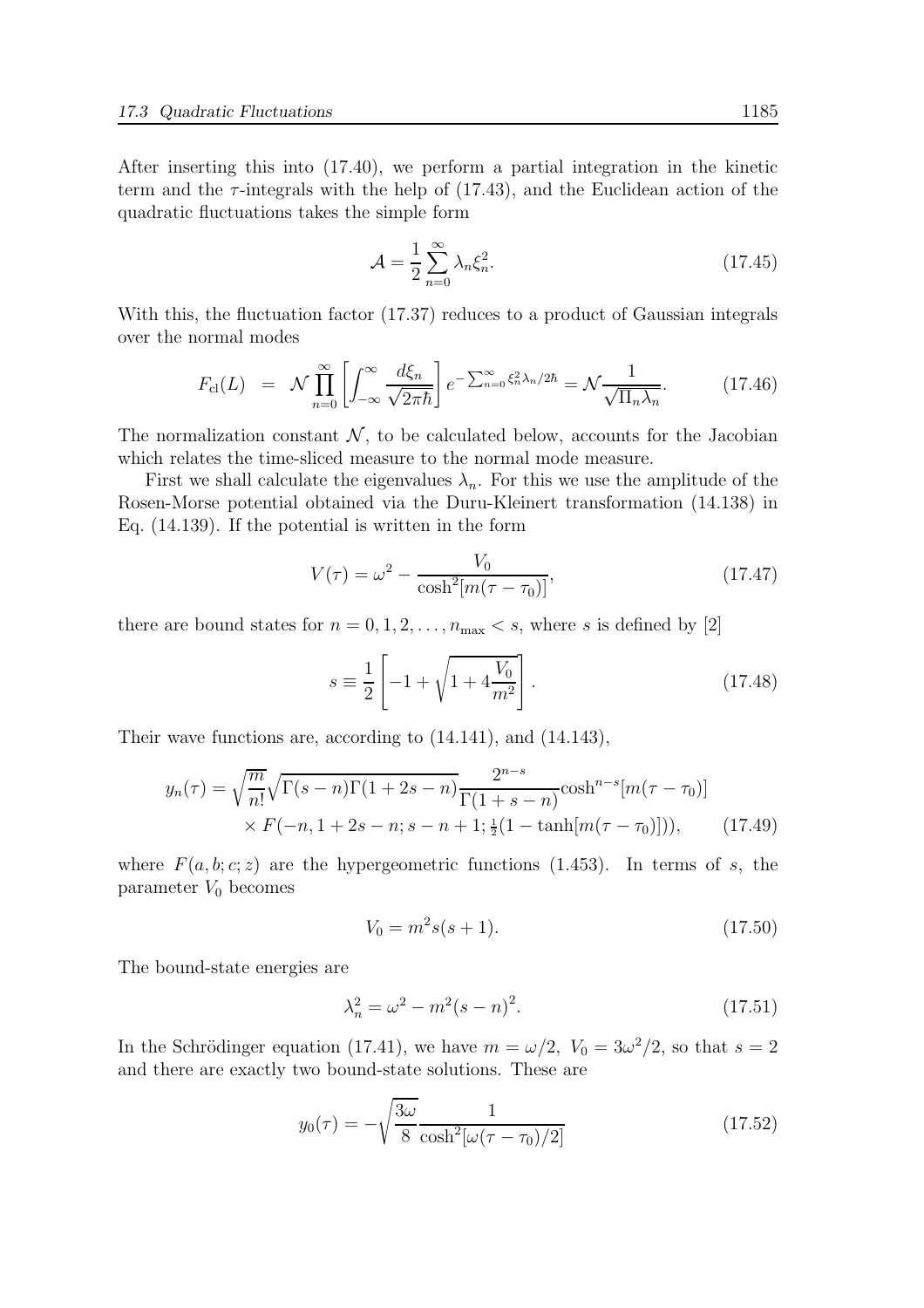After inserting this into (17.40), we perform a partial integration in the kinetic term and the  $\tau$ -integrals with the help of (17.43), and the Euclidean action of the quadratic fluctuations takes the simple form

$$
\mathcal{A} = \frac{1}{2} \sum_{n=0}^{\infty} \lambda_n \xi_n^2.
$$
 (17.45)

With this, the fluctuation factor (17.37) reduces to a product of Gaussian integrals over the normal modes

$$
F_{\text{cl}}(L) = \mathcal{N} \prod_{n=0}^{\infty} \left[ \int_{-\infty}^{\infty} \frac{d\xi_n}{\sqrt{2\pi\hbar}} \right] e^{-\sum_{n=0}^{\infty} \xi_n^2 \lambda_n / 2\hbar} = \mathcal{N} \frac{1}{\sqrt{\Pi_n \lambda_n}}.
$$
 (17.46)

The normalization constant  $\mathcal N$ , to be calculated below, accounts for the Jacobian which relates the time-sliced measure to the normal mode measure.

First we shall calculate the eigenvalues  $\lambda_n$ . For this we use the amplitude of the Rosen-Morse potential obtained via the Duru-Kleinert transformation (14.138) in Eq. (14.139). If the potential is written in the form

$$
V(\tau) = \omega^2 - \frac{V_0}{\cosh^2[m(\tau - \tau_0)]},
$$
\n(17.47)

there are bound states for  $n = 0, 1, 2, \ldots, n_{\text{max}} < s$ , where s is defined by [2]

$$
s \equiv \frac{1}{2} \left[ -1 + \sqrt{1 + 4\frac{V_0}{m^2}} \right].
$$
 (17.48)

Their wave functions are, according to (14.141), and (14.143),

$$
y_n(\tau) = \sqrt{\frac{m}{n!}} \sqrt{\Gamma(s-n)\Gamma(1+2s-n)} \frac{2^{n-s}}{\Gamma(1+s-n)} \cosh^{n-s}[m(\tau-\tau_0)]
$$
  
 
$$
\times F(-n, 1+2s-n; s-n+1; \frac{1}{2}(1-\tanh[m(\tau-\tau_0)])), \qquad (17.49)
$$

where  $F(a, b; c; z)$  are the hypergeometric functions (1.453). In terms of s, the parameter  $V_0$  becomes

$$
V_0 = m^2 s(s+1). \tag{17.50}
$$

The bound-state energies are

$$
\lambda_n^2 = \omega^2 - m^2(s - n)^2.
$$
 (17.51)

In the Schrödinger equation (17.41), we have  $m = \omega/2$ ,  $V_0 = 3\omega^2/2$ , so that  $s = 2$ and there are exactly two bound-state solutions. These are

$$
y_0(\tau) = -\sqrt{\frac{3\omega}{8} \frac{1}{\cosh^2[\omega(\tau - \tau_0)/2]}}
$$
(17.52)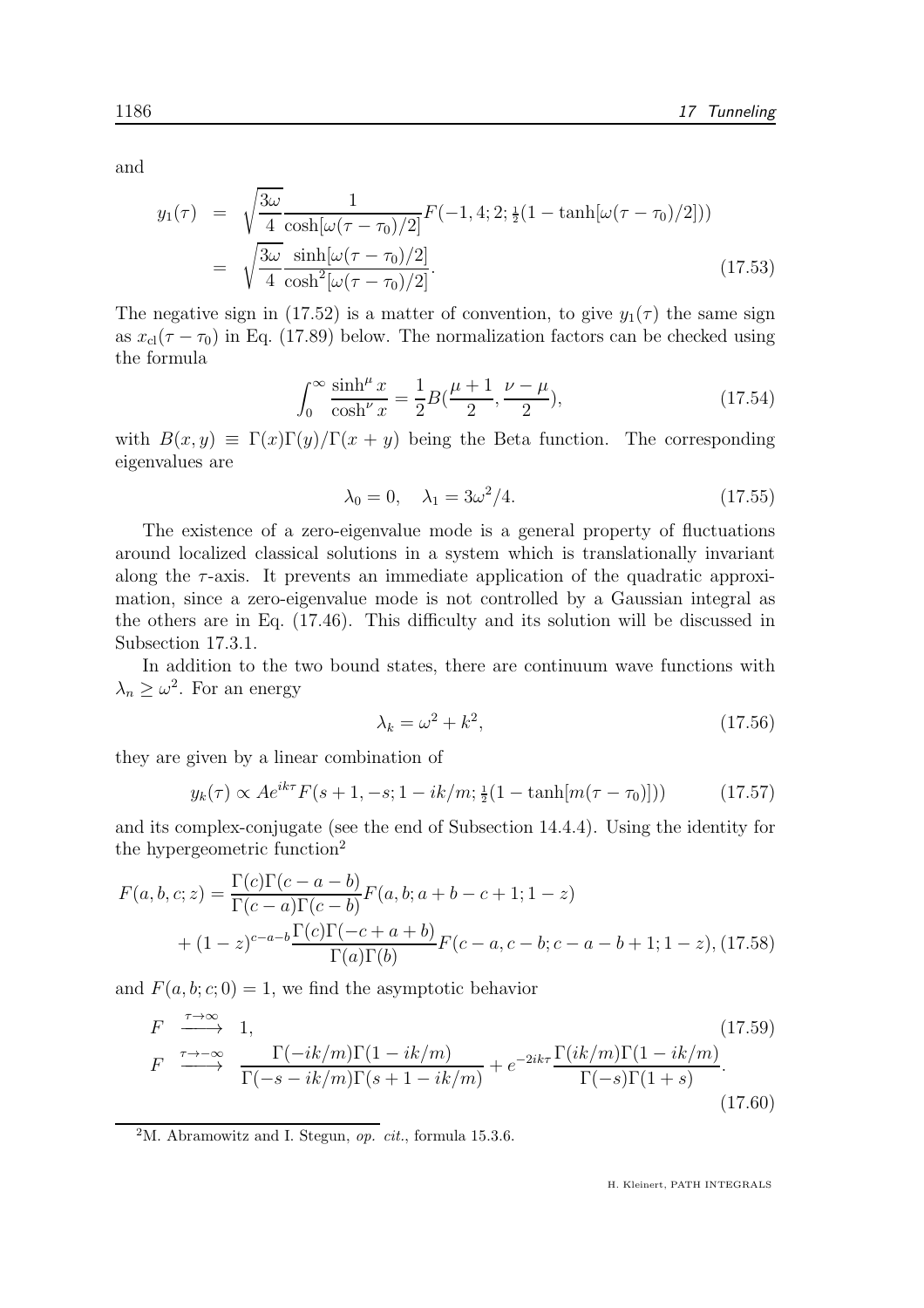and

$$
y_1(\tau) = \sqrt{\frac{3\omega}{4}} \frac{1}{\cosh[\omega(\tau - \tau_0)/2]} F(-1, 4; 2; \frac{1}{2}(1 - \tanh[\omega(\tau - \tau_0)/2]))
$$
  
=  $\sqrt{\frac{3\omega}{4}} \frac{\sinh[\omega(\tau - \tau_0)/2]}{\cosh^2[\omega(\tau - \tau_0)/2]}.$  (17.53)

The negative sign in (17.52) is a matter of convention, to give  $y_1(\tau)$  the same sign as  $x_{\text{cl}}(\tau - \tau_0)$  in Eq. (17.89) below. The normalization factors can be checked using the formula

$$
\int_0^\infty \frac{\sinh^{\mu} x}{\cosh^{\nu} x} = \frac{1}{2} B(\frac{\mu+1}{2}, \frac{\nu-\mu}{2}),\tag{17.54}
$$

with  $B(x, y) \equiv \Gamma(x)\Gamma(y)/\Gamma(x + y)$  being the Beta function. The corresponding eigenvalues are

$$
\lambda_0 = 0, \quad \lambda_1 = 3\omega^2/4. \tag{17.55}
$$

The existence of a zero-eigenvalue mode is a general property of fluctuations around localized classical solutions in a system which is translationally invariant along the  $\tau$ -axis. It prevents an immediate application of the quadratic approximation, since a zero-eigenvalue mode is not controlled by a Gaussian integral as the others are in Eq. (17.46). This difficulty and its solution will be discussed in Subsection 17.3.1.

In addition to the two bound states, there are continuum wave functions with  $\lambda_n \geq \omega^2$ . For an energy

$$
\lambda_k = \omega^2 + k^2,\tag{17.56}
$$

they are given by a linear combination of

$$
y_k(\tau) \propto A e^{ik\tau} F(s+1, -s; 1-ik/m; \frac{1}{2}(1-\tanh[m(\tau-\tau_0)]))
$$
 (17.57)

and its complex-conjugate (see the end of Subsection 14.4.4). Using the identity for the hypergeometric function<sup>2</sup>

$$
F(a, b, c; z) = \frac{\Gamma(c)\Gamma(c - a - b)}{\Gamma(c - a)\Gamma(c - b)} F(a, b; a + b - c + 1; 1 - z)
$$
  
+ 
$$
(1 - z)^{c - a - b} \frac{\Gamma(c)\Gamma(-c + a + b)}{\Gamma(a)\Gamma(b)} F(c - a, c - b; c - a - b + 1; 1 - z), (17.58)
$$

and  $F(a, b; c; 0) = 1$ , we find the asymptotic behavior

$$
F \xrightarrow{\tau \to \infty} 1,
$$
\n
$$
F \xrightarrow{\tau \to -\infty} \frac{\Gamma(-ik/m)\Gamma(1-ik/m)}{\Gamma(-s-ik/m)\Gamma(s+1-ik/m)} + e^{-2ik\tau} \frac{\Gamma(ik/m)\Gamma(1-ik/m)}{\Gamma(-s)\Gamma(1+s)}.
$$
\n(17.59)\n(17.60)

<sup>2</sup>M. Abramowitz and I. Stegun, *op. cit.*, formula 15.3.6.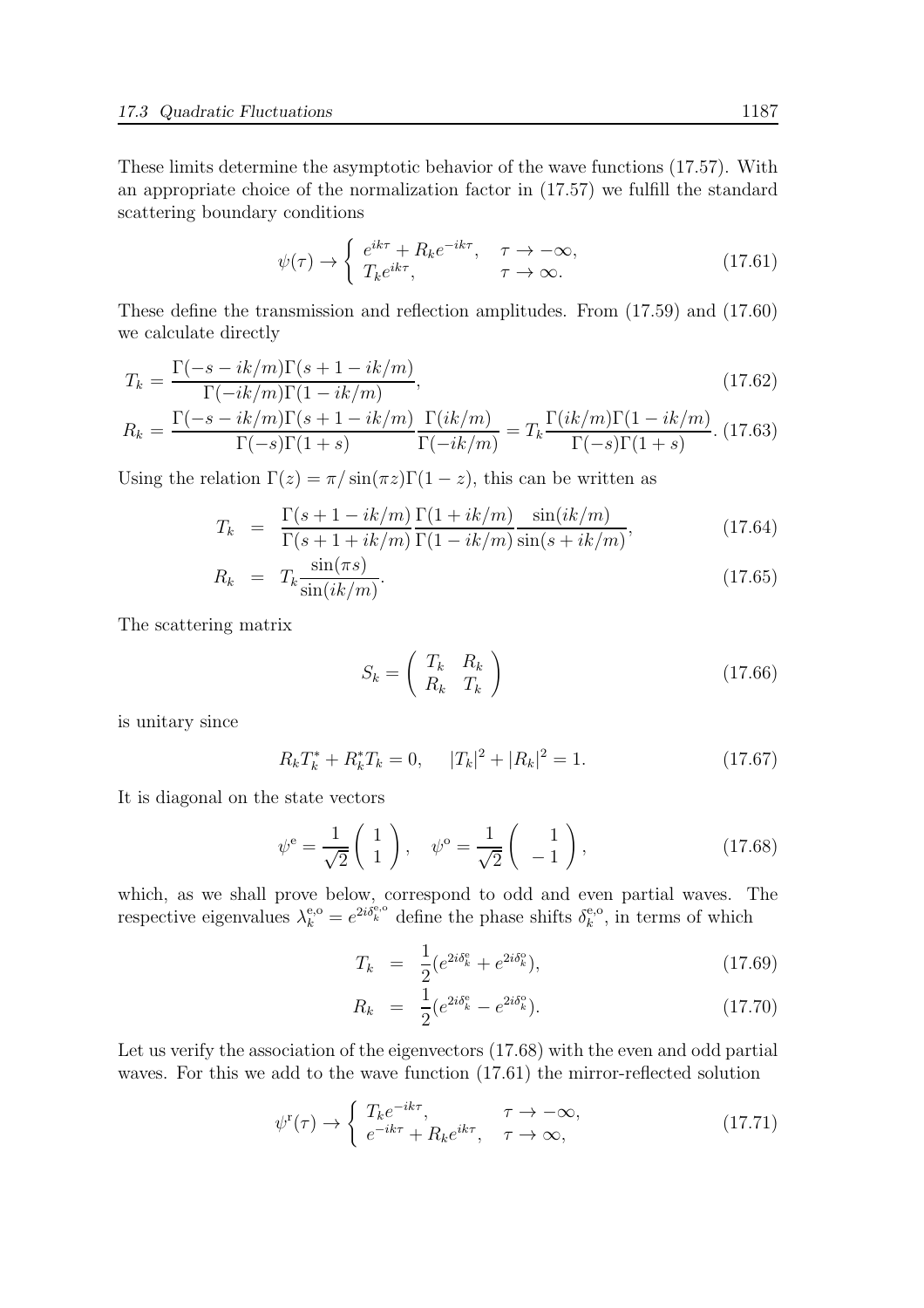These limits determine the asymptotic behavior of the wave functions (17.57). With an appropriate choice of the normalization factor in (17.57) we fulfill the standard scattering boundary conditions

$$
\psi(\tau) \to \begin{cases} e^{ik\tau} + R_k e^{-ik\tau}, & \tau \to -\infty, \\ T_k e^{ik\tau}, & \tau \to \infty. \end{cases}
$$
\n(17.61)

These define the transmission and reflection amplitudes. From (17.59) and (17.60) we calculate directly

$$
T_k = \frac{\Gamma(-s - ik/m)\Gamma(s + 1 - ik/m)}{\Gamma(-ik/m)\Gamma(1 - ik/m)},
$$
\n(17.62)

$$
R_k = \frac{\Gamma(-s - ik/m)\Gamma(s + 1 - ik/m)}{\Gamma(-s)\Gamma(1 + s)} \frac{\Gamma(ik/m)}{\Gamma(-ik/m)} = T_k \frac{\Gamma(ik/m)\Gamma(1 - ik/m)}{\Gamma(-s)\Gamma(1 + s)}.
$$
(17.63)

Using the relation  $\Gamma(z) = \pi / \sin(\pi z) \Gamma(1-z)$ , this can be written as

$$
T_k = \frac{\Gamma(s+1-ik/m)}{\Gamma(s+1+ik/m)} \frac{\Gamma(1+ik/m)}{\Gamma(1-ik/m)} \frac{\sin(ik/m)}{\sin(s+ik/m)},
$$
(17.64)

$$
R_k = T_k \frac{\sin(\pi s)}{\sin(ik/m)}.
$$
\n(17.65)

The scattering matrix

$$
S_k = \left(\begin{array}{cc} T_k & R_k \\ R_k & T_k \end{array}\right) \tag{17.66}
$$

is unitary since

$$
R_k T_k^* + R_k^* T_k = 0, \qquad |T_k|^2 + |R_k|^2 = 1. \tag{17.67}
$$

It is diagonal on the state vectors

$$
\psi^{\mathbf{e}} = \frac{1}{\sqrt{2}} \begin{pmatrix} 1 \\ 1 \end{pmatrix}, \quad \psi^{\mathbf{o}} = \frac{1}{\sqrt{2}} \begin{pmatrix} 1 \\ -1 \end{pmatrix}, \tag{17.68}
$$

which, as we shall prove below, correspond to odd and even partial waves. The respective eigenvalues  $\lambda_k^{e,o} = e^{2i\delta_k^{e,o}}$  define the phase shifts  $\delta_k^{e,o}$  $k^{\text{e},\text{o}}$ , in terms of which

$$
T_k = \frac{1}{2} (e^{2i\delta_k^e} + e^{2i\delta_k^o}), \qquad (17.69)
$$

$$
R_k = \frac{1}{2} (e^{2i\delta_k^e} - e^{2i\delta_k^o}). \tag{17.70}
$$

Let us verify the association of the eigenvectors (17.68) with the even and odd partial waves. For this we add to the wave function  $(17.61)$  the mirror-reflected solution

$$
\psi^{\mathrm{r}}(\tau) \to \begin{cases} T_k e^{-ik\tau}, & \tau \to -\infty, \\ e^{-ik\tau} + R_k e^{ik\tau}, & \tau \to \infty, \end{cases}
$$
(17.71)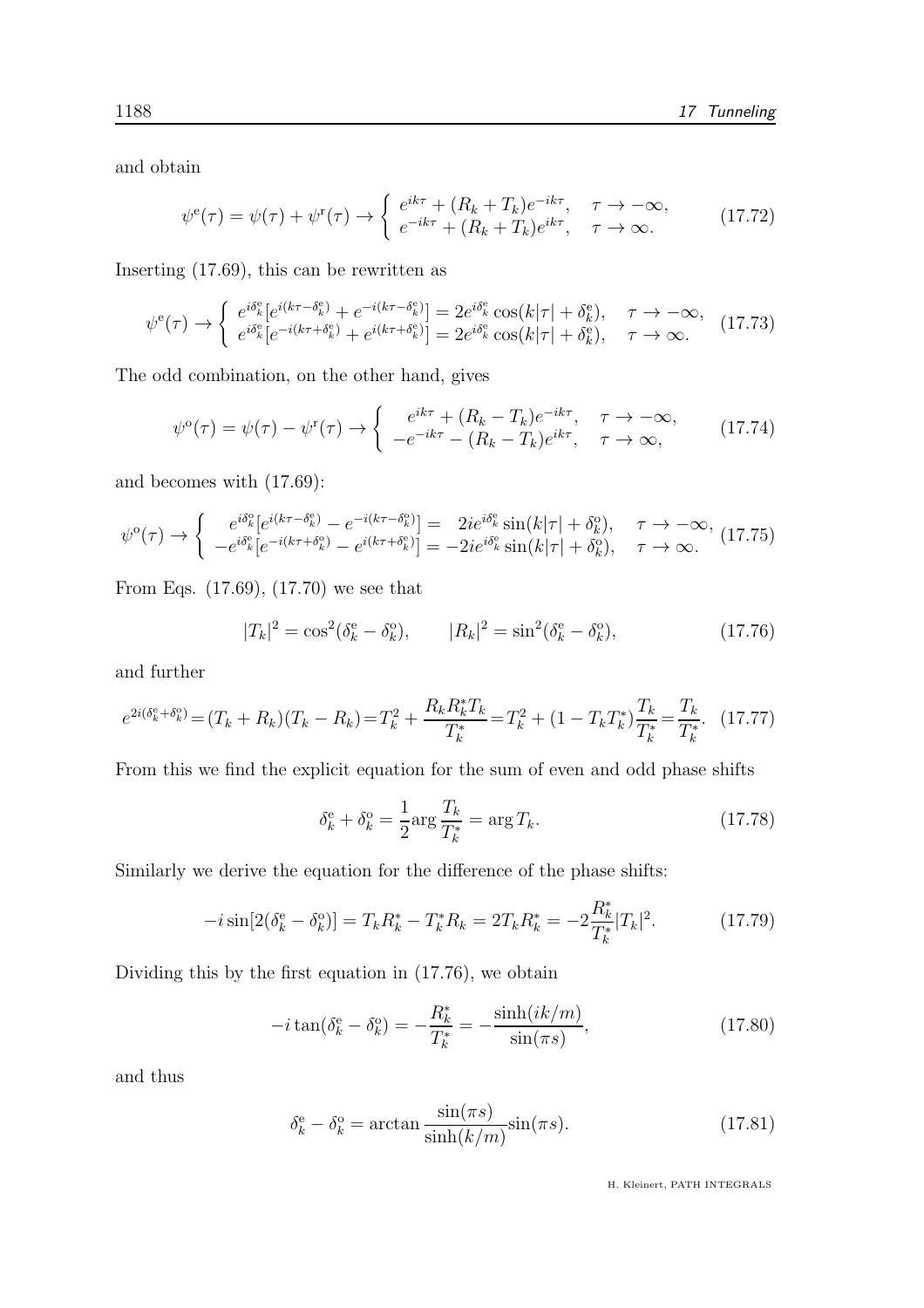and obtain

$$
\psi^{\text{e}}(\tau) = \psi(\tau) + \psi^{\text{r}}(\tau) \rightarrow \begin{cases} e^{ik\tau} + (R_k + T_k)e^{-ik\tau}, & \tau \rightarrow -\infty, \\ e^{-ik\tau} + (R_k + T_k)e^{ik\tau}, & \tau \rightarrow \infty. \end{cases}
$$
(17.72)

Inserting (17.69), this can be rewritten as

$$
\psi^{\mathbf{e}}(\tau) \to \begin{cases} e^{i\delta_k^{\mathbf{e}}} [e^{i(k\tau - \delta_k^{\mathbf{e}})} + e^{-i(k\tau - \delta_k^{\mathbf{e}})}] = 2e^{i\delta_k^{\mathbf{e}}} \cos(k|\tau| + \delta_k^{\mathbf{e}}), & \tau \to -\infty, \\ e^{i\delta_k^{\mathbf{e}}} [e^{-i(k\tau + \delta_k^{\mathbf{e}})} + e^{i(k\tau + \delta_k^{\mathbf{e}})}] = 2e^{i\delta_k^{\mathbf{e}}} \cos(k|\tau| + \delta_k^{\mathbf{e}}), & \tau \to \infty. \end{cases} (17.73)
$$

The odd combination, on the other hand, gives

$$
\psi^{\circ}(\tau) = \psi(\tau) - \psi^{\mathfrak{r}}(\tau) \rightarrow \begin{cases} e^{ik\tau} + (R_k - T_k)e^{-ik\tau}, & \tau \rightarrow -\infty, \\ -e^{-ik\tau} - (R_k - T_k)e^{ik\tau}, & \tau \rightarrow \infty, \end{cases}
$$
(17.74)

and becomes with (17.69):

$$
\psi^{\mathrm{o}}(\tau) \rightarrow \begin{cases} e^{i\delta_k^{\mathrm{o}}}[e^{i(k\tau - \delta_k^{\mathrm{e}})} - e^{-i(k\tau - \delta_k^{\mathrm{o}})}] = 2ie^{i\delta_k^{\mathrm{e}}} \sin(k|\tau| + \delta_k^{\mathrm{o}}), & \tau \rightarrow -\infty, \ -e^{i\delta_k^{\mathrm{e}}} [e^{-i(k\tau + \delta_k^{\mathrm{o}})} - e^{i(k\tau + \delta_k^{\mathrm{o}})}] = -2ie^{i\delta_k^{\mathrm{e}}} \sin(k|\tau| + \delta_k^{\mathrm{o}}), & \tau \rightarrow \infty. \end{cases} (17.75)
$$

From Eqs. (17.69), (17.70) we see that

$$
|T_k|^2 = \cos^2(\delta_k^e - \delta_k^o), \qquad |R_k|^2 = \sin^2(\delta_k^e - \delta_k^o), \qquad (17.76)
$$

and further

$$
e^{2i(\delta_k^e + \delta_k^o)} = (T_k + R_k)(T_k - R_k) = T_k^2 + \frac{R_k R_k^* T_k}{T_k^*} = T_k^2 + (1 - T_k T_k^*) \frac{T_k}{T_k^*} = \frac{T_k}{T_k^*}. \tag{17.77}
$$

From this we find the explicit equation for the sum of even and odd phase shifts

$$
\delta_k^{\rm e} + \delta_k^{\rm o} = \frac{1}{2} \text{arg}\frac{T_k}{T_k^*} = \text{arg}\, T_k. \tag{17.78}
$$

Similarly we derive the equation for the difference of the phase shifts:

$$
-i\sin[2(\delta_k^e - \delta_k^o)] = T_k R_k^* - T_k^* R_k = 2T_k R_k^* = -2\frac{R_k^*}{T_k^*} |T_k|^2. \tag{17.79}
$$

Dividing this by the first equation in (17.76), we obtain

$$
-i\tan(\delta_k^e - \delta_k^o) = -\frac{R_k^*}{T_k^*} = -\frac{\sinh(ik/m)}{\sin(\pi s)},
$$
\n(17.80)

and thus

$$
\delta_k^e - \delta_k^o = \arctan \frac{\sin(\pi s)}{\sinh(k/m)} \sin(\pi s). \tag{17.81}
$$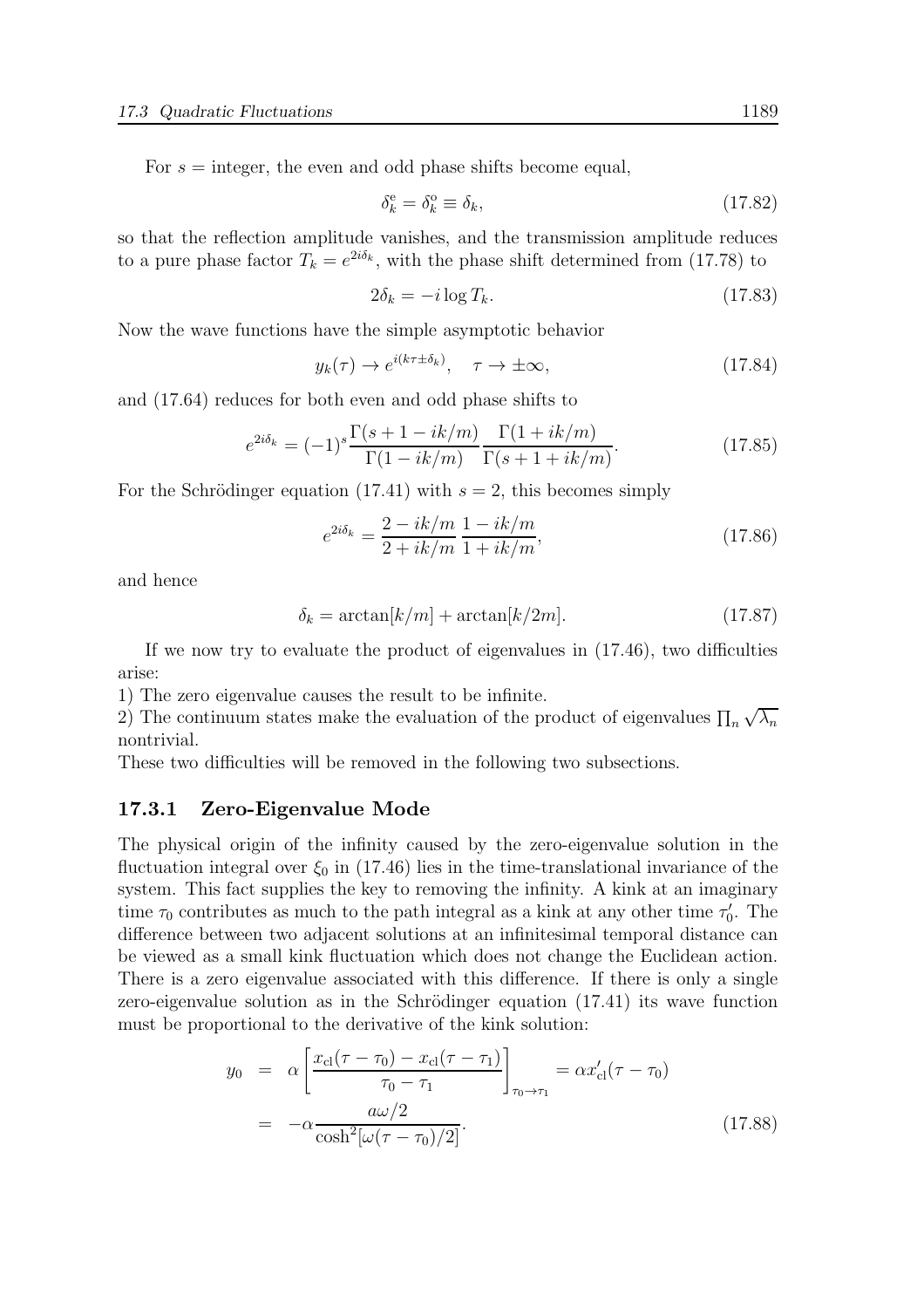For  $s =$  integer, the even and odd phase shifts become equal,

$$
\delta_k^e = \delta_k^o \equiv \delta_k,\tag{17.82}
$$

so that the reflection amplitude vanishes, and the transmission amplitude reduces to a pure phase factor  $T_k = e^{2i\delta_k}$ , with the phase shift determined from (17.78) to

$$
2\delta_k = -i\log T_k. \tag{17.83}
$$

Now the wave functions have the simple asymptotic behavior

$$
y_k(\tau) \to e^{i(k\tau \pm \delta_k)}, \quad \tau \to \pm \infty,
$$
\n(17.84)

and (17.64) reduces for both even and odd phase shifts to

$$
e^{2i\delta_k} = (-1)^s \frac{\Gamma(s+1-ik/m)}{\Gamma(1-ik/m)} \frac{\Gamma(1+ik/m)}{\Gamma(s+1+ik/m)}.
$$
 (17.85)

For the Schrödinger equation (17.41) with  $s = 2$ , this becomes simply

$$
e^{2i\delta_k} = \frac{2 - ik/m}{2 + ik/m} \frac{1 - ik/m}{1 + ik/m},
$$
(17.86)

and hence

$$
\delta_k = \arctan[k/m] + \arctan[k/2m].\tag{17.87}
$$

If we now try to evaluate the product of eigenvalues in (17.46), two difficulties arise:

1) The zero eigenvalue causes the result to be infinite.

2) The continuum states make the evaluation of the product of eigenvalues  $\prod_n \sqrt{\lambda_n}$ nontrivial.

These two difficulties will be removed in the following two subsections.

#### 17.3.1 Zero-Eigenvalue Mode

The physical origin of the infinity caused by the zero-eigenvalue solution in the fluctuation integral over  $\xi_0$  in (17.46) lies in the time-translational invariance of the system. This fact supplies the key to removing the infinity. A kink at an imaginary time  $\tau_0$  contributes as much to the path integral as a kink at any other time  $\tau'_0$ . The difference between two adjacent solutions at an infinitesimal temporal distance can be viewed as a small kink fluctuation which does not change the Euclidean action. There is a zero eigenvalue associated with this difference. If there is only a single zero-eigenvalue solution as in the Schrödinger equation  $(17.41)$  its wave function must be proportional to the derivative of the kink solution:

$$
y_0 = \alpha \left[ \frac{x_{\text{cl}}(\tau - \tau_0) - x_{\text{cl}}(\tau - \tau_1)}{\tau_0 - \tau_1} \right]_{\tau_0 \to \tau_1} = \alpha x_{\text{cl}}'(\tau - \tau_0)
$$
  
= 
$$
-\alpha \frac{a\omega/2}{\cosh^2[\omega(\tau - \tau_0)/2]}.
$$
 (17.88)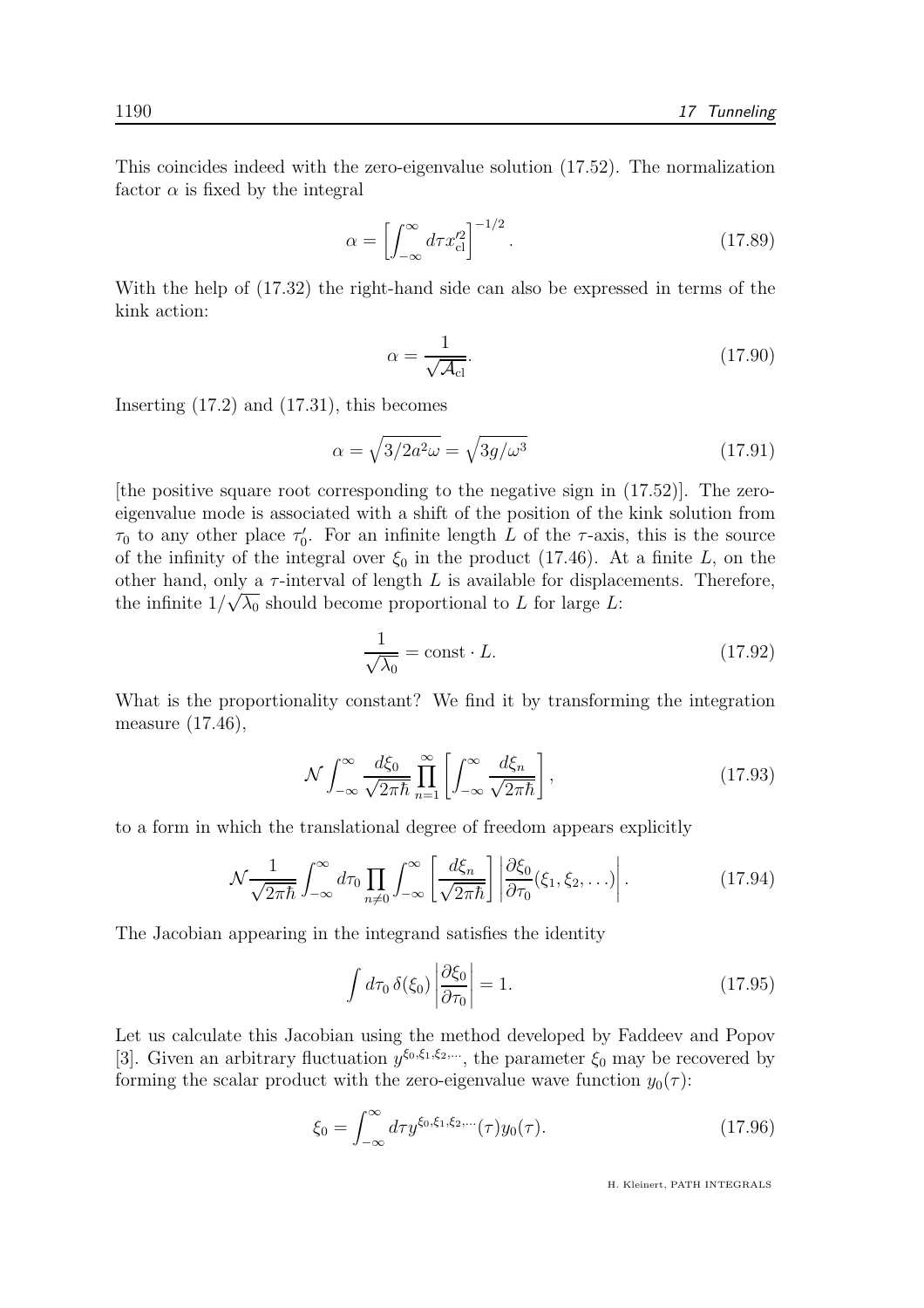This coincides indeed with the zero-eigenvalue solution (17.52). The normalization factor  $\alpha$  is fixed by the integral

$$
\alpha = \left[ \int_{-\infty}^{\infty} d\tau x_{\rm cl}^{\prime 2} \right]^{-1/2}.
$$
 (17.89)

With the help of (17.32) the right-hand side can also be expressed in terms of the kink action:

$$
\alpha = \frac{1}{\sqrt{\mathcal{A}_{\text{cl}}}}.\tag{17.90}
$$

Inserting (17.2) and (17.31), this becomes

$$
\alpha = \sqrt{3/2a^2\omega} = \sqrt{3g/\omega^3} \tag{17.91}
$$

[the positive square root corresponding to the negative sign in  $(17.52)$ ]. The zeroeigenvalue mode is associated with a shift of the position of the kink solution from  $\tau_0$  to any other place  $\tau'_0$ . For an infinite length L of the  $\tau$ -axis, this is the source of the infinity of the integral over  $\xi_0$  in the product (17.46). At a finite L, on the other hand, only a  $\tau$ -interval of length L is available for displacements. Therefore, the infinite  $1/\sqrt{\lambda_0}$  should become proportional to L for large L:

$$
\frac{1}{\sqrt{\lambda_0}} = \text{const} \cdot L. \tag{17.92}
$$

What is the proportionality constant? We find it by transforming the integration measure (17.46),

$$
\mathcal{N} \int_{-\infty}^{\infty} \frac{d\xi_0}{\sqrt{2\pi\hbar}} \prod_{n=1}^{\infty} \left[ \int_{-\infty}^{\infty} \frac{d\xi_n}{\sqrt{2\pi\hbar}} \right],
$$
\n(17.93)

to a form in which the translational degree of freedom appears explicitly

$$
\mathcal{N}\frac{1}{\sqrt{2\pi\hbar}}\int_{-\infty}^{\infty}d\tau_0\prod_{n\neq 0}\int_{-\infty}^{\infty}\left[\frac{d\xi_n}{\sqrt{2\pi\hbar}}\right]\left|\frac{\partial\xi_0}{\partial\tau_0}(\xi_1,\xi_2,\ldots)\right|.\tag{17.94}
$$

The Jacobian appearing in the integrand satisfies the identity

$$
\int d\tau_0 \,\delta(\xi_0) \left| \frac{\partial \xi_0}{\partial \tau_0} \right| = 1. \tag{17.95}
$$

Let us calculate this Jacobian using the method developed by Faddeev and Popov [3]. Given an arbitrary fluctuation  $y^{\xi_0,\xi_1,\xi_2,\ldots}$ , the parameter  $\xi_0$  may be recovered by forming the scalar product with the zero-eigenvalue wave function  $y_0(\tau)$ :

$$
\xi_0 = \int_{-\infty}^{\infty} d\tau y^{\xi_0, \xi_1, \xi_2, \dots}(\tau) y_0(\tau). \tag{17.96}
$$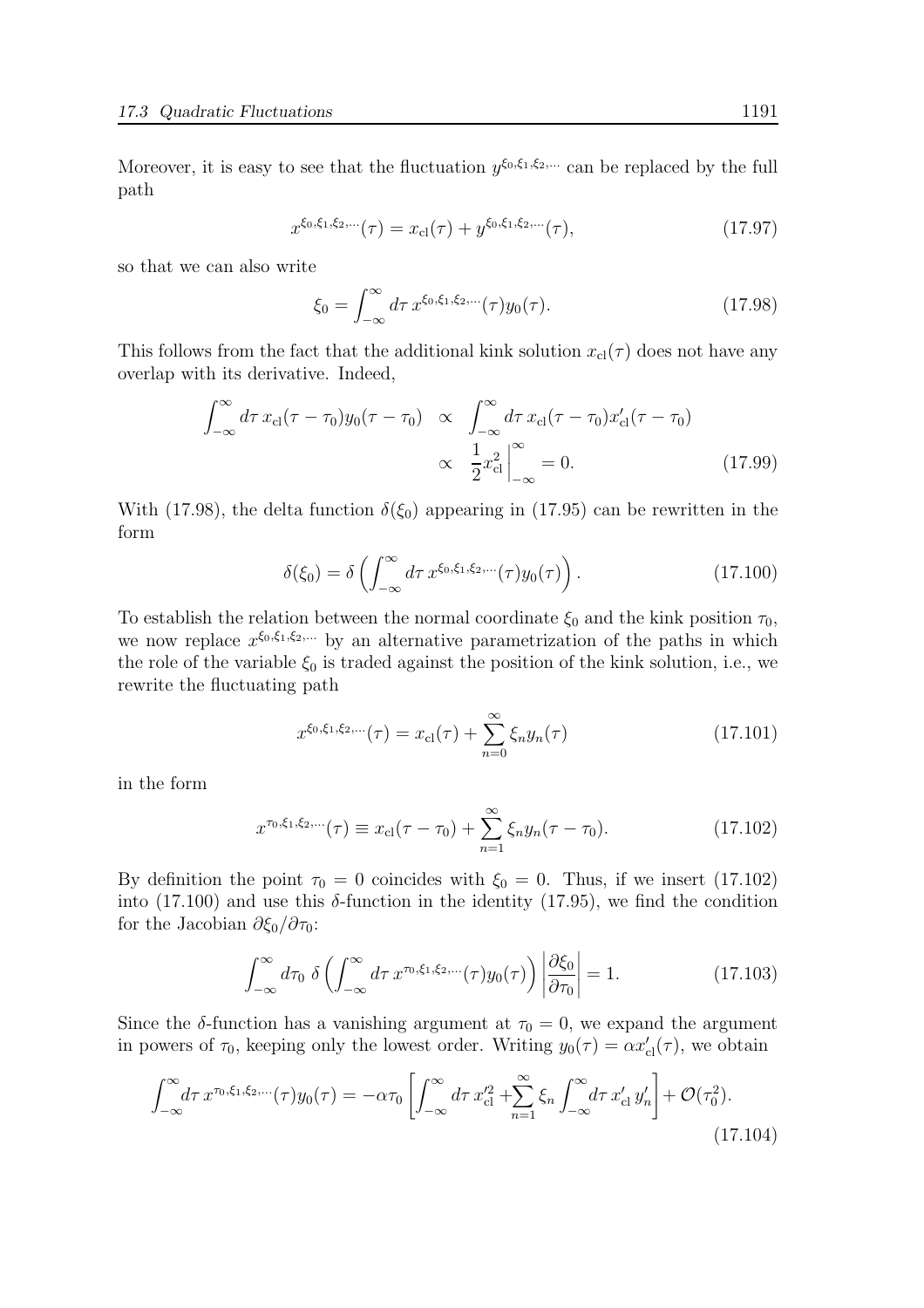Moreover, it is easy to see that the fluctuation  $y^{\xi_0,\xi_1,\xi_2,\dots}$  can be replaced by the full path

$$
x^{\xi_0,\xi_1,\xi_2,\dots}(\tau) = x_{\text{cl}}(\tau) + y^{\xi_0,\xi_1,\xi_2,\dots}(\tau),
$$
\n(17.97)

so that we can also write

$$
\xi_0 = \int_{-\infty}^{\infty} d\tau \, x^{\xi_0, \xi_1, \xi_2, \dots}(\tau) y_0(\tau). \tag{17.98}
$$

This follows from the fact that the additional kink solution  $x_{\text{cl}}(\tau)$  does not have any overlap with its derivative. Indeed,

$$
\int_{-\infty}^{\infty} d\tau \, x_{\text{cl}}(\tau - \tau_0) y_0(\tau - \tau_0) \propto \int_{-\infty}^{\infty} d\tau \, x_{\text{cl}}(\tau - \tau_0) x_{\text{cl}}'(\tau - \tau_0)
$$

$$
\propto \left. \frac{1}{2} x_{\text{cl}}^2 \right|_{-\infty}^{\infty} = 0. \tag{17.99}
$$

With (17.98), the delta function  $\delta(\xi_0)$  appearing in (17.95) can be rewritten in the form

$$
\delta(\xi_0) = \delta\left(\int_{-\infty}^{\infty} d\tau \, x^{\xi_0, \xi_1, \xi_2, \dots}(\tau) y_0(\tau)\right). \tag{17.100}
$$

To establish the relation between the normal coordinate  $\xi_0$  and the kink position  $\tau_0$ , we now replace  $x^{\xi_0,\xi_1,\xi_2,\dots}$  by an alternative parametrization of the paths in which the role of the variable  $\xi_0$  is traded against the position of the kink solution, i.e., we rewrite the fluctuating path

$$
x^{\xi_0, \xi_1, \xi_2, \dots}(\tau) = x_{\text{cl}}(\tau) + \sum_{n=0}^{\infty} \xi_n y_n(\tau) \tag{17.101}
$$

in the form

$$
x^{\tau_0, \xi_1, \xi_2, \dots}(\tau) \equiv x_{\text{cl}}(\tau - \tau_0) + \sum_{n=1}^{\infty} \xi_n y_n(\tau - \tau_0). \tag{17.102}
$$

By definition the point  $\tau_0 = 0$  coincides with  $\xi_0 = 0$ . Thus, if we insert (17.102) into (17.100) and use this  $\delta$ -function in the identity (17.95), we find the condition for the Jacobian  $\partial \xi_0 / \partial \tau_0$ :

$$
\int_{-\infty}^{\infty} d\tau_0 \ \delta\left(\int_{-\infty}^{\infty} d\tau \ x^{\tau_0, \xi_1, \xi_2, \dots}(\tau) y_0(\tau)\right) \left|\frac{\partial \xi_0}{\partial \tau_0}\right| = 1.
$$
 (17.103)

Since the  $\delta$ -function has a vanishing argument at  $\tau_0 = 0$ , we expand the argument in powers of  $\tau_0$ , keeping only the lowest order. Writing  $y_0(\tau) = \alpha x'_{\text{cl}}(\tau)$ , we obtain

$$
\int_{-\infty}^{\infty} d\tau \, x^{\tau_0, \xi_1, \xi_2, \dots}(\tau) y_0(\tau) = -\alpha \tau_0 \left[ \int_{-\infty}^{\infty} d\tau \, x_{\text{cl}}'^2 + \sum_{n=1}^{\infty} \xi_n \int_{-\infty}^{\infty} d\tau \, x_{\text{cl}}' \, y_n' \right] + \mathcal{O}(\tau_0^2). \tag{17.104}
$$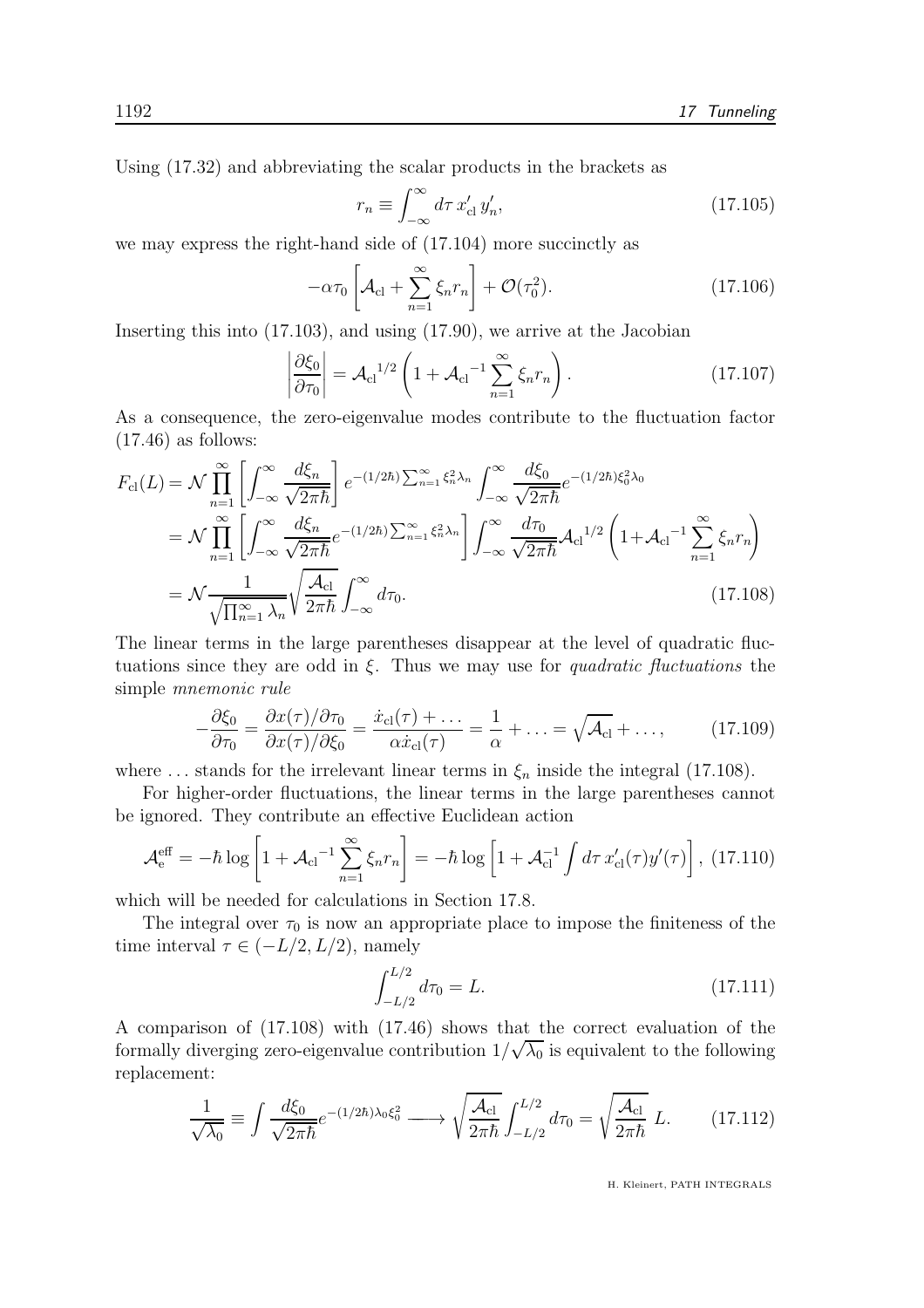Using (17.32) and abbreviating the scalar products in the brackets as

$$
r_n \equiv \int_{-\infty}^{\infty} d\tau \, x'_{\rm cl} \, y'_n,\tag{17.105}
$$

we may express the right-hand side of (17.104) more succinctly as

$$
-\alpha \tau_0 \left[ \mathcal{A}_{\text{cl}} + \sum_{n=1}^{\infty} \xi_n r_n \right] + \mathcal{O}(\tau_0^2). \tag{17.106}
$$

Inserting this into (17.103), and using (17.90), we arrive at the Jacobian

$$
\left|\frac{\partial \xi_0}{\partial \tau_0}\right| = \mathcal{A}_{\rm cl}^{1/2} \left(1 + \mathcal{A}_{\rm cl}^{-1} \sum_{n=1}^{\infty} \xi_n r_n\right). \tag{17.107}
$$

As a consequence, the zero-eigenvalue modes contribute to the fluctuation factor  $(17.46)$  as follows:

$$
F_{\text{cl}}(L) = \mathcal{N} \prod_{n=1}^{\infty} \left[ \int_{-\infty}^{\infty} \frac{d\xi_n}{\sqrt{2\pi\hbar}} \right] e^{-(1/2\hbar) \sum_{n=1}^{\infty} \xi_n^2 \lambda_n} \int_{-\infty}^{\infty} \frac{d\xi_0}{\sqrt{2\pi\hbar}} e^{-(1/2\hbar)\xi_0^2 \lambda_0}
$$
  
\n
$$
= \mathcal{N} \prod_{n=1}^{\infty} \left[ \int_{-\infty}^{\infty} \frac{d\xi_n}{\sqrt{2\pi\hbar}} e^{-(1/2\hbar) \sum_{n=1}^{\infty} \xi_n^2 \lambda_n} \right] \int_{-\infty}^{\infty} \frac{d\tau_0}{\sqrt{2\pi\hbar}} \mathcal{A}_{\text{cl}}^{1/2} \left( 1 + \mathcal{A}_{\text{cl}}^{-1} \sum_{n=1}^{\infty} \xi_n r_n \right)
$$
  
\n
$$
= \mathcal{N} \frac{1}{\sqrt{\prod_{n=1}^{\infty} \lambda_n}} \sqrt{\frac{\mathcal{A}_{\text{cl}}}{2\pi\hbar}} \int_{-\infty}^{\infty} d\tau_0.
$$
 (17.108)

The linear terms in the large parentheses disappear at the level of quadratic fluctuations since they are odd in  $\xi$ . Thus we may use for *quadratic fluctuations* the simple mnemonic rule

$$
-\frac{\partial \xi_0}{\partial \tau_0} = \frac{\partial x(\tau)/\partial \tau_0}{\partial x(\tau)/\partial \xi_0} = \frac{\dot{x}_{\text{cl}}(\tau) + \dots}{\alpha \dot{x}_{\text{cl}}(\tau)} = \frac{1}{\alpha} + \dots = \sqrt{\mathcal{A}_{\text{cl}}} + \dots,
$$
(17.109)

where ... stands for the irrelevant linear terms in  $\xi_n$  inside the integral (17.108).

For higher-order fluctuations, the linear terms in the large parentheses cannot be ignored. They contribute an effective Euclidean action

$$
\mathcal{A}_{\mathrm{e}}^{\mathrm{eff}} = -\hbar \log \left[ 1 + \mathcal{A}_{\mathrm{cl}}^{-1} \sum_{n=1}^{\infty} \xi_n r_n \right] = -\hbar \log \left[ 1 + \mathcal{A}_{\mathrm{cl}}^{-1} \int d\tau \, x_{\mathrm{cl}}'(\tau) y'(\tau) \right], \tag{17.110}
$$

which will be needed for calculations in Section 17.8.

The integral over  $\tau_0$  is now an appropriate place to impose the finiteness of the time interval  $\tau \in (-L/2, L/2)$ , namely

$$
\int_{-L/2}^{L/2} d\tau_0 = L. \tag{17.111}
$$

A comparison of (17.108) with (17.46) shows that the correct evaluation of the formally diverging zero-eigenvalue contribution  $1/\sqrt{\lambda_0}$  is equivalent to the following replacement:

$$
\frac{1}{\sqrt{\lambda_0}} \equiv \int \frac{d\xi_0}{\sqrt{2\pi\hbar}} e^{-(1/2\hbar)\lambda_0 \xi_0^2} \longrightarrow \sqrt{\frac{\mathcal{A}_{\text{cl}}}{2\pi\hbar}} \int_{-L/2}^{L/2} d\tau_0 = \sqrt{\frac{\mathcal{A}_{\text{cl}}}{2\pi\hbar}} L. \tag{17.112}
$$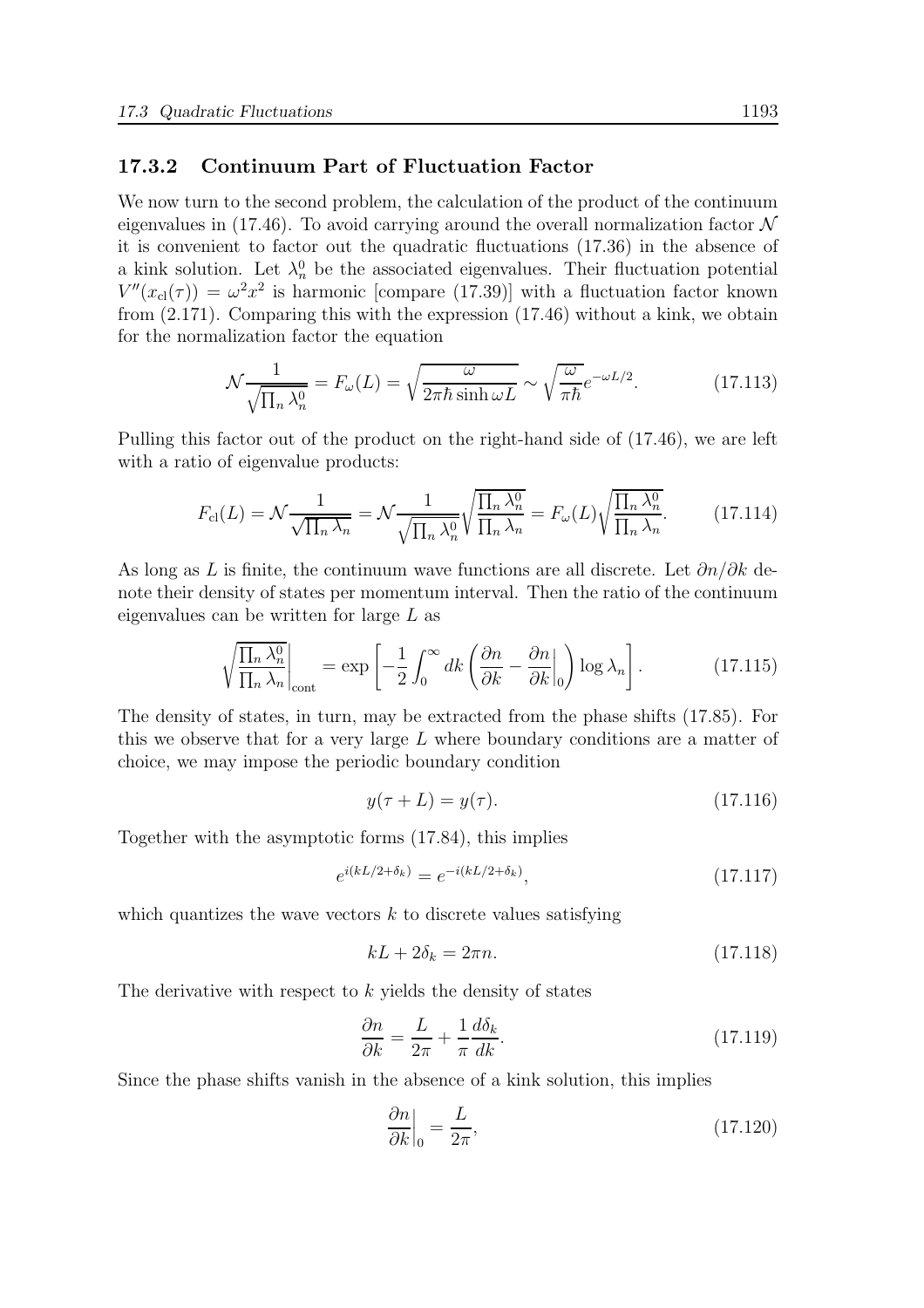#### 17.3.2 Continuum Part of Fluctuation Factor

We now turn to the second problem, the calculation of the product of the continuum eigenvalues in (17.46). To avoid carrying around the overall normalization factor  $\mathcal N$ it is convenient to factor out the quadratic fluctuations (17.36) in the absence of a kink solution. Let  $\lambda_n^0$  be the associated eigenvalues. Their fluctuation potential  $V''(x_{\text{cl}}(\tau)) = \omega^2 x^2$  is harmonic [compare (17.39)] with a fluctuation factor known from (2.171). Comparing this with the expression (17.46) without a kink, we obtain for the normalization factor the equation

$$
\mathcal{N}\frac{1}{\sqrt{\prod_n \lambda_n^0}} = F_{\omega}(L) = \sqrt{\frac{\omega}{2\pi\hbar \sinh \omega L}} \sim \sqrt{\frac{\omega}{\pi\hbar}} e^{-\omega L/2}.
$$
 (17.113)

Pulling this factor out of the product on the right-hand side of (17.46), we are left with a ratio of eigenvalue products:

$$
F_{\text{cl}}(L) = \mathcal{N} \frac{1}{\sqrt{\prod_n \lambda_n}} = \mathcal{N} \frac{1}{\sqrt{\prod_n \lambda_n^0}} \sqrt{\frac{\prod_n \lambda_n^0}{\prod_n \lambda_n}} = F_{\omega}(L) \sqrt{\frac{\prod_n \lambda_n^0}{\prod_n \lambda_n}}.
$$
 (17.114)

As long as L is finite, the continuum wave functions are all discrete. Let  $\partial n/\partial k$  denote their density of states per momentum interval. Then the ratio of the continuum eigenvalues can be written for large L as

$$
\sqrt{\frac{\prod_{n} \lambda_{n}^{0}}{\prod_{n} \lambda_{n}}}\Big|_{\text{cont}} = \exp\left[-\frac{1}{2} \int_{0}^{\infty} dk \left(\frac{\partial n}{\partial k} - \frac{\partial n}{\partial k}\Big|_{0}\right) \log \lambda_{n}\right].
$$
 (17.115)

The density of states, in turn, may be extracted from the phase shifts (17.85). For this we observe that for a very large  $L$  where boundary conditions are a matter of choice, we may impose the periodic boundary condition

$$
y(\tau + L) = y(\tau). \tag{17.116}
$$

Together with the asymptotic forms (17.84), this implies

$$
e^{i(kL/2+\delta_k)} = e^{-i(kL/2+\delta_k)},\tag{17.117}
$$

which quantizes the wave vectors  $k$  to discrete values satisfying

$$
kL + 2\delta_k = 2\pi n. \tag{17.118}
$$

The derivative with respect to  $k$  yields the density of states

$$
\frac{\partial n}{\partial k} = \frac{L}{2\pi} + \frac{1}{\pi} \frac{d\delta_k}{dk}.\tag{17.119}
$$

Since the phase shifts vanish in the absence of a kink solution, this implies

$$
\left. \frac{\partial n}{\partial k} \right|_0 = \frac{L}{2\pi},\tag{17.120}
$$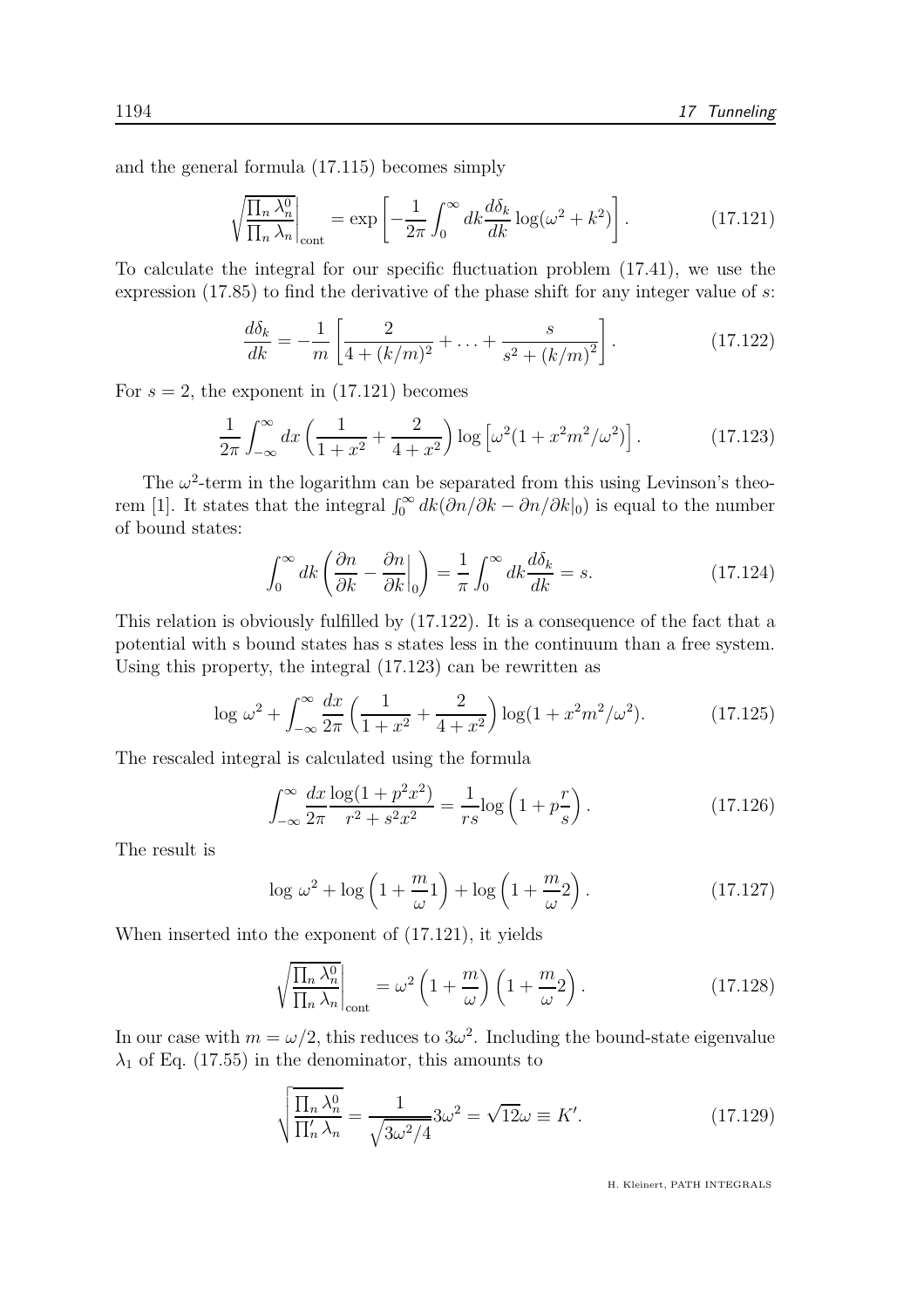and the general formula (17.115) becomes simply

$$
\sqrt{\frac{\prod_{n} \lambda_{n}^{0}}{\prod_{n} \lambda_{n}}}\Big|_{\text{cont}} = \exp\left[-\frac{1}{2\pi} \int_{0}^{\infty} dk \frac{d\delta_{k}}{dk} \log(\omega^{2} + k^{2})\right].
$$
 (17.121)

To calculate the integral for our specific fluctuation problem (17.41), we use the expression  $(17.85)$  to find the derivative of the phase shift for any integer value of s:

$$
\frac{d\delta_k}{dk} = -\frac{1}{m} \left[ \frac{2}{4 + (k/m)^2} + \ldots + \frac{s}{s^2 + (k/m)^2} \right].
$$
 (17.122)

For  $s = 2$ , the exponent in (17.121) becomes

$$
\frac{1}{2\pi} \int_{-\infty}^{\infty} dx \left( \frac{1}{1+x^2} + \frac{2}{4+x^2} \right) \log \left[ \omega^2 (1+x^2 m^2/\omega^2) \right]. \tag{17.123}
$$

The  $\omega^2$ -term in the logarithm can be separated from this using Levinson's theorem [1]. It states that the integral  $\int_0^\infty dk(\partial n/\partial k - \partial n/\partial k|_0)$  is equal to the number of bound states:

$$
\int_0^\infty dk \left(\frac{\partial n}{\partial k} - \frac{\partial n}{\partial k}\Big|_0\right) = \frac{1}{\pi} \int_0^\infty dk \frac{d\delta_k}{dk} = s.
$$
 (17.124)

This relation is obviously fulfilled by (17.122). It is a consequence of the fact that a potential with s bound states has s states less in the continuum than a free system. Using this property, the integral (17.123) can be rewritten as

$$
\log \omega^2 + \int_{-\infty}^{\infty} \frac{dx}{2\pi} \left( \frac{1}{1+x^2} + \frac{2}{4+x^2} \right) \log(1+x^2m^2/\omega^2). \tag{17.125}
$$

The rescaled integral is calculated using the formula

$$
\int_{-\infty}^{\infty} \frac{dx}{2\pi} \frac{\log(1 + p^2 x^2)}{r^2 + s^2 x^2} = \frac{1}{rs} \log\left(1 + p\frac{r}{s}\right). \tag{17.126}
$$

The result is

$$
\log \omega^2 + \log \left( 1 + \frac{m}{\omega} 1 \right) + \log \left( 1 + \frac{m}{\omega} 2 \right). \tag{17.127}
$$

When inserted into the exponent of (17.121), it yields

$$
\sqrt{\frac{\prod_{n} \lambda_{n}^{0}}{\prod_{n} \lambda_{n}}}\Big|_{\text{cont}} = \omega^{2} \left(1 + \frac{m}{\omega}\right) \left(1 + \frac{m}{\omega} 2\right). \tag{17.128}
$$

In our case with  $m = \omega/2$ , this reduces to  $3\omega^2$ . Including the bound-state eigenvalue  $\lambda_1$  of Eq. (17.55) in the denominator, this amounts to

$$
\sqrt{\frac{\prod_n \lambda_n^0}{\prod_n' \lambda_n}} = \frac{1}{\sqrt{3\omega^2/4}} 3\omega^2 = \sqrt{12}\omega \equiv K'.\tag{17.129}
$$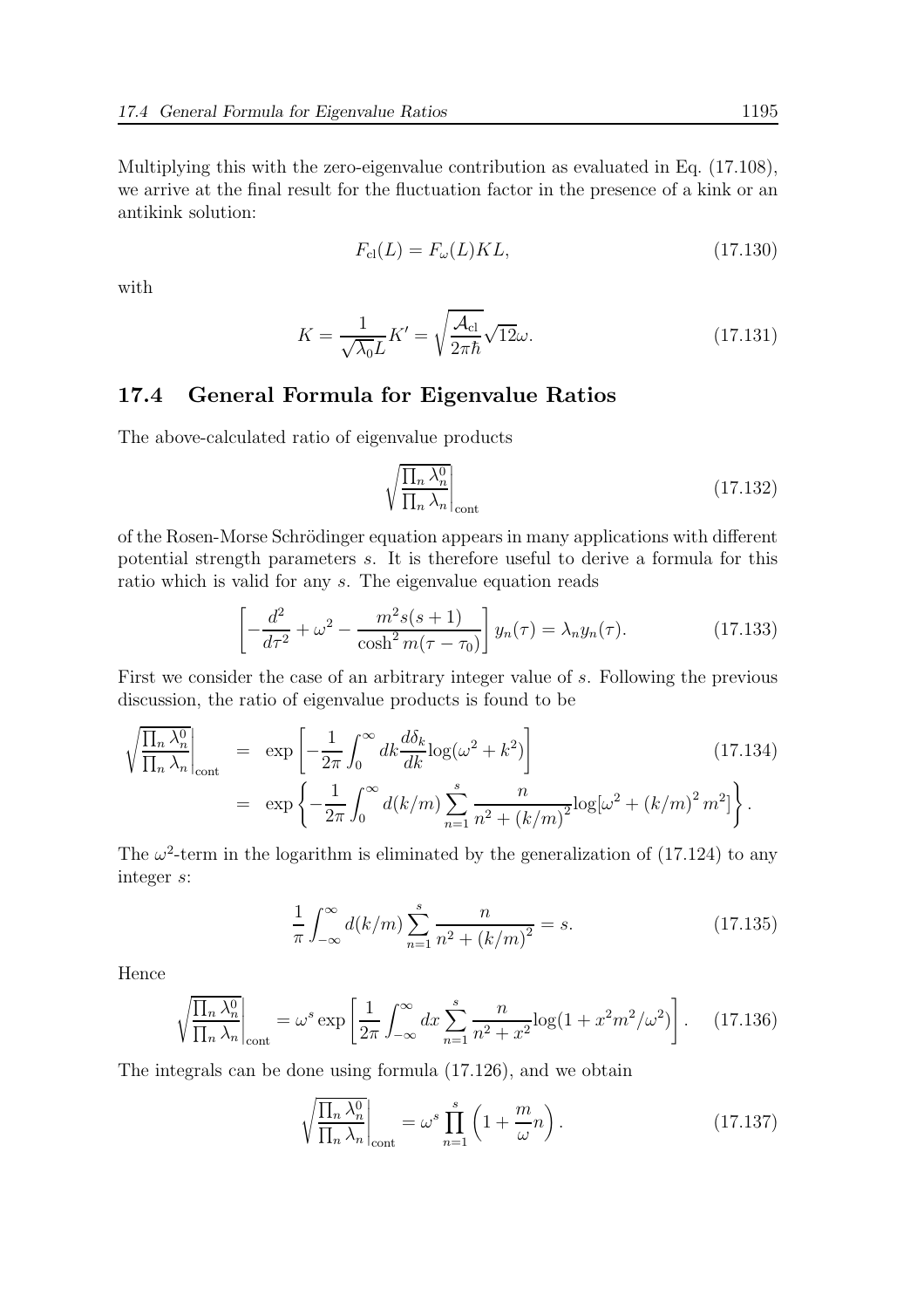Multiplying this with the zero-eigenvalue contribution as evaluated in Eq. (17.108), we arrive at the final result for the fluctuation factor in the presence of a kink or an antikink solution:

$$
F_{\rm cl}(L) = F_{\omega}(L)KL,
$$
\n(17.130)

with

$$
K = \frac{1}{\sqrt{\lambda_0}L}K' = \sqrt{\frac{\mathcal{A}_{\text{cl}}}{2\pi\hbar}}\sqrt{12\omega}.
$$
 (17.131)

#### 17.4 General Formula for Eigenvalue Ratios

The above-calculated ratio of eigenvalue products

$$
\sqrt{\frac{\prod_{n} \lambda_n^0}{\prod_{n} \lambda_n}}\Big|_{\text{cont}}\tag{17.132}
$$

of the Rosen-Morse Schrödinger equation appears in many applications with different potential strength parameters s. It is therefore useful to derive a formula for this ratio which is valid for any s. The eigenvalue equation reads

$$
\left[ -\frac{d^2}{d\tau^2} + \omega^2 - \frac{m^2 s(s+1)}{\cosh^2 m(\tau - \tau_0)} \right] y_n(\tau) = \lambda_n y_n(\tau). \tag{17.133}
$$

First we consider the case of an arbitrary integer value of s. Following the previous discussion, the ratio of eigenvalue products is found to be

$$
\sqrt{\frac{\prod_{n} \lambda_{n}^{0}}{\prod_{n} \lambda_{n}}} \Big|_{\text{cont}} = \exp\left[-\frac{1}{2\pi} \int_{0}^{\infty} dk \frac{d\delta_{k}}{dk} \log(\omega^{2} + k^{2})\right]
$$
\n
$$
= \exp\left\{-\frac{1}{2\pi} \int_{0}^{\infty} d(k/m) \sum_{n=1}^{s} \frac{n}{n^{2} + (k/m)^{2}} \log[\omega^{2} + (k/m)^{2} m^{2}]\right\}.
$$
\n(17.134)

The  $\omega^2$ -term in the logarithm is eliminated by the generalization of (17.124) to any integer s:

$$
\frac{1}{\pi} \int_{-\infty}^{\infty} d(k/m) \sum_{n=1}^{s} \frac{n}{n^2 + (k/m)^2} = s.
$$
 (17.135)

Hence

$$
\sqrt{\frac{\prod_n \lambda_n^0}{\prod_n \lambda_n}}\Big|_{\text{cont}} = \omega^s \exp\left[\frac{1}{2\pi} \int_{-\infty}^{\infty} dx \sum_{n=1}^s \frac{n}{n^2 + x^2} \log(1 + x^2 m^2/\omega^2)\right]. \tag{17.136}
$$

The integrals can be done using formula (17.126), and we obtain

$$
\sqrt{\frac{\prod_{n} \lambda_n^0}{\prod_{n} \lambda_n}}\Big|_{\text{cont}} = \omega^s \prod_{n=1}^s \left(1 + \frac{m}{\omega}n\right). \tag{17.137}
$$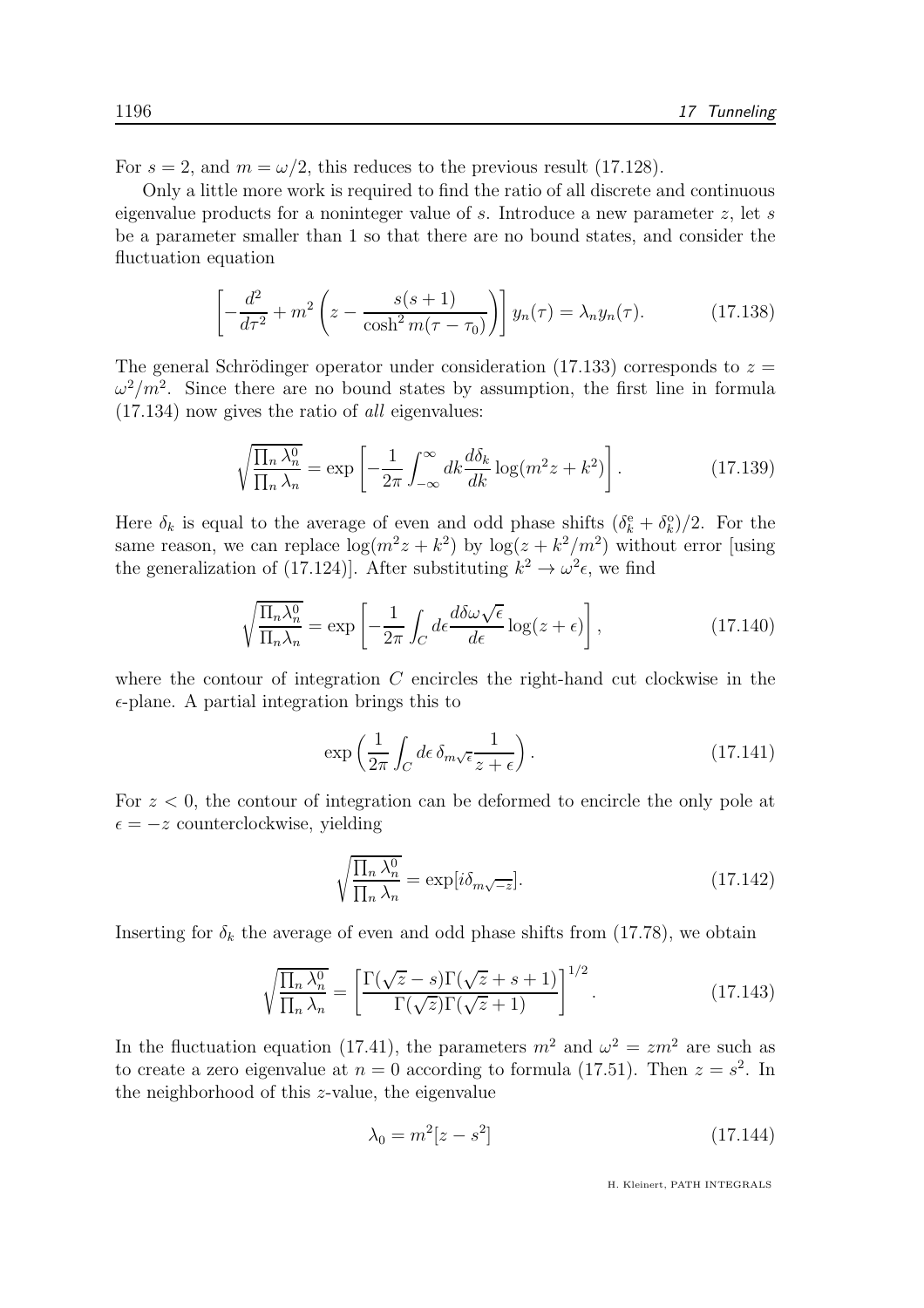For  $s = 2$ , and  $m = \omega/2$ , this reduces to the previous result (17.128).

Only a little more work is required to find the ratio of all discrete and continuous eigenvalue products for a noninteger value of s. Introduce a new parameter z, let s be a parameter smaller than 1 so that there are no bound states, and consider the fluctuation equation

$$
\left[ -\frac{d^2}{d\tau^2} + m^2 \left( z - \frac{s(s+1)}{\cosh^2 m(\tau - \tau_0)} \right) \right] y_n(\tau) = \lambda_n y_n(\tau). \tag{17.138}
$$

The general Schrödinger operator under consideration (17.133) corresponds to  $z =$  $\omega^2/m^2$ . Since there are no bound states by assumption, the first line in formula (17.134) now gives the ratio of all eigenvalues:

$$
\sqrt{\frac{\prod_{n} \lambda_n^0}{\prod_{n} \lambda_n}} = \exp\left[-\frac{1}{2\pi} \int_{-\infty}^{\infty} dk \frac{d\delta_k}{dk} \log(m^2 z + k^2)\right].
$$
 (17.139)

Here  $\delta_k$  is equal to the average of even and odd phase shifts  $(\delta_k^e + \delta_k^o)/2$ . For the same reason, we can replace  $\log(m^2z + k^2)$  by  $\log(z + k^2/m^2)$  without error [using the generalization of (17.124)]. After substituting  $k^2 \to \omega^2 \epsilon$ , we find

$$
\sqrt{\frac{\Pi_n \lambda_n^0}{\Pi_n \lambda_n}} = \exp\left[-\frac{1}{2\pi} \int_C d\epsilon \frac{d\delta \omega \sqrt{\epsilon}}{d\epsilon} \log(z + \epsilon)\right],\tag{17.140}
$$

where the contour of integration  $C$  encircles the right-hand cut clockwise in the  $\epsilon$ -plane. A partial integration brings this to

$$
\exp\left(\frac{1}{2\pi} \int_C d\epsilon \,\delta_{m\sqrt{\epsilon}} \frac{1}{z+\epsilon}\right). \tag{17.141}
$$

For  $z < 0$ , the contour of integration can be deformed to encircle the only pole at  $\epsilon = -z$  counterclockwise, yielding

$$
\sqrt{\frac{\prod_{n} \lambda_n^0}{\prod_{n} \lambda_n}} = \exp[i\delta_{m\sqrt{-z}}].
$$
\n(17.142)

Inserting for  $\delta_k$  the average of even and odd phase shifts from (17.78), we obtain

$$
\sqrt{\frac{\prod_{n} \lambda_n^0}{\prod_{n} \lambda_n}} = \left[ \frac{\Gamma(\sqrt{z} - s) \Gamma(\sqrt{z} + s + 1)}{\Gamma(\sqrt{z}) \Gamma(\sqrt{z} + 1)} \right]^{1/2}.
$$
\n(17.143)

In the fluctuation equation (17.41), the parameters  $m^2$  and  $\omega^2 = zm^2$  are such as to create a zero eigenvalue at  $n = 0$  according to formula (17.51). Then  $z = s^2$ . In the neighborhood of this z-value, the eigenvalue

$$
\lambda_0 = m^2 [z - s^2] \tag{17.144}
$$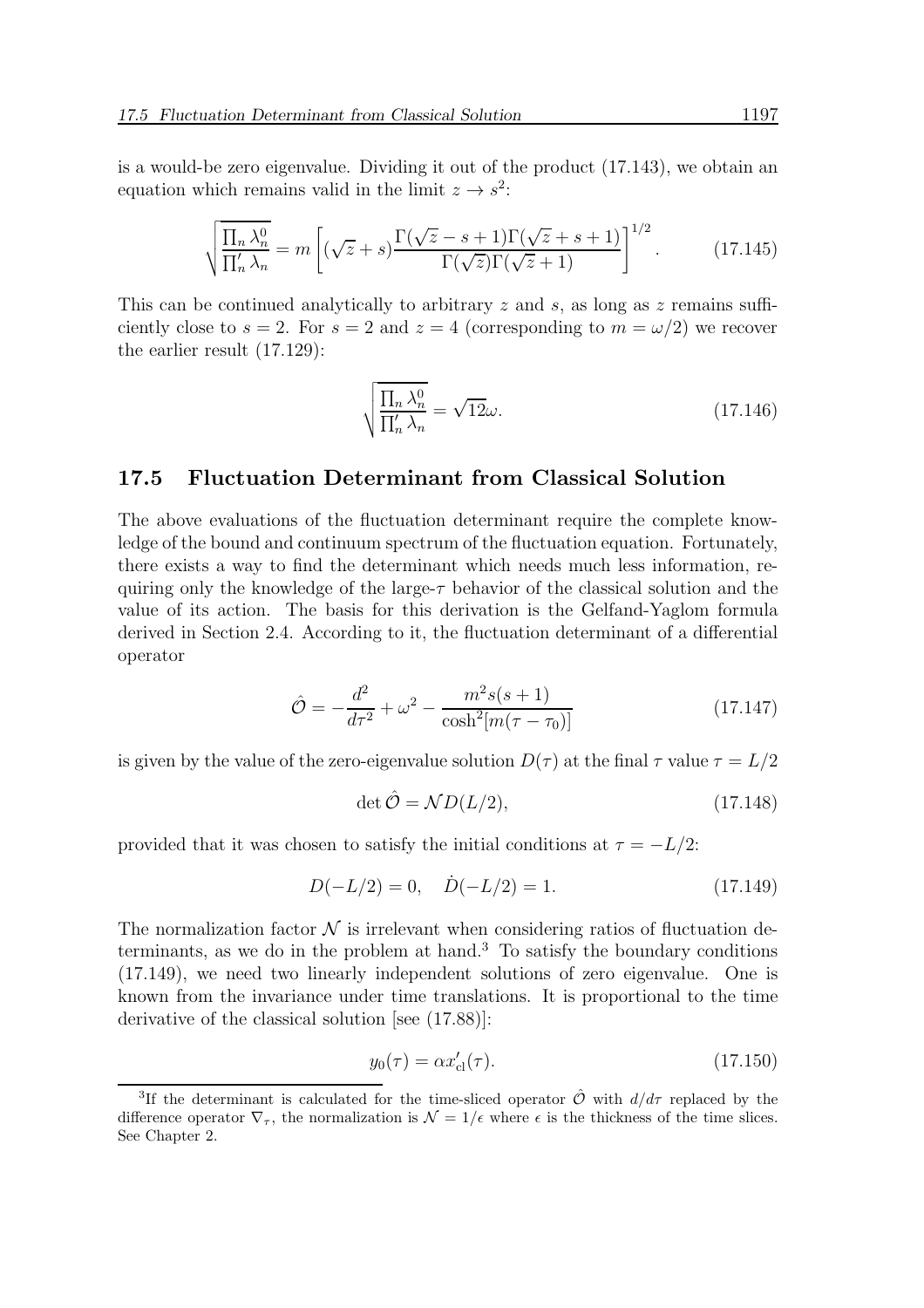is a would-be zero eigenvalue. Dividing it out of the product (17.143), we obtain an equation which remains valid in the limit  $z \to s^2$ :

$$
\sqrt{\frac{\prod_n \lambda_n^0}{\prod_n' \lambda_n}} = m \left[ (\sqrt{z} + s) \frac{\Gamma(\sqrt{z} - s + 1)\Gamma(\sqrt{z} + s + 1)}{\Gamma(\sqrt{z})\Gamma(\sqrt{z} + 1)} \right]^{1/2}.
$$
 (17.145)

This can be continued analytically to arbitrary z and s, as long as z remains sufficiently close to  $s = 2$ . For  $s = 2$  and  $z = 4$  (corresponding to  $m = \omega/2$ ) we recover the earlier result (17.129):

$$
\sqrt{\frac{\prod_{n} \lambda_n^0}{\prod_{n}' \lambda_n}} = \sqrt{12}\omega.
$$
\n(17.146)

#### 17.5 Fluctuation Determinant from Classical Solution

The above evaluations of the fluctuation determinant require the complete knowledge of the bound and continuum spectrum of the fluctuation equation. Fortunately, there exists a way to find the determinant which needs much less information, requiring only the knowledge of the large- $\tau$  behavior of the classical solution and the value of its action. The basis for this derivation is the Gelfand-Yaglom formula derived in Section 2.4. According to it, the fluctuation determinant of a differential operator

$$
\hat{\mathcal{O}} = -\frac{d^2}{d\tau^2} + \omega^2 - \frac{m^2 s(s+1)}{\cosh^2[m(\tau - \tau_0)]}
$$
(17.147)

is given by the value of the zero-eigenvalue solution  $D(\tau)$  at the final  $\tau$  value  $\tau = L/2$ 

$$
\det \hat{\mathcal{O}} = \mathcal{N}D(L/2),\tag{17.148}
$$

provided that it was chosen to satisfy the initial conditions at  $\tau = -L/2$ :

$$
D(-L/2) = 0, \quad \dot{D}(-L/2) = 1.
$$
 (17.149)

The normalization factor  $\mathcal N$  is irrelevant when considering ratios of fluctuation determinants, as we do in the problem at hand.<sup>3</sup> To satisfy the boundary conditions (17.149), we need two linearly independent solutions of zero eigenvalue. One is known from the invariance under time translations. It is proportional to the time derivative of the classical solution [see (17.88)]:

$$
y_0(\tau) = \alpha x'_{\text{cl}}(\tau). \tag{17.150}
$$

<sup>&</sup>lt;sup>3</sup>If the determinant is calculated for the time-sliced operator  $\hat{\mathcal{O}}$  with  $d/d\tau$  replaced by the difference operator  $\nabla_{\tau}$ , the normalization is  $\mathcal{N} = 1/\epsilon$  where  $\epsilon$  is the thickness of the time slices. See Chapter 2.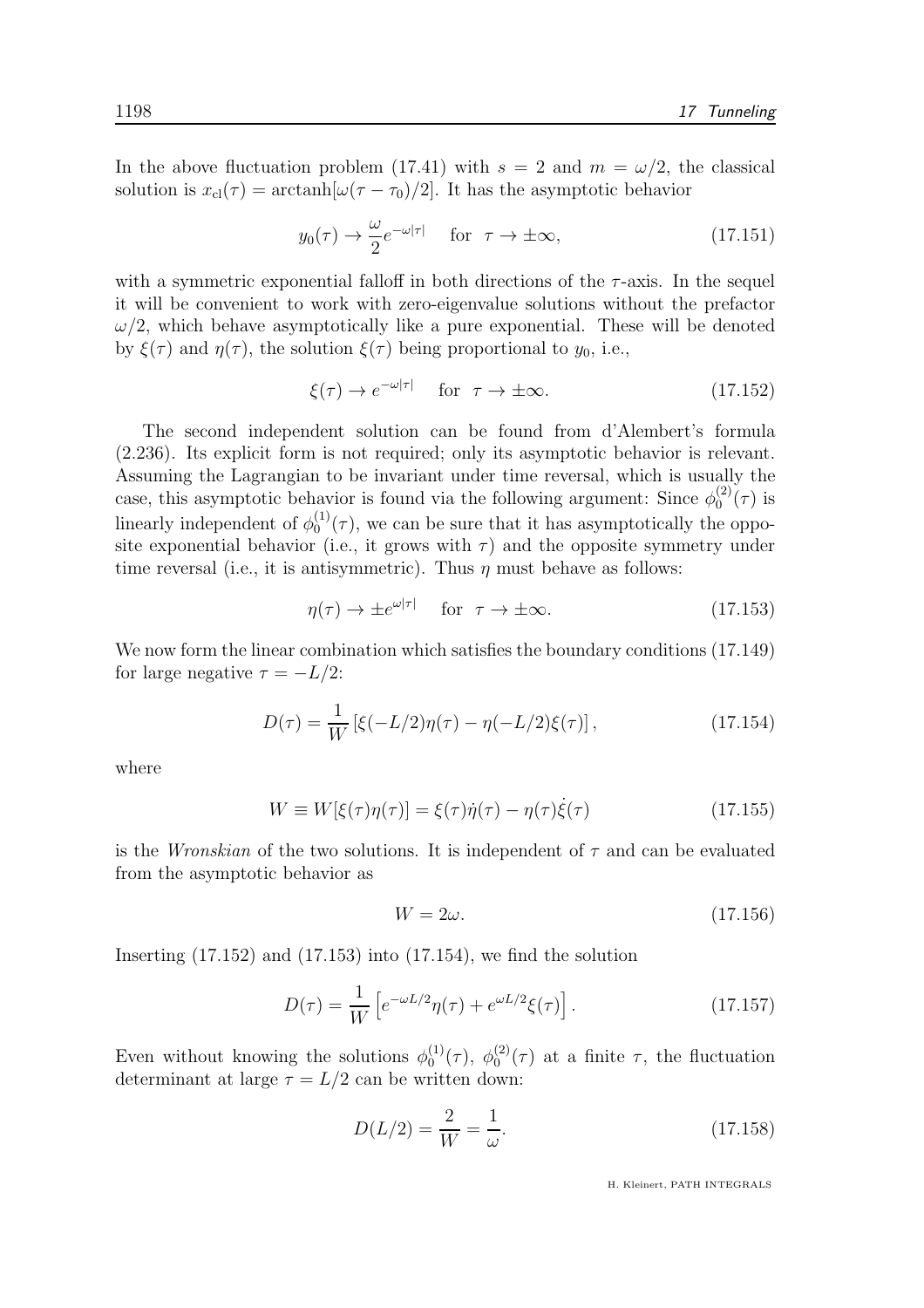In the above fluctuation problem (17.41) with  $s = 2$  and  $m = \omega/2$ , the classical solution is  $x_{\text{cl}}(\tau) = \arctanh[\omega(\tau - \tau_0)/2]$ . It has the asymptotic behavior

$$
y_0(\tau) \to \frac{\omega}{2} e^{-\omega|\tau|}
$$
 for  $\tau \to \pm \infty$ , (17.151)

with a symmetric exponential falloff in both directions of the  $\tau$ -axis. In the sequel it will be convenient to work with zero-eigenvalue solutions without the prefactor  $\omega/2$ , which behave asymptotically like a pure exponential. These will be denoted by  $\xi(\tau)$  and  $\eta(\tau)$ , the solution  $\xi(\tau)$  being proportional to  $y_0$ , i.e.,

$$
\xi(\tau) \to e^{-\omega|\tau|} \quad \text{for } \tau \to \pm \infty. \tag{17.152}
$$

The second independent solution can be found from d'Alembert's formula (2.236). Its explicit form is not required; only its asymptotic behavior is relevant. Assuming the Lagrangian to be invariant under time reversal, which is usually the case, this asymptotic behavior is found via the following argument: Since  $\phi_0^{(2)}$  $_{0}^{(2)}(\tau)$  is linearly independent of  $\phi_0^{(1)}$  $_{0}^{(1)}(\tau)$ , we can be sure that it has asymptotically the opposite exponential behavior (i.e., it grows with  $\tau$ ) and the opposite symmetry under time reversal (i.e., it is antisymmetric). Thus  $\eta$  must behave as follows:

$$
\eta(\tau) \to \pm e^{\omega|\tau|} \quad \text{for } \tau \to \pm \infty. \tag{17.153}
$$

We now form the linear combination which satisfies the boundary conditions (17.149) for large negative  $\tau = -L/2$ :

$$
D(\tau) = \frac{1}{W} \left[ \xi(-L/2)\eta(\tau) - \eta(-L/2)\xi(\tau) \right],
$$
\n(17.154)

where

$$
W \equiv W[\xi(\tau)\eta(\tau)] = \xi(\tau)\dot{\eta}(\tau) - \eta(\tau)\dot{\xi}(\tau) \tag{17.155}
$$

is the *Wronskian* of the two solutions. It is independent of  $\tau$  and can be evaluated from the asymptotic behavior as

$$
W = 2\omega.\t(17.156)
$$

Inserting  $(17.152)$  and  $(17.153)$  into  $(17.154)$ , we find the solution

$$
D(\tau) = \frac{1}{W} \left[ e^{-\omega L/2} \eta(\tau) + e^{\omega L/2} \xi(\tau) \right].
$$
 (17.157)

Even without knowing the solutions  $\phi_0^{(1)}$  $\stackrel{(1)}{0}(\tau),\; \phi_0^{(2)}$  $\int_0^{(2)} (\tau)$  at a finite  $\tau$ , the fluctuation determinant at large  $\tau = L/2$  can be written down:

$$
D(L/2) = \frac{2}{W} = \frac{1}{\omega}.
$$
\n(17.158)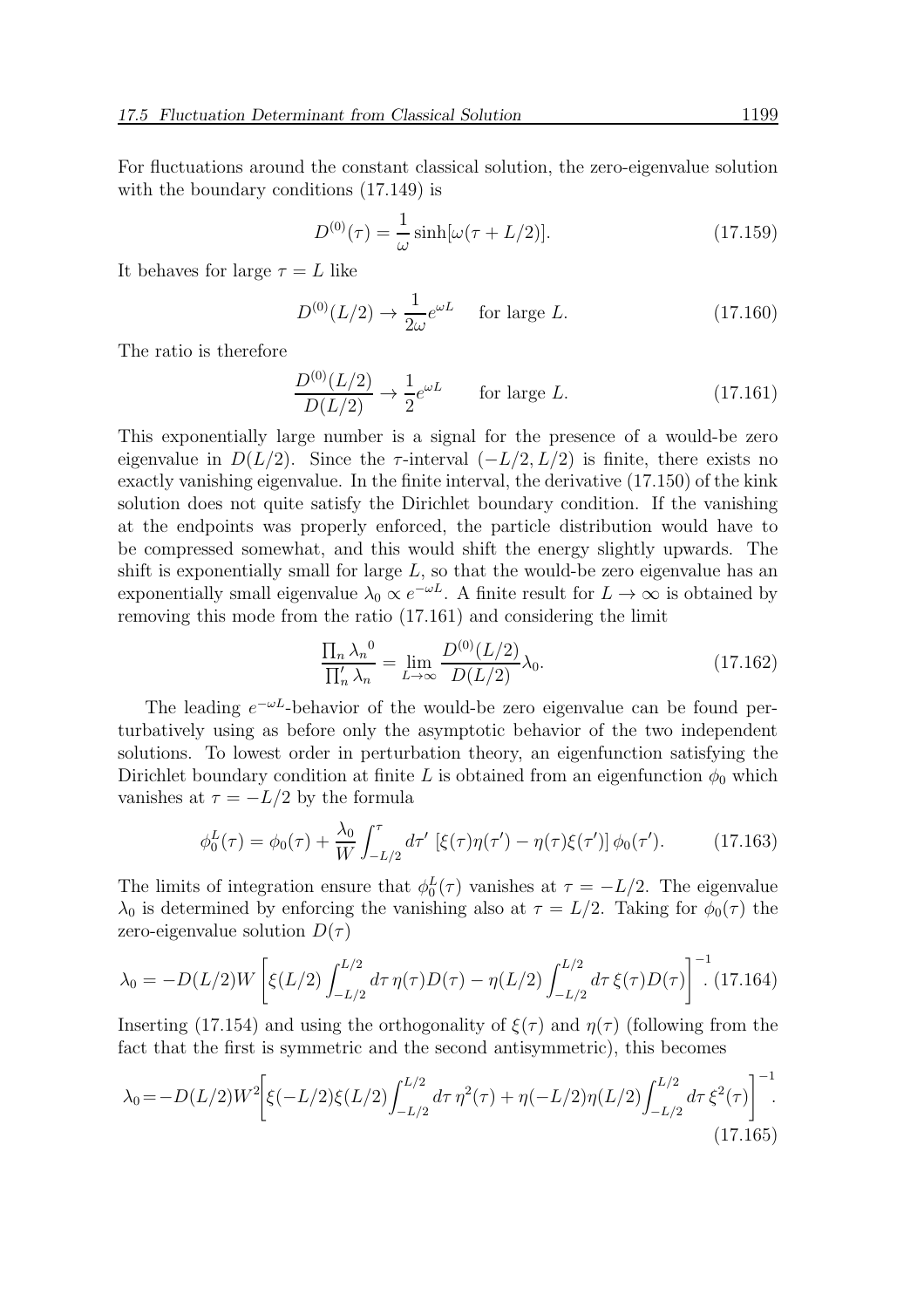For fluctuations around the constant classical solution, the zero-eigenvalue solution with the boundary conditions (17.149) is

$$
D^{(0)}(\tau) = \frac{1}{\omega} \sinh[\omega(\tau + L/2)].
$$
 (17.159)

It behaves for large  $\tau = L$  like

$$
D^{(0)}(L/2) \to \frac{1}{2\omega} e^{\omega L} \quad \text{for large } L. \tag{17.160}
$$

The ratio is therefore

$$
\frac{D^{(0)}(L/2)}{D(L/2)} \to \frac{1}{2}e^{\omega L} \qquad \text{for large } L. \tag{17.161}
$$

This exponentially large number is a signal for the presence of a would-be zero eigenvalue in  $D(L/2)$ . Since the  $\tau$ -interval  $(-L/2, L/2)$  is finite, there exists no exactly vanishing eigenvalue. In the finite interval, the derivative (17.150) of the kink solution does not quite satisfy the Dirichlet boundary condition. If the vanishing at the endpoints was properly enforced, the particle distribution would have to be compressed somewhat, and this would shift the energy slightly upwards. The shift is exponentially small for large  $L$ , so that the would-be zero eigenvalue has an exponentially small eigenvalue  $\lambda_0 \propto e^{-\omega L}$ . A finite result for  $L \to \infty$  is obtained by removing this mode from the ratio (17.161) and considering the limit

$$
\frac{\prod_{n} \lambda_n^0}{\prod_{n}^{\prime} \lambda_n} = \lim_{L \to \infty} \frac{D^{(0)}(L/2)}{D(L/2)} \lambda_0.
$$
\n(17.162)

The leading  $e^{-\omega L}$ -behavior of the would-be zero eigenvalue can be found perturbatively using as before only the asymptotic behavior of the two independent solutions. To lowest order in perturbation theory, an eigenfunction satisfying the Dirichlet boundary condition at finite L is obtained from an eigenfunction  $\phi_0$  which vanishes at  $\tau = -L/2$  by the formula

$$
\phi_0^L(\tau) = \phi_0(\tau) + \frac{\lambda_0}{W} \int_{-L/2}^{\tau} d\tau' \, \left[ \xi(\tau) \eta(\tau') - \eta(\tau) \xi(\tau') \right] \phi_0(\tau'). \tag{17.163}
$$

The limits of integration ensure that  $\phi_0^L(\tau)$  vanishes at  $\tau = -L/2$ . The eigenvalue  $\lambda_0$  is determined by enforcing the vanishing also at  $\tau = L/2$ . Taking for  $\phi_0(\tau)$  the zero-eigenvalue solution  $D(\tau)$ 

$$
\lambda_0 = -D(L/2)W \left[ \xi(L/2) \int_{-L/2}^{L/2} d\tau \, \eta(\tau) D(\tau) - \eta(L/2) \int_{-L/2}^{L/2} d\tau \, \xi(\tau) D(\tau) \right]^{-1} (17.164)
$$

Inserting (17.154) and using the orthogonality of  $\xi(\tau)$  and  $\eta(\tau)$  (following from the fact that the first is symmetric and the second antisymmetric), this becomes

$$
\lambda_0 = -D(L/2)W^2 \bigg[ \xi(-L/2)\xi(L/2) \int_{-L/2}^{L/2} d\tau \,\eta^2(\tau) + \eta(-L/2)\eta(L/2) \int_{-L/2}^{L/2} d\tau \,\xi^2(\tau) \bigg]^{-1}.
$$
\n(17.165)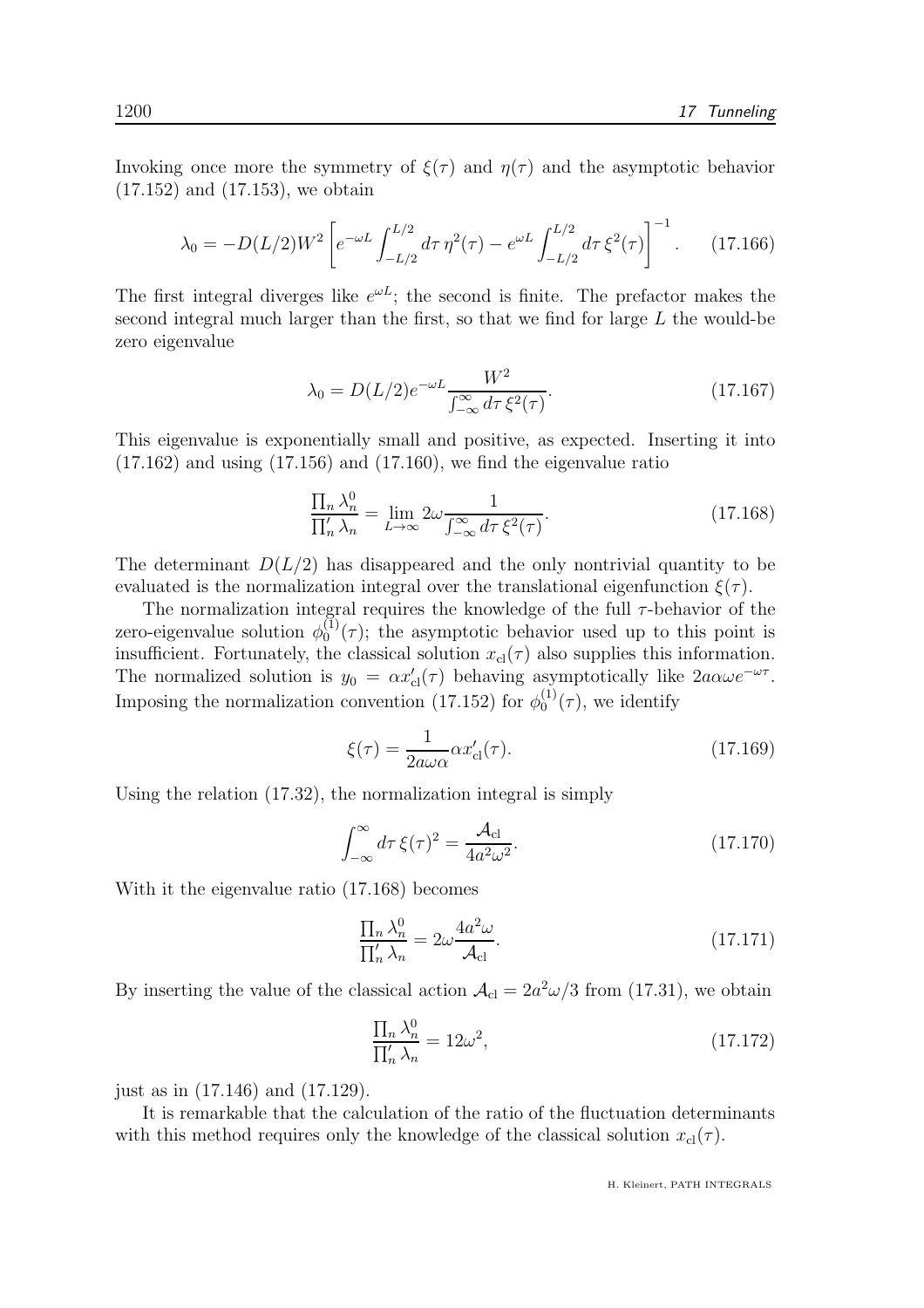Invoking once more the symmetry of  $\xi(\tau)$  and  $\eta(\tau)$  and the asymptotic behavior (17.152) and (17.153), we obtain

$$
\lambda_0 = -D(L/2)W^2 \left[ e^{-\omega L} \int_{-L/2}^{L/2} d\tau \, \eta^2(\tau) - e^{\omega L} \int_{-L/2}^{L/2} d\tau \, \xi^2(\tau) \right]^{-1} . \tag{17.166}
$$

The first integral diverges like  $e^{\omega L}$ ; the second is finite. The prefactor makes the second integral much larger than the first, so that we find for large  $L$  the would-be zero eigenvalue

$$
\lambda_0 = D(L/2)e^{-\omega L} \frac{W^2}{\int_{-\infty}^{\infty} d\tau \,\xi^2(\tau)}.
$$
\n(17.167)

This eigenvalue is exponentially small and positive, as expected. Inserting it into  $(17.162)$  and using  $(17.156)$  and  $(17.160)$ , we find the eigenvalue ratio

$$
\frac{\prod_{n} \lambda_n^0}{\prod_{n}^{\prime} \lambda_n} = \lim_{L \to \infty} 2\omega \frac{1}{\int_{-\infty}^{\infty} d\tau \,\xi^2(\tau)}.
$$
\n(17.168)

The determinant  $D(L/2)$  has disappeared and the only nontrivial quantity to be evaluated is the normalization integral over the translational eigenfunction  $\xi(\tau)$ .

The normalization integral requires the knowledge of the full  $\tau$ -behavior of the zero-eigenvalue solution  $\phi_0^{(1)}$  $_{0}^{(1)}(\tau)$ ; the asymptotic behavior used up to this point is insufficient. Fortunately, the classical solution  $x_{\text{cl}}(\tau)$  also supplies this information. The normalized solution is  $y_0 = \alpha x'_{\text{cl}}(\tau)$  behaving asymptotically like  $2a\alpha\omega e^{-\omega\tau}$ . Imposing the normalization convention (17.152) for  $\phi_0^{(1)}$  $_0^{(1)}(\tau)$ , we identify

$$
\xi(\tau) = \frac{1}{2a\omega\alpha} \alpha x'_{\text{cl}}(\tau). \tag{17.169}
$$

Using the relation (17.32), the normalization integral is simply

$$
\int_{-\infty}^{\infty} d\tau \,\xi(\tau)^2 = \frac{\mathcal{A}_{\text{cl}}}{4a^2 \omega^2}.
$$
\n(17.170)

With it the eigenvalue ratio (17.168) becomes

$$
\frac{\prod_{n} \lambda_n^0}{\prod_{n}' \lambda_n} = 2\omega \frac{4a^2 \omega}{\mathcal{A}_{\text{cl}}}.
$$
\n(17.171)

By inserting the value of the classical action  $A_{\text{cl}} = 2a^2\omega/3$  from (17.31), we obtain

$$
\frac{\prod_{n} \lambda_n^0}{\prod_{n}' \lambda_n} = 12\omega^2,\tag{17.172}
$$

just as in (17.146) and (17.129).

It is remarkable that the calculation of the ratio of the fluctuation determinants with this method requires only the knowledge of the classical solution  $x_{\text{cl}}(\tau)$ .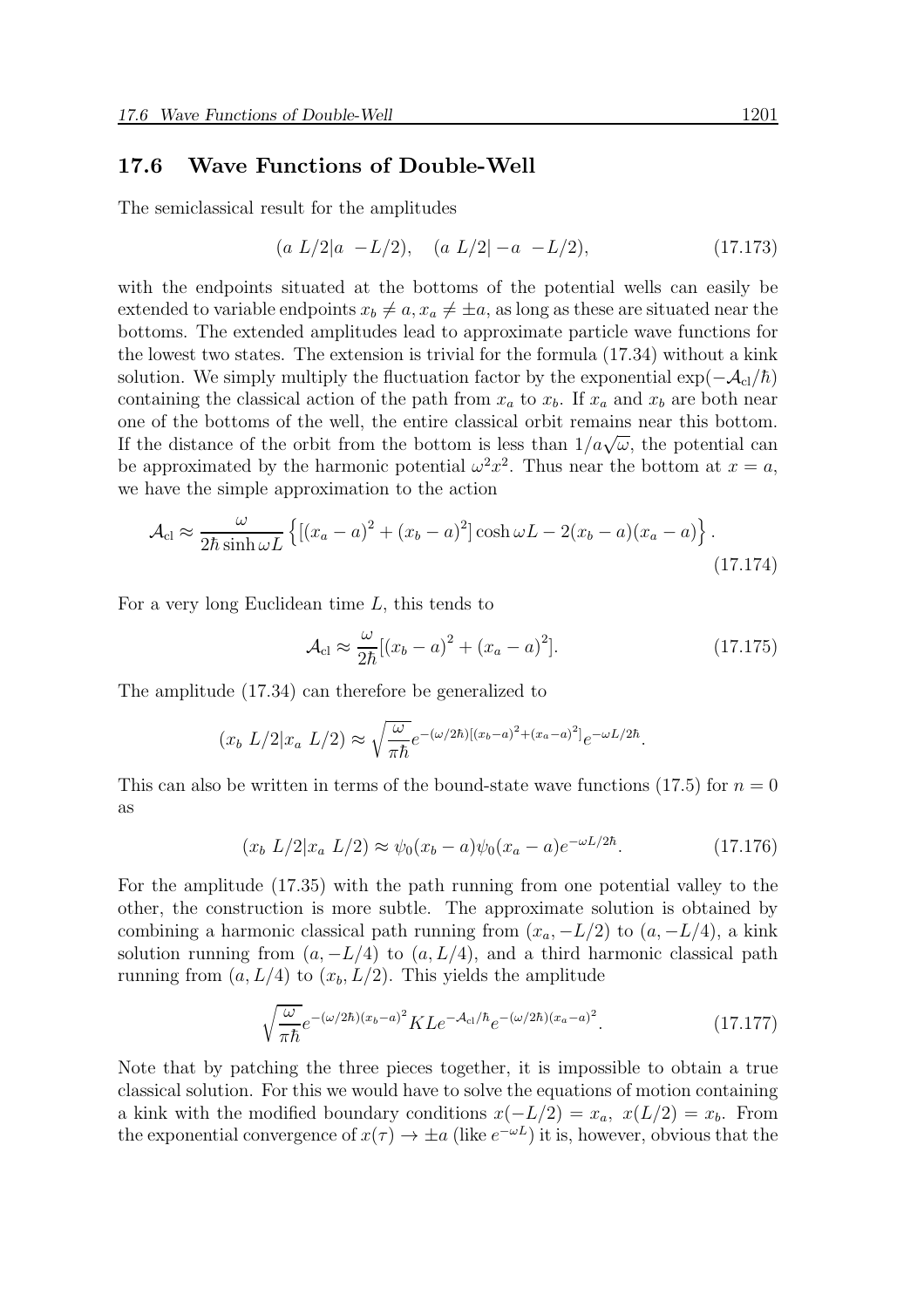#### 17.6 Wave Functions of Double-Well

The semiclassical result for the amplitudes

$$
(a L/2|a - L/2), \quad (a L/2|-a - L/2), \tag{17.173}
$$

with the endpoints situated at the bottoms of the potential wells can easily be extended to variable endpoints  $x_b \neq a, x_a \neq \pm a$ , as long as these are situated near the bottoms. The extended amplitudes lead to approximate particle wave functions for the lowest two states. The extension is trivial for the formula (17.34) without a kink solution. We simply multiply the fluctuation factor by the exponential  $\exp(-\mathcal{A}_{cl}/\hbar)$ containing the classical action of the path from  $x_a$  to  $x_b$ . If  $x_a$  and  $x_b$  are both near one of the bottoms of the well, the entire classical orbit remains near this bottom. If the distance of the orbit from the bottom is less than  $1/a\sqrt{\omega}$ , the potential can be approximated by the harmonic potential  $\omega^2 x^2$ . Thus near the bottom at  $x = a$ , we have the simple approximation to the action

$$
\mathcal{A}_{\rm cl} \approx \frac{\omega}{2\hbar \sinh \omega L} \left\{ \left[ (x_a - a)^2 + (x_b - a)^2 \right] \cosh \omega L - 2(x_b - a)(x_a - a) \right\}.
$$
\n(17.174)

For a very long Euclidean time L, this tends to

$$
\mathcal{A}_{cl} \approx \frac{\omega}{2\hbar} [(x_b - a)^2 + (x_a - a)^2].
$$
 (17.175)

The amplitude (17.34) can therefore be generalized to

$$
(x_b L/2|x_a L/2) \approx \sqrt{\frac{\omega}{\pi\hbar}} e^{-(\omega/2\hbar)[(x_b-a)^2 + (x_a-a)^2]} e^{-\omega L/2\hbar}.
$$

This can also be written in terms of the bound-state wave functions  $(17.5)$  for  $n = 0$ as

$$
(x_b L/2|x_a L/2) \approx \psi_0(x_b - a)\psi_0(x_a - a)e^{-\omega L/2\hbar}.
$$
 (17.176)

For the amplitude (17.35) with the path running from one potential valley to the other, the construction is more subtle. The approximate solution is obtained by combining a harmonic classical path running from  $(x_a, -L/2)$  to  $(a, -L/4)$ , a kink solution running from  $(a, -L/4)$  to  $(a, L/4)$ , and a third harmonic classical path running from  $(a, L/4)$  to  $(x_b, L/2)$ . This yields the amplitude

$$
\sqrt{\frac{\omega}{\pi\hbar}}e^{-(\omega/2\hbar)(x_b-a)^2}KLe^{-\mathcal{A}_{\rm cl}/\hbar}e^{-(\omega/2\hbar)(x_a-a)^2}.
$$
 (17.177)

Note that by patching the three pieces together, it is impossible to obtain a true classical solution. For this we would have to solve the equations of motion containing a kink with the modified boundary conditions  $x(-L/2) = x_a$ ,  $x(L/2) = x_b$ . From the exponential convergence of  $x(\tau) \to \pm a$  (like  $e^{-\omega L}$ ) it is, however, obvious that the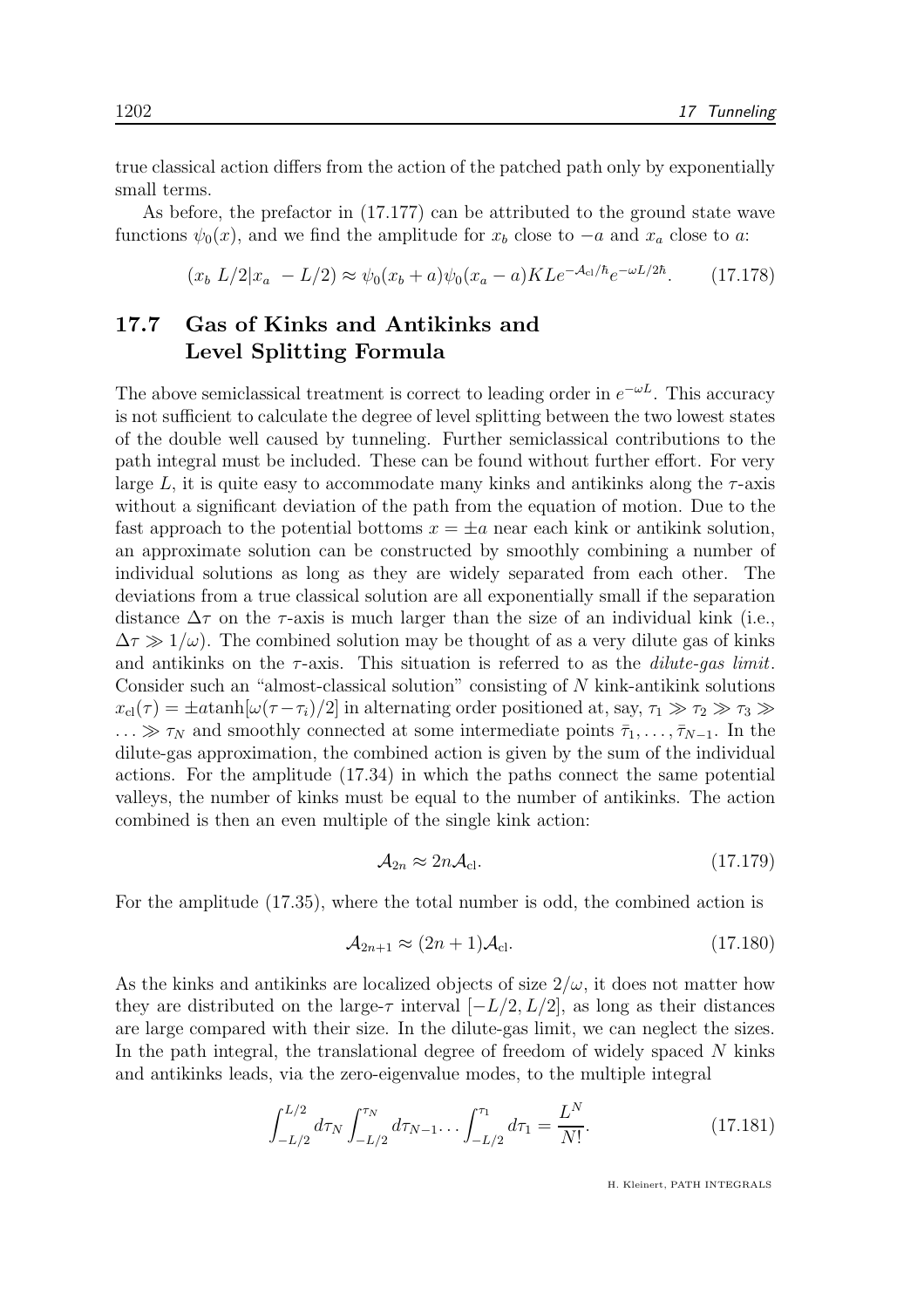true classical action differs from the action of the patched path only by exponentially small terms.

As before, the prefactor in (17.177) can be attributed to the ground state wave functions  $\psi_0(x)$ , and we find the amplitude for  $x_b$  close to  $-a$  and  $x_a$  close to a:

> $(x_b L/2|x_a - L/2) \approx \psi_0(x_b + a)\psi_0(x_a - a)KL e^{-\mathcal{A}_{cl}/\hbar}e^{-\omega L/2\hbar}$  $(17.178)$

## 17.7 Gas of Kinks and Antikinks and Level Splitting Formula

The above semiclassical treatment is correct to leading order in  $e^{-\omega L}$ . This accuracy is not sufficient to calculate the degree of level splitting between the two lowest states of the double well caused by tunneling. Further semiclassical contributions to the path integral must be included. These can be found without further effort. For very large L, it is quite easy to accommodate many kinks and antikinks along the  $\tau$ -axis without a significant deviation of the path from the equation of motion. Due to the fast approach to the potential bottoms  $x = \pm a$  near each kink or antikink solution, an approximate solution can be constructed by smoothly combining a number of individual solutions as long as they are widely separated from each other. The deviations from a true classical solution are all exponentially small if the separation distance  $\Delta \tau$  on the  $\tau$ -axis is much larger than the size of an individual kink (i.e.,  $\Delta \tau \gg 1/\omega$ ). The combined solution may be thought of as a very dilute gas of kinks and antikinks on the  $\tau$ -axis. This situation is referred to as the *dilute-gas limit*. Consider such an "almost-classical solution" consisting of N kink-antikink solutions  $x_{\text{cl}}(\tau) = \pm a \tanh[\omega(\tau - \tau_i)/2]$  in alternating order positioned at, say,  $\tau_1 \gg \tau_2 \gg \tau_3 \gg$  $\ldots \gg \tau_N$  and smoothly connected at some intermediate points  $\bar{\tau}_1, \ldots, \bar{\tau}_{N-1}$ . In the dilute-gas approximation, the combined action is given by the sum of the individual actions. For the amplitude (17.34) in which the paths connect the same potential valleys, the number of kinks must be equal to the number of antikinks. The action combined is then an even multiple of the single kink action:

$$
\mathcal{A}_{2n} \approx 2n\mathcal{A}_{\text{cl}}.\tag{17.179}
$$

For the amplitude (17.35), where the total number is odd, the combined action is

$$
\mathcal{A}_{2n+1} \approx (2n+1)\mathcal{A}_{\text{cl}}.\tag{17.180}
$$

As the kinks and antikinks are localized objects of size  $2/\omega$ , it does not matter how they are distributed on the large- $\tau$  interval  $[-L/2, L/2]$ , as long as their distances are large compared with their size. In the dilute-gas limit, we can neglect the sizes. In the path integral, the translational degree of freedom of widely spaced N kinks and antikinks leads, via the zero-eigenvalue modes, to the multiple integral

$$
\int_{-L/2}^{L/2} d\tau_N \int_{-L/2}^{\tau_N} d\tau_{N-1} \dots \int_{-L/2}^{\tau_1} d\tau_1 = \frac{L^N}{N!}.
$$
 (17.181)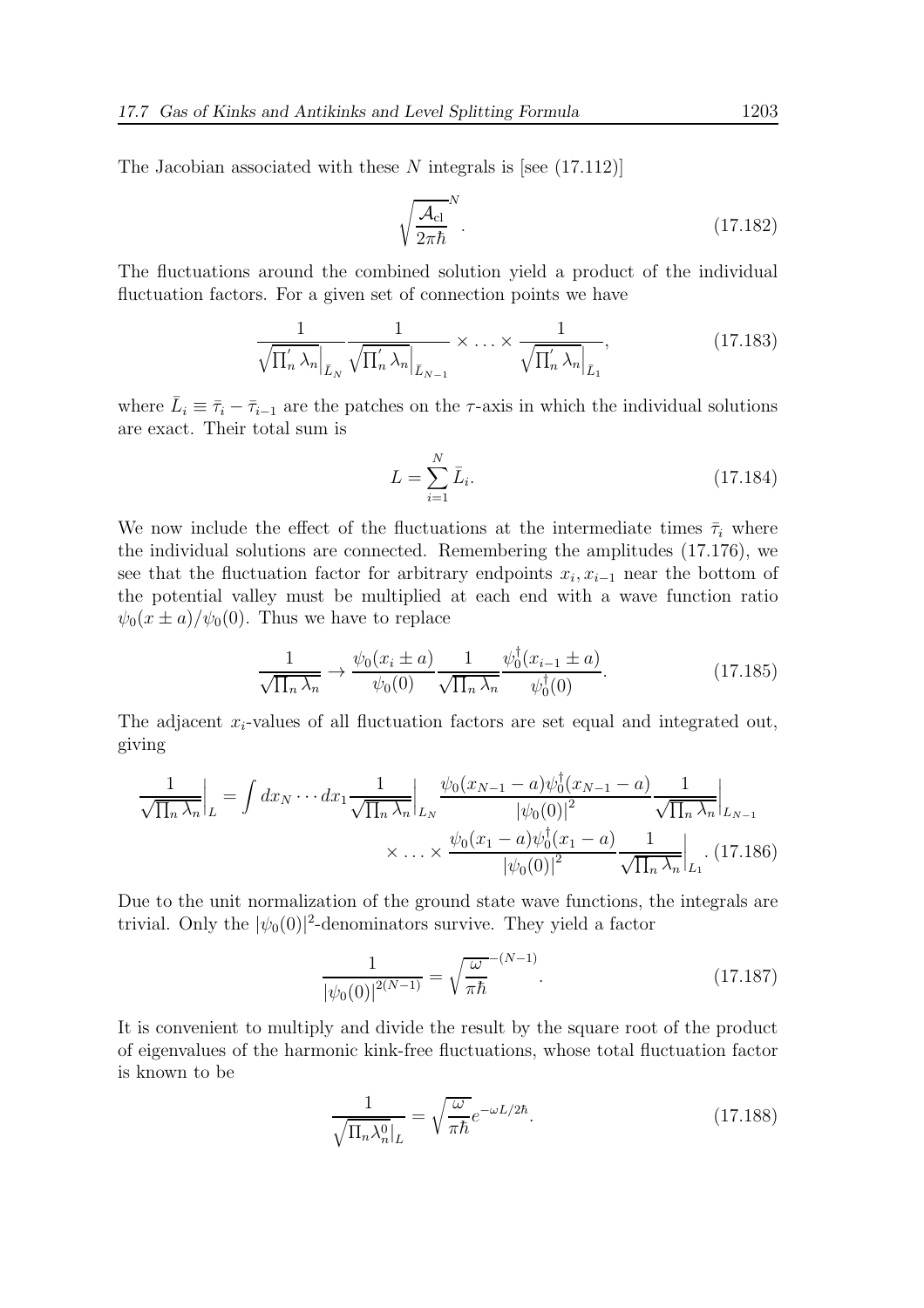The Jacobian associated with these  $N$  integrals is [see  $(17.112)$ ]

$$
\sqrt{\frac{\mathcal{A}_{\rm cl}}{2\pi\hbar}}^{N}.
$$
\n(17.182)

The fluctuations around the combined solution yield a product of the individual fluctuation factors. For a given set of connection points we have

$$
\frac{1}{\sqrt{\prod_{n}' \lambda_{n}} \left|_{\bar{L}_{N}}} \frac{1}{\sqrt{\prod_{n}' \lambda_{n}} \left|_{\bar{L}_{N-1}}} \right|} \times \dots \times \frac{1}{\sqrt{\prod_{n}' \lambda_{n}} \left|_{\bar{L}_{1}}} \right|},
$$
\n(17.183)

where  $\bar{L}_i \equiv \bar{\tau}_i - \bar{\tau}_{i-1}$  are the patches on the  $\tau$ -axis in which the individual solutions are exact. Their total sum is

$$
L = \sum_{i=1}^{N} \bar{L}_i.
$$
\n(17.184)

We now include the effect of the fluctuations at the intermediate times  $\bar{\tau}_i$  where the individual solutions are connected. Remembering the amplitudes (17.176), we see that the fluctuation factor for arbitrary endpoints  $x_i, x_{i-1}$  near the bottom of the potential valley must be multiplied at each end with a wave function ratio  $\psi_0(x \pm a)/\psi_0(0)$ . Thus we have to replace

$$
\frac{1}{\sqrt{\prod_n \lambda_n}} \to \frac{\psi_0(x_i \pm a)}{\psi_0(0)} \frac{1}{\sqrt{\prod_n \lambda_n}} \frac{\psi_0^{\dagger}(x_{i-1} \pm a)}{\psi_0^{\dagger}(0)}.
$$
\n(17.185)

The adjacent  $x_i$ -values of all fluctuation factors are set equal and integrated out, giving

$$
\frac{1}{\sqrt{\prod_n \lambda_n}}\Big|_L = \int dx_N \cdots dx_1 \frac{1}{\sqrt{\prod_n \lambda_n}}\Big|_{L_N} \frac{\psi_0(x_{N-1} - a)\psi_0^{\dagger}(x_{N-1} - a)}{|\psi_0(0)|^2} \frac{1}{\sqrt{\prod_n \lambda_n}}\Big|_{L_{N-1}}\right. \\
\times \cdots \times \frac{\psi_0(x_1 - a)\psi_0^{\dagger}(x_1 - a)}{|\psi_0(0)|^2} \frac{1}{\sqrt{\prod_n \lambda_n}}\Big|_{L_1}.\tag{17.186}
$$

Due to the unit normalization of the ground state wave functions, the integrals are trivial. Only the  $|\psi_0(0)|^2$ -denominators survive. They yield a factor

$$
\frac{1}{|\psi_0(0)|^{2(N-1)}} = \sqrt{\frac{\omega}{\pi \hbar}}^{-(N-1)}.
$$
\n(17.187)

It is convenient to multiply and divide the result by the square root of the product of eigenvalues of the harmonic kink-free fluctuations, whose total fluctuation factor is known to be

$$
\frac{1}{\sqrt{\Pi_n \lambda_n^0}|_L} = \sqrt{\frac{\omega}{\pi \hbar}} e^{-\omega L/2\hbar}.
$$
\n(17.188)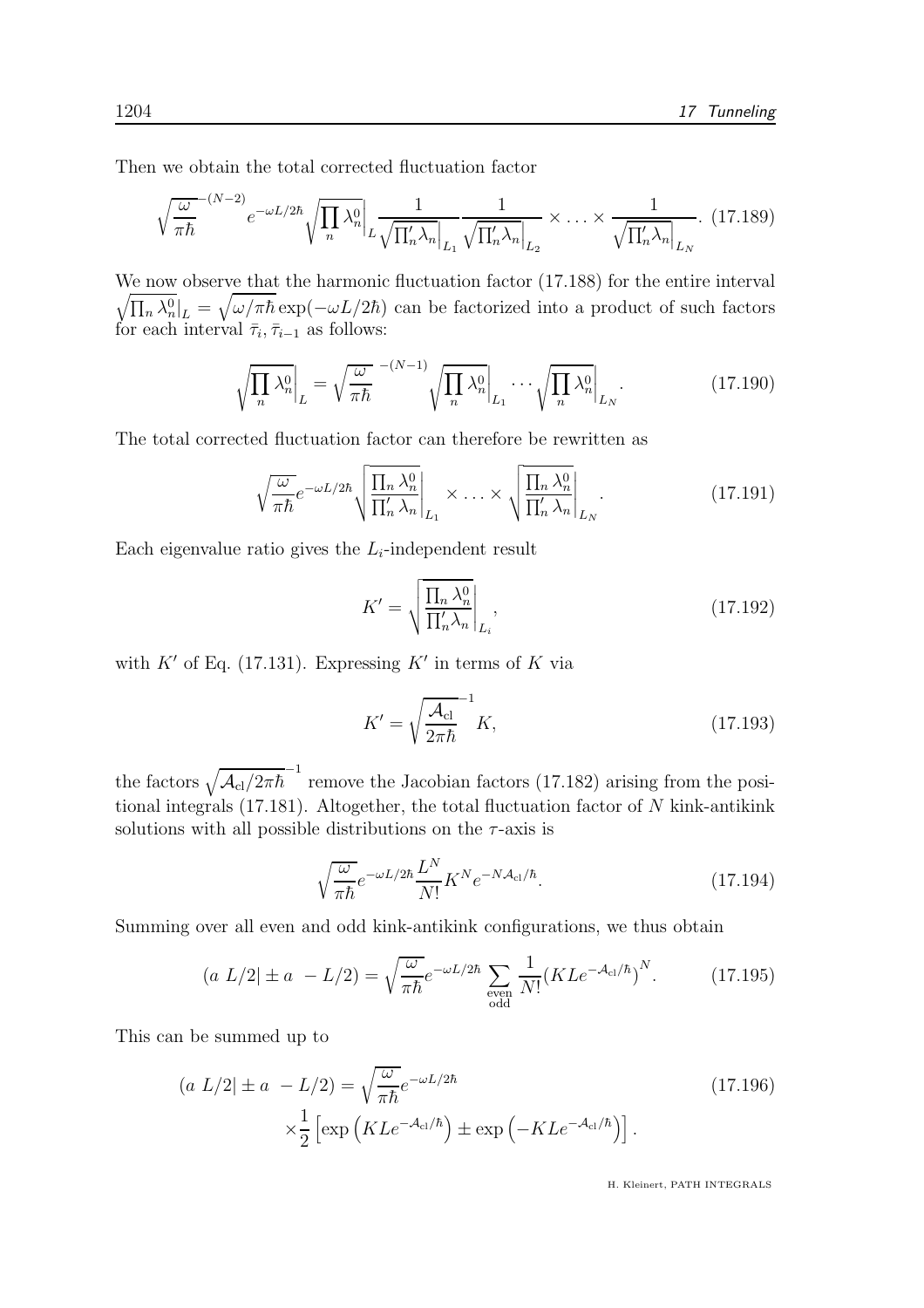Then we obtain the total corrected fluctuation factor

$$
\sqrt{\frac{\omega}{\pi\hbar}}^{-(N-2)} e^{-\omega L/2\hbar} \sqrt{\prod_{n} \lambda_n^0} \Big|_L \frac{1}{\sqrt{\prod_n' \lambda_n} \Big|_{L_1}} \frac{1}{\sqrt{\prod_n' \lambda_n} \Big|_{L_2}} \times \dots \times \frac{1}{\sqrt{\prod_n' \lambda_n} \Big|_{L_N}}.
$$
 (17.189)

We now observe that the harmonic fluctuation factor (17.188) for the entire interval  $\sqrt{\prod_n \lambda_n^0}$ <sub>L</sub> =  $\sqrt{\omega/\pi\hbar}$  exp( $-\omega L/2\hbar$ ) can be factorized into a product of such factors for each interval  $\bar{\tau}_i, \bar{\tau}_{i-1}$  as follows:

$$
\sqrt{\prod_{n} \lambda_n^0} \bigg|_L = \sqrt{\frac{\omega}{\pi \hbar}} \sqrt{\frac{N-1}{N}} \sqrt{\prod_{n} \lambda_n^0} \bigg|_{L_1} \cdots \sqrt{\prod_{n} \lambda_n^0} \bigg|_{L_N} . \tag{17.190}
$$

The total corrected fluctuation factor can therefore be rewritten as

$$
\sqrt{\frac{\omega}{\pi\hbar}}e^{-\omega L/2\hbar}\sqrt{\frac{\prod_{n}\lambda_{n}^{0}}{\prod'_{n}\lambda_{n}}}\Big|_{L_{1}} \times \ldots \times \sqrt{\frac{\prod_{n}\lambda_{n}^{0}}{\prod'_{n}\lambda_{n}}}\Big|_{L_{N}}.
$$
\n(17.191)

Each eigenvalue ratio gives the  $L_i$ -independent result

$$
K' = \sqrt{\frac{\prod_{n} \lambda_n^0}{\prod_{n}' \lambda_n}} \Big|_{L_i},\tag{17.192}
$$

with  $K'$  of Eq. (17.131). Expressing  $K'$  in terms of K via

$$
K' = \sqrt{\frac{\mathcal{A}_{\rm cl}}{2\pi\hbar}}^{-1} K,\tag{17.193}
$$

the factors  $\sqrt{\mathcal{A}_{\text{cl}}/2\pi\hbar}^{-1}$  remove the Jacobian factors (17.182) arising from the positional integrals  $(17.181)$ . Altogether, the total fluctuation factor of N kink-antikink solutions with all possible distributions on the  $\tau$ -axis is

$$
\sqrt{\frac{\omega}{\pi\hbar}}e^{-\omega L/2\hbar}\frac{L^N}{N!}K^N e^{-N\mathcal{A}_{\rm cl}/\hbar}.\tag{17.194}
$$

Summing over all even and odd kink-antikink configurations, we thus obtain

$$
(a L/2) \pm a - L/2 = \sqrt{\frac{\omega}{\pi \hbar}} e^{-\omega L/2\hbar} \sum_{\substack{\text{even} \\ \text{odd}}} \frac{1}{N!} (K L e^{-\mathcal{A}_{\text{cl}}/\hbar})^N. \tag{17.195}
$$

This can be summed up to

$$
(a L/2) \pm a - L/2 = \sqrt{\frac{\omega}{\pi \hbar}} e^{-\omega L/2\hbar}
$$
  
 
$$
\times \frac{1}{2} \left[ \exp\left( KL e^{-A_{\text{cl}}/\hbar} \right) \pm \exp\left( -KL e^{-A_{\text{cl}}/\hbar} \right) \right].
$$
 (17.196)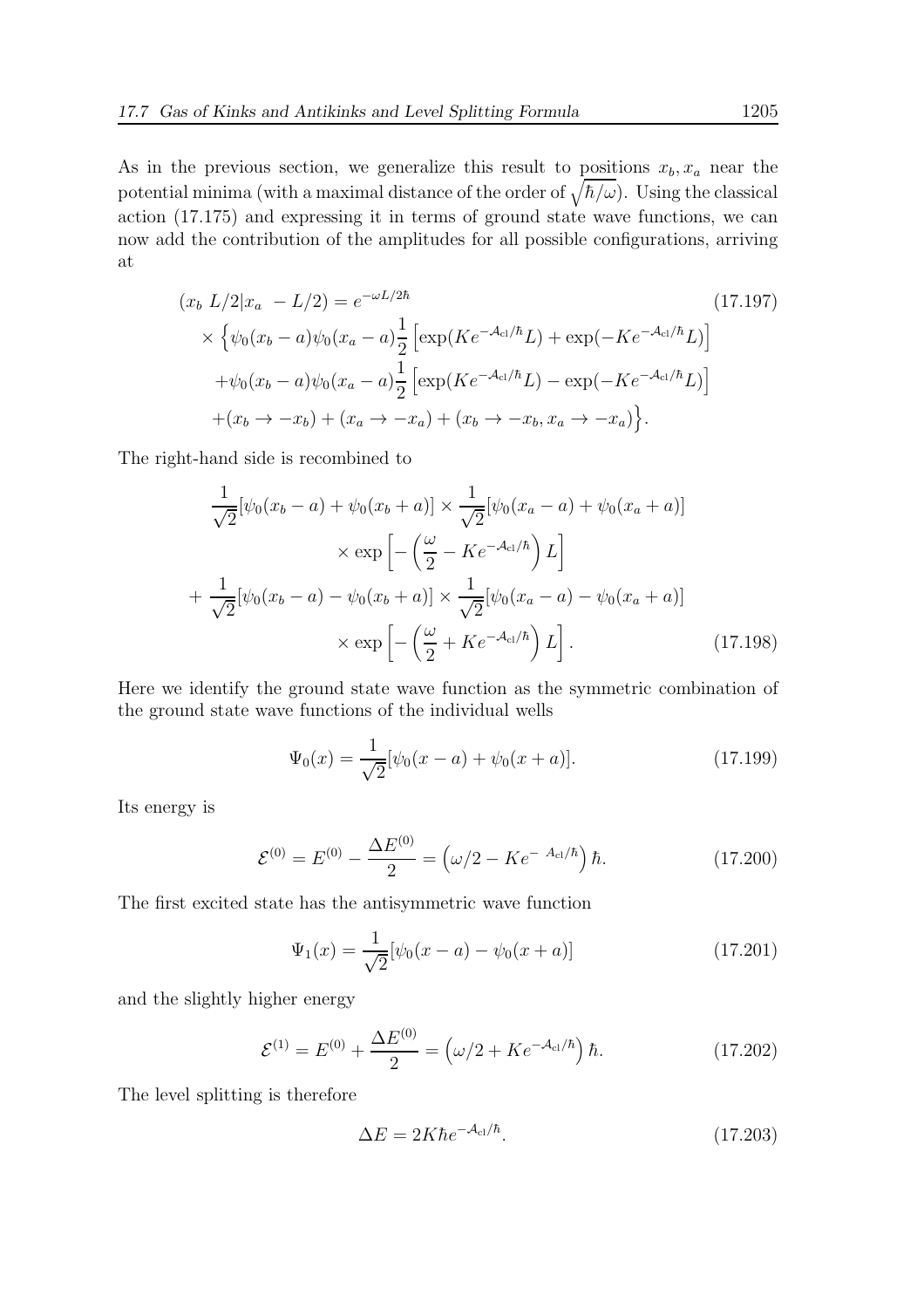As in the previous section, we generalize this result to positions  $x_b, x_a$  near the potential minima (with a maximal distance of the order of  $\sqrt{\hbar/\omega}$ ). Using the classical action (17.175) and expressing it in terms of ground state wave functions, we can now add the contribution of the amplitudes for all possible configurations, arriving at

$$
(x_b L/2|x_a - L/2) = e^{-\omega L/2\hbar}
$$
\n
$$
\times \left\{ \psi_0(x_b - a)\psi_0(x_a - a) \frac{1}{2} \left[ \exp(Ke^{-A_{c1}/\hbar}L) + \exp(-Ke^{-A_{c1}/\hbar}L) \right] \right.
$$
\n
$$
+ \psi_0(x_b - a)\psi_0(x_a - a) \frac{1}{2} \left[ \exp(Ke^{-A_{c1}/\hbar}L) - \exp(-Ke^{-A_{c1}/\hbar}L) \right]
$$
\n
$$
+ (x_b \to -x_b) + (x_a \to -x_a) + (x_b \to -x_b, x_a \to -x_a) \right\}.
$$
\n(17.197)

The right-hand side is recombined to

$$
\frac{1}{\sqrt{2}}[\psi_0(x_b - a) + \psi_0(x_b + a)] \times \frac{1}{\sqrt{2}}[\psi_0(x_a - a) + \psi_0(x_a + a)]
$$
  
 
$$
\times \exp\left[-\left(\frac{\omega}{2} - Ke^{-A_{cl}/\hbar}\right)L\right]
$$
  
+ 
$$
\frac{1}{\sqrt{2}}[\psi_0(x_b - a) - \psi_0(x_b + a)] \times \frac{1}{\sqrt{2}}[\psi_0(x_a - a) - \psi_0(x_a + a)]
$$
  
 
$$
\times \exp\left[-\left(\frac{\omega}{2} + Ke^{-A_{cl}/\hbar}\right)L\right].
$$
 (17.198)

Here we identify the ground state wave function as the symmetric combination of the ground state wave functions of the individual wells

$$
\Psi_0(x) = \frac{1}{\sqrt{2}} [\psi_0(x-a) + \psi_0(x+a)].
$$
\n(17.199)

Its energy is

$$
\mathcal{E}^{(0)} = E^{(0)} - \frac{\Delta E^{(0)}}{2} = \left(\omega/2 - Ke^{-A_{\text{cl}}/\hbar}\right)\hbar. \tag{17.200}
$$

The first excited state has the antisymmetric wave function

$$
\Psi_1(x) = \frac{1}{\sqrt{2}} [\psi_0(x-a) - \psi_0(x+a)] \tag{17.201}
$$

and the slightly higher energy

$$
\mathcal{E}^{(1)} = E^{(0)} + \frac{\Delta E^{(0)}}{2} = \left(\omega/2 + Ke^{-\mathcal{A}_{\text{cl}}/\hbar}\right)\hbar. \tag{17.202}
$$

The level splitting is therefore

$$
\Delta E = 2K\hbar e^{-A_{\rm cl}/\hbar}.\tag{17.203}
$$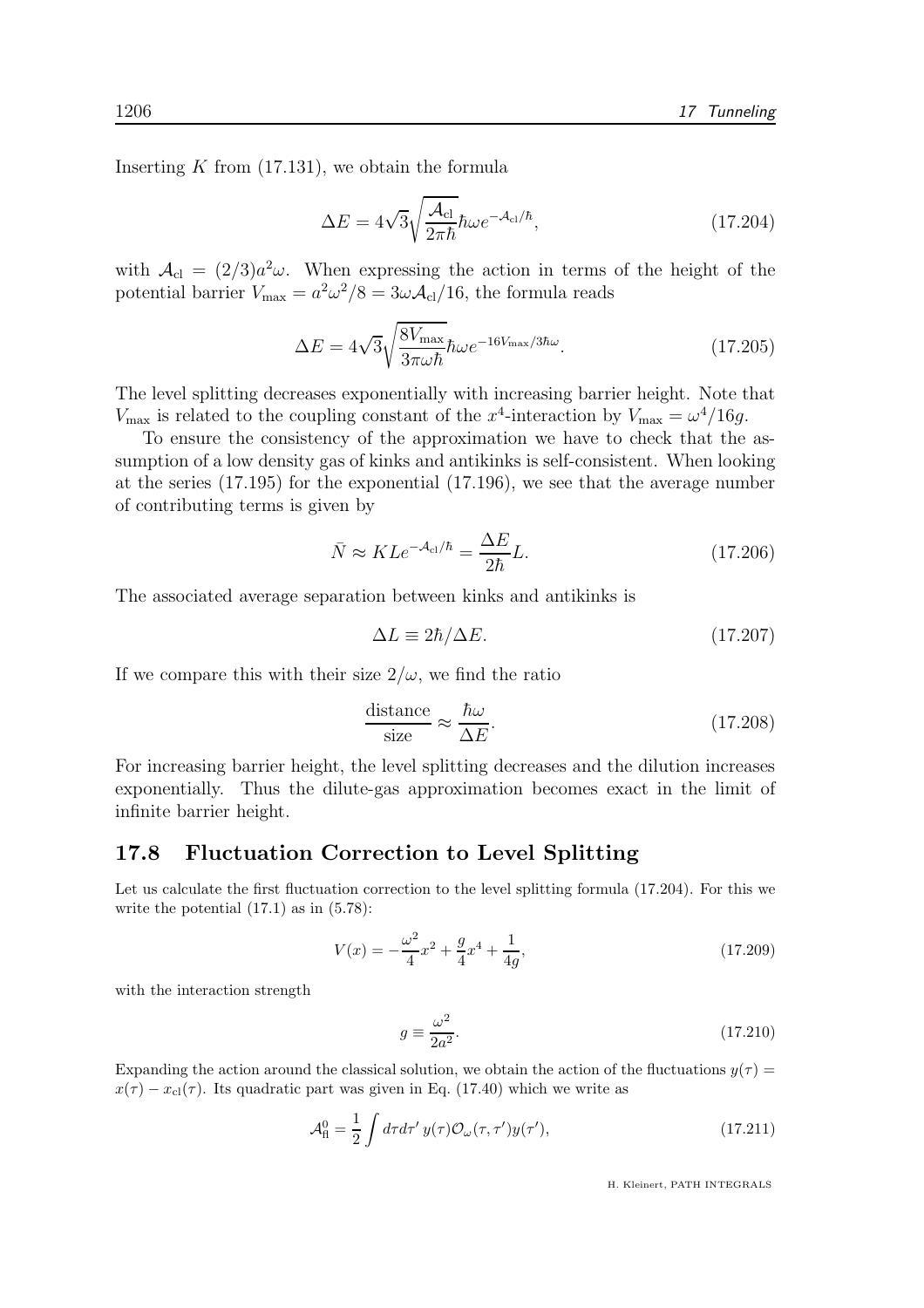Inserting  $K$  from  $(17.131)$ , we obtain the formula

$$
\Delta E = 4\sqrt{3}\sqrt{\frac{\mathcal{A}_{\rm cl}}{2\pi\hbar}}\hbar\omega e^{-\mathcal{A}_{\rm cl}/\hbar},\qquad(17.204)
$$

with  $A_{\rm cl} = (2/3)a^2\omega$ . When expressing the action in terms of the height of the potential barrier  $V_{\text{max}} = a^2 \omega^2 / 8 = 3\omega \mathcal{A}_{\text{cl}} / 16$ , the formula reads

$$
\Delta E = 4\sqrt{3} \sqrt{\frac{8V_{\text{max}}}{3\pi \omega \hbar}} \hbar \omega e^{-16V_{\text{max}}/3\hbar \omega}.
$$
 (17.205)

The level splitting decreases exponentially with increasing barrier height. Note that  $V_{\text{max}}$  is related to the coupling constant of the  $x^4$ -interaction by  $V_{\text{max}} = \omega^4/16g$ .

To ensure the consistency of the approximation we have to check that the assumption of a low density gas of kinks and antikinks is self-consistent. When looking at the series (17.195) for the exponential (17.196), we see that the average number of contributing terms is given by

$$
\bar{N} \approx K L e^{-\mathcal{A}_{\rm cl}/\hbar} = \frac{\Delta E}{2\hbar} L. \tag{17.206}
$$

The associated average separation between kinks and antikinks is

$$
\Delta L \equiv 2\hbar/\Delta E. \tag{17.207}
$$

If we compare this with their size  $2/\omega$ , we find the ratio

$$
\frac{\text{distance}}{\text{size}} \approx \frac{\hbar\omega}{\Delta E}.
$$
 (17.208)

For increasing barrier height, the level splitting decreases and the dilution increases exponentially. Thus the dilute-gas approximation becomes exact in the limit of infinite barrier height.

#### 17.8 Fluctuation Correction to Level Splitting

Let us calculate the first fluctuation correction to the level splitting formula (17.204). For this we write the potential  $(17.1)$  as in  $(5.78)$ :

$$
V(x) = -\frac{\omega^2}{4}x^2 + \frac{g}{4}x^4 + \frac{1}{4g},\tag{17.209}
$$

with the interaction strength

$$
g \equiv \frac{\omega^2}{2a^2}.\tag{17.210}
$$

Expanding the action around the classical solution, we obtain the action of the fluctuations  $y(\tau)$  =  $x(\tau) - x_{\text{cl}}(\tau)$ . Its quadratic part was given in Eq. (17.40) which we write as

$$
\mathcal{A}_{\rm H}^0 = \frac{1}{2} \int d\tau d\tau' y(\tau) \mathcal{O}_{\omega}(\tau, \tau') y(\tau'),\tag{17.211}
$$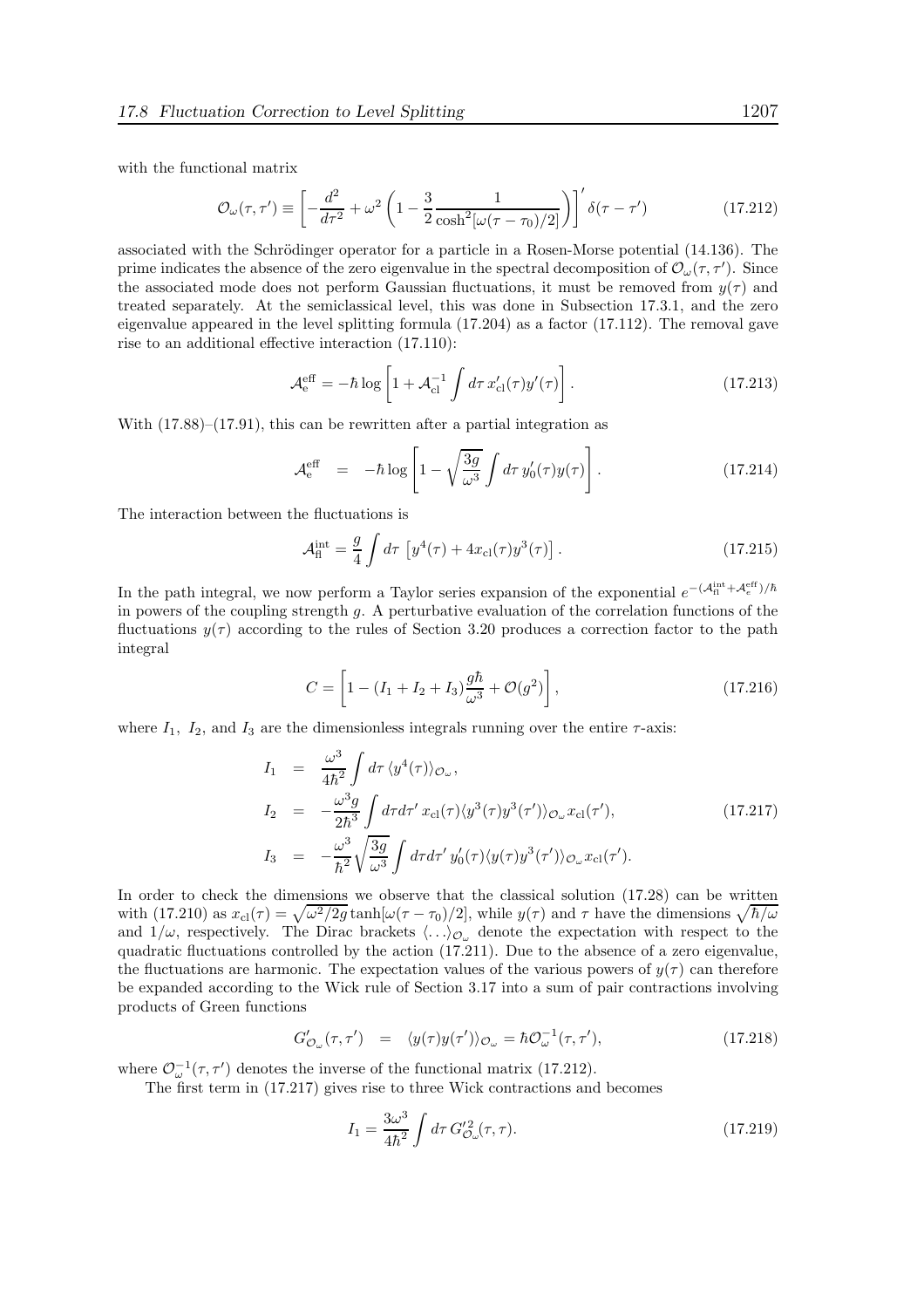with the functional matrix

$$
\mathcal{O}_{\omega}(\tau,\tau') \equiv \left[ -\frac{d^2}{d\tau^2} + \omega^2 \left( 1 - \frac{3}{2} \frac{1}{\cosh^2[\omega(\tau - \tau_0)/2]} \right) \right]' \delta(\tau - \tau')
$$
(17.212)

associated with the Schrödinger operator for a particle in a Rosen-Morse potential  $(14.136)$ . The prime indicates the absence of the zero eigenvalue in the spectral decomposition of  $\mathcal{O}_{\omega}(\tau, \tau')$ . Since the associated mode does not perform Gaussian fluctuations, it must be removed from  $y(\tau)$  and treated separately. At the semiclassical level, this was done in Subsection 17.3.1, and the zero eigenvalue appeared in the level splitting formula (17.204) as a factor (17.112). The removal gave rise to an additional effective interaction (17.110):

$$
\mathcal{A}_{e}^{\text{eff}} = -\hbar \log \left[ 1 + \mathcal{A}_{cl}^{-1} \int d\tau \, x_{cl}'(\tau) y'(\tau) \right]. \tag{17.213}
$$

With  $(17.88)$ – $(17.91)$ , this can be rewritten after a partial integration as

$$
\mathcal{A}_{\rm e}^{\rm eff} = -\hbar \log \left[ 1 - \sqrt{\frac{3g}{\omega^3}} \int d\tau \, y_0'(\tau) y(\tau) \right]. \tag{17.214}
$$

The interaction between the fluctuations is

$$
\mathcal{A}_{\rm fl}^{\rm int} = \frac{g}{4} \int d\tau \, \left[ y^4(\tau) + 4x_{\rm cl}(\tau) y^3(\tau) \right]. \tag{17.215}
$$

In the path integral, we now perform a Taylor series expansion of the exponential  $e^{-(\mathcal{A}_{\rm fl}^{\rm int} + \mathcal{A}_{e}^{\rm eff})/\hbar}$ in powers of the coupling strength g. A perturbative evaluation of the correlation functions of the fluctuations  $y(\tau)$  according to the rules of Section 3.20 produces a correction factor to the path integral

$$
C = \left[1 - (I_1 + I_2 + I_3)\frac{g\hbar}{\omega^3} + \mathcal{O}(g^2)\right],
$$
\n(17.216)

where  $I_1$ ,  $I_2$ , and  $I_3$  are the dimensionless integrals running over the entire  $\tau$ -axis:

$$
I_1 = \frac{\omega^3}{4\hbar^2} \int d\tau \, \langle y^4(\tau) \rangle_{\mathcal{O}_{\omega}},
$$
  
\n
$$
I_2 = -\frac{\omega^3 g}{2\hbar^3} \int d\tau d\tau' x_{\text{cl}}(\tau) \langle y^3(\tau) y^3(\tau') \rangle_{\mathcal{O}_{\omega}} x_{\text{cl}}(\tau'),
$$
  
\n
$$
I_3 = -\frac{\omega^3}{\hbar^2} \sqrt{\frac{3g}{\omega^3}} \int d\tau d\tau' y_0'(\tau) \langle y(\tau) y^3(\tau') \rangle_{\mathcal{O}_{\omega}} x_{\text{cl}}(\tau').
$$
\n(17.217)

In order to check the dimensions we observe that the classical solution  $(17.28)$  can be written with (17.210) as  $x_{\text{cl}}(\tau) = \sqrt{\omega^2/2g} \tanh[\omega(\tau - \tau_0)/2]$ , while  $y(\tau)$  and  $\tau$  have the dimensions  $\sqrt{\hbar/\omega}$ and  $1/\omega$ , respectively. The Dirac brackets  $\langle \ldots \rangle_{\mathcal{O}_{\omega}}$  denote the expectation with respect to the quadratic fluctuations controlled by the action (17.211). Due to the absence of a zero eigenvalue, the fluctuations are harmonic. The expectation values of the various powers of  $y(\tau)$  can therefore be expanded according to the Wick rule of Section 3.17 into a sum of pair contractions involving products of Green functions

$$
G'_{\mathcal{O}_{\omega}}(\tau,\tau') = \langle y(\tau)y(\tau')\rangle_{\mathcal{O}_{\omega}} = \hbar \mathcal{O}_{\omega}^{-1}(\tau,\tau'),\tag{17.218}
$$

where  $\mathcal{O}_{\omega}^{-1}(\tau, \tau')$  denotes the inverse of the functional matrix (17.212).

The first term in (17.217) gives rise to three Wick contractions and becomes

$$
I_1 = \frac{3\omega^3}{4\hbar^2} \int d\tau \, G_{\mathcal{O}_{\omega}}^{\prime 2}(\tau, \tau). \tag{17.219}
$$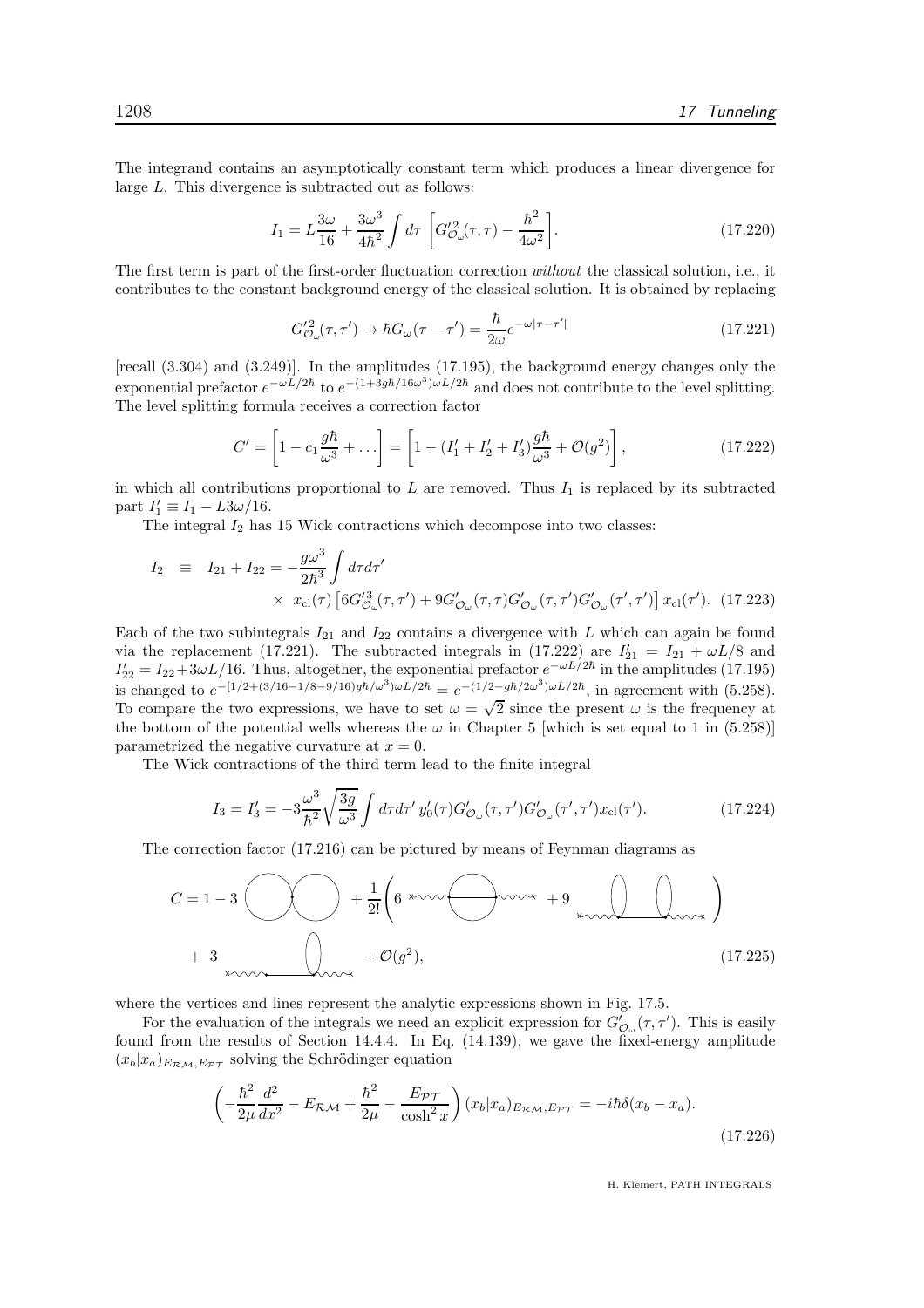The integrand contains an asymptotically constant term which produces a linear divergence for large L. This divergence is subtracted out as follows:

$$
I_1 = L\frac{3\omega}{16} + \frac{3\omega^3}{4\hbar^2} \int d\tau \left[ G'_{\mathcal{O}_{\omega}}^2(\tau,\tau) - \frac{\hbar^2}{4\omega^2} \right]. \tag{17.220}
$$

The first term is part of the first-order fluctuation correction without the classical solution, i.e., it contributes to the constant background energy of the classical solution. It is obtained by replacing

$$
G_{\mathcal{O}_{\omega}}^{2}(\tau,\tau') \to \hbar G_{\omega}(\tau-\tau') = \frac{\hbar}{2\omega} e^{-\omega|\tau-\tau'|}
$$
\n(17.221)

[recall (3.304) and (3.249)]. In the amplitudes (17.195), the background energy changes only the exponential prefactor  $e^{-\omega L/2\hbar}$  to  $e^{-(1+3g\hbar/16\omega^3)\omega L/2\hbar}$  and does not contribute to the level splitting. The level splitting formula receives a correction factor

$$
C' = \left[1 - c_1 \frac{g\hbar}{\omega^3} + \dots\right] = \left[1 - (I'_1 + I'_2 + I'_3) \frac{g\hbar}{\omega^3} + \mathcal{O}(g^2)\right],\tag{17.222}
$$

in which all contributions proportional to  $L$  are removed. Thus  $I_1$  is replaced by its subtracted part  $I'_1 \equiv I_1 - L3\omega/16$ .

The integral  $I_2$  has 15 Wick contractions which decompose into two classes:

$$
I_2 \equiv I_{21} + I_{22} = -\frac{g\omega^3}{2\hbar^3} \int d\tau d\tau'
$$
  
 
$$
\times x_{\text{cl}}(\tau) \left[ 6G_{\mathcal{O}_{\omega}}'^3(\tau, \tau') + 9G_{\mathcal{O}_{\omega}}'(\tau, \tau)G_{\mathcal{O}_{\omega}}'(\tau, \tau')G_{\mathcal{O}_{\omega}}'(\tau', \tau') \right] x_{\text{cl}}(\tau'). \tag{17.223}
$$

Each of the two subintegrals  $I_{21}$  and  $I_{22}$  contains a divergence with L which can again be found via the replacement (17.221). The subtracted integrals in (17.222) are  $I'_{21} = I_{21} + \omega L/8$  and  $I'_{22} = I_{22} + 3\omega L/16$ . Thus, altogether, the exponential prefactor  $e^{-\omega L/2\hbar}$  in the amplitudes (17.195) is changed to  $e^{-[1/2+(3/16-1/8-9/16)gh/\omega^3)\omega L/2\hbar} = e^{-(1/2-g\hbar/2\omega^3)\omega L/2\hbar}$ , in agreement with (5.258). To compare the two expressions, we have to set  $\omega = \sqrt{2}$  since the present  $\omega$  is the frequency at the bottom of the potential wells whereas the  $\omega$  in Chapter 5 [which is set equal to 1 in (5.258)] parametrized the negative curvature at  $x = 0$ .

The Wick contractions of the third term lead to the finite integral

$$
I_3 = I'_3 = -3\frac{\omega^3}{\hbar^2} \sqrt{\frac{3g}{\omega^3}} \int d\tau d\tau' y'_0(\tau) G'_{\mathcal{O}_{\omega}}(\tau, \tau') G'_{\mathcal{O}_{\omega}}(\tau', \tau') x_{\text{cl}}(\tau'). \tag{17.224}
$$

The correction factor (17.216) can be pictured by means of Feynman diagrams as

$$
C = 1 - 3 \qquad \qquad \bigotimes \qquad + \frac{1}{2!} \left( 6 \xrightarrow{\text{true}} + 9 \xrightarrow{\text{true}} + 9 \xrightarrow{\text{true}} \qquad \qquad \bigotimes \qquad \qquad \bigotimes \qquad \bigotimes \qquad \bigotimes \qquad \bigotimes \qquad \bigotimes \qquad \bigotimes \qquad \bigotimes \qquad \bigotimes \qquad \bigotimes \qquad \bigotimes \qquad \bigotimes \qquad \bigotimes \qquad \bigotimes \qquad \bigotimes \qquad \bigotimes \qquad \bigotimes \qquad \bigotimes \qquad \bigotimes \qquad \bigotimes \qquad \bigotimes \qquad \bigotimes \qquad \bigotimes \qquad \bigotimes \qquad \bigotimes \qquad \bigotimes \qquad \bigotimes \qquad \bigotimes \qquad \bigotimes \qquad \bigotimes \qquad \bigotimes \qquad \bigotimes \qquad \bigotimes \qquad \bigotimes \qquad \bigotimes \qquad \bigotimes \qquad \bigotimes \qquad \bigotimes \qquad \bigotimes \qquad \bigotimes \qquad \bigotimes \qquad \bigotimes \qquad \bigotimes \qquad \bigotimes \qquad \bigotimes \qquad \bigotimes \qquad \bigotimes \qquad \bigotimes \qquad \bigotimes \qquad \bigotimes \qquad \bigotimes \qquad \bigotimes \qquad \bigotimes \qquad \bigotimes \qquad \bigotimes \qquad \bigotimes \qquad \bigotimes \qquad \bigotimes \qquad \bigotimes \qquad \bigotimes \qquad \bigotimes \qquad \bigotimes \qquad \bigotimes \qquad \bigotimes \qquad \bigotimes \qquad \bigotimes \qquad \bigotimes \qquad \bigotimes \qquad \bigotimes \qquad \bigotimes \qquad \bigotimes \qquad \bigotimes \qquad \bigotimes \qquad \bigotimes \qquad \bigotimes \qquad \bigotimes \qquad \bigotimes \qquad \bigotimes \qquad \bigotimes \qquad \bigotimes \qquad \bigotimes \qquad \bigotimes \qquad \bigotimes \qquad \bigotimes \qquad \bigotimes \qquad \bigotimes \qquad \bigotimes \qquad \bigotimes \qquad \bigotimes \qquad \bigotimes \qquad \bigotimes \qquad \bigotimes \qquad \bigotimes \qquad \bigotimes \qquad \bigotimes \qquad \bigotimes \qquad \bigotimes \qquad \bigotimes \qquad
$$

where the vertices and lines represent the analytic expressions shown in Fig. 17.5.

For the evaluation of the integrals we need an explicit expression for  $G'_{\mathcal{O}_{\omega}}(\tau, \tau')$ . This is easily found from the results of Section 14.4.4. In Eq. (14.139), we gave the fixed-energy amplitude  $(x_b|x_a)_{E_{\mathcal{RM}},E_{\mathcal{PT}}}$  solving the Schrödinger equation

$$
\left(-\frac{\hbar^2}{2\mu}\frac{d^2}{dx^2} - E_{\mathcal{RM}} + \frac{\hbar^2}{2\mu} - \frac{E_{\mathcal{PT}}}{\cosh^2 x}\right)(x_b|x_a)_{E_{\mathcal{RM}}, E_{\mathcal{PT}}} = -i\hbar\delta(x_b - x_a). \tag{17.226}
$$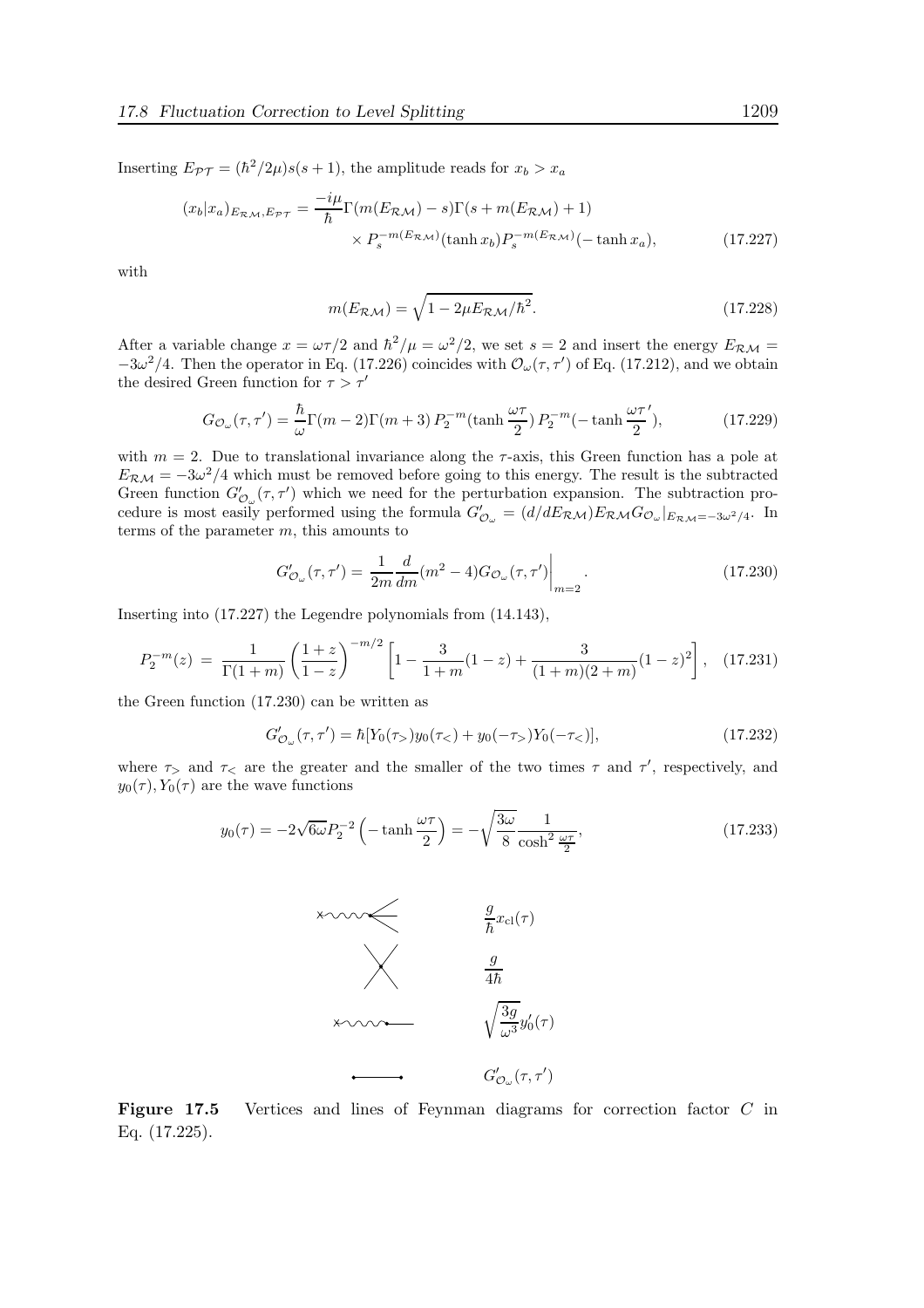Inserting  $E_{\mathcal{PT}} = (\hbar^2/2\mu)s(s+1)$ , the amplitude reads for  $x_b > x_a$ 

$$
(x_b|x_a)_{E_{\mathcal{RM}},E_{\mathcal{PT}}} = \frac{-i\mu}{\hbar} \Gamma(m(E_{\mathcal{RM}}) - s)\Gamma(s + m(E_{\mathcal{RM}}) + 1)
$$

$$
\times P_s^{-m(E_{\mathcal{RM}})}(\tanh x_b) P_s^{-m(E_{\mathcal{RM}})}(-\tanh x_a), \tag{17.227}
$$

with

$$
m(E_{\mathcal{RM}}) = \sqrt{1 - 2\mu E_{\mathcal{RM}}/\hbar^2}.
$$
\n(17.228)

After a variable change  $x = \omega \tau/2$  and  $\hbar^2/\mu = \omega^2/2$ , we set  $s = 2$  and insert the energy  $E_{\mathcal{RM}} =$  $-3\omega^2/4$ . Then the operator in Eq. (17.226) coincides with  $\mathcal{O}_{\omega}(\tau, \tau')$  of Eq. (17.212), and we obtain the desired Green function for  $\tau>\tau'$ 

$$
G_{\mathcal{O}_{\omega}}(\tau,\tau') = \frac{\hbar}{\omega} \Gamma(m-2) \Gamma(m+3) P_2^{-m}(\tanh\frac{\omega\tau}{2}) P_2^{-m}(-\tanh\frac{\omega\tau'}{2}),\tag{17.229}
$$

with  $m = 2$ . Due to translational invariance along the  $\tau$ -axis, this Green function has a pole at  $E_{\mathcal{RM}} = -3\omega^2/4$  which must be removed before going to this energy. The result is the subtracted Green function  $G'_{\mathcal{O}_{\omega}}(\tau, \tau')$  which we need for the perturbation expansion. The subtraction procedure is most easily performed using the formula  $G'_{\mathcal{O}_{\omega}} = (d/dE_{\mathcal{RM}})E_{\mathcal{RM}}G_{\mathcal{O}_{\omega}}|_{E_{\mathcal{RM}}=-3\omega^2/4}$ . In terms of the parameter  $m$ , this amounts to

$$
G'_{\mathcal{O}_{\omega}}(\tau,\tau') = \frac{1}{2m} \frac{d}{dm} (m^2 - 4) G_{\mathcal{O}_{\omega}}(\tau,\tau') \Big|_{m=2}.
$$
 (17.230)

Inserting into (17.227) the Legendre polynomials from (14.143),

$$
P_2^{-m}(z) = \frac{1}{\Gamma(1+m)} \left(\frac{1+z}{1-z}\right)^{-m/2} \left[1 - \frac{3}{1+m}(1-z) + \frac{3}{(1+m)(2+m)}(1-z)^2\right], \quad (17.231)
$$

the Green function (17.230) can be written as

$$
G'_{\mathcal{O}_{\omega}}(\tau, \tau') = \hbar[Y_0(\tau_>) y_0(\tau_<) + y_0(-\tau_>) Y_0(-\tau_<)], \qquad (17.232)
$$

where  $\tau$  and  $\tau$  are the greater and the smaller of the two times  $\tau$  and  $\tau'$ , respectively, and  $y_0(\tau)$ ,  $Y_0(\tau)$  are the wave functions

$$
y_0(\tau) = -2\sqrt{6\omega}P_2^{-2}\left(-\tanh\frac{\omega\tau}{2}\right) = -\sqrt{\frac{3\omega}{8}}\frac{1}{\cosh^2\frac{\omega\tau}{2}},\tag{17.233}
$$



Figure 17.5 Vertices and lines of Feynman diagrams for correction factor C in Eq. (17.225).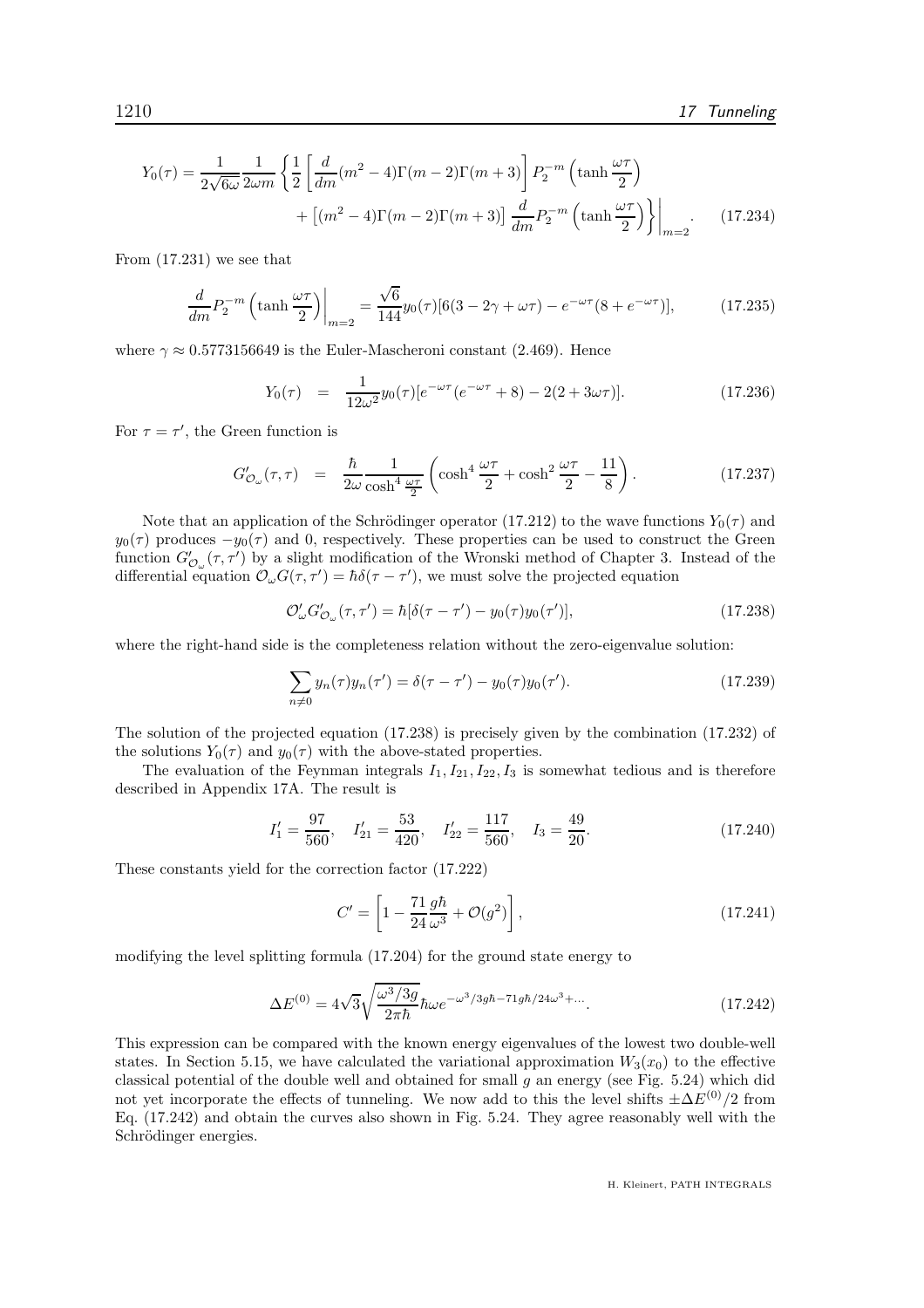$$
Y_0(\tau) = \frac{1}{2\sqrt{6\omega}} \frac{1}{2\omega m} \left\{ \frac{1}{2} \left[ \frac{d}{dm} (m^2 - 4) \Gamma(m - 2) \Gamma(m + 3) \right] P_2^{-m} \left( \tanh \frac{\omega \tau}{2} \right) + \left[ (m^2 - 4) \Gamma(m - 2) \Gamma(m + 3) \right] \frac{d}{dm} P_2^{-m} \left( \tanh \frac{\omega \tau}{2} \right) \right\} \Big|_{m=2} . \tag{17.234}
$$

From (17.231) we see that

$$
\frac{d}{dm}P_2^{-m}\left(\tanh\frac{\omega\tau}{2}\right)\bigg|_{m=2} = \frac{\sqrt{6}}{144}y_0(\tau)[6(3-2\gamma+\omega\tau)-e^{-\omega\tau}(8+e^{-\omega\tau})],\tag{17.235}
$$

where  $\gamma \approx 0.5773156649$  is the Euler-Mascheroni constant (2.469). Hence

$$
Y_0(\tau) = \frac{1}{12\omega^2} y_0(\tau) [e^{-\omega \tau} (e^{-\omega \tau} + 8) - 2(2 + 3\omega \tau)]. \tag{17.236}
$$

For  $\tau = \tau'$ , the Green function is

$$
G'_{\mathcal{O}_{\omega}}(\tau,\tau) = \frac{\hbar}{2\omega} \frac{1}{\cosh^4 \frac{\omega\tau}{2}} \left( \cosh^4 \frac{\omega\tau}{2} + \cosh^2 \frac{\omega\tau}{2} - \frac{11}{8} \right). \tag{17.237}
$$

Note that an application of the Schrödinger operator (17.212) to the wave functions  $Y_0(\tau)$  and  $y_0(\tau)$  produces  $-y_0(\tau)$  and 0, respectively. These properties can be used to construct the Green function  $G'_{\mathcal{O}_{\omega}}(\tau, \tau')$  by a slight modification of the Wronski method of Chapter 3. Instead of the differential equation  $\mathcal{O}_{\omega}G(\tau, \tau') = \hbar \delta(\tau - \tau')$ , we must solve the projected equation

$$
\mathcal{O}'_{\omega} G'_{\mathcal{O}_{\omega}}(\tau, \tau') = \hbar [\delta(\tau - \tau') - y_0(\tau)y_0(\tau')], \qquad (17.238)
$$

where the right-hand side is the completeness relation without the zero-eigenvalue solution:

$$
\sum_{n\neq 0} y_n(\tau) y_n(\tau') = \delta(\tau - \tau') - y_0(\tau) y_0(\tau'). \tag{17.239}
$$

The solution of the projected equation (17.238) is precisely given by the combination (17.232) of the solutions  $Y_0(\tau)$  and  $y_0(\tau)$  with the above-stated properties.

The evaluation of the Feynman integrals  $I_1, I_{21}, I_{22}, I_3$  is somewhat tedious and is therefore described in Appendix 17A. The result is

$$
I_1' = \frac{97}{560}, \quad I_{21}' = \frac{53}{420}, \quad I_{22}' = \frac{117}{560}, \quad I_3 = \frac{49}{20}.
$$
 (17.240)

These constants yield for the correction factor (17.222)

$$
C' = \left[1 - \frac{71}{24} \frac{g\hbar}{\omega^3} + \mathcal{O}(g^2)\right],
$$
\n(17.241)

modifying the level splitting formula (17.204) for the ground state energy to

$$
\Delta E^{(0)} = 4\sqrt{3} \sqrt{\frac{\omega^3/3g}{2\pi\hbar}} \hbar \omega e^{-\omega^3/3gh - 71gh/24\omega^3 + \dots}.
$$
 (17.242)

This expression can be compared with the known energy eigenvalues of the lowest two double-well states. In Section 5.15, we have calculated the variational approximation  $W_3(x_0)$  to the effective classical potential of the double well and obtained for small q an energy (see Fig.  $5.24$ ) which did not yet incorporate the effects of tunneling. We now add to this the level shifts  $\pm \Delta E^{(0)}/2$  from Eq. (17.242) and obtain the curves also shown in Fig. 5.24. They agree reasonably well with the Schrödinger energies.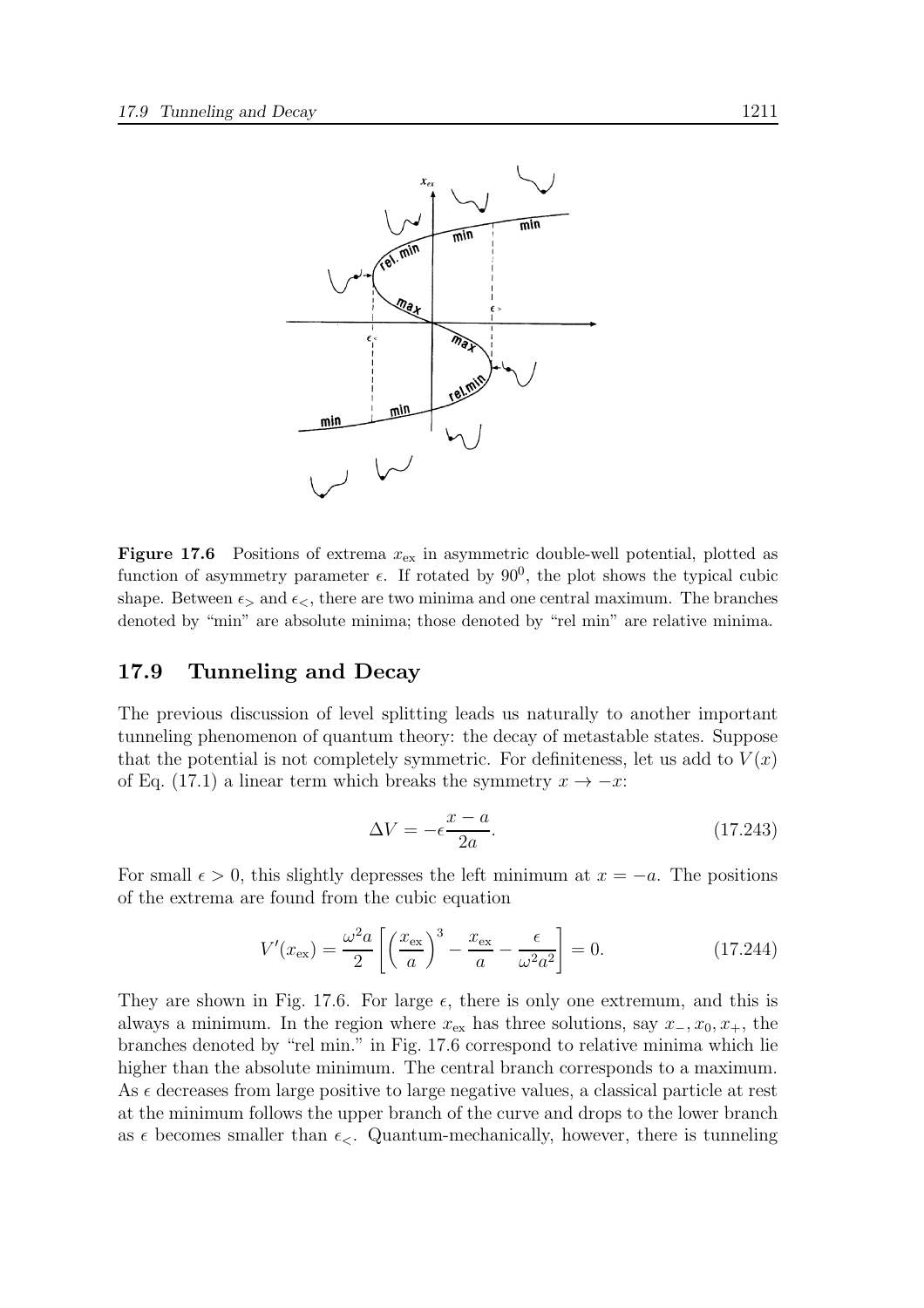

**Figure 17.6** Positions of extrema  $x_{\text{ex}}$  in asymmetric double-well potential, plotted as function of asymmetry parameter  $\epsilon$ . If rotated by  $90^0$ , the plot shows the typical cubic shape. Between  $\epsilon$  and  $\epsilon$ , there are two minima and one central maximum. The branches denoted by "min" are absolute minima; those denoted by "rel min" are relative minima.

#### 17.9 Tunneling and Decay

The previous discussion of level splitting leads us naturally to another important tunneling phenomenon of quantum theory: the decay of metastable states. Suppose that the potential is not completely symmetric. For definiteness, let us add to  $V(x)$ of Eq. (17.1) a linear term which breaks the symmetry  $x \to -x$ :

$$
\Delta V = -\epsilon \frac{x - a}{2a}.\tag{17.243}
$$

For small  $\epsilon > 0$ , this slightly depresses the left minimum at  $x = -a$ . The positions of the extrema are found from the cubic equation

$$
V'(x_{\text{ex}}) = \frac{\omega^2 a}{2} \left[ \left( \frac{x_{\text{ex}}}{a} \right)^3 - \frac{x_{\text{ex}}}{a} - \frac{\epsilon}{\omega^2 a^2} \right] = 0. \tag{17.244}
$$

They are shown in Fig. 17.6. For large  $\epsilon$ , there is only one extremum, and this is always a minimum. In the region where  $x_{ex}$  has three solutions, say  $x_-, x_0, x_+$ , the branches denoted by "rel min." in Fig. 17.6 correspond to relative minima which lie higher than the absolute minimum. The central branch corresponds to a maximum. As  $\epsilon$  decreases from large positive to large negative values, a classical particle at rest at the minimum follows the upper branch of the curve and drops to the lower branch as  $\epsilon$  becomes smaller than  $\epsilon_{\leq}$ . Quantum-mechanically, however, there is tunneling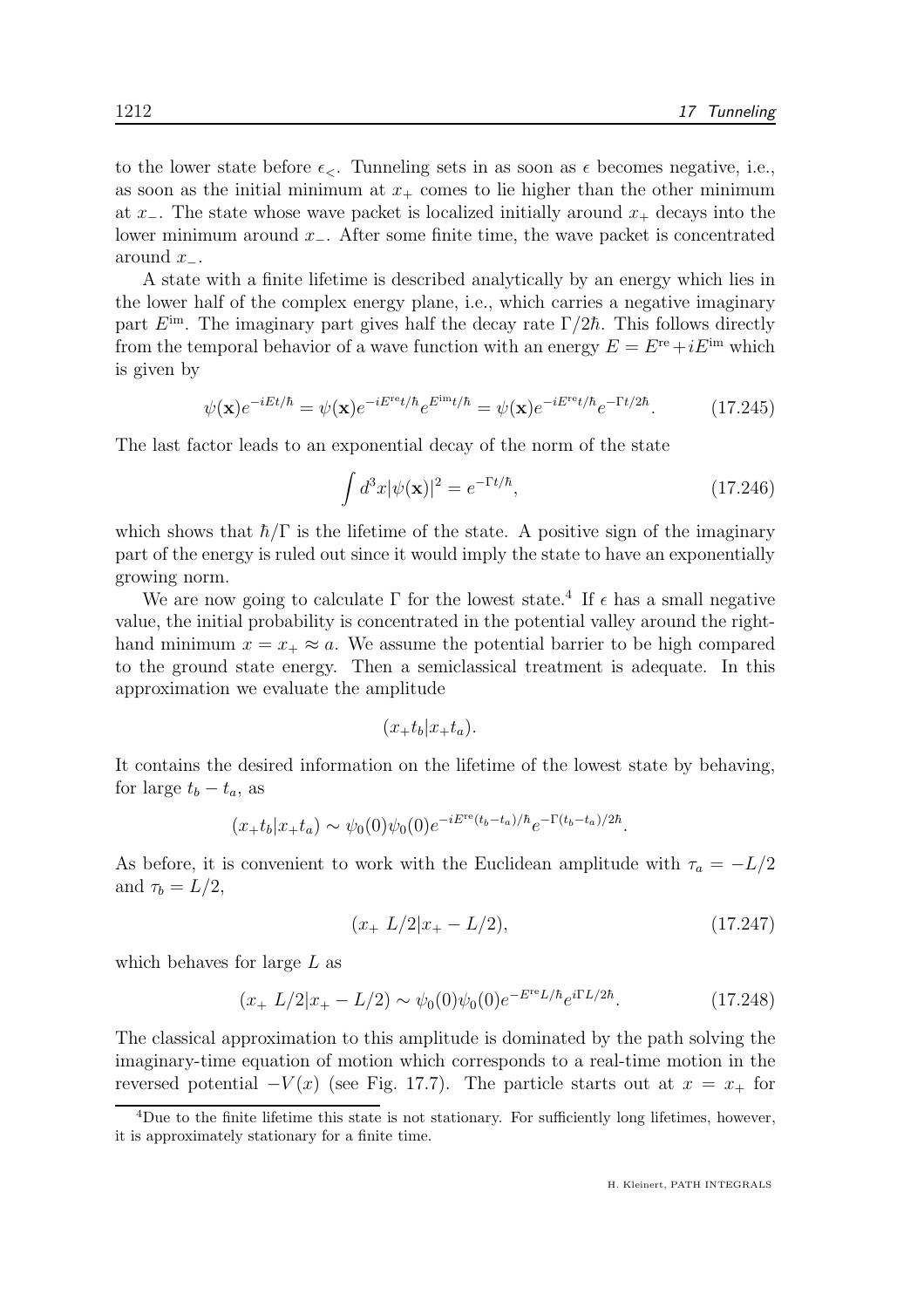to the lower state before  $\epsilon_{\leq}$ . Tunneling sets in as soon as  $\epsilon$  becomes negative, i.e., as soon as the initial minimum at  $x_+$  comes to lie higher than the other minimum at  $x_-\$ . The state whose wave packet is localized initially around  $x_+\$  decays into the lower minimum around  $x_$ . After some finite time, the wave packet is concentrated around  $x_-\$ .

A state with a finite lifetime is described analytically by an energy which lies in the lower half of the complex energy plane, i.e., which carries a negative imaginary part  $E^{im}$ . The imaginary part gives half the decay rate  $\Gamma/2\hbar$ . This follows directly from the temporal behavior of a wave function with an energy  $E = E<sup>re</sup> + iE<sup>im</sup>$  which is given by

$$
\psi(\mathbf{x})e^{-iEt/\hbar} = \psi(\mathbf{x})e^{-iE^{\text{ref}}/\hbar}e^{E^{\text{im}}t/\hbar} = \psi(\mathbf{x})e^{-iE^{\text{ref}}/\hbar}e^{-\Gamma t/2\hbar}.
$$
 (17.245)

The last factor leads to an exponential decay of the norm of the state

$$
\int d^3x |\psi(\mathbf{x})|^2 = e^{-\Gamma t/\hbar},\tag{17.246}
$$

which shows that  $\hbar/\Gamma$  is the lifetime of the state. A positive sign of the imaginary part of the energy is ruled out since it would imply the state to have an exponentially growing norm.

We are now going to calculate  $\Gamma$  for the lowest state.<sup>4</sup> If  $\epsilon$  has a small negative value, the initial probability is concentrated in the potential valley around the righthand minimum  $x = x_+ \approx a$ . We assume the potential barrier to be high compared to the ground state energy. Then a semiclassical treatment is adequate. In this approximation we evaluate the amplitude

$$
(x_{+}t_{b}|x_{+}t_{a}).
$$

It contains the desired information on the lifetime of the lowest state by behaving, for large  $t_b - t_a$ , as

$$
(x_{+}t_{b}|x_{+}t_{a}) \sim \psi_{0}(0)\psi_{0}(0)e^{-iE^{\text{re}}(t_{b}-t_{a})/\hbar}e^{-\Gamma(t_{b}-t_{a})/2\hbar}.
$$

As before, it is convenient to work with the Euclidean amplitude with  $\tau_a = -L/2$ and  $\tau_b = L/2$ ,

$$
(x+L/2)x+ -L/2), \t(17.247)
$$

which behaves for large L as

$$
(x+L/2|x+ -L/2) \sim \psi_0(0)\psi_0(0)e^{-E^{\rm re}L/\hbar}e^{i\Gamma L/2\hbar}.\tag{17.248}
$$

The classical approximation to this amplitude is dominated by the path solving the imaginary-time equation of motion which corresponds to a real-time motion in the reversed potential  $-V(x)$  (see Fig. 17.7). The particle starts out at  $x = x_{+}$  for

<sup>&</sup>lt;sup>4</sup>Due to the finite lifetime this state is not stationary. For sufficiently long lifetimes, however, it is approximately stationary for a finite time.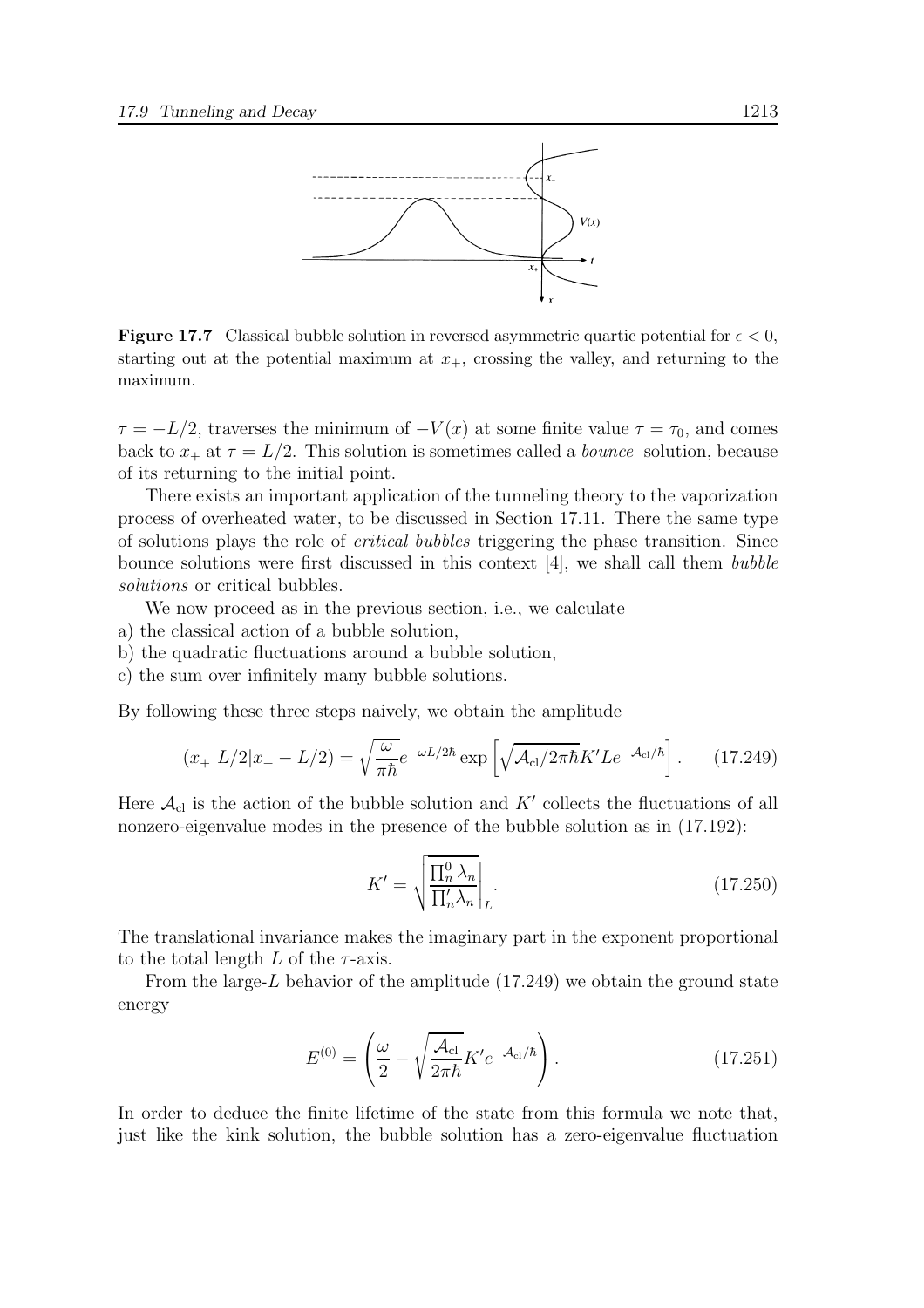

**Figure 17.7** Classical bubble solution in reversed asymmetric quartic potential for  $\epsilon < 0$ , starting out at the potential maximum at  $x_{+}$ , crossing the valley, and returning to the maximum.

 $\tau = -L/2$ , traverses the minimum of  $-V(x)$  at some finite value  $\tau = \tau_0$ , and comes back to  $x_+$  at  $\tau = L/2$ . This solution is sometimes called a *bounce* solution, because of its returning to the initial point.

There exists an important application of the tunneling theory to the vaporization process of overheated water, to be discussed in Section 17.11. There the same type of solutions plays the role of critical bubbles triggering the phase transition. Since bounce solutions were first discussed in this context [4], we shall call them bubble solutions or critical bubbles.

We now proceed as in the previous section, i.e., we calculate

- a) the classical action of a bubble solution,
- b) the quadratic fluctuations around a bubble solution,
- c) the sum over infinitely many bubble solutions.

By following these three steps naively, we obtain the amplitude

$$
(x_{+} L/2|x_{+} - L/2) = \sqrt{\frac{\omega}{\pi \hbar}} e^{-\omega L/2\hbar} \exp\left[\sqrt{\mathcal{A}_{\rm cl}/2\pi \hbar} K'L e^{-\mathcal{A}_{\rm cl}/\hbar}\right].
$$
 (17.249)

Here  $\mathcal{A}_{\text{cl}}$  is the action of the bubble solution and  $K'$  collects the fluctuations of all nonzero-eigenvalue modes in the presence of the bubble solution as in (17.192):

$$
K' = \sqrt{\frac{\prod_{n}^{0} \lambda_n}{\prod_{n}' \lambda_n}} \Big|_{L}.
$$
\n(17.250)

The translational invariance makes the imaginary part in the exponent proportional to the total length  $L$  of the  $\tau$ -axis.

From the large- $L$  behavior of the amplitude  $(17.249)$  we obtain the ground state energy

$$
E^{(0)} = \left(\frac{\omega}{2} - \sqrt{\frac{\mathcal{A}_{\rm cl}}{2\pi\hbar}} K'e^{-\mathcal{A}_{\rm cl}/\hbar}\right). \tag{17.251}
$$

In order to deduce the finite lifetime of the state from this formula we note that, just like the kink solution, the bubble solution has a zero-eigenvalue fluctuation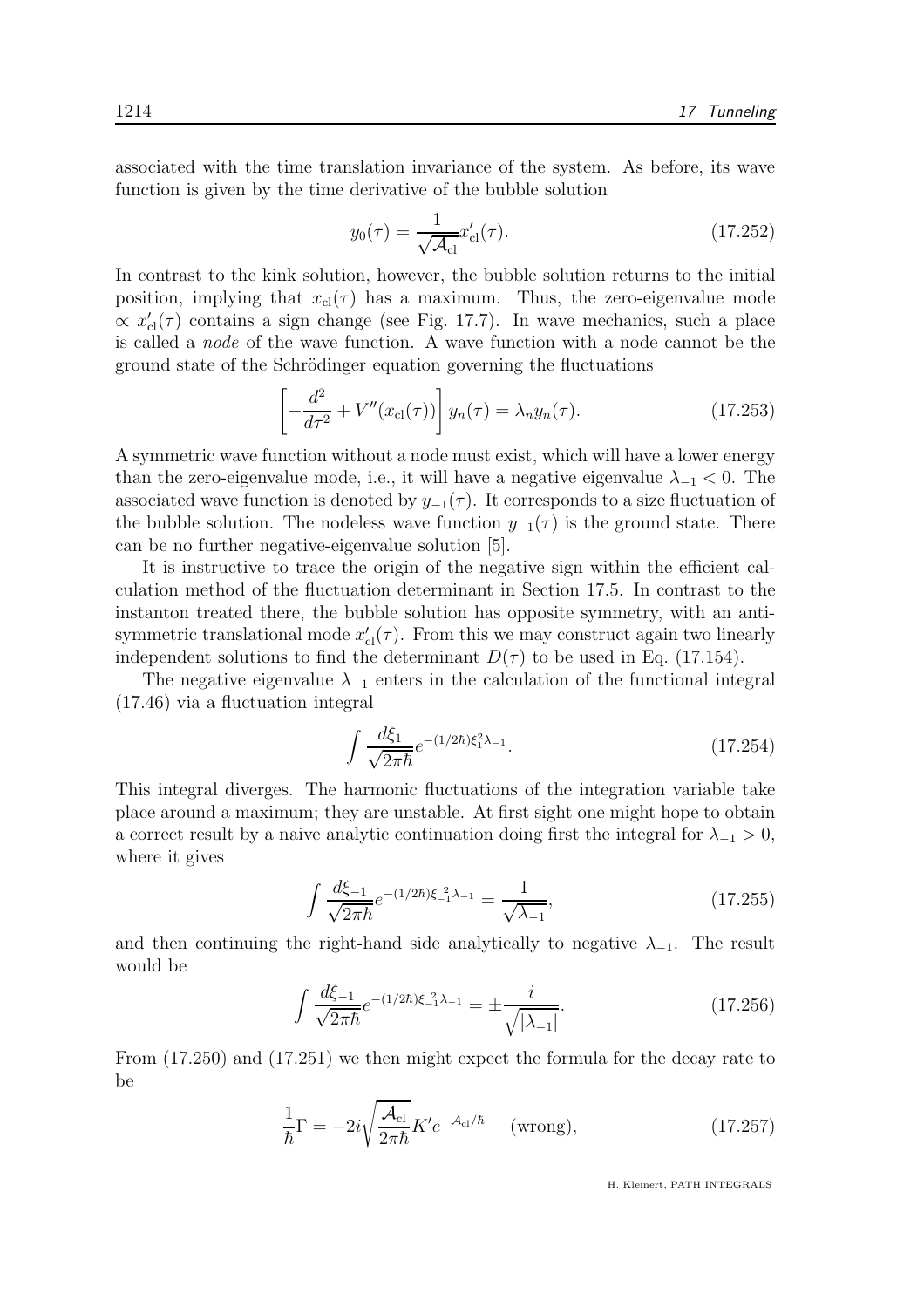associated with the time translation invariance of the system. As before, its wave function is given by the time derivative of the bubble solution

$$
y_0(\tau) = \frac{1}{\sqrt{\mathcal{A}_{\rm cl}}} x'_{\rm cl}(\tau). \tag{17.252}
$$

In contrast to the kink solution, however, the bubble solution returns to the initial position, implying that  $x_{\text{cl}}(\tau)$  has a maximum. Thus, the zero-eigenvalue mode  $\propto x'_{\text{cl}}(\tau)$  contains a sign change (see Fig. 17.7). In wave mechanics, such a place is called a node of the wave function. A wave function with a node cannot be the ground state of the Schrödinger equation governing the fluctuations

$$
\left[-\frac{d^2}{d\tau^2} + V''(x_{\rm cl}(\tau))\right]y_n(\tau) = \lambda_n y_n(\tau). \tag{17.253}
$$

A symmetric wave function without a node must exist, which will have a lower energy than the zero-eigenvalue mode, i.e., it will have a negative eigenvalue  $\lambda_{-1} < 0$ . The associated wave function is denoted by  $y_{-1}(\tau)$ . It corresponds to a size fluctuation of the bubble solution. The nodeless wave function  $y_{-1}(\tau)$  is the ground state. There can be no further negative-eigenvalue solution [5].

It is instructive to trace the origin of the negative sign within the efficient calculation method of the fluctuation determinant in Section 17.5. In contrast to the instanton treated there, the bubble solution has opposite symmetry, with an antisymmetric translational mode  $x'_{\text{cl}}(\tau)$ . From this we may construct again two linearly independent solutions to find the determinant  $D(\tau)$  to be used in Eq. (17.154).

The negative eigenvalue  $\lambda_{-1}$  enters in the calculation of the functional integral (17.46) via a fluctuation integral

$$
\int \frac{d\xi_1}{\sqrt{2\pi\hbar}} e^{-(1/2\hbar)\xi_1^2 \lambda_{-1}}.
$$
\n(17.254)

This integral diverges. The harmonic fluctuations of the integration variable take place around a maximum; they are unstable. At first sight one might hope to obtain a correct result by a naive analytic continuation doing first the integral for  $\lambda_{-1} > 0$ , where it gives

$$
\int \frac{d\xi_{-1}}{\sqrt{2\pi\hbar}} e^{-(1/2\hbar)\xi_{-1}^2 \lambda_{-1}} = \frac{1}{\sqrt{\lambda_{-1}}},\tag{17.255}
$$

and then continuing the right-hand side analytically to negative  $\lambda_{-1}$ . The result would be

$$
\int \frac{d\xi_{-1}}{\sqrt{2\pi\hbar}} e^{-(1/2\hbar)\xi_{-1}^2 \lambda_{-1}} = \pm \frac{i}{\sqrt{|\lambda_{-1}|}}.
$$
\n(17.256)

From (17.250) and (17.251) we then might expect the formula for the decay rate to be

$$
\frac{1}{\hbar}\Gamma = -2i\sqrt{\frac{\mathcal{A}_{\rm cl}}{2\pi\hbar}}K'e^{-\mathcal{A}_{\rm cl}/\hbar} \quad \text{(wrong)},\tag{17.257}
$$

H. Kleinert, PATH INTEGRALS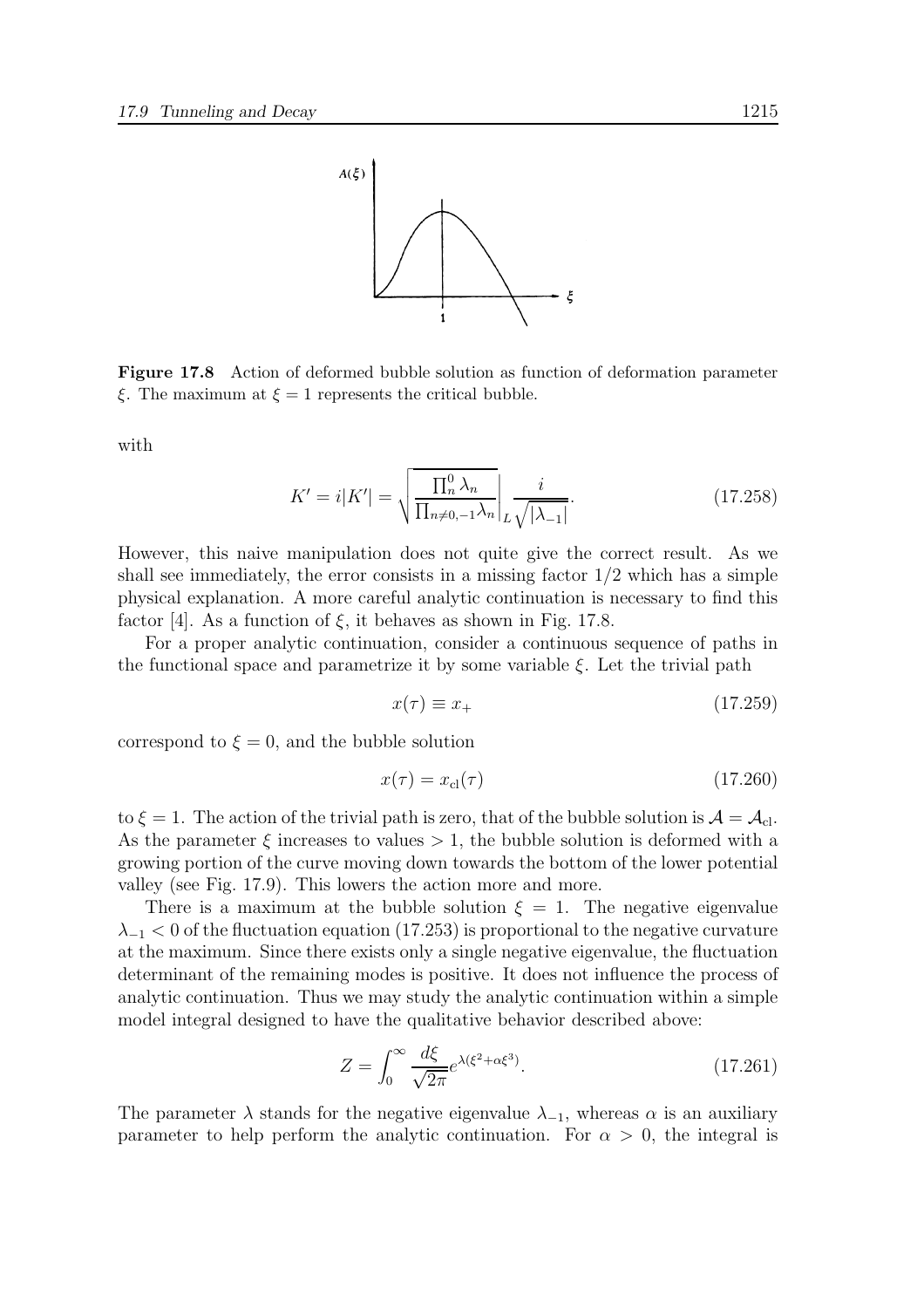

Figure 17.8 Action of deformed bubble solution as function of deformation parameter  $\xi$ . The maximum at  $\xi = 1$  represents the critical bubble.

with

$$
K' = i|K'| = \sqrt{\frac{\prod_{n}^{0} \lambda_n}{\prod_{n \neq 0, -1} \lambda_n}} \bigg|_L \frac{i}{\sqrt{|\lambda_{-1}|}}.
$$
\n(17.258)

However, this naive manipulation does not quite give the correct result. As we shall see immediately, the error consists in a missing factor  $1/2$  which has a simple physical explanation. A more careful analytic continuation is necessary to find this factor [4]. As a function of  $\xi$ , it behaves as shown in Fig. 17.8.

For a proper analytic continuation, consider a continuous sequence of paths in the functional space and parametrize it by some variable  $\xi$ . Let the trivial path

$$
x(\tau) \equiv x_+ \tag{17.259}
$$

correspond to  $\xi = 0$ , and the bubble solution

$$
x(\tau) = x_{\text{cl}}(\tau) \tag{17.260}
$$

to  $\xi = 1$ . The action of the trivial path is zero, that of the bubble solution is  $\mathcal{A} = \mathcal{A}_{cl}$ . As the parameter  $\xi$  increases to values  $> 1$ , the bubble solution is deformed with a growing portion of the curve moving down towards the bottom of the lower potential valley (see Fig. 17.9). This lowers the action more and more.

There is a maximum at the bubble solution  $\xi = 1$ . The negative eigenvalue  $\lambda_{-1}$  < 0 of the fluctuation equation (17.253) is proportional to the negative curvature at the maximum. Since there exists only a single negative eigenvalue, the fluctuation determinant of the remaining modes is positive. It does not influence the process of analytic continuation. Thus we may study the analytic continuation within a simple model integral designed to have the qualitative behavior described above:

$$
Z = \int_0^\infty \frac{d\xi}{\sqrt{2\pi}} e^{\lambda(\xi^2 + \alpha \xi^3)}.
$$
 (17.261)

The parameter  $\lambda$  stands for the negative eigenvalue  $\lambda_{-1}$ , whereas  $\alpha$  is an auxiliary parameter to help perform the analytic continuation. For  $\alpha > 0$ , the integral is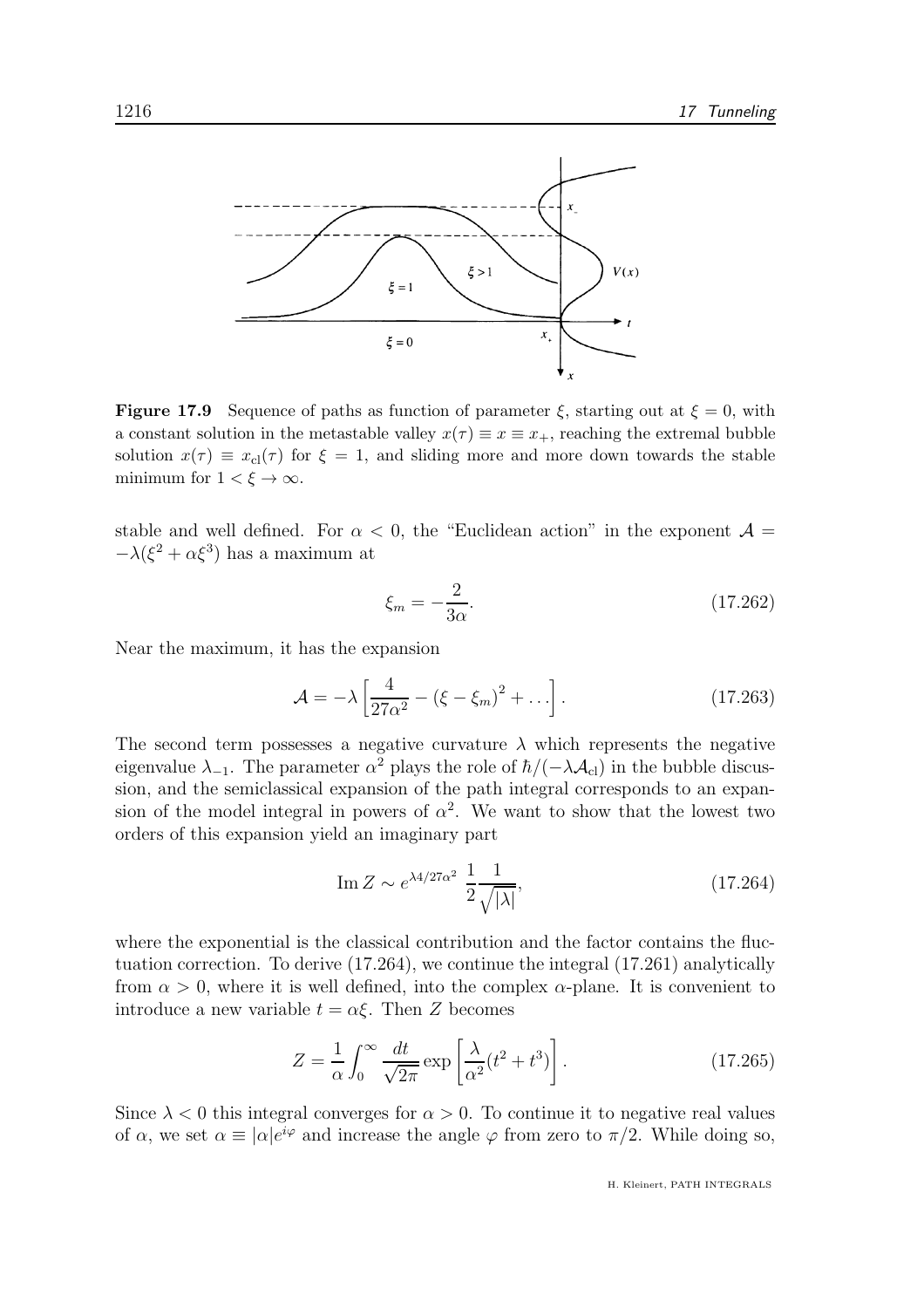

**Figure 17.9** Sequence of paths as function of parameter  $\xi$ , starting out at  $\xi = 0$ , with a constant solution in the metastable valley  $x(\tau) \equiv x \equiv x_+$ , reaching the extremal bubble solution  $x(\tau) \equiv x_{\text{cl}}(\tau)$  for  $\xi = 1$ , and sliding more and more down towards the stable minimum for  $1 < \xi \to \infty$ .

stable and well defined. For  $\alpha$  < 0, the "Euclidean action" in the exponent  $\mathcal{A} =$  $-\lambda(\xi^2 + \alpha\xi^3)$  has a maximum at

$$
\xi_m = -\frac{2}{3\alpha}.\tag{17.262}
$$

Near the maximum, it has the expansion

$$
\mathcal{A} = -\lambda \left[ \frac{4}{27\alpha^2} - (\xi - \xi_m)^2 + \dots \right].
$$
 (17.263)

The second term possesses a negative curvature  $\lambda$  which represents the negative eigenvalue  $\lambda_{-1}$ . The parameter  $\alpha^2$  plays the role of  $\hbar/(-\lambda A_{\text{cl}})$  in the bubble discussion, and the semiclassical expansion of the path integral corresponds to an expansion of the model integral in powers of  $\alpha^2$ . We want to show that the lowest two orders of this expansion yield an imaginary part

$$
\operatorname{Im} Z \sim e^{\lambda 4/27\alpha^2} \frac{1}{2} \frac{1}{\sqrt{|\lambda|}},\tag{17.264}
$$

where the exponential is the classical contribution and the factor contains the fluctuation correction. To derive (17.264), we continue the integral (17.261) analytically from  $\alpha > 0$ , where it is well defined, into the complex  $\alpha$ -plane. It is convenient to introduce a new variable  $t = \alpha \xi$ . Then Z becomes

$$
Z = \frac{1}{\alpha} \int_0^\infty \frac{dt}{\sqrt{2\pi}} \exp\left[\frac{\lambda}{\alpha^2} (t^2 + t^3)\right].
$$
 (17.265)

Since  $\lambda < 0$  this integral converges for  $\alpha > 0$ . To continue it to negative real values of  $\alpha$ , we set  $\alpha \equiv |\alpha|e^{i\varphi}$  and increase the angle  $\varphi$  from zero to  $\pi/2$ . While doing so,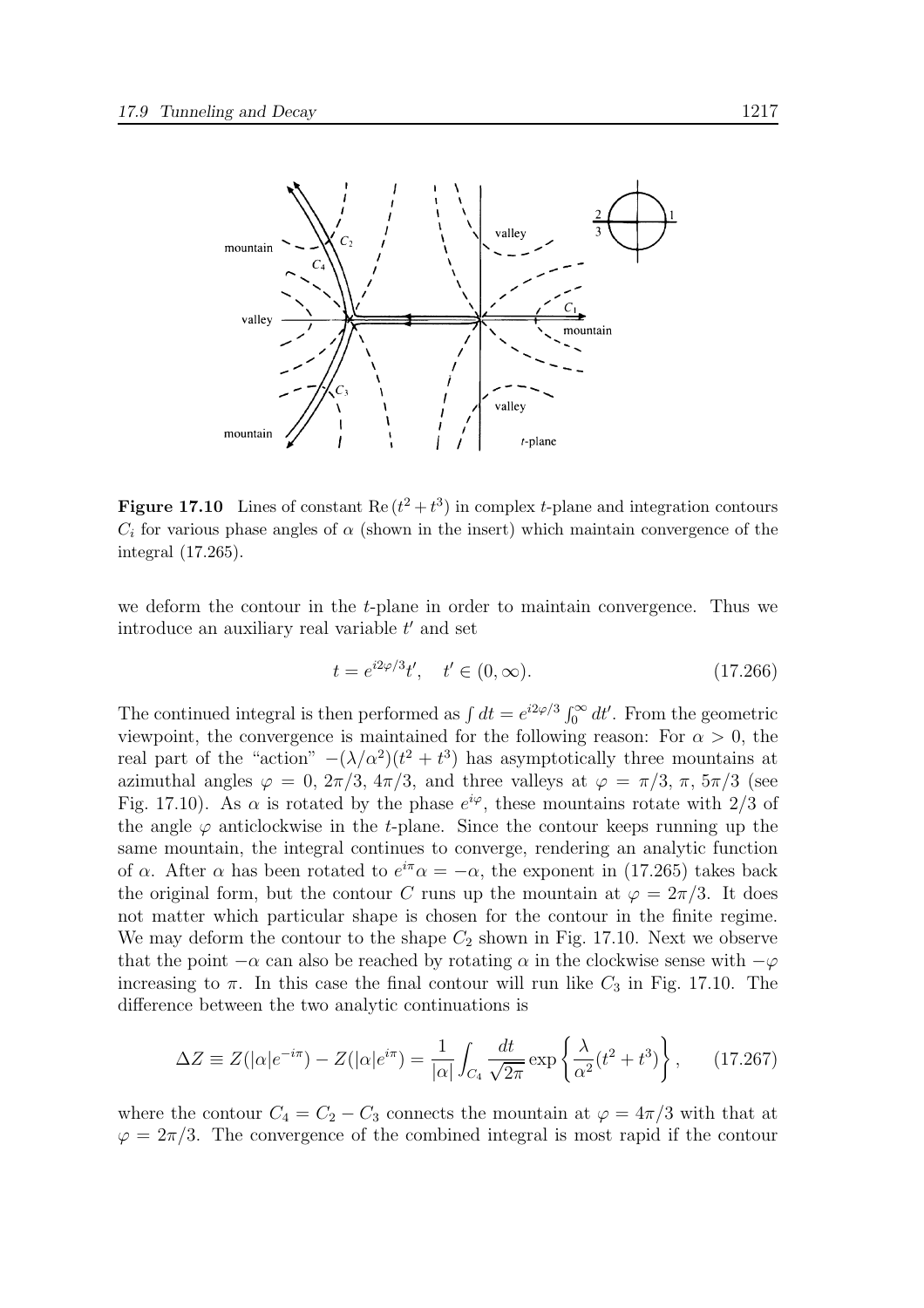

**Figure 17.10** Lines of constant Re  $(t^2 + t^3)$  in complex *t*-plane and integration contours  $C_i$  for various phase angles of  $\alpha$  (shown in the insert) which maintain convergence of the integral (17.265).

we deform the contour in the t-plane in order to maintain convergence. Thus we introduce an auxiliary real variable  $t'$  and set

$$
t = e^{i2\varphi/3}t', \quad t' \in (0, \infty). \tag{17.266}
$$

The continued integral is then performed as  $\int dt = e^{i2\varphi/3} \int_0^\infty dt'$ . From the geometric viewpoint, the convergence is maintained for the following reason: For  $\alpha > 0$ , the real part of the "action"  $-(\lambda/\alpha^2)(t^2 + t^3)$  has asymptotically three mountains at azimuthal angles  $\varphi = 0$ ,  $2\pi/3$ ,  $4\pi/3$ , and three valleys at  $\varphi = \pi/3$ ,  $\pi$ ,  $5\pi/3$  (see Fig. 17.10). As  $\alpha$  is rotated by the phase  $e^{i\varphi}$ , these mountains rotate with 2/3 of the angle  $\varphi$  anticlockwise in the t-plane. Since the contour keeps running up the same mountain, the integral continues to converge, rendering an analytic function of  $\alpha$ . After  $\alpha$  has been rotated to  $e^{i\pi}\alpha = -\alpha$ , the exponent in (17.265) takes back the original form, but the contour C runs up the mountain at  $\varphi = 2\pi/3$ . It does not matter which particular shape is chosen for the contour in the finite regime. We may deform the contour to the shape  $C_2$  shown in Fig. 17.10. Next we observe that the point  $-\alpha$  can also be reached by rotating  $\alpha$  in the clockwise sense with  $-\varphi$ increasing to  $\pi$ . In this case the final contour will run like  $C_3$  in Fig. 17.10. The difference between the two analytic continuations is

$$
\Delta Z \equiv Z(|\alpha|e^{-i\pi}) - Z(|\alpha|e^{i\pi}) = \frac{1}{|\alpha|} \int_{C_4} \frac{dt}{\sqrt{2\pi}} \exp\left\{\frac{\lambda}{\alpha^2} (t^2 + t^3)\right\},\qquad(17.267)
$$

where the contour  $C_4 = C_2 - C_3$  connects the mountain at  $\varphi = 4\pi/3$  with that at  $\varphi = 2\pi/3$ . The convergence of the combined integral is most rapid if the contour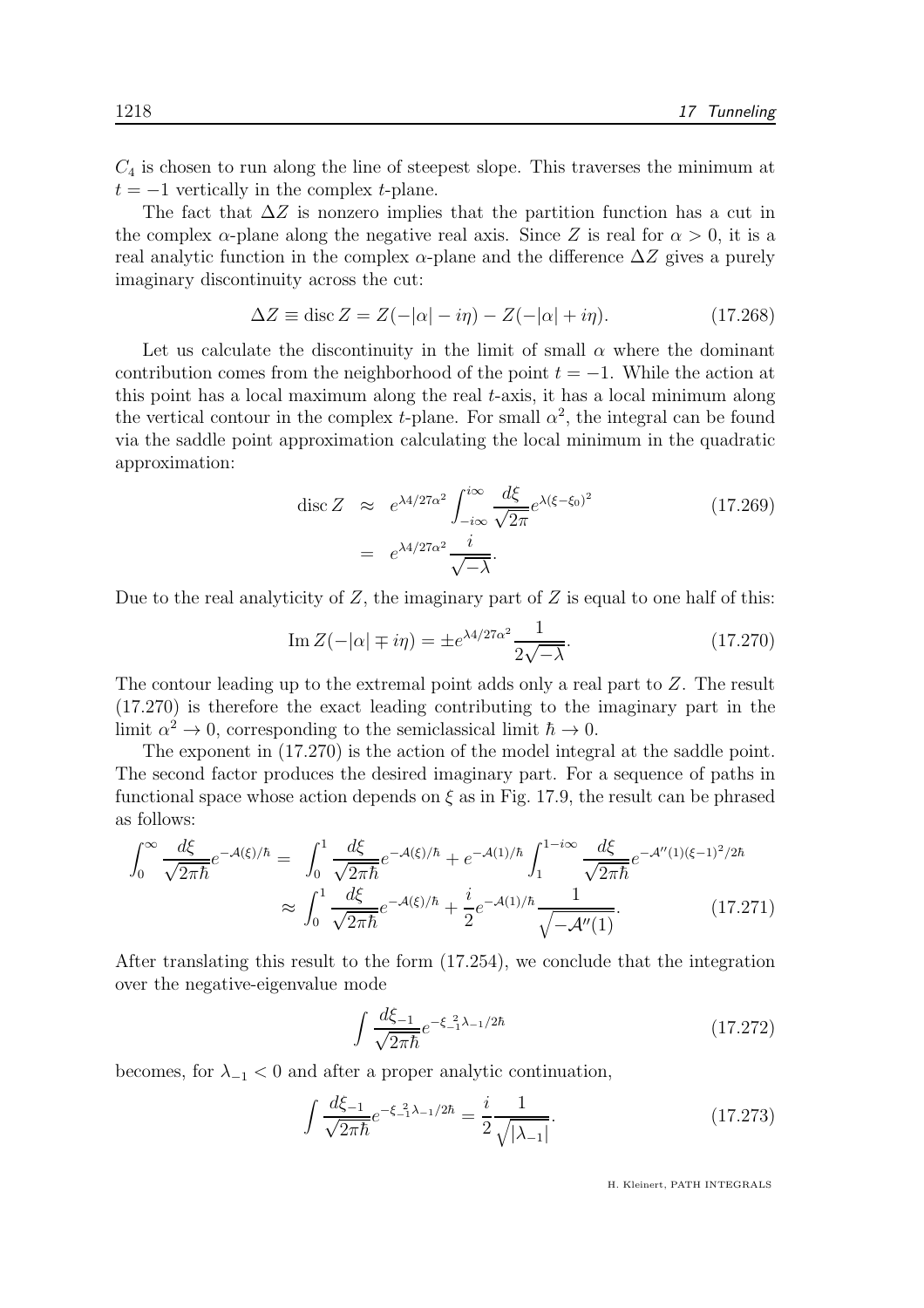$C_4$  is chosen to run along the line of steepest slope. This traverses the minimum at  $t = -1$  vertically in the complex t-plane.

The fact that  $\Delta Z$  is nonzero implies that the partition function has a cut in the complex  $\alpha$ -plane along the negative real axis. Since Z is real for  $\alpha > 0$ , it is a real analytic function in the complex  $\alpha$ -plane and the difference  $\Delta Z$  gives a purely imaginary discontinuity across the cut:

$$
\Delta Z \equiv \operatorname{disc} Z = Z(-|\alpha| - i\eta) - Z(-|\alpha| + i\eta). \tag{17.268}
$$

Let us calculate the discontinuity in the limit of small  $\alpha$  where the dominant contribution comes from the neighborhood of the point  $t = -1$ . While the action at this point has a local maximum along the real t-axis, it has a local minimum along the vertical contour in the complex *t*-plane. For small  $\alpha^2$ , the integral can be found via the saddle point approximation calculating the local minimum in the quadratic approximation:

$$
\operatorname{disc} Z \approx e^{\lambda 4/27\alpha^2} \int_{-i\infty}^{i\infty} \frac{d\xi}{\sqrt{2\pi}} e^{\lambda(\xi - \xi_0)^2}
$$
\n
$$
= e^{\lambda 4/27\alpha^2} \frac{i}{\sqrt{-\lambda}}.
$$
\n(17.269)

Due to the real analyticity of  $Z$ , the imaginary part of  $Z$  is equal to one half of this:

Im 
$$
Z(-|\alpha| \mp i\eta) = \pm e^{\lambda 4/27\alpha^2} \frac{1}{2\sqrt{-\lambda}}
$$
. (17.270)

The contour leading up to the extremal point adds only a real part to Z. The result (17.270) is therefore the exact leading contributing to the imaginary part in the limit  $\alpha^2 \to 0$ , corresponding to the semiclassical limit  $\hbar \to 0$ .

The exponent in (17.270) is the action of the model integral at the saddle point. The second factor produces the desired imaginary part. For a sequence of paths in functional space whose action depends on  $\xi$  as in Fig. 17.9, the result can be phrased as follows:

$$
\int_0^\infty \frac{d\xi}{\sqrt{2\pi\hbar}} e^{-\mathcal{A}(\xi)/\hbar} = \int_0^1 \frac{d\xi}{\sqrt{2\pi\hbar}} e^{-\mathcal{A}(\xi)/\hbar} + e^{-\mathcal{A}(1)/\hbar} \int_1^{1-i\infty} \frac{d\xi}{\sqrt{2\pi\hbar}} e^{-\mathcal{A}''(1)(\xi-1)^2/2\hbar} \approx \int_0^1 \frac{d\xi}{\sqrt{2\pi\hbar}} e^{-\mathcal{A}(\xi)/\hbar} + \frac{i}{2} e^{-\mathcal{A}(1)/\hbar} \frac{1}{\sqrt{-\mathcal{A}''(1)}}.
$$
(17.271)

After translating this result to the form (17.254), we conclude that the integration over the negative-eigenvalue mode

$$
\int \frac{d\xi_{-1}}{\sqrt{2\pi\hbar}} e^{-\xi_{-1}^2 \lambda_{-1}/2\hbar} \tag{17.272}
$$

becomes, for  $\lambda_{-1}$  < 0 and after a proper analytic continuation,

$$
\int \frac{d\xi_{-1}}{\sqrt{2\pi\hbar}} e^{-\xi_{-1}^2 \lambda_{-1}/2\hbar} = \frac{i}{2} \frac{1}{\sqrt{|\lambda_{-1}|}}.
$$
\n(17.273)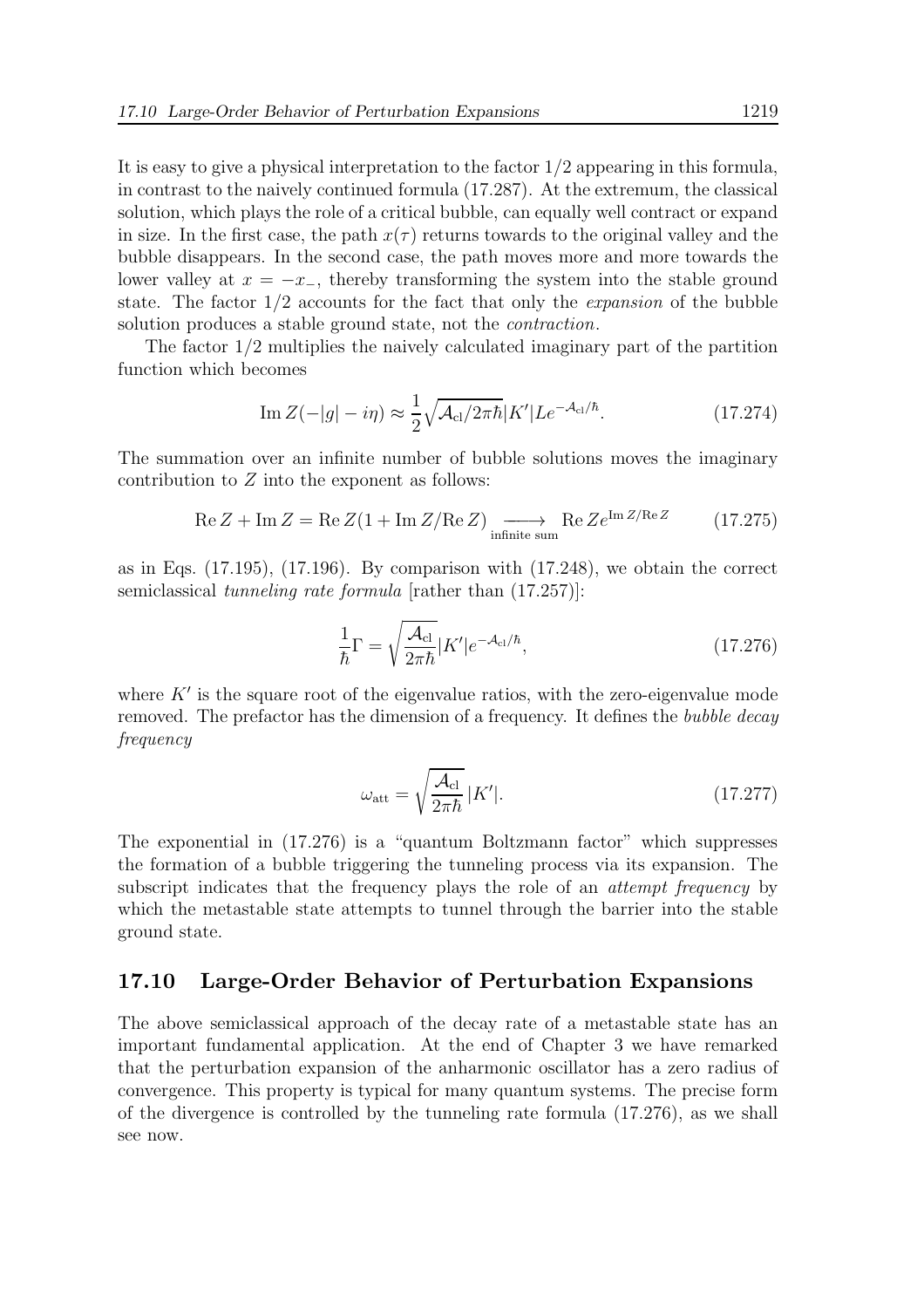It is easy to give a physical interpretation to the factor 1/2 appearing in this formula, in contrast to the naively continued formula (17.287). At the extremum, the classical solution, which plays the role of a critical bubble, can equally well contract or expand in size. In the first case, the path  $x(\tau)$  returns towards to the original valley and the bubble disappears. In the second case, the path moves more and more towards the lower valley at  $x = -x_+$ , thereby transforming the system into the stable ground state. The factor  $1/2$  accounts for the fact that only the *expansion* of the bubble solution produces a stable ground state, not the contraction.

The factor 1/2 multiplies the naively calculated imaginary part of the partition function which becomes

$$
\operatorname{Im} Z(-|g| - i\eta) \approx \frac{1}{2} \sqrt{\mathcal{A}_{\text{cl}}/2\pi\hbar} |K'| L e^{-\mathcal{A}_{\text{cl}}/\hbar}.
$$
\n(17.274)

The summation over an infinite number of bubble solutions moves the imaginary contribution to  $Z$  into the exponent as follows:

$$
\operatorname{Re} Z + \operatorname{Im} Z = \operatorname{Re} Z (1 + \operatorname{Im} Z / \operatorname{Re} Z) \xrightarrow{\text{infinite sum}} \operatorname{Re} Z e^{\operatorname{Im} Z / \operatorname{Re} Z} \tag{17.275}
$$

as in Eqs. (17.195), (17.196). By comparison with (17.248), we obtain the correct semiclassical *tunneling rate formula* [rather than  $(17.257)$ ]:

$$
\frac{1}{\hbar}\Gamma = \sqrt{\frac{\mathcal{A}_{\rm cl}}{2\pi\hbar}}|K'|e^{-\mathcal{A}_{\rm cl}/\hbar},\tag{17.276}
$$

where  $K'$  is the square root of the eigenvalue ratios, with the zero-eigenvalue mode removed. The prefactor has the dimension of a frequency. It defines the bubble decay frequency

$$
\omega_{\rm att} = \sqrt{\frac{\mathcal{A}_{\rm cl}}{2\pi\hbar}} |K'|.
$$
\n(17.277)

The exponential in (17.276) is a "quantum Boltzmann factor" which suppresses the formation of a bubble triggering the tunneling process via its expansion. The subscript indicates that the frequency plays the role of an *attempt frequency* by which the metastable state attempts to tunnel through the barrier into the stable ground state.

## 17.10 Large-Order Behavior of Perturbation Expansions

The above semiclassical approach of the decay rate of a metastable state has an important fundamental application. At the end of Chapter 3 we have remarked that the perturbation expansion of the anharmonic oscillator has a zero radius of convergence. This property is typical for many quantum systems. The precise form of the divergence is controlled by the tunneling rate formula (17.276), as we shall see now.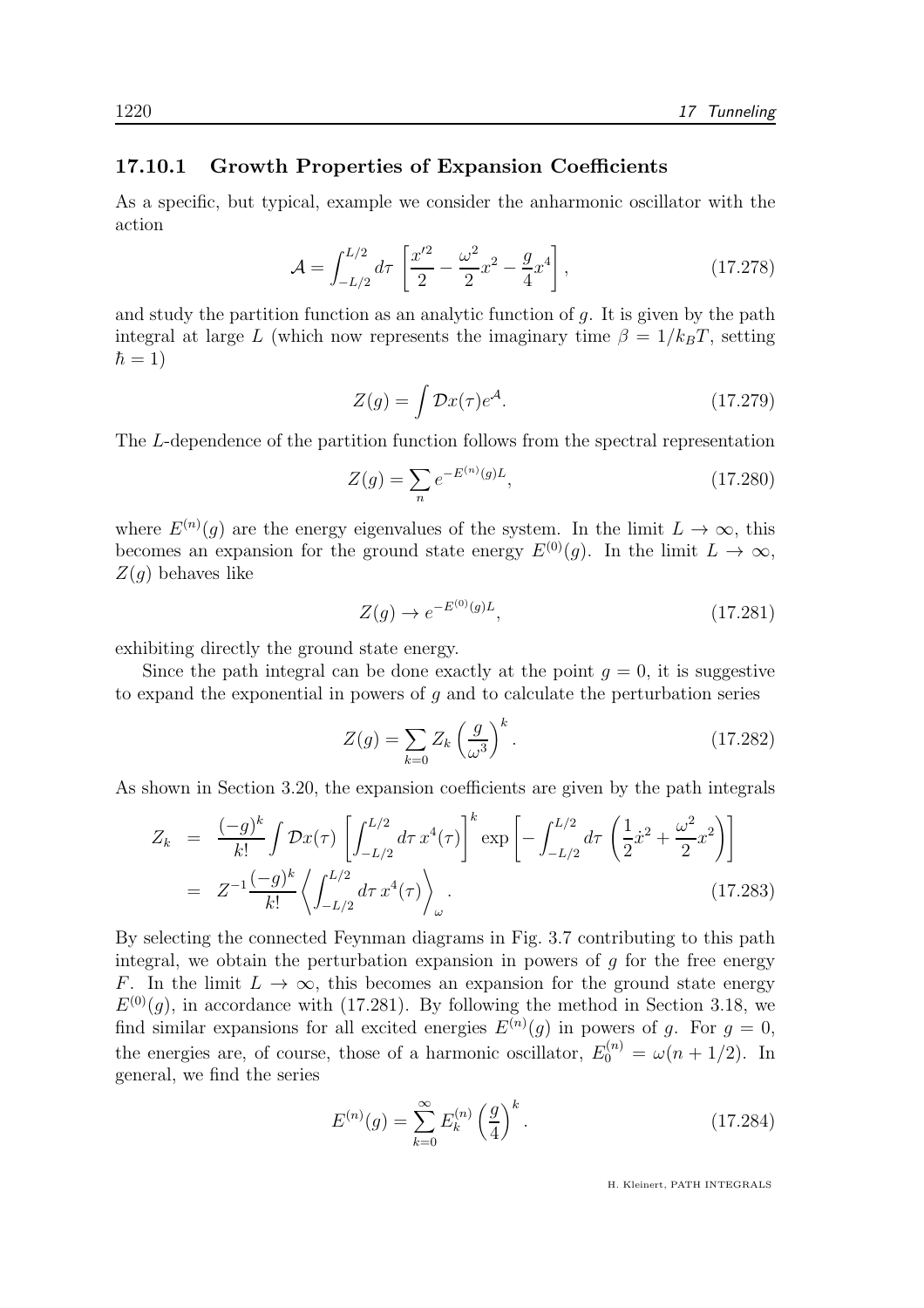#### 17.10.1 Growth Properties of Expansion Coefficients

As a specific, but typical, example we consider the anharmonic oscillator with the action

$$
\mathcal{A} = \int_{-L/2}^{L/2} d\tau \left[ \frac{x'^2}{2} - \frac{\omega^2}{2} x^2 - \frac{g}{4} x^4 \right],
$$
 (17.278)

and study the partition function as an analytic function of  $q$ . It is given by the path integral at large L (which now represents the imaginary time  $\beta = 1/k_BT$ , setting  $\hbar = 1$ )

$$
Z(g) = \int \mathcal{D}x(\tau)e^{\mathcal{A}}.\tag{17.279}
$$

The L-dependence of the partition function follows from the spectral representation

$$
Z(g) = \sum_{n} e^{-E^{(n)}(g)L},
$$
\n(17.280)

where  $E^{(n)}(g)$  are the energy eigenvalues of the system. In the limit  $L \to \infty$ , this becomes an expansion for the ground state energy  $E^{(0)}(q)$ . In the limit  $L \to \infty$ ,  $Z(q)$  behaves like

$$
Z(g) \to e^{-E^{(0)}(g)L}, \tag{17.281}
$$

exhibiting directly the ground state energy.

Since the path integral can be done exactly at the point  $q = 0$ , it is suggestive to expand the exponential in powers of  $q$  and to calculate the perturbation series

$$
Z(g) = \sum_{k=0} Z_k \left(\frac{g}{\omega^3}\right)^k.
$$
 (17.282)

As shown in Section 3.20, the expansion coefficients are given by the path integrals

$$
Z_k = \frac{(-g)^k}{k!} \int \mathcal{D}x(\tau) \left[ \int_{-L/2}^{L/2} d\tau \, x^4(\tau) \right]^k \exp\left[ - \int_{-L/2}^{L/2} d\tau \, \left( \frac{1}{2} \dot{x}^2 + \frac{\omega^2}{2} x^2 \right) \right]
$$
  
=  $Z^{-1} \frac{(-g)^k}{k!} \left\langle \int_{-L/2}^{L/2} d\tau \, x^4(\tau) \right\rangle_\omega$ . (17.283)

By selecting the connected Feynman diagrams in Fig. 3.7 contributing to this path integral, we obtain the perturbation expansion in powers of  $q$  for the free energy F. In the limit  $L \to \infty$ , this becomes an expansion for the ground state energy  $E^{(0)}(g)$ , in accordance with (17.281). By following the method in Section 3.18, we find similar expansions for all excited energies  $E^{(n)}(g)$  in powers of g. For  $g = 0$ , the energies are, of course, those of a harmonic oscillator,  $E_0^{(n)} = \omega(n + 1/2)$ . In general, we find the series

$$
E^{(n)}(g) = \sum_{k=0}^{\infty} E_k^{(n)} \left(\frac{g}{4}\right)^k.
$$
 (17.284)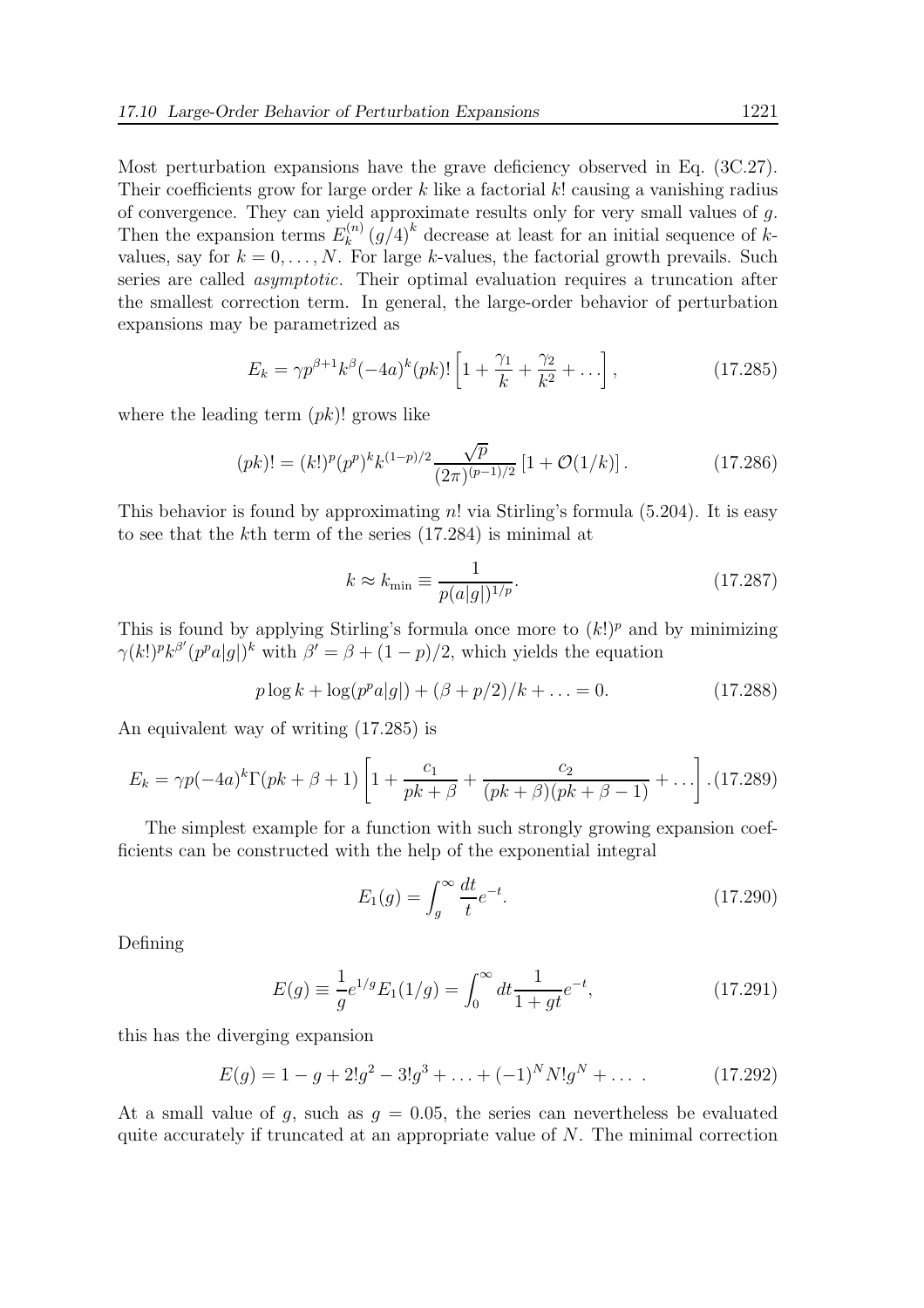Most perturbation expansions have the grave deficiency observed in Eq. (3C.27). Their coefficients grow for large order k like a factorial k! causing a vanishing radius of convergence. They can yield approximate results only for very small values of g. Then the expansion terms  $E_k^{(n)}$  $\binom{n}{k} (g/4)^k$  decrease at least for an initial sequence of kvalues, say for  $k = 0, \ldots, N$ . For large k-values, the factorial growth prevails. Such series are called asymptotic. Their optimal evaluation requires a truncation after the smallest correction term. In general, the large-order behavior of perturbation expansions may be parametrized as

$$
E_k = \gamma p^{\beta+1} k^{\beta} (-4a)^k (pk)! \left[ 1 + \frac{\gamma_1}{k} + \frac{\gamma_2}{k^2} + \ldots \right],
$$
 (17.285)

where the leading term  $(pk)!$  grows like

$$
(pk)! = (k!)^p (p^p)^k k^{(1-p)/2} \frac{\sqrt{p}}{(2\pi)^{(p-1)/2}} \left[1 + \mathcal{O}(1/k)\right]. \tag{17.286}
$$

This behavior is found by approximating  $n!$  via Stirling's formula (5.204). It is easy to see that the kth term of the series (17.284) is minimal at

$$
k \approx k_{\min} \equiv \frac{1}{p(a|g|)^{1/p}}.\tag{17.287}
$$

This is found by applying Stirling's formula once more to  $(k!)^p$  and by minimizing  $\gamma(k!)^p k^{\beta'} (p^p a |g|)^k$  with  $\beta' = \beta + (1 - p)/2$ , which yields the equation

$$
p \log k + \log(p^p a |g|) + (\beta + p/2)/k + \dots = 0.
$$
 (17.288)

An equivalent way of writing (17.285) is

$$
E_k = \gamma p(-4a)^k \Gamma(pk + \beta + 1) \left[ 1 + \frac{c_1}{pk + \beta} + \frac{c_2}{(pk + \beta)(pk + \beta - 1)} + \dots \right] \cdot (17.289)
$$

The simplest example for a function with such strongly growing expansion coefficients can be constructed with the help of the exponential integral

$$
E_1(g) = \int_g^{\infty} \frac{dt}{t} e^{-t}.
$$
 (17.290)

Defining

$$
E(g) \equiv \frac{1}{g} e^{1/g} E_1(1/g) = \int_0^\infty dt \frac{1}{1+gt} e^{-t}, \tag{17.291}
$$

this has the diverging expansion

$$
E(g) = 1 - g + 2!g2 - 3!g3 + ... + (-1)NN!gN + ...
$$
 (17.292)

At a small value of g, such as  $g = 0.05$ , the series can nevertheless be evaluated quite accurately if truncated at an appropriate value of  $N$ . The minimal correction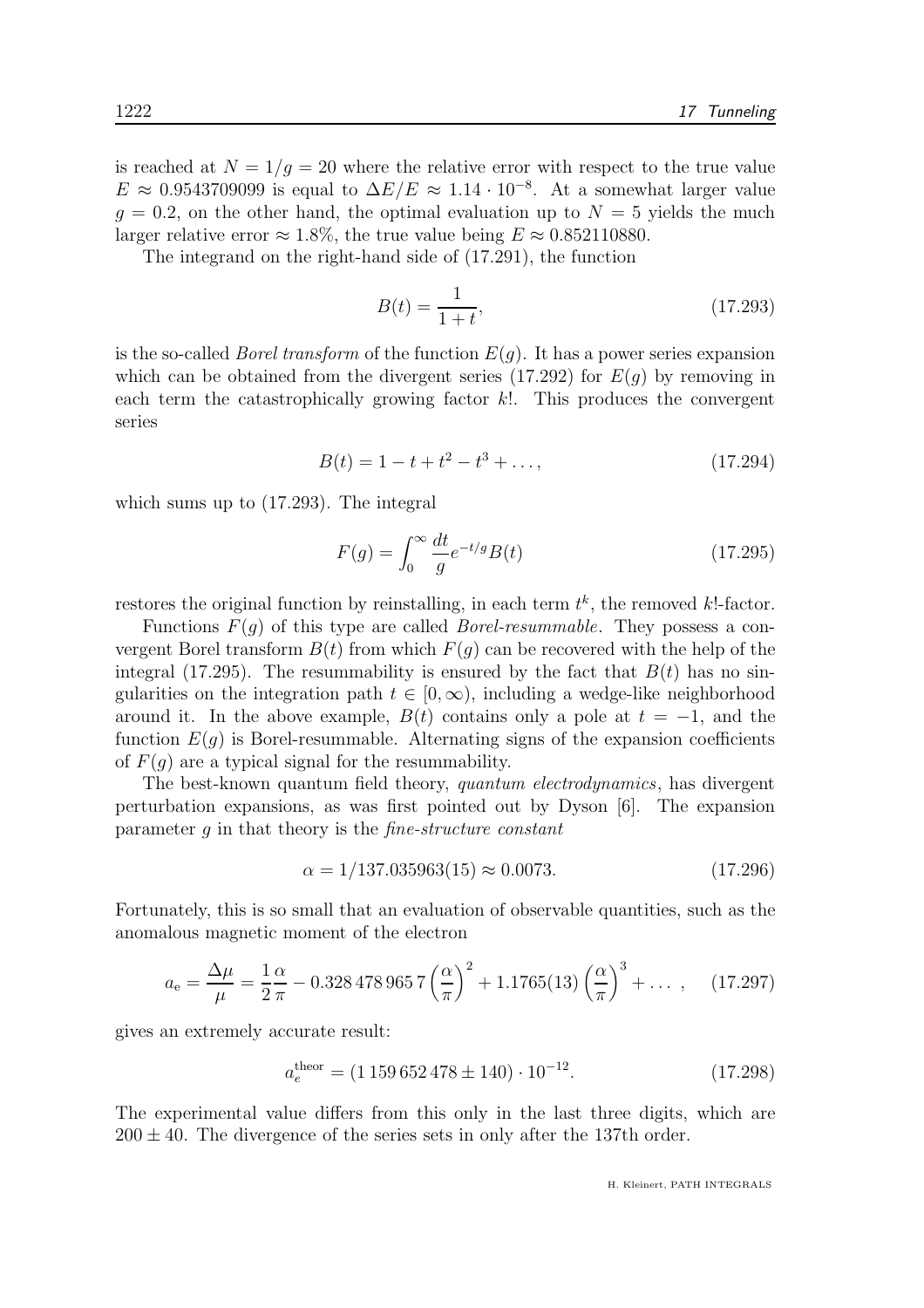is reached at  $N = 1/q = 20$  where the relative error with respect to the true value  $E \approx 0.9543709099$  is equal to  $\Delta E/E \approx 1.14 \cdot 10^{-8}$ . At a somewhat larger value  $q = 0.2$ , on the other hand, the optimal evaluation up to  $N = 5$  yields the much larger relative error  $\approx 1.8\%$ , the true value being  $E \approx 0.852110880$ .

The integrand on the right-hand side of (17.291), the function

$$
B(t) = \frac{1}{1+t},\tag{17.293}
$$

is the so-called *Borel transform* of the function  $E(g)$ . It has a power series expansion which can be obtained from the divergent series  $(17.292)$  for  $E(g)$  by removing in each term the catastrophically growing factor  $k!$ . This produces the convergent series

$$
B(t) = 1 - t + t2 - t3 + ..., \qquad (17.294)
$$

which sums up to (17.293). The integral

$$
F(g) = \int_0^\infty \frac{dt}{g} e^{-t/g} B(t) \tag{17.295}
$$

restores the original function by reinstalling, in each term  $t^k$ , the removed k!-factor.

Functions  $F(q)$  of this type are called *Borel-resummable*. They possess a convergent Borel transform  $B(t)$  from which  $F(g)$  can be recovered with the help of the integral (17.295). The resummability is ensured by the fact that  $B(t)$  has no singularities on the integration path  $t \in [0, \infty)$ , including a wedge-like neighborhood around it. In the above example,  $B(t)$  contains only a pole at  $t = -1$ , and the function  $E(q)$  is Borel-resummable. Alternating signs of the expansion coefficients of  $F(q)$  are a typical signal for the resummability.

The best-known quantum field theory, quantum electrodynamics, has divergent perturbation expansions, as was first pointed out by Dyson [6]. The expansion parameter  $q$  in that theory is the *fine-structure constant* 

$$
\alpha = 1/137.035963(15) \approx 0.0073. \tag{17.296}
$$

Fortunately, this is so small that an evaluation of observable quantities, such as the anomalous magnetic moment of the electron

$$
a_{\rm e} = \frac{\Delta\mu}{\mu} = \frac{1}{2}\frac{\alpha}{\pi} - 0.328\,478\,965\,7\left(\frac{\alpha}{\pi}\right)^2 + 1.1765(13)\left(\frac{\alpha}{\pi}\right)^3 + \dots \,,\tag{17.297}
$$

gives an extremely accurate result:

$$
a_e^{\text{theor}} = (1\,159\,652\,478 \pm 140) \cdot 10^{-12}.\tag{17.298}
$$

The experimental value differs from this only in the last three digits, which are  $200 \pm 40$ . The divergence of the series sets in only after the 137th order.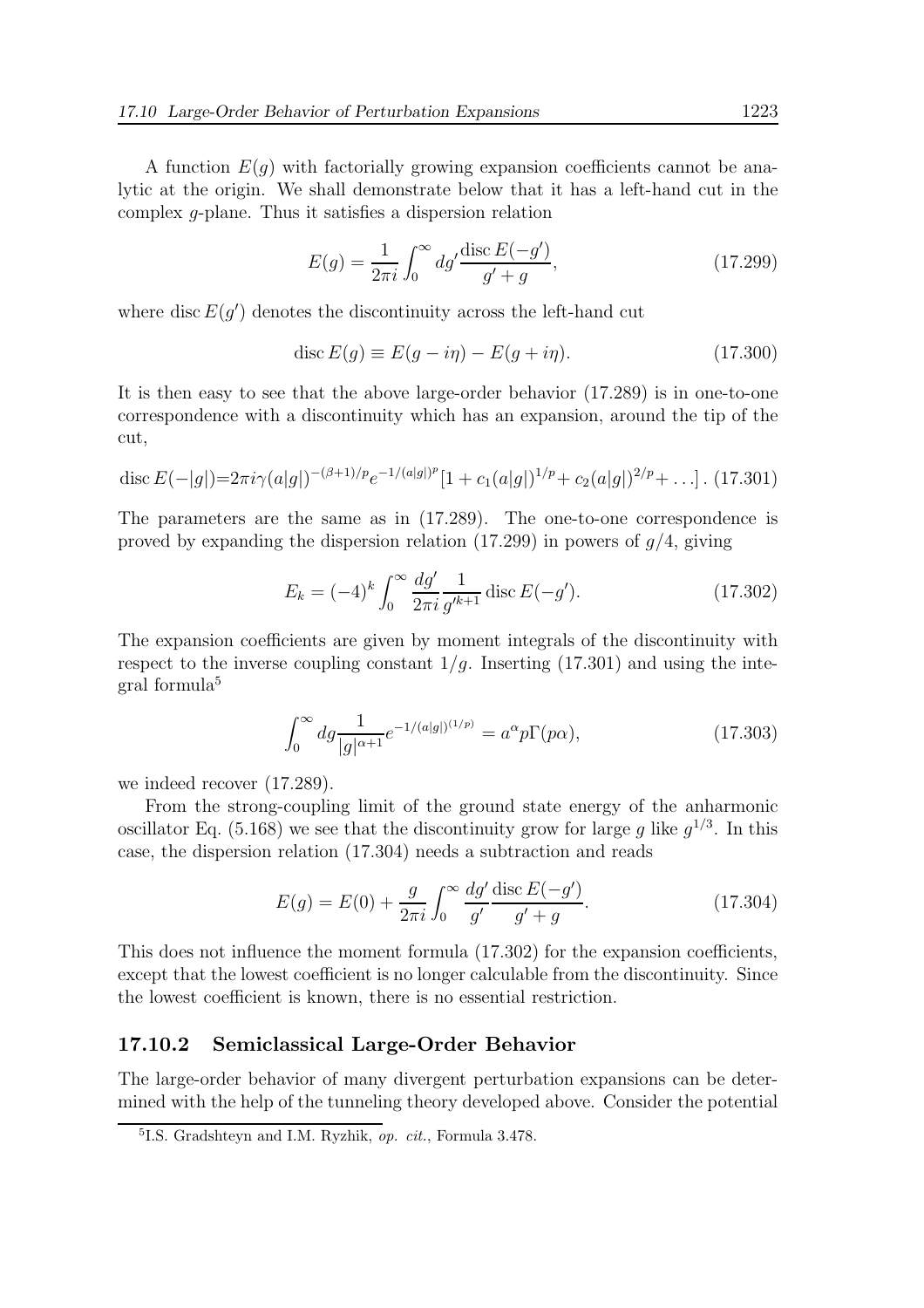A function  $E(q)$  with factorially growing expansion coefficients cannot be analytic at the origin. We shall demonstrate below that it has a left-hand cut in the complex g-plane. Thus it satisfies a dispersion relation

$$
E(g) = \frac{1}{2\pi i} \int_0^\infty dg' \frac{\text{disc } E(-g')}{g' + g},\tag{17.299}
$$

where disc  $E(g')$  denotes the discontinuity across the left-hand cut

$$
\operatorname{disc} E(g) \equiv E(g - i\eta) - E(g + i\eta). \tag{17.300}
$$

It is then easy to see that the above large-order behavior (17.289) is in one-to-one correspondence with a discontinuity which has an expansion, around the tip of the cut,

disc 
$$
E(-|g|) = 2\pi i \gamma(a|g|)^{-(\beta+1)/p} e^{-1/(a|g|)^p} [1 + c_1(a|g|)^{1/p} + c_2(a|g|)^{2/p} + \ldots].
$$
 (17.301)

The parameters are the same as in (17.289). The one-to-one correspondence is proved by expanding the dispersion relation  $(17.299)$  in powers of  $q/4$ , giving

$$
E_k = (-4)^k \int_0^\infty \frac{dg'}{2\pi i} \frac{1}{g'^{k+1}} \operatorname{disc} E(-g'). \tag{17.302}
$$

The expansion coefficients are given by moment integrals of the discontinuity with respect to the inverse coupling constant  $1/q$ . Inserting (17.301) and using the integral formula<sup>5</sup>

$$
\int_0^\infty dg \frac{1}{|g|^{\alpha+1}} e^{-1/(a|g|)^{(1/p)}} = a^\alpha p \Gamma(p\alpha),\tag{17.303}
$$

we indeed recover (17.289).

From the strong-coupling limit of the ground state energy of the anharmonic oscillator Eq. (5.168) we see that the discontinuity grow for large g like  $g^{1/3}$ . In this case, the dispersion relation (17.304) needs a subtraction and reads

$$
E(g) = E(0) + \frac{g}{2\pi i} \int_0^\infty \frac{dg'}{g'} \frac{\text{disc } E(-g')}{g' + g}.
$$
 (17.304)

This does not influence the moment formula (17.302) for the expansion coefficients, except that the lowest coefficient is no longer calculable from the discontinuity. Since the lowest coefficient is known, there is no essential restriction.

## 17.10.2 Semiclassical Large-Order Behavior

The large-order behavior of many divergent perturbation expansions can be determined with the help of the tunneling theory developed above. Consider the potential

<sup>&</sup>lt;sup>5</sup>I.S. Gradshteyn and I.M. Ryzhik, op. cit., Formula 3.478.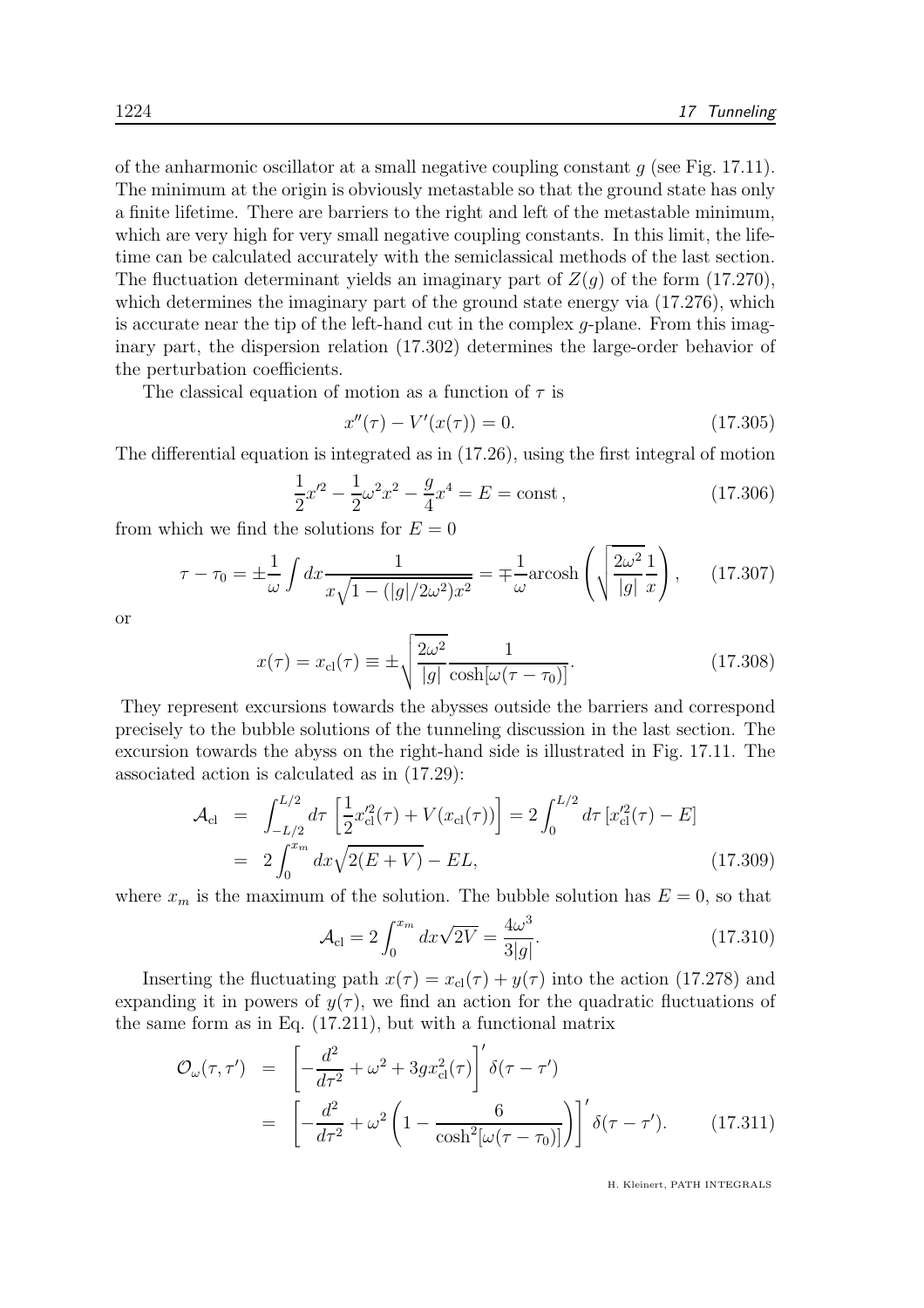of the anharmonic oscillator at a small negative coupling constant  $q$  (see Fig. 17.11). The minimum at the origin is obviously metastable so that the ground state has only a finite lifetime. There are barriers to the right and left of the metastable minimum, which are very high for very small negative coupling constants. In this limit, the lifetime can be calculated accurately with the semiclassical methods of the last section. The fluctuation determinant yields an imaginary part of  $Z(q)$  of the form (17.270), which determines the imaginary part of the ground state energy via  $(17.276)$ , which is accurate near the tip of the left-hand cut in the complex g-plane. From this imaginary part, the dispersion relation (17.302) determines the large-order behavior of the perturbation coefficients.

The classical equation of motion as a function of  $\tau$  is

$$
x''(\tau) - V'(x(\tau)) = 0.
$$
 (17.305)

The differential equation is integrated as in (17.26), using the first integral of motion

$$
\frac{1}{2}x'^2 - \frac{1}{2}\omega^2 x^2 - \frac{g}{4}x^4 = E = \text{const},\qquad(17.306)
$$

from which we find the solutions for  $E = 0$ 

$$
\tau - \tau_0 = \pm \frac{1}{\omega} \int dx \frac{1}{x\sqrt{1 - (|g|/2\omega^2)x^2}} = \mp \frac{1}{\omega} \text{arcosh}\left(\sqrt{\frac{2\omega^2}{|g|} \frac{1}{x}}\right), \quad (17.307)
$$

or

$$
x(\tau) = x_{\text{cl}}(\tau) \equiv \pm \sqrt{\frac{2\omega^2}{|g|}} \frac{1}{\cosh[\omega(\tau - \tau_0)]}.
$$
 (17.308)

They represent excursions towards the abysses outside the barriers and correspond precisely to the bubble solutions of the tunneling discussion in the last section. The excursion towards the abyss on the right-hand side is illustrated in Fig. 17.11. The associated action is calculated as in (17.29):

$$
\mathcal{A}_{\text{cl}} = \int_{-L/2}^{L/2} d\tau \left[ \frac{1}{2} x_{\text{cl}}'^2(\tau) + V(x_{\text{cl}}(\tau)) \right] = 2 \int_0^{L/2} d\tau \left[ x_{\text{cl}}'^2(\tau) - E \right]
$$
  
=  $2 \int_0^{x_m} dx \sqrt{2(E+V)} - EL,$  (17.309)

where  $x_m$  is the maximum of the solution. The bubble solution has  $E = 0$ , so that

$$
\mathcal{A}_{\rm cl} = 2 \int_0^{x_m} dx \sqrt{2V} = \frac{4\omega^3}{3|g|}.
$$
 (17.310)

Inserting the fluctuating path  $x(\tau) = x_{\text{cl}}(\tau) + y(\tau)$  into the action (17.278) and expanding it in powers of  $y(\tau)$ , we find an action for the quadratic fluctuations of the same form as in Eq. (17.211), but with a functional matrix

$$
\mathcal{O}_{\omega}(\tau,\tau') = \left[ -\frac{d^2}{d\tau^2} + \omega^2 + 3gx_{\text{cl}}^2(\tau) \right]' \delta(\tau - \tau')
$$
  
= 
$$
\left[ -\frac{d^2}{d\tau^2} + \omega^2 \left( 1 - \frac{6}{\cosh^2[\omega(\tau - \tau_0)]} \right) \right]' \delta(\tau - \tau'). \tag{17.311}
$$

H. Kleinert, PATH INTEGRALS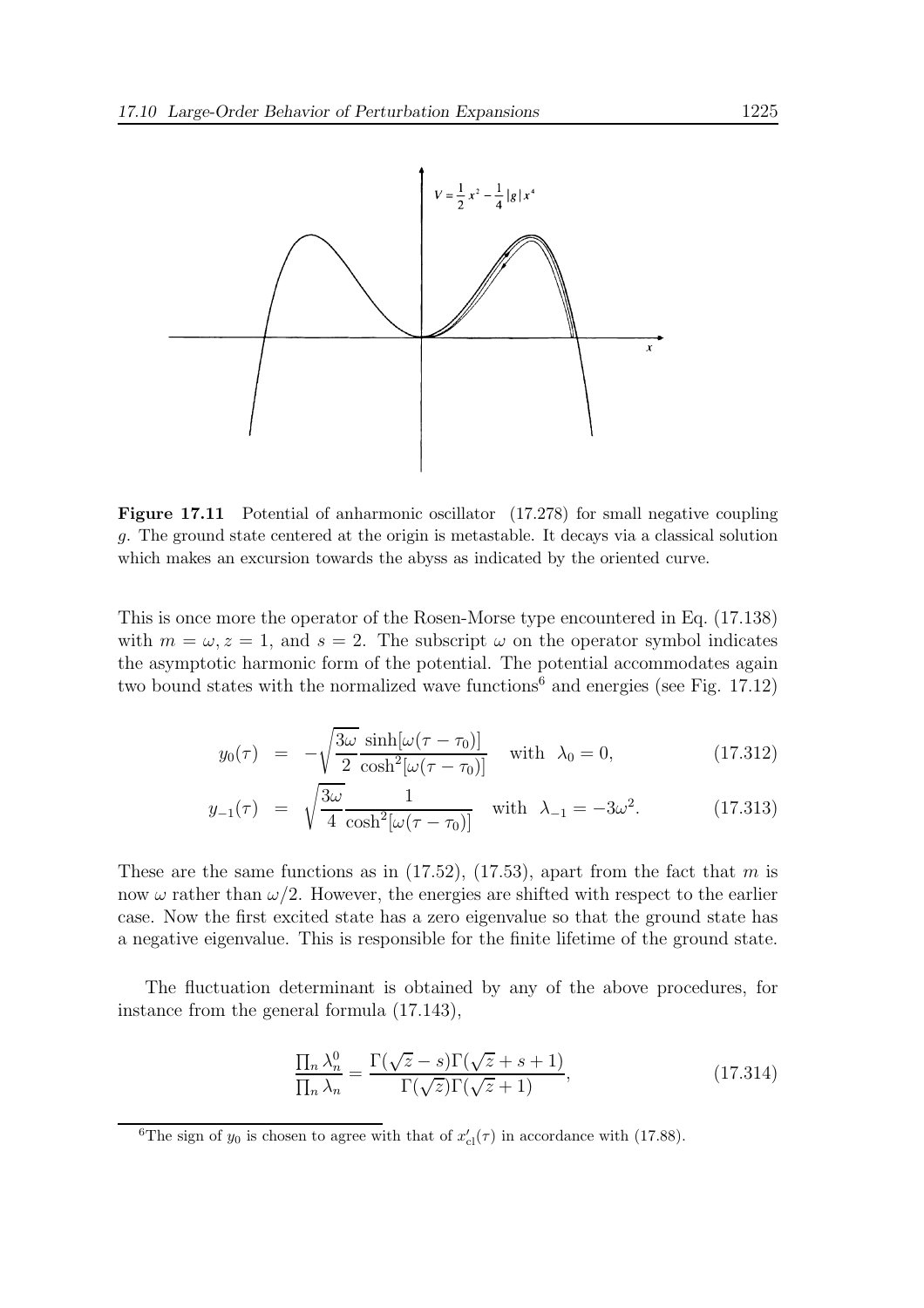

Figure 17.11 Potential of anharmonic oscillator (17.278) for small negative coupling g. The ground state centered at the origin is metastable. It decays via a classical solution which makes an excursion towards the abyss as indicated by the oriented curve.

This is once more the operator of the Rosen-Morse type encountered in Eq. (17.138) with  $m = \omega, z = 1$ , and  $s = 2$ . The subscript  $\omega$  on the operator symbol indicates the asymptotic harmonic form of the potential. The potential accommodates again two bound states with the normalized wave functions<sup>6</sup> and energies (see Fig. 17.12)

$$
y_0(\tau) = -\sqrt{\frac{3\omega}{2}} \frac{\sinh[\omega(\tau - \tau_0)]}{\cosh^2[\omega(\tau - \tau_0)]} \quad \text{with} \quad \lambda_0 = 0,
$$
 (17.312)

$$
y_{-1}(\tau) = \sqrt{\frac{3\omega}{4}} \frac{1}{\cosh^2[\omega(\tau - \tau_0)]} \quad \text{with} \quad \lambda_{-1} = -3\omega^2. \tag{17.313}
$$

These are the same functions as in  $(17.52)$ ,  $(17.53)$ , apart from the fact that m is now  $\omega$  rather than  $\omega/2$ . However, the energies are shifted with respect to the earlier case. Now the first excited state has a zero eigenvalue so that the ground state has a negative eigenvalue. This is responsible for the finite lifetime of the ground state.

The fluctuation determinant is obtained by any of the above procedures, for instance from the general formula (17.143),

$$
\frac{\prod_{n} \lambda_n^0}{\prod_{n} \lambda_n} = \frac{\Gamma(\sqrt{z} - s)\Gamma(\sqrt{z} + s + 1)}{\Gamma(\sqrt{z})\Gamma(\sqrt{z} + 1)},
$$
\n(17.314)

<sup>&</sup>lt;sup>6</sup>The sign of  $y_0$  is chosen to agree with that of  $x'_{\text{cl}}(\tau)$  in accordance with (17.88).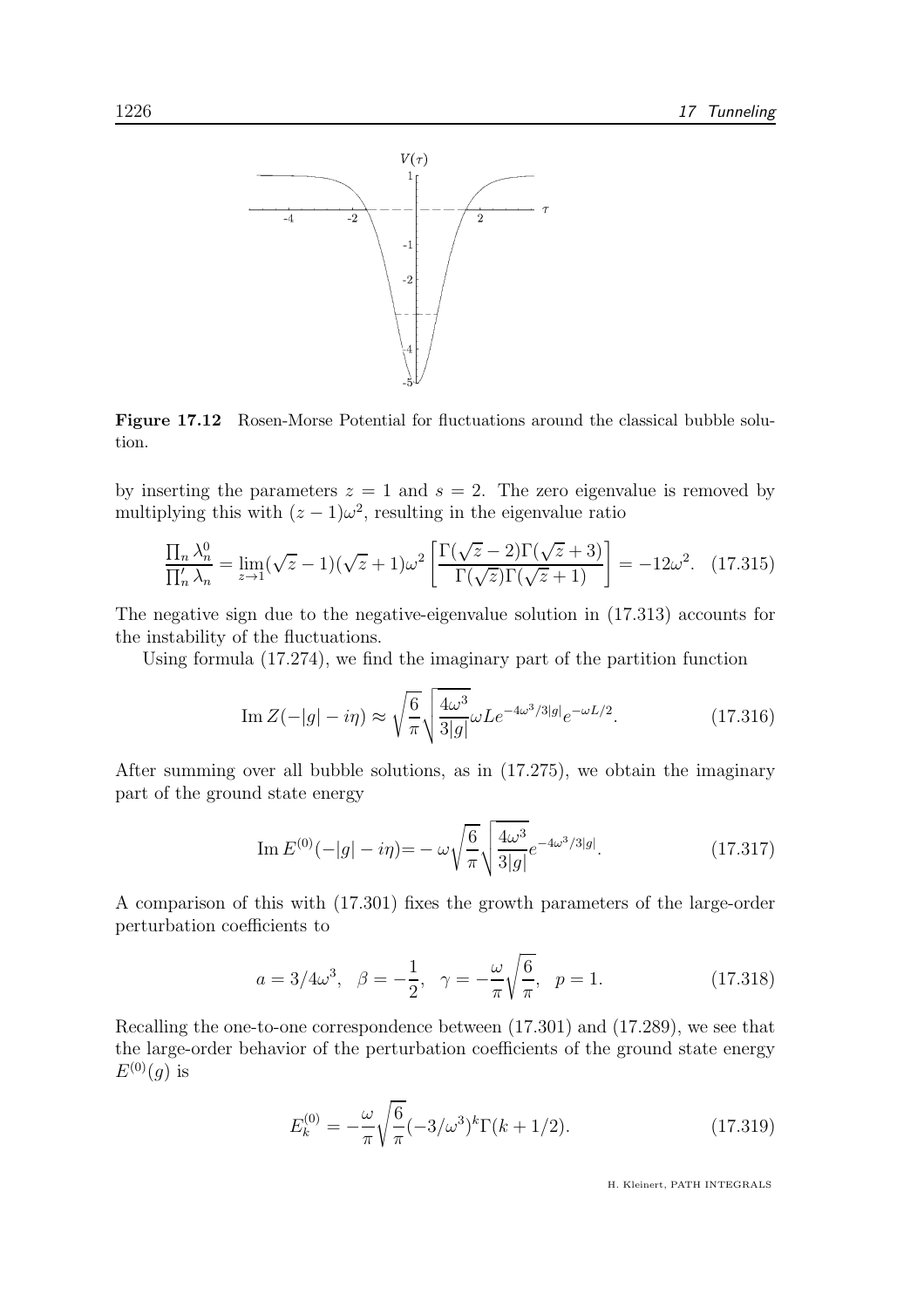

Figure 17.12 Rosen-Morse Potential for fluctuations around the classical bubble solution.

by inserting the parameters  $z = 1$  and  $s = 2$ . The zero eigenvalue is removed by multiplying this with  $(z - 1)\omega^2$ , resulting in the eigenvalue ratio

$$
\frac{\prod_n \lambda_n^0}{\prod_n' \lambda_n} = \lim_{z \to 1} (\sqrt{z} - 1)(\sqrt{z} + 1)\omega^2 \left[ \frac{\Gamma(\sqrt{z} - 2)\Gamma(\sqrt{z} + 3)}{\Gamma(\sqrt{z})\Gamma(\sqrt{z} + 1)} \right] = -12\omega^2. \tag{17.315}
$$

The negative sign due to the negative-eigenvalue solution in (17.313) accounts for the instability of the fluctuations.

Using formula (17.274), we find the imaginary part of the partition function

Im 
$$
Z(-|g| - i\eta) \approx \sqrt{\frac{6}{\pi}} \sqrt{\frac{4\omega^3}{3|g|}} \omega L e^{-4\omega^3/3|g|} e^{-\omega L/2}.
$$
 (17.316)

After summing over all bubble solutions, as in (17.275), we obtain the imaginary part of the ground state energy

Im 
$$
E^{(0)}(-|g| - i\eta) = -\omega \sqrt{\frac{6}{\pi}} \sqrt{\frac{4\omega^3}{3|g|}} e^{-4\omega^3/3|g|}.
$$
 (17.317)

A comparison of this with (17.301) fixes the growth parameters of the large-order perturbation coefficients to

$$
a = 3/4\omega^3
$$
,  $\beta = -\frac{1}{2}$ ,  $\gamma = -\frac{\omega}{\pi} \sqrt{\frac{6}{\pi}}$ ,  $p = 1$ . (17.318)

Recalling the one-to-one correspondence between (17.301) and (17.289), we see that the large-order behavior of the perturbation coefficients of the ground state energy  $E^{(0)}(g)$  is

$$
E_k^{(0)} = -\frac{\omega}{\pi} \sqrt{\frac{6}{\pi}} (-3/\omega^3)^k \Gamma(k + 1/2).
$$
 (17.319)

H. Kleinert, PATH INTEGRALS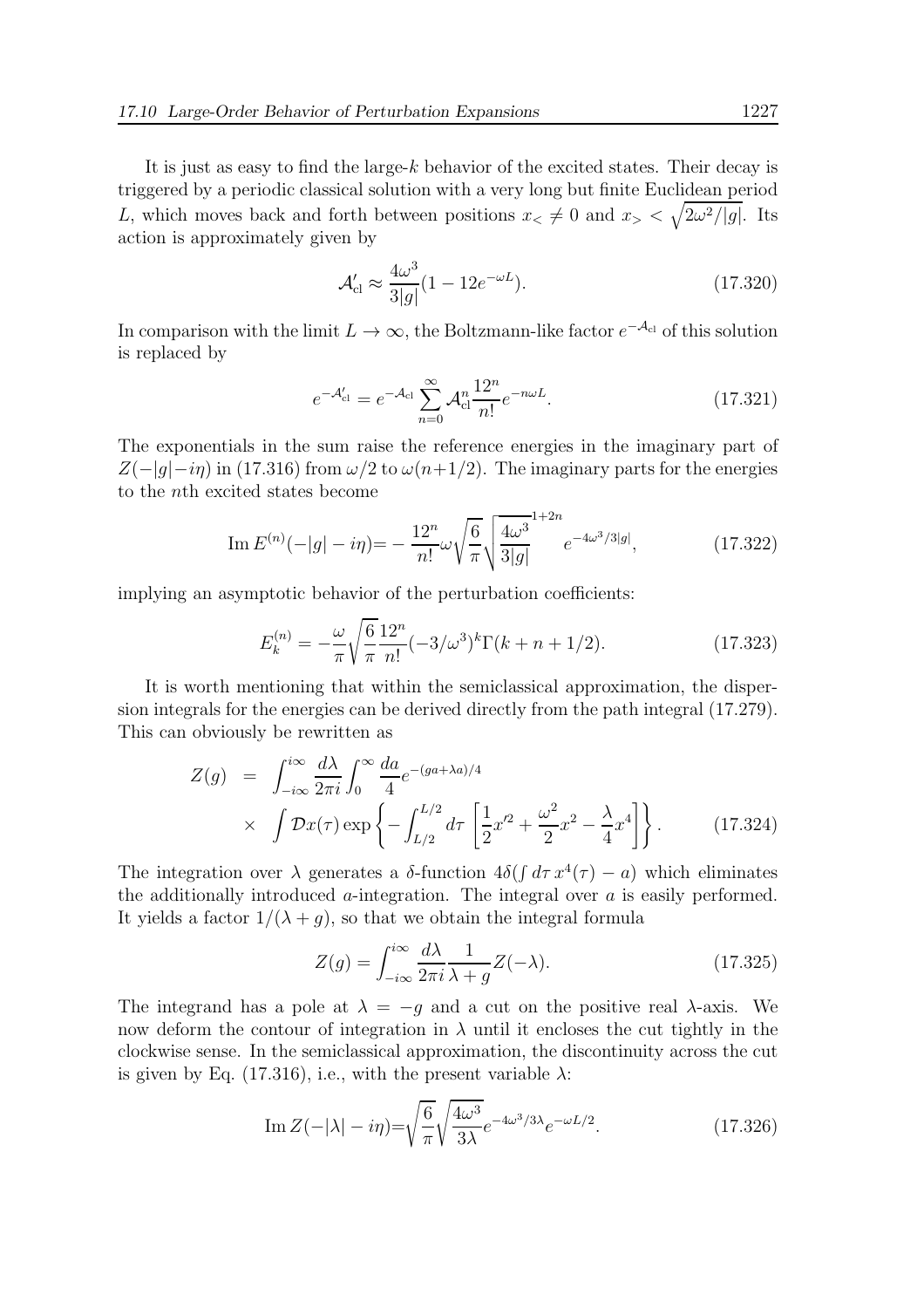It is just as easy to find the large-k behavior of the excited states. Their decay is triggered by a periodic classical solution with a very long but finite Euclidean period L, which moves back and forth between positions  $x \leq \neq 0$  and  $x > \sqrt{2\omega^2/|g|}$ . Its action is approximately given by

$$
\mathcal{A}'_{\text{cl}} \approx \frac{4\omega^3}{3|g|} (1 - 12e^{-\omega L}).\tag{17.320}
$$

In comparison with the limit  $L \to \infty$ , the Boltzmann-like factor  $e^{-\mathcal{A}_{cl}}$  of this solution is replaced by

$$
e^{-\mathcal{A}'_{\text{cl}}} = e^{-\mathcal{A}_{\text{cl}}}\sum_{n=0}^{\infty} \mathcal{A}_{\text{cl}}^{n} \frac{12^{n}}{n!} e^{-n\omega L}.
$$
 (17.321)

The exponentials in the sum raise the reference energies in the imaginary part of  $Z(-|q|-i\eta)$  in (17.316) from  $\omega/2$  to  $\omega(n+1/2)$ . The imaginary parts for the energies to the nth excited states become

Im 
$$
E^{(n)}(-|g| - i\eta) = -\frac{12^n}{n!} \omega \sqrt{\frac{6}{\pi}} \sqrt{\frac{4\omega^3}{3|g|}} e^{-4\omega^3/3|g|},
$$
 (17.322)

implying an asymptotic behavior of the perturbation coefficients:

$$
E_k^{(n)} = -\frac{\omega}{\pi} \sqrt{\frac{6}{\pi}} \frac{12^n}{n!} (-3/\omega^3)^k \Gamma(k+n+1/2).
$$
 (17.323)

It is worth mentioning that within the semiclassical approximation, the dispersion integrals for the energies can be derived directly from the path integral (17.279). This can obviously be rewritten as

$$
Z(g) = \int_{-i\infty}^{i\infty} \frac{d\lambda}{2\pi i} \int_0^{\infty} \frac{da}{4} e^{-(ga+\lambda a)/4} \times \int \mathcal{D}x(\tau) \exp\left\{-\int_{L/2}^{L/2} d\tau \left[\frac{1}{2}x'^2 + \frac{\omega^2}{2}x^2 - \frac{\lambda}{4}x^4\right]\right\}.
$$
 (17.324)

The integration over  $\lambda$  generates a  $\delta$ -function  $4\delta(\int d\tau x^4(\tau) - a)$  which eliminates the additionally introduced  $\alpha$ -integration. The integral over  $\alpha$  is easily performed. It yields a factor  $1/(\lambda + g)$ , so that we obtain the integral formula

$$
Z(g) = \int_{-i\infty}^{i\infty} \frac{d\lambda}{2\pi i} \frac{1}{\lambda + g} Z(-\lambda).
$$
 (17.325)

The integrand has a pole at  $\lambda = -g$  and a cut on the positive real  $\lambda$ -axis. We now deform the contour of integration in  $\lambda$  until it encloses the cut tightly in the clockwise sense. In the semiclassical approximation, the discontinuity across the cut is given by Eq. (17.316), i.e., with the present variable  $\lambda$ :

Im 
$$
Z(-|\lambda| - i\eta) = \sqrt{\frac{6}{\pi}} \sqrt{\frac{4\omega^3}{3\lambda}} e^{-4\omega^3/3\lambda} e^{-\omega L/2}.
$$
 (17.326)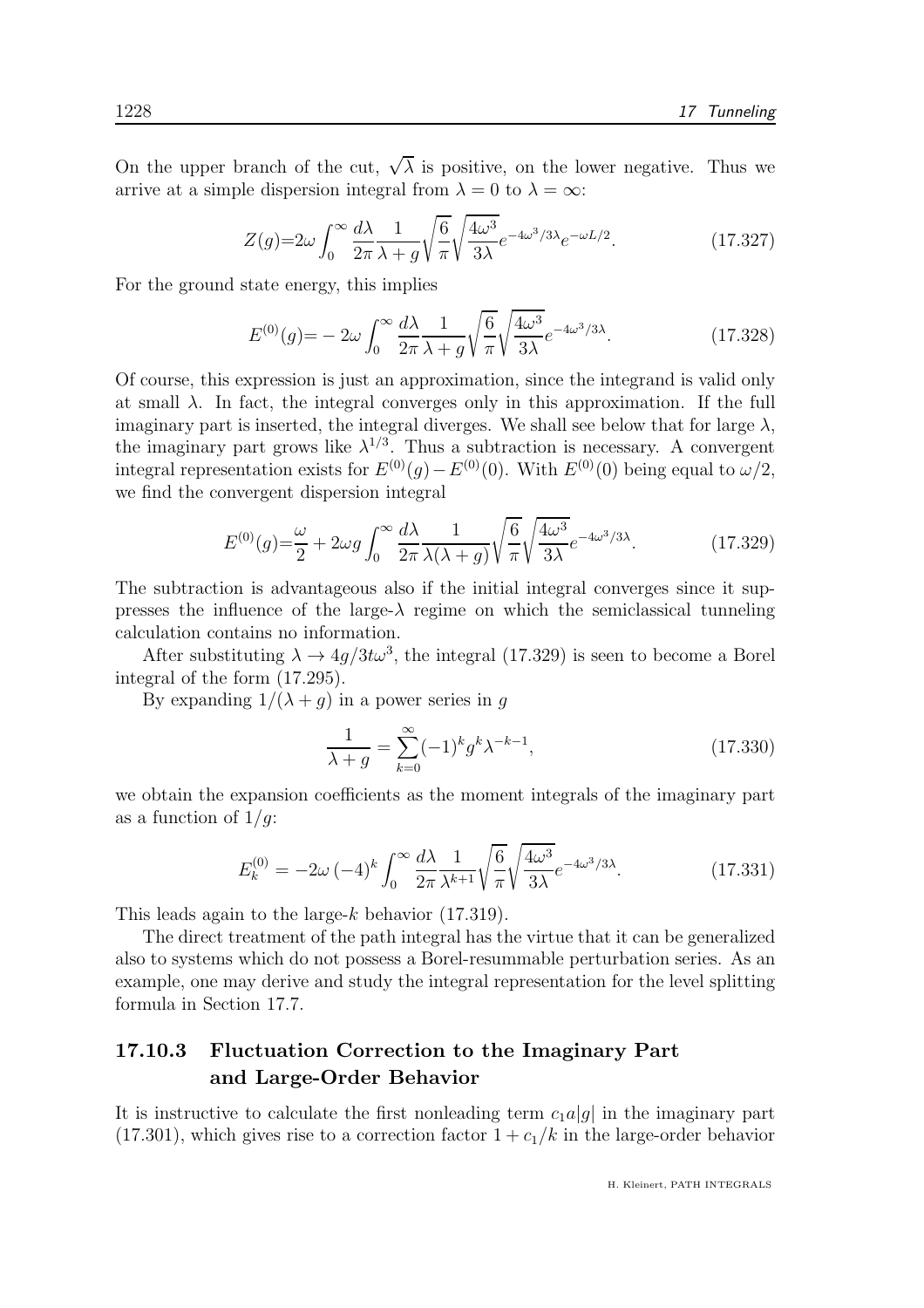On the upper branch of the cut,  $\sqrt{\lambda}$  is positive, on the lower negative. Thus we arrive at a simple dispersion integral from  $\lambda = 0$  to  $\lambda = \infty$ :

$$
Z(g) = 2\omega \int_0^\infty \frac{d\lambda}{2\pi} \frac{1}{\lambda + g} \sqrt{\frac{6}{\pi}} \sqrt{\frac{4\omega^3}{3\lambda}} e^{-4\omega^3/3\lambda} e^{-\omega L/2}.
$$
 (17.327)

For the ground state energy, this implies

$$
E^{(0)}(g) = -2\omega \int_0^\infty \frac{d\lambda}{2\pi} \frac{1}{\lambda + g} \sqrt{\frac{6}{\pi}} \sqrt{\frac{4\omega^3}{3\lambda}} e^{-4\omega^3/3\lambda}.
$$
 (17.328)

Of course, this expression is just an approximation, since the integrand is valid only at small  $\lambda$ . In fact, the integral converges only in this approximation. If the full imaginary part is inserted, the integral diverges. We shall see below that for large  $\lambda$ , the imaginary part grows like  $\lambda^{1/3}$ . Thus a subtraction is necessary. A convergent integral representation exists for  $E^{(0)}(g) - E^{(0)}(0)$ . With  $E^{(0)}(0)$  being equal to  $\omega/2$ , we find the convergent dispersion integral

$$
E^{(0)}(g) = \frac{\omega}{2} + 2\omega g \int_0^\infty \frac{d\lambda}{2\pi} \frac{1}{\lambda(\lambda + g)} \sqrt{\frac{6}{\pi}} \sqrt{\frac{4\omega^3}{3\lambda}} e^{-4\omega^3/3\lambda}.
$$
 (17.329)

The subtraction is advantageous also if the initial integral converges since it suppresses the influence of the large- $\lambda$  regime on which the semiclassical tunneling calculation contains no information.

After substituting  $\lambda \to 4g/3t\omega^3$ , the integral (17.329) is seen to become a Borel integral of the form (17.295).

By expanding  $1/(\lambda + g)$  in a power series in g

$$
\frac{1}{\lambda + g} = \sum_{k=0}^{\infty} (-1)^k g^k \lambda^{-k-1},\tag{17.330}
$$

we obtain the expansion coefficients as the moment integrals of the imaginary part as a function of  $1/q$ :

$$
E_k^{(0)} = -2\omega \left(-4\right)^k \int_0^\infty \frac{d\lambda}{2\pi} \frac{1}{\lambda^{k+1}} \sqrt{\frac{6}{\pi}} \sqrt{\frac{4\omega^3}{3\lambda}} e^{-4\omega^3/3\lambda}.\tag{17.331}
$$

This leads again to the large-k behavior  $(17.319)$ .

The direct treatment of the path integral has the virtue that it can be generalized also to systems which do not possess a Borel-resummable perturbation series. As an example, one may derive and study the integral representation for the level splitting formula in Section 17.7.

# 17.10.3 Fluctuation Correction to the Imaginary Part and Large-Order Behavior

It is instructive to calculate the first nonleading term  $c_1a|g|$  in the imaginary part  $(17.301)$ , which gives rise to a correction factor  $1 + c_1/k$  in the large-order behavior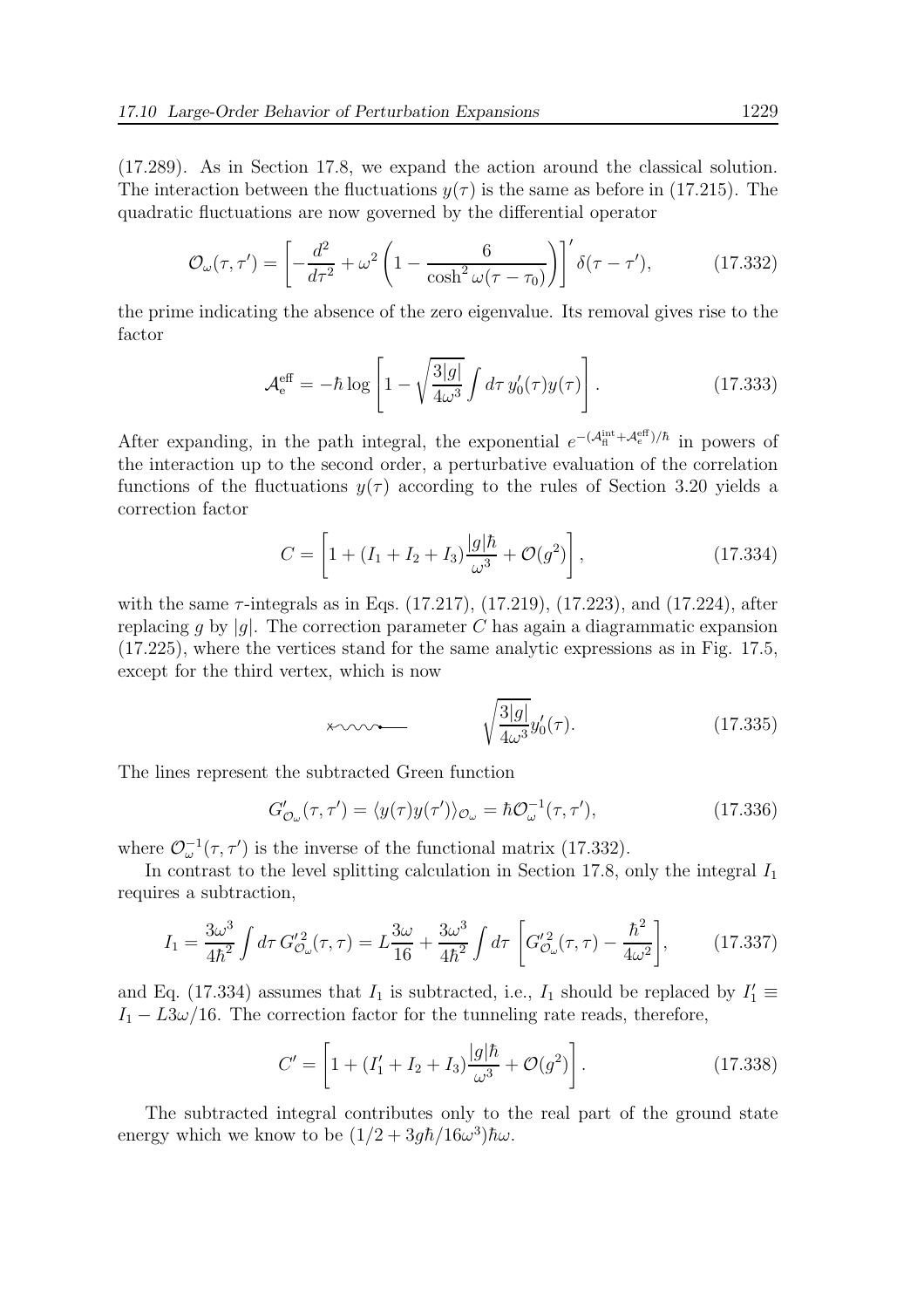(17.289). As in Section 17.8, we expand the action around the classical solution. The interaction between the fluctuations  $y(\tau)$  is the same as before in (17.215). The quadratic fluctuations are now governed by the differential operator

$$
\mathcal{O}_{\omega}(\tau,\tau') = \left[ -\frac{d^2}{d\tau^2} + \omega^2 \left( 1 - \frac{6}{\cosh^2 \omega(\tau - \tau_0)} \right) \right]' \delta(\tau - \tau'),\tag{17.332}
$$

the prime indicating the absence of the zero eigenvalue. Its removal gives rise to the factor

$$
\mathcal{A}_{\mathsf{e}}^{\text{eff}} = -\hbar \log \left[ 1 - \sqrt{\frac{3|g|}{4\omega^3}} \int d\tau \, y_0'(\tau) y(\tau) \right]. \tag{17.333}
$$

After expanding, in the path integral, the exponential  $e^{-(\mathcal{A}_{\rm fl}^{\rm int} + \mathcal{A}_{e}^{\rm eff})/\hbar}$  in powers of the interaction up to the second order, a perturbative evaluation of the correlation functions of the fluctuations  $y(\tau)$  according to the rules of Section 3.20 yields a correction factor

$$
C = \left[1 + (I_1 + I_2 + I_3)\frac{|g|\hbar}{\omega^3} + \mathcal{O}(g^2)\right],
$$
 (17.334)

with the same  $\tau$ -integrals as in Eqs. (17.217), (17.219), (17.223), and (17.224), after replacing g by  $|g|$ . The correction parameter C has again a diagrammatic expansion (17.225), where the vertices stand for the same analytic expressions as in Fig. 17.5, except for the third vertex, which is now

$$
\times \sim \qquad \qquad \sqrt{\frac{3|g|}{4\omega^3}} y_0'(\tau). \tag{17.335}
$$

The lines represent the subtracted Green function

$$
G'_{\mathcal{O}_{\omega}}(\tau,\tau') = \langle y(\tau)y(\tau')\rangle_{\mathcal{O}_{\omega}} = \hbar \mathcal{O}_{\omega}^{-1}(\tau,\tau'),\tag{17.336}
$$

where  $\mathcal{O}_{\omega}^{-1}(\tau, \tau')$  is the inverse of the functional matrix (17.332).

In contrast to the level splitting calculation in Section 17.8, only the integral  $I_1$ requires a subtraction,

$$
I_1 = \frac{3\omega^3}{4\hbar^2} \int d\tau \, G_{\mathcal{O}_{\omega}}'^2(\tau, \tau) = L\frac{3\omega}{16} + \frac{3\omega^3}{4\hbar^2} \int d\tau \, \left[ G_{\mathcal{O}_{\omega}}'^2(\tau, \tau) - \frac{\hbar^2}{4\omega^2} \right],\tag{17.337}
$$

and Eq. (17.334) assumes that  $I_1$  is subtracted, i.e.,  $I_1$  should be replaced by  $I'_1 \equiv$  $I_1 - L3\omega/16$ . The correction factor for the tunneling rate reads, therefore,

$$
C' = \left[1 + (I'_1 + I_2 + I_3)\frac{|g|\hbar}{\omega^3} + \mathcal{O}(g^2)\right].
$$
 (17.338)

The subtracted integral contributes only to the real part of the ground state energy which we know to be  $(1/2 + 3gh/16\omega^3)\hbar\omega$ .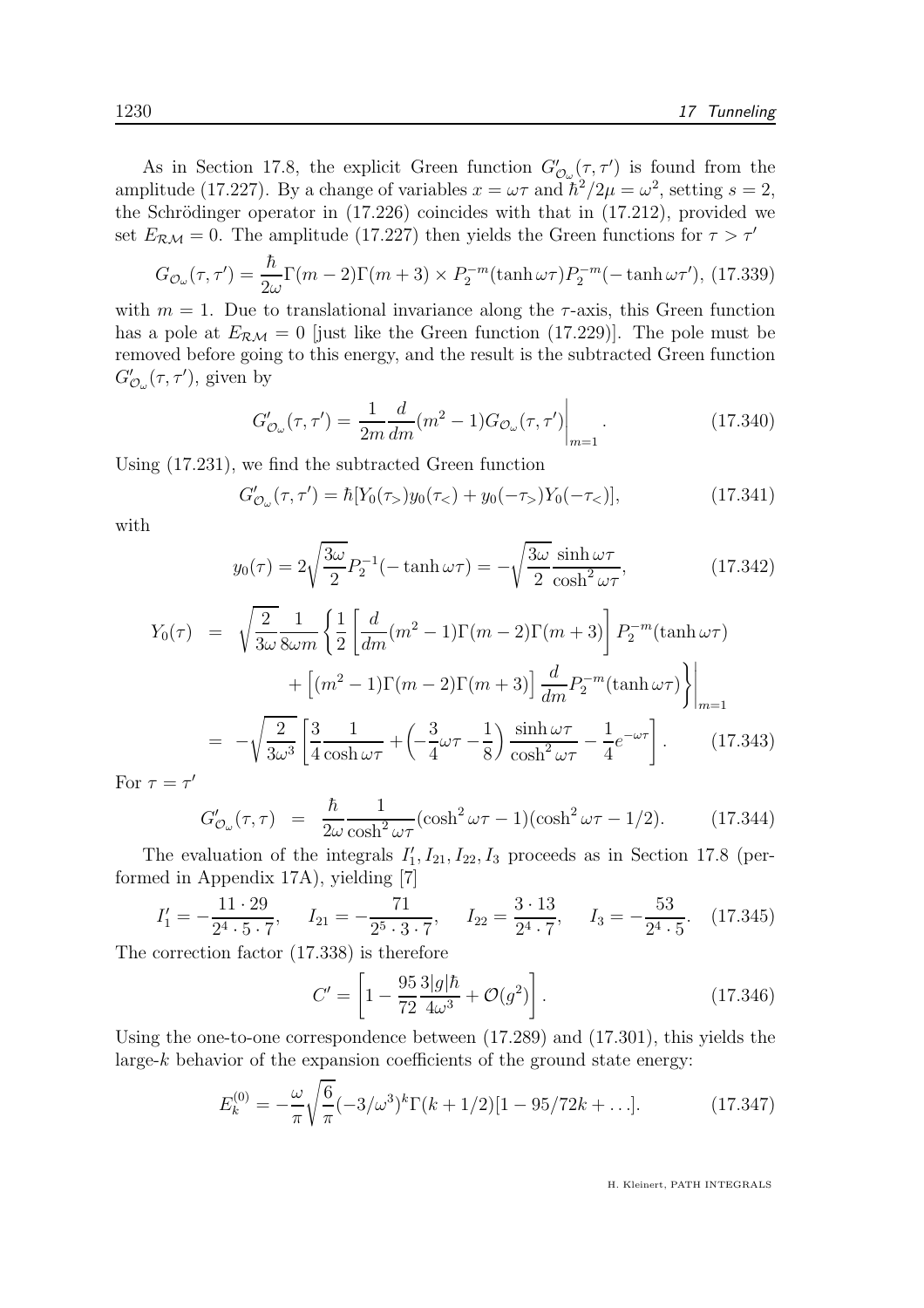As in Section 17.8, the explicit Green function  $G'_{\mathcal{O}_{\omega}}(\tau, \tau')$  is found from the amplitude (17.227). By a change of variables  $x = \omega \tau$  and  $\tilde{\hbar}^2/2\mu = \omega^2$ , setting  $s = 2$ , the Schrödinger operator in  $(17.226)$  coincides with that in  $(17.212)$ , provided we set  $E_{\mathcal{RM}} = 0$ . The amplitude (17.227) then yields the Green functions for  $\tau > \tau'$ 

$$
G_{\mathcal{O}_{\omega}}(\tau,\tau') = \frac{\hbar}{2\omega} \Gamma(m-2) \Gamma(m+3) \times P_2^{-m}(\tanh \omega \tau) P_2^{-m}(-\tanh \omega \tau'), (17.339)
$$

with  $m = 1$ . Due to translational invariance along the  $\tau$ -axis, this Green function has a pole at  $E_{\mathcal{RM}} = 0$  [just like the Green function (17.229)]. The pole must be removed before going to this energy, and the result is the subtracted Green function  $G'_{\mathcal{O}_{\omega}}(\tau,\tau')$ , given by

$$
G'_{\mathcal{O}_{\omega}}(\tau,\tau') = \frac{1}{2m} \frac{d}{dm} (m^2 - 1) G_{\mathcal{O}_{\omega}}(\tau,\tau') \Big|_{m=1}.
$$
 (17.340)

Using (17.231), we find the subtracted Green function

$$
G'_{\mathcal{O}_{\omega}}(\tau,\tau') = \hbar[Y_0(\tau_>)y_0(\tau_<) + y_0(-\tau_>)Y_0(-\tau_<)],\tag{17.341}
$$

with

$$
y_0(\tau) = 2\sqrt{\frac{3\omega}{2}} P_2^{-1}(-\tanh\omega\tau) = -\sqrt{\frac{3\omega}{2}} \frac{\sinh\omega\tau}{\cosh^2\omega\tau},
$$
(17.342)

$$
Y_0(\tau) = \sqrt{\frac{2}{3\omega}} \frac{1}{8\omega m} \left\{ \frac{1}{2} \left[ \frac{d}{dm} (m^2 - 1) \Gamma(m - 2) \Gamma(m + 3) \right] P_2^{-m}(\tanh \omega \tau) + \left[ (m^2 - 1) \Gamma(m - 2) \Gamma(m + 3) \right] \frac{d}{dm} P_2^{-m}(\tanh \omega \tau) \right\} \Big|_{m=1}
$$
  

$$
= -\sqrt{\frac{2}{3\omega^3}} \left[ \frac{3}{4} \frac{1}{\cosh \omega \tau} + \left( -\frac{3}{4} \omega \tau - \frac{1}{8} \right) \frac{\sinh \omega \tau}{\cosh^2 \omega \tau} - \frac{1}{4} e^{-\omega \tau} \right]. \tag{17.343}
$$
  
 $\tau = \tau'$ 

For  $\tau = \tau$ 

$$
G'_{\mathcal{O}_{\omega}}(\tau,\tau) = \frac{\hbar}{2\omega} \frac{1}{\cosh^2 \omega \tau} (\cosh^2 \omega \tau - 1)(\cosh^2 \omega \tau - 1/2). \tag{17.344}
$$

The evaluation of the integrals  $I'_1, I_{21}, I_{22}, I_3$  proceeds as in Section 17.8 (performed in Appendix 17A), yielding [7]

$$
I_1' = -\frac{11 \cdot 29}{2^4 \cdot 5 \cdot 7}, \quad I_{21} = -\frac{71}{2^5 \cdot 3 \cdot 7}, \quad I_{22} = \frac{3 \cdot 13}{2^4 \cdot 7}, \quad I_3 = -\frac{53}{2^4 \cdot 5}. \quad (17.345)
$$

The correction factor (17.338) is therefore

$$
C' = \left[1 - \frac{95}{72} \frac{3|g|\hbar}{4\omega^3} + \mathcal{O}(g^2)\right].
$$
 (17.346)

Using the one-to-one correspondence between (17.289) and (17.301), this yields the large- $k$  behavior of the expansion coefficients of the ground state energy:

$$
E_k^{(0)} = -\frac{\omega}{\pi} \sqrt{\frac{6}{\pi}} (-3/\omega^3)^k \Gamma(k+1/2)[1-95/72k+\ldots].
$$
 (17.347)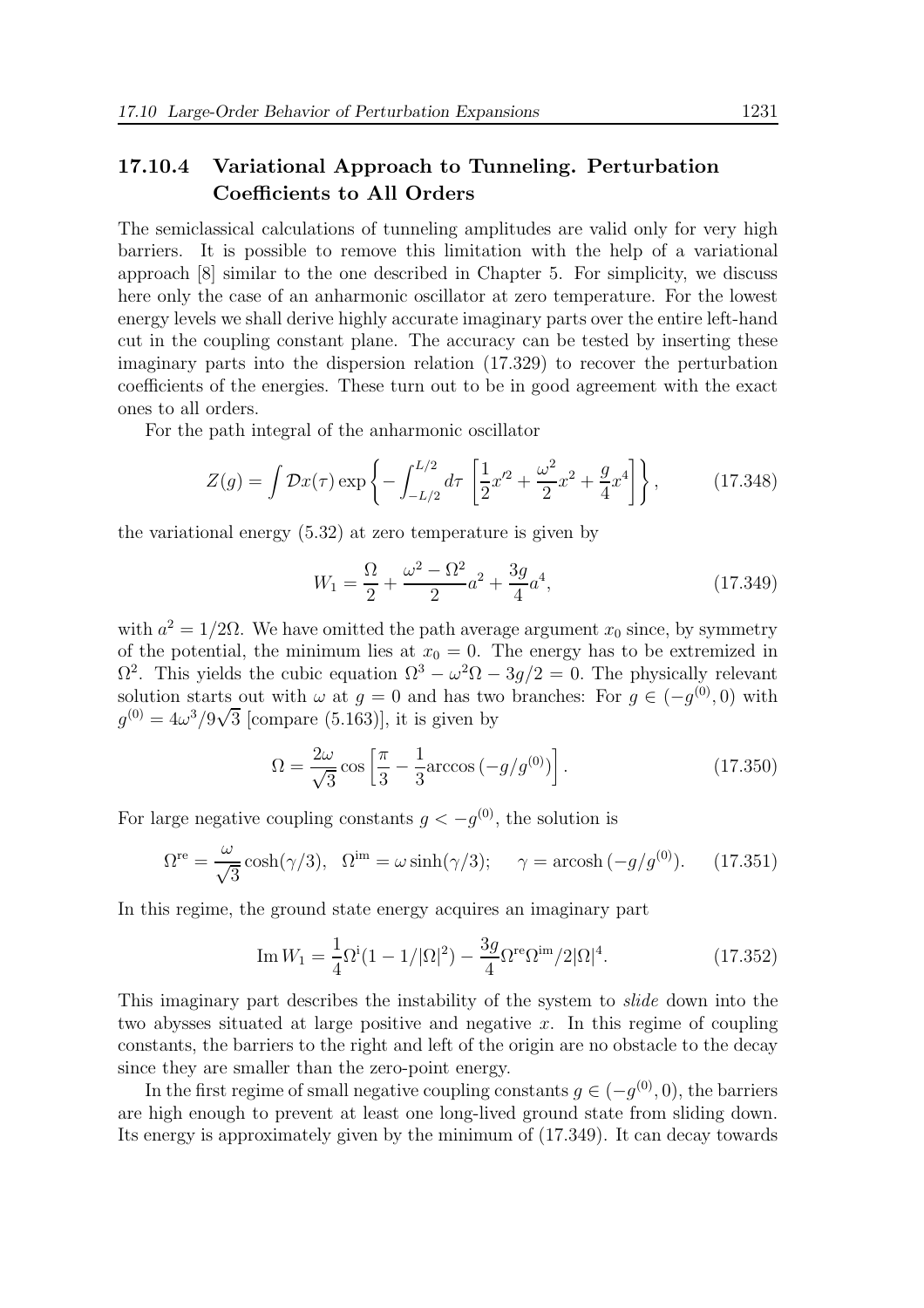## 17.10.4 Variational Approach to Tunneling. Perturbation Coefficients to All Orders

The semiclassical calculations of tunneling amplitudes are valid only for very high barriers. It is possible to remove this limitation with the help of a variational approach [8] similar to the one described in Chapter 5. For simplicity, we discuss here only the case of an anharmonic oscillator at zero temperature. For the lowest energy levels we shall derive highly accurate imaginary parts over the entire left-hand cut in the coupling constant plane. The accuracy can be tested by inserting these imaginary parts into the dispersion relation (17.329) to recover the perturbation coefficients of the energies. These turn out to be in good agreement with the exact ones to all orders.

For the path integral of the anharmonic oscillator

$$
Z(g) = \int \mathcal{D}x(\tau) \exp\left\{-\int_{-L/2}^{L/2} d\tau \left[\frac{1}{2}x'^2 + \frac{\omega^2}{2}x^2 + \frac{g}{4}x^4\right]\right\},\tag{17.348}
$$

the variational energy (5.32) at zero temperature is given by

$$
W_1 = \frac{\Omega}{2} + \frac{\omega^2 - \Omega^2}{2}a^2 + \frac{3g}{4}a^4,\tag{17.349}
$$

with  $a^2 = 1/2\Omega$ . We have omitted the path average argument  $x_0$  since, by symmetry of the potential, the minimum lies at  $x_0 = 0$ . The energy has to be extremized in  $\Omega^2$ . This yields the cubic equation  $\Omega^3 - \omega^2 \Omega - 3g/2 = 0$ . The physically relevant solution starts out with  $\omega$  at  $g = 0$  and has two branches: For  $g \in (-g^{(0)}, 0)$  with  $g^{(0)} = 4\omega^3/9\sqrt{3}$  [compare (5.163)], it is given by

$$
\Omega = \frac{2\omega}{\sqrt{3}} \cos\left[\frac{\pi}{3} - \frac{1}{3}\arccos(-g/g^{(0)})\right].
$$
 (17.350)

For large negative coupling constants  $g < -g^{(0)}$ , the solution is

$$
\Omega^{\text{re}} = \frac{\omega}{\sqrt{3}} \cosh(\gamma/3), \quad \Omega^{\text{im}} = \omega \sinh(\gamma/3); \quad \gamma = \text{arcosh}(-g/g^{(0)}). \tag{17.351}
$$

In this regime, the ground state energy acquires an imaginary part

Im 
$$
W_1 = \frac{1}{4} \Omega^i (1 - 1/|\Omega|^2) - \frac{3g}{4} \Omega^{re} \Omega^{im} / 2 |\Omega|^4
$$
. (17.352)

This imaginary part describes the instability of the system to slide down into the two abysses situated at large positive and negative  $x$ . In this regime of coupling constants, the barriers to the right and left of the origin are no obstacle to the decay since they are smaller than the zero-point energy.

In the first regime of small negative coupling constants  $g \in (-g^{(0)}, 0)$ , the barriers are high enough to prevent at least one long-lived ground state from sliding down. Its energy is approximately given by the minimum of (17.349). It can decay towards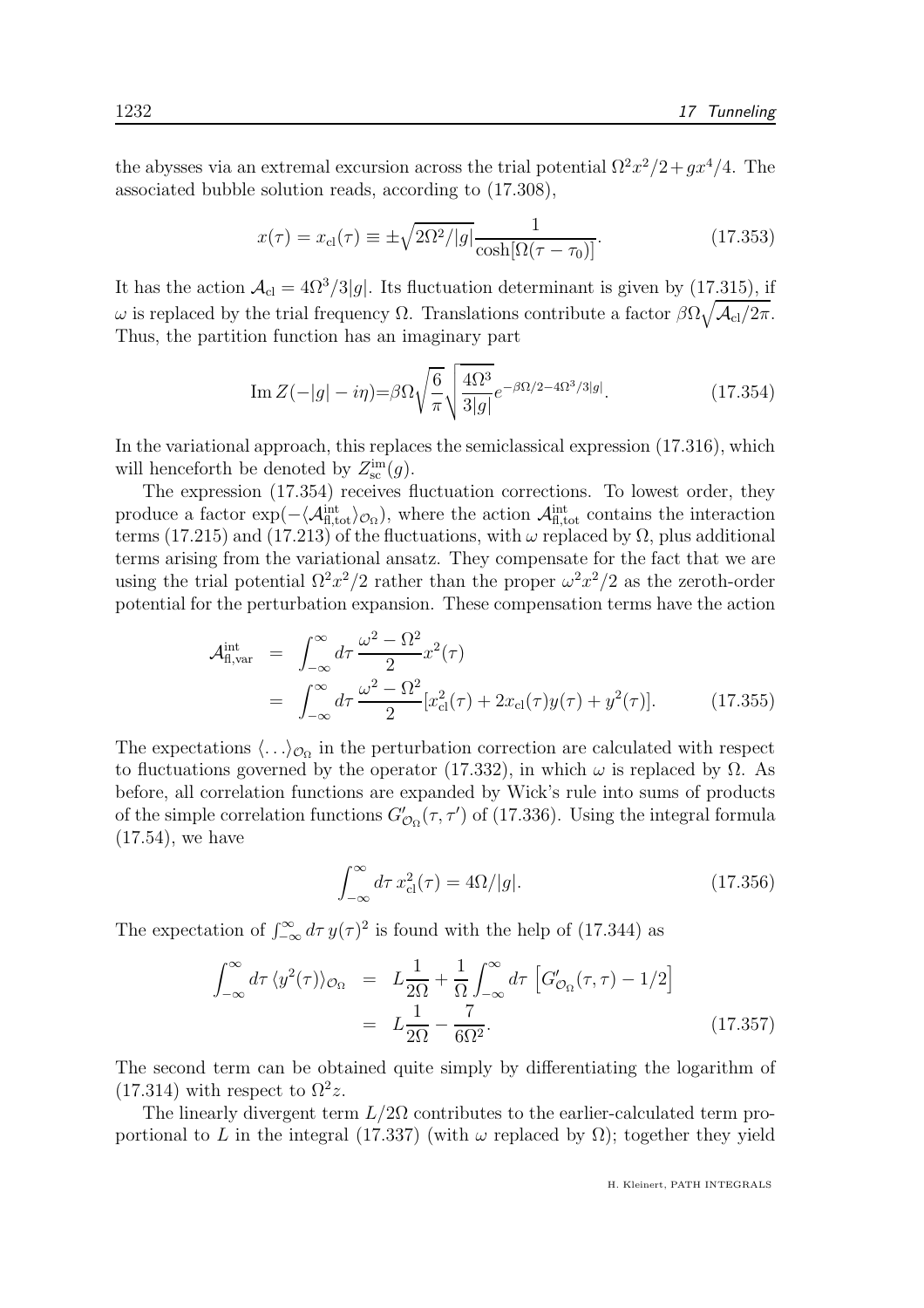the abysses via an extremal excursion across the trial potential  $\Omega^2 x^2/2 + g x^4/4$ . The associated bubble solution reads, according to (17.308),

$$
x(\tau) = x_{\rm cl}(\tau) \equiv \pm \sqrt{2\Omega^2/|g|} \frac{1}{\cosh[\Omega(\tau - \tau_0)]}.
$$
 (17.353)

It has the action  $A_{cl} = 4\Omega^3/3|g|$ . Its fluctuation determinant is given by (17.315), if  $\omega$  is replaced by the trial frequency Ω. Translations contribute a factor  $\beta\Omega\sqrt{\mathcal{A}_{\text{cl}}/2\pi}$ . Thus, the partition function has an imaginary part

Im 
$$
Z(-|g| - i\eta) = \beta \Omega \sqrt{\frac{6}{\pi}} \sqrt{\frac{4\Omega^3}{3|g|}} e^{-\beta \Omega/2 - 4\Omega^3/3|g|}.
$$
 (17.354)

In the variational approach, this replaces the semiclassical expression  $(17.316)$ , which will henceforth be denoted by  $Z_{\rm sc}^{\rm im}(g)$ .

The expression (17.354) receives fluctuation corrections. To lowest order, they produce a factor  $\exp(-\langle \mathcal{A}_{\text{fl,tot}}^{\text{int}} \rangle_{\mathcal{O}_{\Omega}})$ , where the action  $\mathcal{A}_{\text{fl,tot}}^{\text{int}}$  contains the interaction terms (17.215) and (17.213) of the fluctuations, with  $\omega$  replaced by  $\Omega$ , plus additional terms arising from the variational ansatz. They compensate for the fact that we are using the trial potential  $\Omega^2 x^2/2$  rather than the proper  $\omega^2 x^2/2$  as the zeroth-order potential for the perturbation expansion. These compensation terms have the action

$$
\mathcal{A}_{\text{fl,var}}^{\text{int}} = \int_{-\infty}^{\infty} d\tau \, \frac{\omega^2 - \Omega^2}{2} x^2(\tau) \n= \int_{-\infty}^{\infty} d\tau \, \frac{\omega^2 - \Omega^2}{2} [x_{\text{cl}}^2(\tau) + 2x_{\text{cl}}(\tau)y(\tau) + y^2(\tau)].
$$
\n(17.355)

The expectations  $\langle \ldots \rangle_{\mathcal{O}_{\Omega}}$  in the perturbation correction are calculated with respect to fluctuations governed by the operator (17.332), in which  $\omega$  is replaced by  $\Omega$ . As before, all correlation functions are expanded by Wick's rule into sums of products of the simple correlation functions  $G'_{\mathcal{O}_{\Omega}}(\tau, \tau')$  of (17.336). Using the integral formula (17.54), we have

$$
\int_{-\infty}^{\infty} d\tau \, x_{\text{cl}}^2(\tau) = 4\Omega/|g|.\tag{17.356}
$$

The expectation of  $\int_{-\infty}^{\infty} d\tau y(\tau)^2$  is found with the help of (17.344) as

$$
\int_{-\infty}^{\infty} d\tau \langle y^2(\tau) \rangle_{\mathcal{O}_{\Omega}} = L \frac{1}{2\Omega} + \frac{1}{\Omega} \int_{-\infty}^{\infty} d\tau \left[ G'_{\mathcal{O}_{\Omega}}(\tau, \tau) - 1/2 \right]
$$

$$
= L \frac{1}{2\Omega} - \frac{7}{6\Omega^2}.
$$
(17.357)

The second term can be obtained quite simply by differentiating the logarithm of  $(17.314)$  with respect to  $\Omega^2 z$ .

The linearly divergent term  $L/2\Omega$  contributes to the earlier-calculated term proportional to L in the integral (17.337) (with  $\omega$  replaced by  $\Omega$ ); together they yield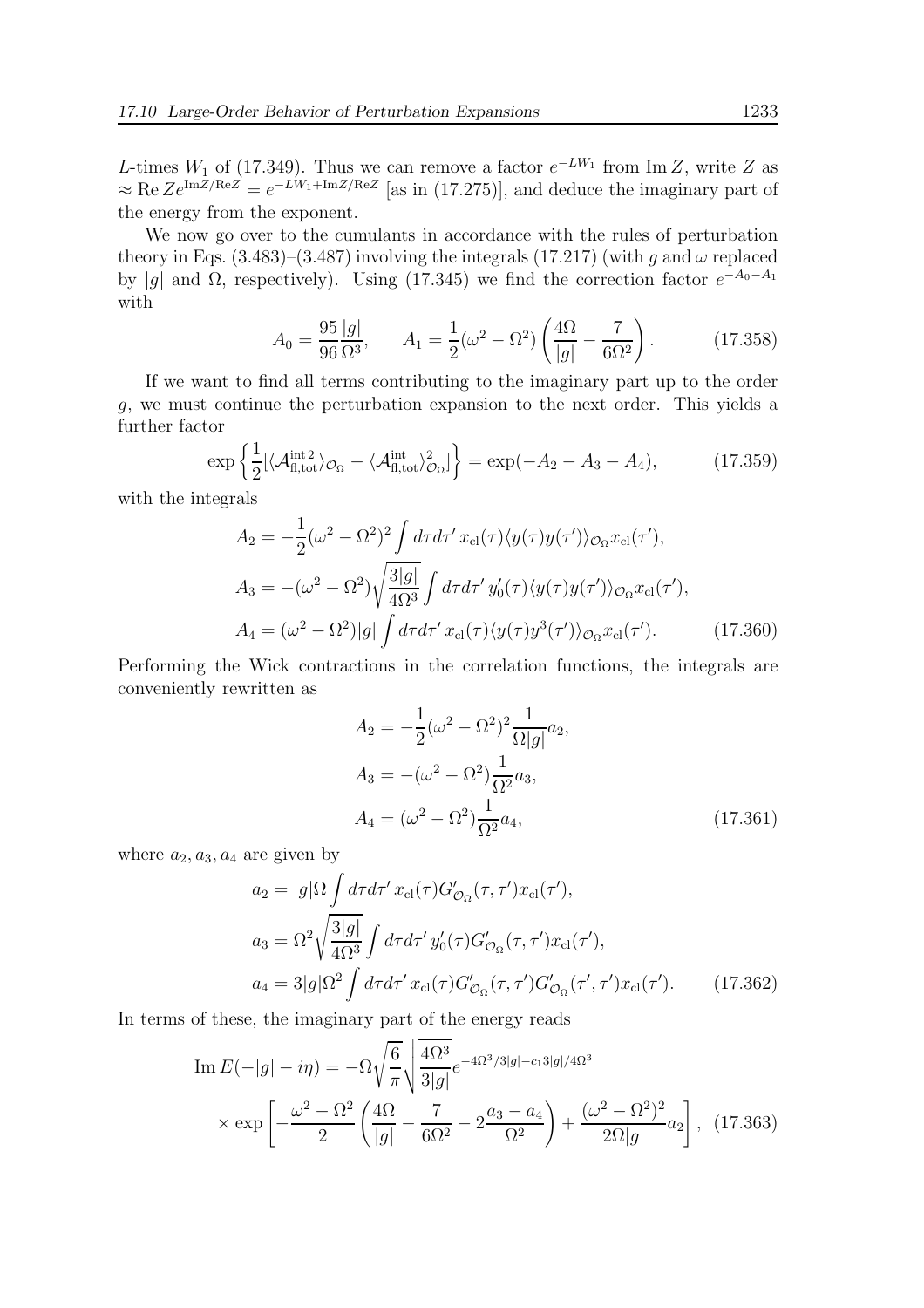L-times  $W_1$  of (17.349). Thus we can remove a factor  $e^{-LW_1}$  from Im Z, write Z as  $\approx \text{Re } Z e^{\text{Im } Z/\text{Re } Z} = e^{-LW_1 + \text{Im } Z/\text{Re } Z}$  [as in (17.275)], and deduce the imaginary part of the energy from the exponent.

We now go over to the cumulants in accordance with the rules of perturbation theory in Eqs. (3.483)–(3.487) involving the integrals (17.217) (with g and  $\omega$  replaced by |g| and  $\Omega$ , respectively). Using (17.345) we find the correction factor  $e^{-A_0-A_1}$ with

$$
A_0 = \frac{95}{96} \frac{|g|}{\Omega^3}, \qquad A_1 = \frac{1}{2} (\omega^2 - \Omega^2) \left( \frac{4\Omega}{|g|} - \frac{7}{6\Omega^2} \right). \tag{17.358}
$$

If we want to find all terms contributing to the imaginary part up to the order g, we must continue the perturbation expansion to the next order. This yields a further factor

$$
\exp\left\{\frac{1}{2}\left[\langle \mathcal{A}_{\text{fl,tot}}^{\text{int2}} \rangle_{\mathcal{O}_{\Omega}} - \langle \mathcal{A}_{\text{fl,tot}}^{\text{int}} \rangle_{\mathcal{O}_{\Omega}}^2\right]\right\} = \exp(-A_2 - A_3 - A_4),\tag{17.359}
$$

with the integrals

$$
A_2 = -\frac{1}{2}(\omega^2 - \Omega^2)^2 \int d\tau d\tau' x_{\rm cl}(\tau) \langle y(\tau) y(\tau') \rangle_{\mathcal{O}_{\Omega}} x_{\rm cl}(\tau'),
$$
  
\n
$$
A_3 = -(\omega^2 - \Omega^2) \sqrt{\frac{3|g|}{4\Omega^3}} \int d\tau d\tau' y_0'(\tau) \langle y(\tau) y(\tau') \rangle_{\mathcal{O}_{\Omega}} x_{\rm cl}(\tau'),
$$
  
\n
$$
A_4 = (\omega^2 - \Omega^2)|g| \int d\tau d\tau' x_{\rm cl}(\tau) \langle y(\tau) y^3(\tau') \rangle_{\mathcal{O}_{\Omega}} x_{\rm cl}(\tau'). \qquad (17.360)
$$

Performing the Wick contractions in the correlation functions, the integrals are conveniently rewritten as

$$
A_2 = -\frac{1}{2}(\omega^2 - \Omega^2)^2 \frac{1}{\Omega|g|} a_2,
$$
  
\n
$$
A_3 = -(\omega^2 - \Omega^2) \frac{1}{\Omega^2} a_3,
$$
  
\n
$$
A_4 = (\omega^2 - \Omega^2) \frac{1}{\Omega^2} a_4,
$$
\n(17.361)

where  $a_2, a_3, a_4$  are given by

$$
a_2 = |g|\Omega \int d\tau d\tau' x_{\rm cl}(\tau) G'_{\mathcal{O}_{\Omega}}(\tau, \tau') x_{\rm cl}(\tau'),
$$
  
\n
$$
a_3 = \Omega^2 \sqrt{\frac{3|g|}{4\Omega^3}} \int d\tau d\tau' y_0'(\tau) G'_{\mathcal{O}_{\Omega}}(\tau, \tau') x_{\rm cl}(\tau'),
$$
  
\n
$$
a_4 = 3|g|\Omega^2 \int d\tau d\tau' x_{\rm cl}(\tau) G'_{\mathcal{O}_{\Omega}}(\tau, \tau') G'_{\mathcal{O}_{\Omega}}(\tau', \tau') x_{\rm cl}(\tau'). \qquad (17.362)
$$

In terms of these, the imaginary part of the energy reads

Im 
$$
E(-|g| - i\eta) = -\Omega \sqrt{\frac{6}{\pi}} \sqrt{\frac{4\Omega^3}{3|g|}} e^{-4\Omega^3/3|g| - c_1 3|g|/4\Omega^3}
$$
  
  $\times \exp \left[ -\frac{\omega^2 - \Omega^2}{2} \left( \frac{4\Omega}{|g|} - \frac{7}{6\Omega^2} - 2\frac{a_3 - a_4}{\Omega^2} \right) + \frac{(\omega^2 - \Omega^2)^2}{2\Omega |g|} a_2 \right],$  (17.363)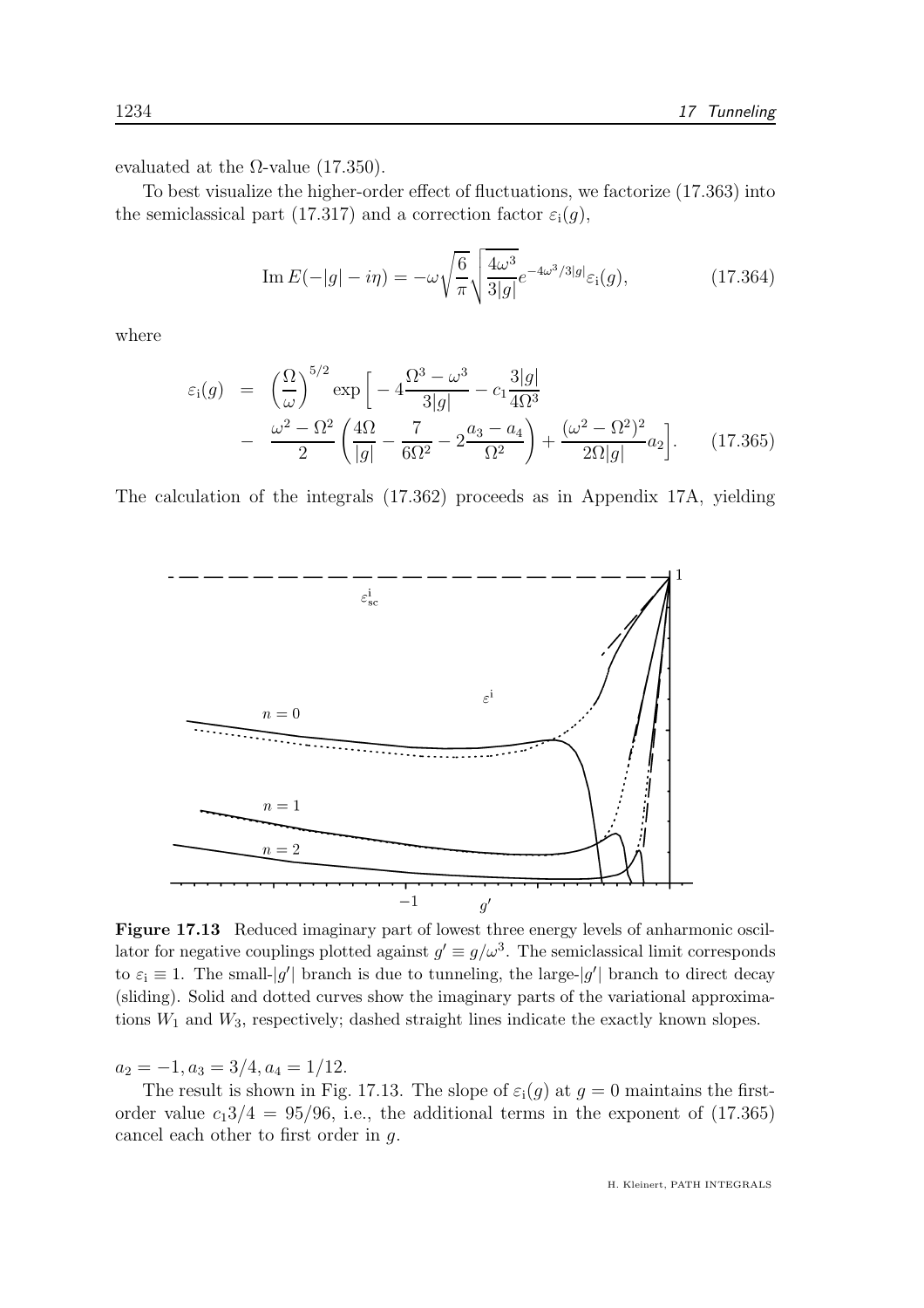evaluated at the  $\Omega$ -value (17.350).

To best visualize the higher-order effect of fluctuations, we factorize (17.363) into the semiclassical part (17.317) and a correction factor  $\varepsilon_i(g)$ ,

Im 
$$
E(-|g| - i\eta) = -\omega \sqrt{\frac{6}{\pi}} \sqrt{\frac{4\omega^3}{3|g|}} e^{-4\omega^3/3|g|} \varepsilon_i(g),
$$
 (17.364)

where

$$
\varepsilon_{i}(g) = \left(\frac{\Omega}{\omega}\right)^{5/2} \exp\left[-4\frac{\Omega^{3} - \omega^{3}}{3|g|} - c_{1}\frac{3|g|}{4\Omega^{3}} - \frac{\omega^{2} - \Omega^{2}}{2}\left(\frac{4\Omega}{|g|} - \frac{7}{6\Omega^{2}} - 2\frac{a_{3} - a_{4}}{\Omega^{2}}\right) + \frac{(\omega^{2} - \Omega^{2})^{2}}{2\Omega|g|}a_{2}\right].
$$
 (17.365)

The calculation of the integrals (17.362) proceeds as in Appendix 17A, yielding



Figure 17.13 Reduced imaginary part of lowest three energy levels of anharmonic oscillator for negative couplings plotted against  $g' \equiv g/\omega^3$ . The semiclassical limit corresponds to  $\varepsilon_i \equiv 1$ . The small-|g'| branch is due to tunneling, the large-|g'| branch to direct decay (sliding). Solid and dotted curves show the imaginary parts of the variational approximations  $W_1$  and  $W_3$ , respectively; dashed straight lines indicate the exactly known slopes.

 $a_2 = -1, a_3 = 3/4, a_4 = 1/12.$ 

The result is shown in Fig. 17.13. The slope of  $\varepsilon_i(g)$  at  $g=0$  maintains the firstorder value  $c_13/4 = 95/96$ , i.e., the additional terms in the exponent of (17.365) cancel each other to first order in g.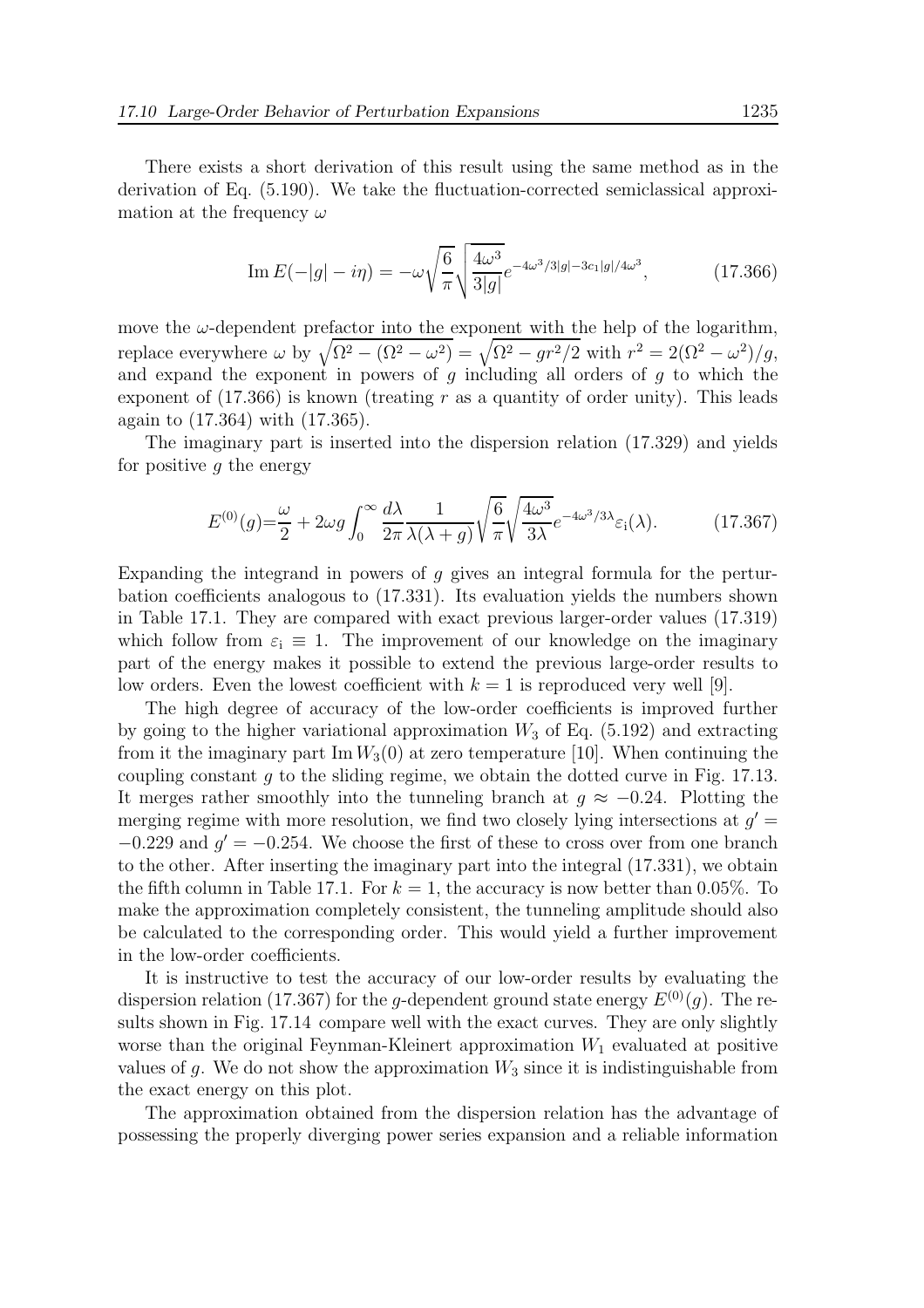There exists a short derivation of this result using the same method as in the derivation of Eq. (5.190). We take the fluctuation-corrected semiclassical approximation at the frequency  $\omega$ 

Im 
$$
E(-|g| - i\eta) = -\omega \sqrt{\frac{6}{\pi}} \sqrt{\frac{4\omega^3}{3|g|}} e^{-4\omega^3/3|g| - 3c_1|g|/4\omega^3}
$$
, (17.366)

move the  $\omega$ -dependent prefactor into the exponent with the help of the logarithm, replace everywhere  $\omega$  by  $\sqrt{\Omega^2 - (\Omega^2 - \omega^2)} = \sqrt{\Omega^2 - gr^2/2}$  with  $r^2 = 2(\Omega^2 - \omega^2)/g$ , and expand the exponent in powers of  $g$  including all orders of  $g$  to which the exponent of  $(17.366)$  is known (treating r as a quantity of order unity). This leads again to (17.364) with (17.365).

The imaginary part is inserted into the dispersion relation (17.329) and yields for positive  $q$  the energy

$$
E^{(0)}(g) = \frac{\omega}{2} + 2\omega g \int_0^\infty \frac{d\lambda}{2\pi} \frac{1}{\lambda(\lambda + g)} \sqrt{\frac{6}{\pi}} \sqrt{\frac{4\omega^3}{3\lambda}} e^{-4\omega^3/3\lambda} \varepsilon_i(\lambda).
$$
 (17.367)

Expanding the integrand in powers of q gives an integral formula for the perturbation coefficients analogous to (17.331). Its evaluation yields the numbers shown in Table 17.1. They are compared with exact previous larger-order values (17.319) which follow from  $\varepsilon_i \equiv 1$ . The improvement of our knowledge on the imaginary part of the energy makes it possible to extend the previous large-order results to low orders. Even the lowest coefficient with  $k = 1$  is reproduced very well [9].

The high degree of accuracy of the low-order coefficients is improved further by going to the higher variational approximation  $W_3$  of Eq. (5.192) and extracting from it the imaginary part Im  $W_3(0)$  at zero temperature [10]. When continuing the coupling constant g to the sliding regime, we obtain the dotted curve in Fig. 17.13. It merges rather smoothly into the tunneling branch at  $g \approx -0.24$ . Plotting the merging regime with more resolution, we find two closely lying intersections at  $g' =$  $-0.229$  and  $g' = -0.254$ . We choose the first of these to cross over from one branch to the other. After inserting the imaginary part into the integral (17.331), we obtain the fifth column in Table 17.1. For  $k = 1$ , the accuracy is now better than 0.05%. To make the approximation completely consistent, the tunneling amplitude should also be calculated to the corresponding order. This would yield a further improvement in the low-order coefficients.

It is instructive to test the accuracy of our low-order results by evaluating the dispersion relation (17.367) for the g-dependent ground state energy  $E^{(0)}(q)$ . The results shown in Fig. 17.14 compare well with the exact curves. They are only slightly worse than the original Feynman-Kleinert approximation  $W_1$  evaluated at positive values of g. We do not show the approximation  $W_3$  since it is indistinguishable from the exact energy on this plot.

The approximation obtained from the dispersion relation has the advantage of possessing the properly diverging power series expansion and a reliable information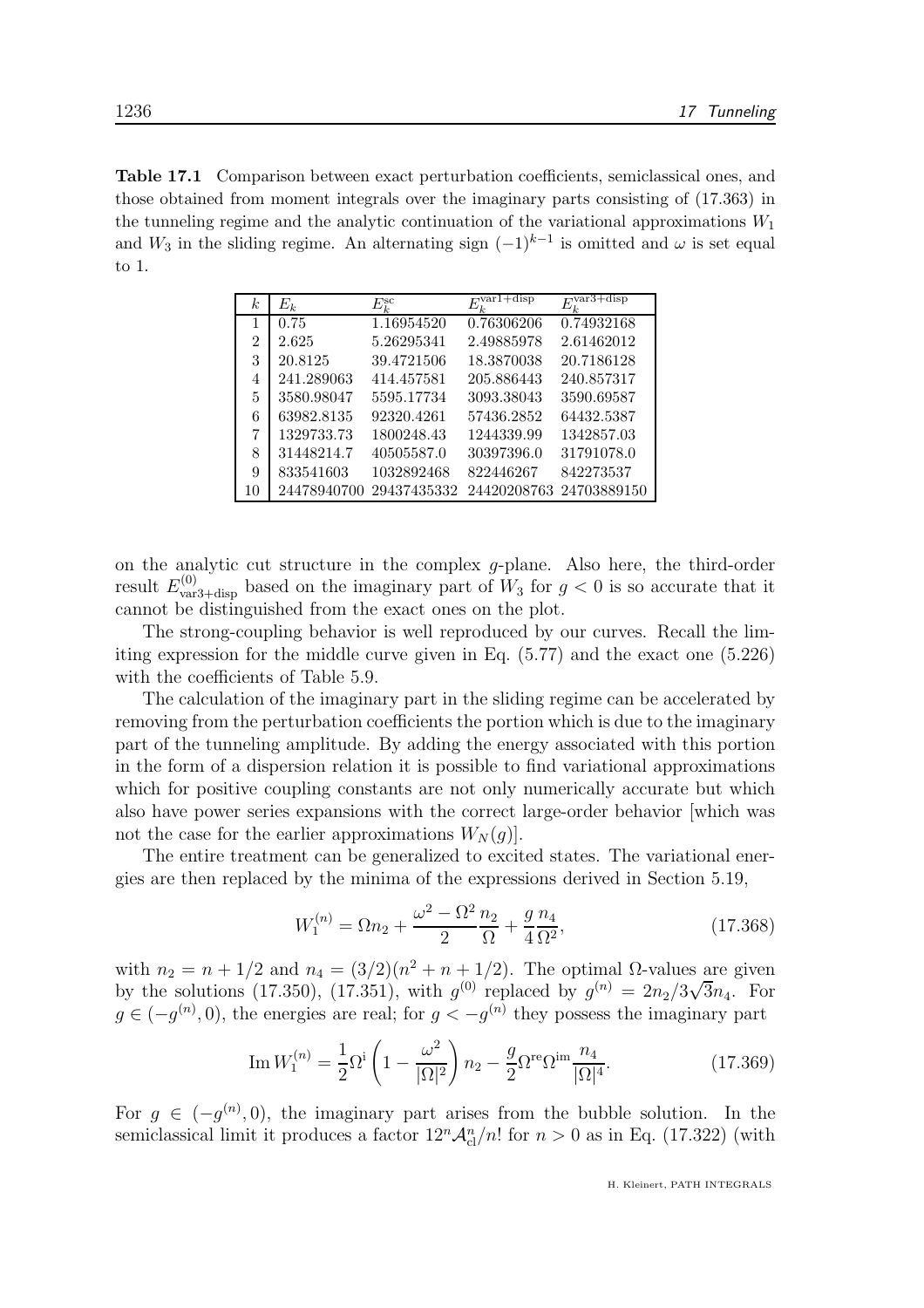Table 17.1 Comparison between exact perturbation coefficients, semiclassical ones, and those obtained from moment integrals over the imaginary parts consisting of (17.363) in the tunneling regime and the analytic continuation of the variational approximations  $W_1$ and  $W_3$  in the sliding regime. An alternating sign  $(-1)^{k-1}$  is omitted and  $\omega$  is set equal to 1.

| $E_k$       | $E_k^{\rm sc}$ |            | +disp                          |
|-------------|----------------|------------|--------------------------------|
| 0.75        | 1.16954520     | 0.76306206 | 0.74932168                     |
| 2.625       | 5.26295341     | 2.49885978 | 2.61462012                     |
| 20.8125     | 39.4721506     | 18.3870038 | 20.7186128                     |
| 241.289063  | 414.457581     | 205.886443 | 240.857317                     |
| 3580.98047  | 5595.17734     | 3093.38043 | 3590.69587                     |
| 63982.8135  | 92320.4261     | 57436.2852 | 64432.5387                     |
| 1329733.73  | 1800248.43     | 1244339.99 | 1342857.03                     |
| 31448214.7  | 40505587.0     | 30397396.0 | 31791078.0                     |
| 833541603   | 1032892468     | 822446267  | 842273537                      |
| 24478940700 | 29437435332    |            | 24420208763 24703889150        |
|             |                |            | $E_{\iota}^{\text{var1+disp}}$ |

on the analytic cut structure in the complex  $q$ -plane. Also here, the third-order result  $E_{\text{var3+disp}}^{(0)}$  based on the imaginary part of  $W_3$  for  $g < 0$  is so accurate that it cannot be distinguished from the exact ones on the plot.

The strong-coupling behavior is well reproduced by our curves. Recall the limiting expression for the middle curve given in Eq. (5.77) and the exact one (5.226) with the coefficients of Table 5.9.

The calculation of the imaginary part in the sliding regime can be accelerated by removing from the perturbation coefficients the portion which is due to the imaginary part of the tunneling amplitude. By adding the energy associated with this portion in the form of a dispersion relation it is possible to find variational approximations which for positive coupling constants are not only numerically accurate but which also have power series expansions with the correct large-order behavior [which was not the case for the earlier approximations  $W_N(g)$ .

The entire treatment can be generalized to excited states. The variational energies are then replaced by the minima of the expressions derived in Section 5.19,

$$
W_1^{(n)} = \Omega n_2 + \frac{\omega^2 - \Omega^2}{2} \frac{n_2}{\Omega} + \frac{g}{4} \frac{n_4}{\Omega^2},\tag{17.368}
$$

with  $n_2 = n + 1/2$  and  $n_4 = (3/2)(n^2 + n + 1/2)$ . The optimal  $\Omega$ -values are given by the solutions (17.350), (17.351), with  $g^{(0)}$  replaced by  $g^{(n)} = 2n_2/3\sqrt{3}n_4$ . For  $g \in (-g^{(n)}, 0)$ , the energies are real; for  $g < -g^{(n)}$  they possess the imaginary part

Im 
$$
W_1^{(n)} = \frac{1}{2} \Omega^i \left( 1 - \frac{\omega^2}{|\Omega|^2} \right) n_2 - \frac{g}{2} \Omega^{re} \Omega^{im} \frac{n_4}{|\Omega|^4}.
$$
 (17.369)

For  $g \in (-g^{(n)}, 0)$ , the imaginary part arises from the bubble solution. In the semiclassical limit it produces a factor  $12^n \mathcal{A}_{\text{cl}}^n/n!$  for  $n > 0$  as in Eq. (17.322) (with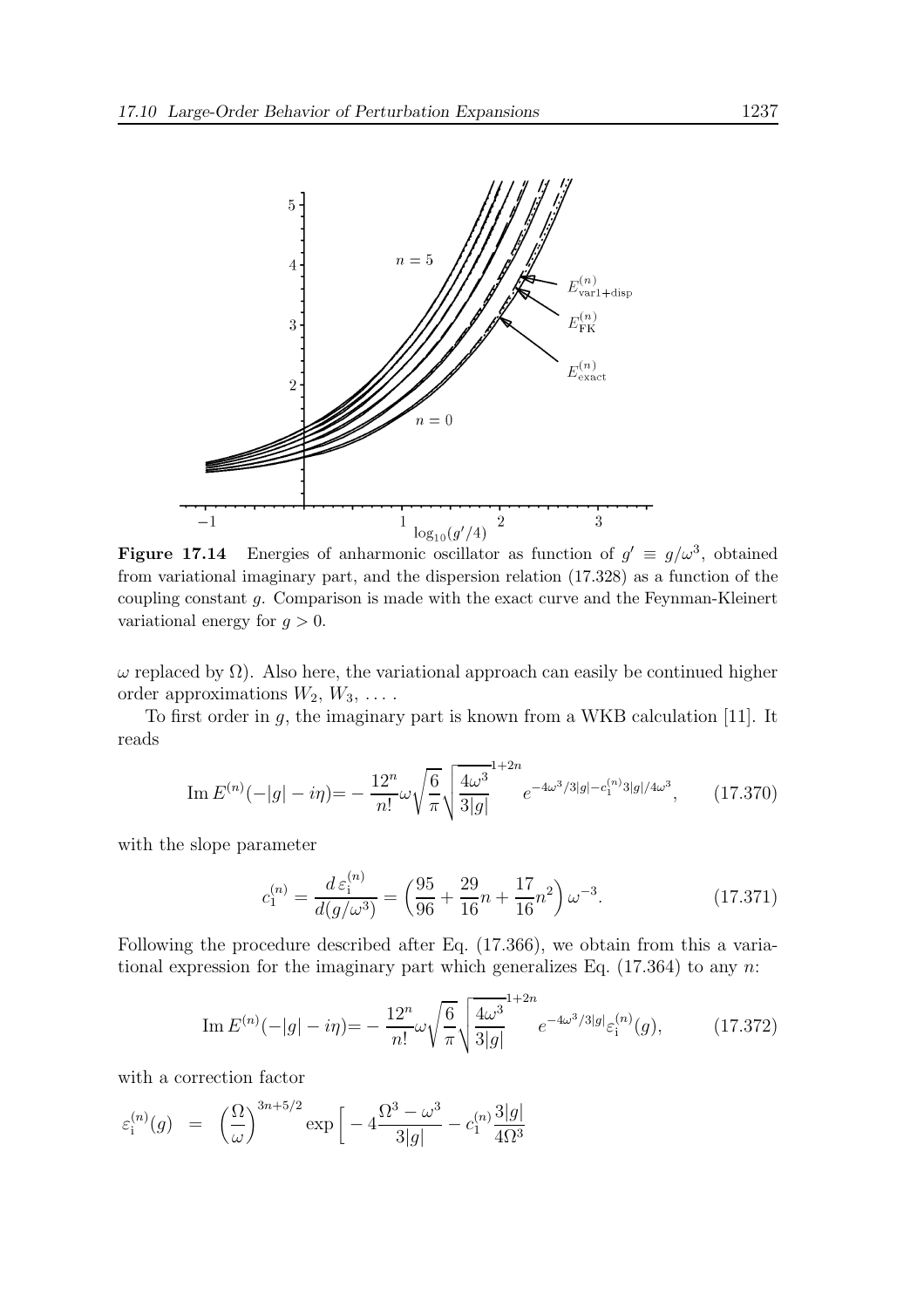

**Figure 17.14** Energies of anharmonic oscillator as function of  $g' \equiv g/\omega^3$ , obtained from variational imaginary part, and the dispersion relation (17.328) as a function of the coupling constant g. Comparison is made with the exact curve and the Feynman-Kleinert variational energy for  $g > 0$ .

 $ω$  replaced by Ω). Also here, the variational approach can easily be continued higher order approximations  $W_2, W_3, \ldots$ .

To first order in  $g$ , the imaginary part is known from a WKB calculation [11]. It reads

Im 
$$
E^{(n)}(-|g| - i\eta) = -\frac{12^n}{n!} \omega \sqrt{\frac{6}{\pi}} \sqrt{\frac{4\omega^3}{3|g|}} e^{-4\omega^3/3|g| - c_1^{(n)}3|g|/4\omega^3}
$$
, (17.370)

with the slope parameter

$$
c_1^{(n)} = \frac{d \,\varepsilon_1^{(n)}}{d(g/\omega^3)} = \left(\frac{95}{96} + \frac{29}{16}n + \frac{17}{16}n^2\right)\omega^{-3}.\tag{17.371}
$$

Following the procedure described after Eq. (17.366), we obtain from this a variational expression for the imaginary part which generalizes Eq.  $(17.364)$  to any n:

Im 
$$
E^{(n)}(-|g| - i\eta) = -\frac{12^n}{n!} \omega \sqrt{\frac{6}{\pi}} \sqrt{\frac{4\omega^3}{3|g|}} e^{-4\omega^3/3|g|} \varepsilon_i^{(n)}(g),
$$
 (17.372)

with a correction factor

$$
\varepsilon_i^{(n)}(g) = \left(\frac{\Omega}{\omega}\right)^{3n+5/2} \exp\left[-4\frac{\Omega^3 - \omega^3}{3|g|} - c_1^{(n)}\frac{3|g|}{4\Omega^3}\right]
$$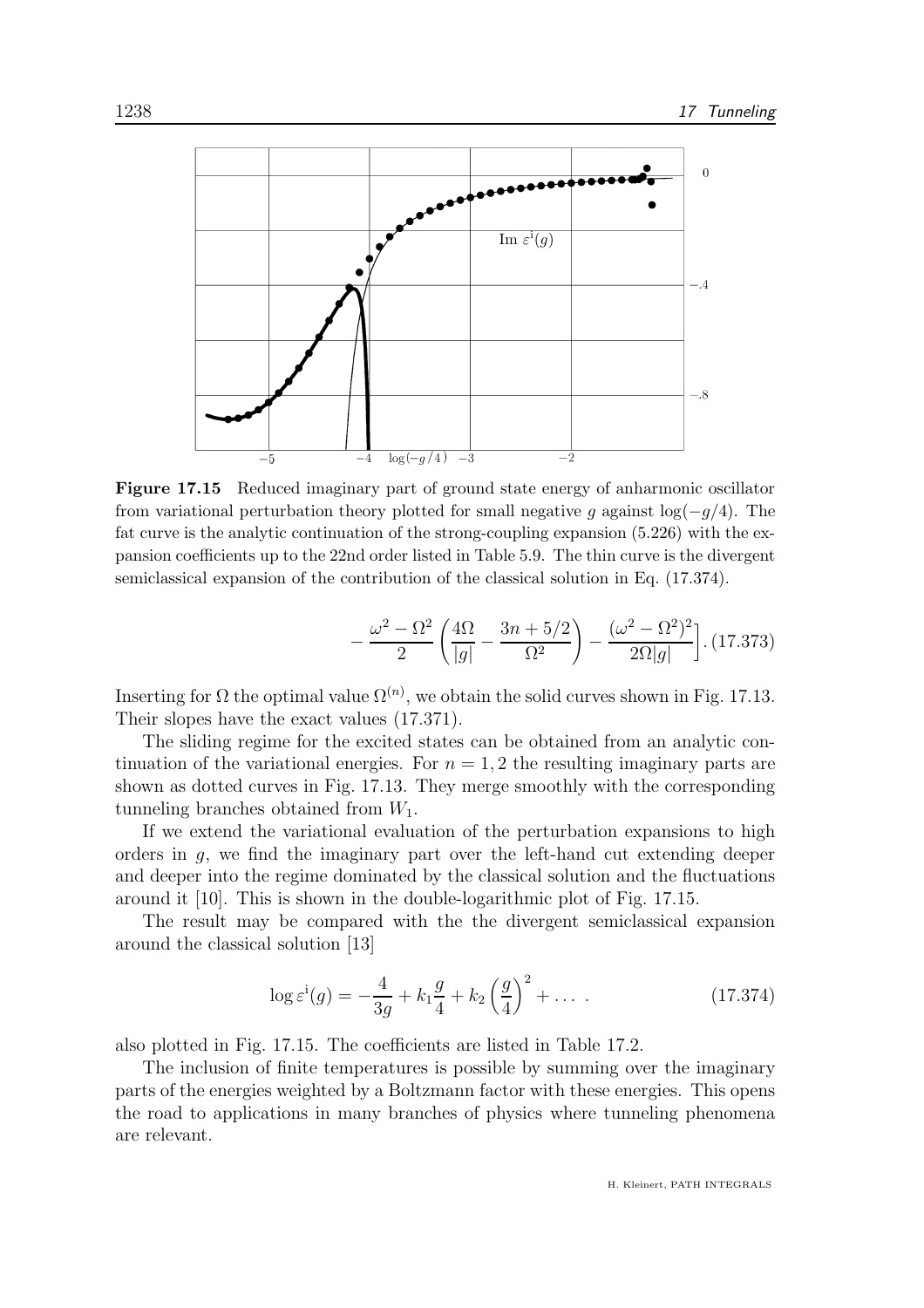

Figure 17.15 Reduced imaginary part of ground state energy of anharmonic oscillator from variational perturbation theory plotted for small negative g against  $log(-g/4)$ . The fat curve is the analytic continuation of the strong-coupling expansion (5.226) with the expansion coefficients up to the 22nd order listed in Table 5.9. The thin curve is the divergent semiclassical expansion of the contribution of the classical solution in Eq. (17.374).

$$
-\frac{\omega^2 - \Omega^2}{2} \left( \frac{4\Omega}{|g|} - \frac{3n + 5/2}{\Omega^2} \right) - \frac{(\omega^2 - \Omega^2)^2}{2\Omega |g|} \,. \,(17.373)
$$

Inserting for  $\Omega$  the optimal value  $\Omega^{(n)}$ , we obtain the solid curves shown in Fig. 17.13. Their slopes have the exact values (17.371).

The sliding regime for the excited states can be obtained from an analytic continuation of the variational energies. For  $n = 1, 2$  the resulting imaginary parts are shown as dotted curves in Fig. 17.13. They merge smoothly with the corresponding tunneling branches obtained from  $W_1$ .

If we extend the variational evaluation of the perturbation expansions to high orders in g, we find the imaginary part over the left-hand cut extending deeper and deeper into the regime dominated by the classical solution and the fluctuations around it [10]. This is shown in the double-logarithmic plot of Fig. 17.15.

The result may be compared with the the divergent semiclassical expansion around the classical solution [13]

$$
\log \varepsilon^{i}(g) = -\frac{4}{3g} + k_1 \frac{g}{4} + k_2 \left(\frac{g}{4}\right)^2 + \dots
$$
 (17.374)

also plotted in Fig. 17.15. The coefficients are listed in Table 17.2.

The inclusion of finite temperatures is possible by summing over the imaginary parts of the energies weighted by a Boltzmann factor with these energies. This opens the road to applications in many branches of physics where tunneling phenomena are relevant.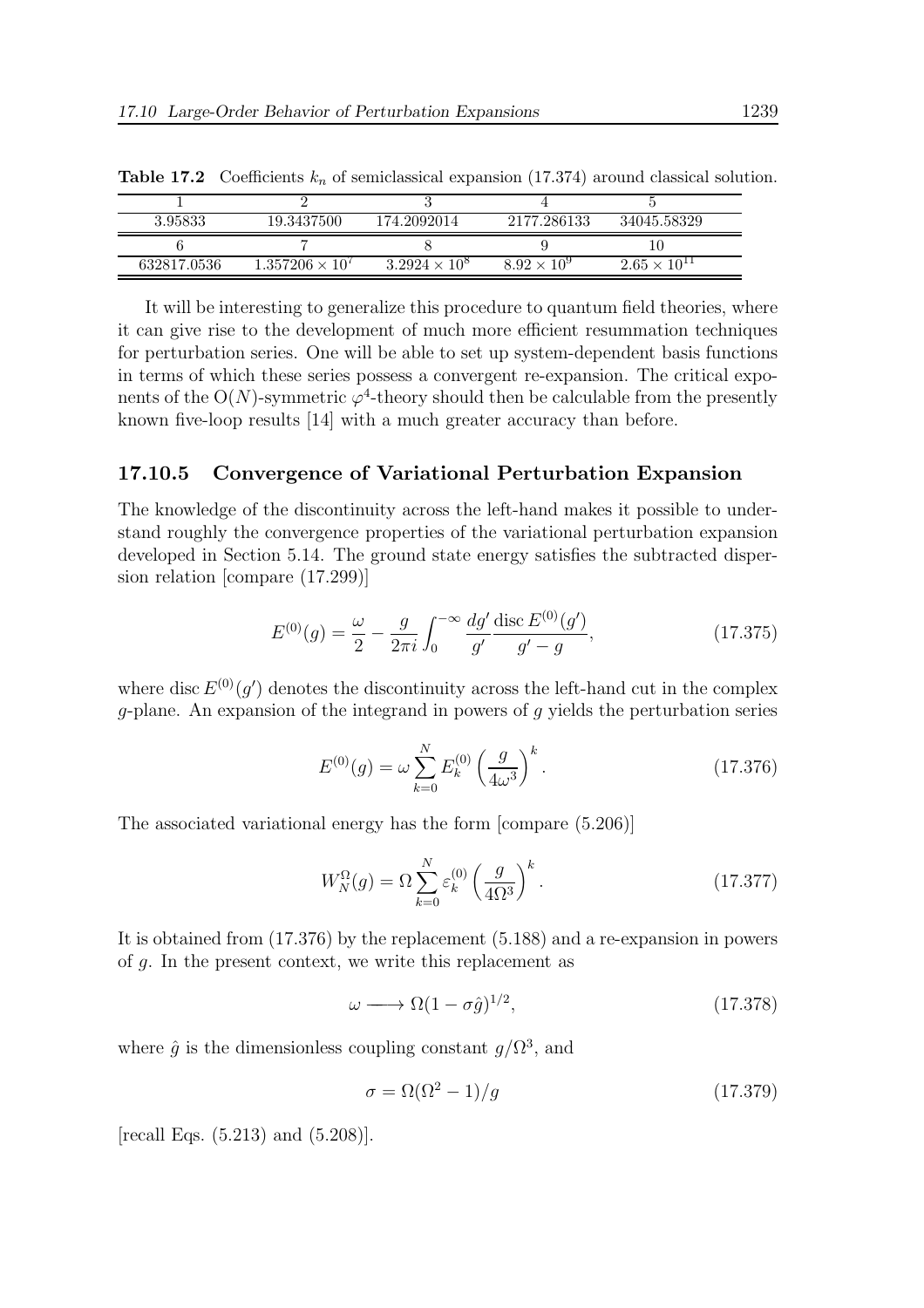| 3.95833     | 19.3437500               | 174.2092014          | 2177.286133          | 34045.58329           |
|-------------|--------------------------|----------------------|----------------------|-----------------------|
|             |                          |                      |                      |                       |
| 632817.0536 | $1.357206 \times 10^{7}$ | $3.2924 \times 10^8$ | $8.92 \times 10^{9}$ | $2.65 \times 10^{11}$ |

**Table 17.2** Coefficients  $k_n$  of semiclassical expansion (17.374) around classical solution.

It will be interesting to generalize this procedure to quantum field theories, where it can give rise to the development of much more efficient resummation techniques for perturbation series. One will be able to set up system-dependent basis functions in terms of which these series possess a convergent re-expansion. The critical exponents of the O(N)-symmetric  $\varphi^4$ -theory should then be calculable from the presently known five-loop results [14] with a much greater accuracy than before.

#### 17.10.5 Convergence of Variational Perturbation Expansion

The knowledge of the discontinuity across the left-hand makes it possible to understand roughly the convergence properties of the variational perturbation expansion developed in Section 5.14. The ground state energy satisfies the subtracted dispersion relation [compare (17.299)]

$$
E^{(0)}(g) = \frac{\omega}{2} - \frac{g}{2\pi i} \int_0^{-\infty} \frac{dg'}{g'} \frac{\text{disc } E^{(0)}(g')}{g' - g},
$$
(17.375)

where disc  $E^{(0)}(g')$  denotes the discontinuity across the left-hand cut in the complex g-plane. An expansion of the integrand in powers of g yields the perturbation series

$$
E^{(0)}(g) = \omega \sum_{k=0}^{N} E_k^{(0)} \left(\frac{g}{4\omega^3}\right)^k.
$$
 (17.376)

The associated variational energy has the form [compare (5.206)]

$$
W_N^{\Omega}(g) = \Omega \sum_{k=0}^N \varepsilon_k^{(0)} \left(\frac{g}{4\Omega^3}\right)^k.
$$
 (17.377)

It is obtained from (17.376) by the replacement (5.188) and a re-expansion in powers of g. In the present context, we write this replacement as

$$
\omega \longrightarrow \Omega(1 - \sigma \hat{g})^{1/2},\tag{17.378}
$$

where  $\hat{g}$  is the dimensionless coupling constant  $g/\Omega^3$ , and

$$
\sigma = \Omega(\Omega^2 - 1)/g \tag{17.379}
$$

[recall Eqs. (5.213) and (5.208)].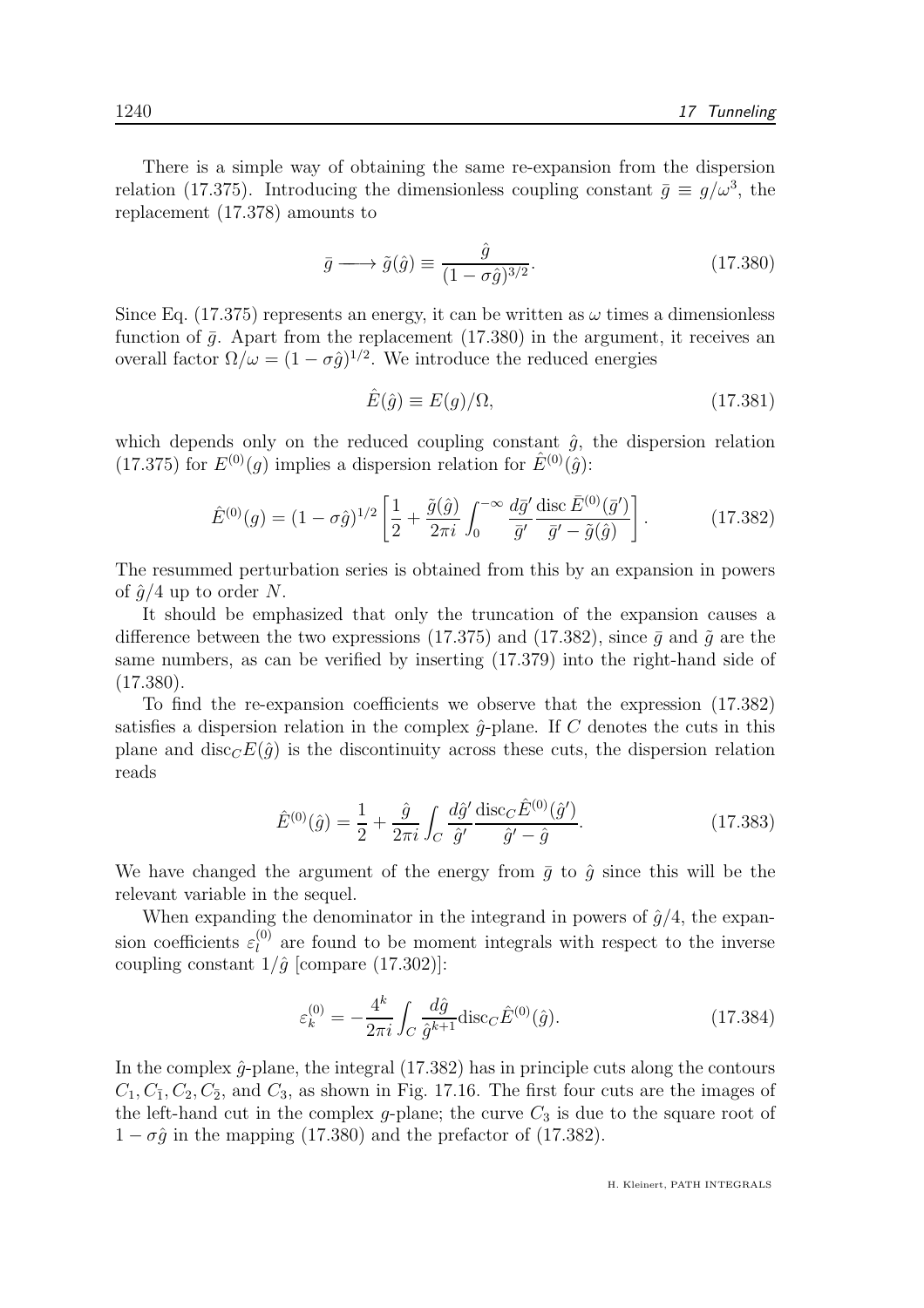There is a simple way of obtaining the same re-expansion from the dispersion relation (17.375). Introducing the dimensionless coupling constant  $\bar{g} \equiv g/\omega^3$ , the replacement (17.378) amounts to

$$
\bar{g} \longrightarrow \tilde{g}(\hat{g}) \equiv \frac{\hat{g}}{(1 - \sigma \hat{g})^{3/2}}.
$$
\n(17.380)

Since Eq. (17.375) represents an energy, it can be written as  $\omega$  times a dimensionless function of  $\bar{q}$ . Apart from the replacement (17.380) in the argument, it receives an overall factor  $\Omega/\omega = (1 - \sigma \hat{g})^{1/2}$ . We introduce the reduced energies

$$
\hat{E}(\hat{g}) \equiv E(g)/\Omega, \tag{17.381}
$$

which depends only on the reduced coupling constant  $\hat{g}$ , the dispersion relation (17.375) for  $E^{(0)}(q)$  implies a dispersion relation for  $\hat{E}^{(0)}(\hat{q})$ :

$$
\hat{E}^{(0)}(g) = (1 - \sigma \hat{g})^{1/2} \left[ \frac{1}{2} + \frac{\tilde{g}(\hat{g})}{2\pi i} \int_0^{-\infty} \frac{d\bar{g}'}{\bar{g}'} \frac{\text{disc } \bar{E}^{(0)}(\bar{g}')}{\bar{g}' - \tilde{g}(\hat{g})} \right].
$$
\n(17.382)

The resummed perturbation series is obtained from this by an expansion in powers of  $\hat{q}/4$  up to order N.

It should be emphasized that only the truncation of the expansion causes a difference between the two expressions (17.375) and (17.382), since  $\bar{q}$  and  $\tilde{q}$  are the same numbers, as can be verified by inserting (17.379) into the right-hand side of (17.380).

To find the re-expansion coefficients we observe that the expression (17.382) satisfies a dispersion relation in the complex  $\hat{q}$ -plane. If C denotes the cuts in this plane and  $\text{disc}_C E(\hat{g})$  is the discontinuity across these cuts, the dispersion relation reads

$$
\hat{E}^{(0)}(\hat{g}) = \frac{1}{2} + \frac{\hat{g}}{2\pi i} \int_C \frac{d\hat{g}'}{\hat{g}'} \frac{\text{disc}_C \hat{E}^{(0)}(\hat{g}')}{\hat{g}' - \hat{g}}.
$$
\n(17.383)

We have changed the argument of the energy from  $\bar{g}$  to  $\hat{g}$  since this will be the relevant variable in the sequel.

When expanding the denominator in the integrand in powers of  $\hat{g}/4$ , the expansion coefficients  $\varepsilon_l^{(0)}$  $\ell_l^{(0)}$  are found to be moment integrals with respect to the inverse coupling constant  $1/\hat{g}$  [compare (17.302)]:

$$
\varepsilon_k^{(0)} = -\frac{4^k}{2\pi i} \int_C \frac{d\hat{g}}{\hat{g}^{k+1}} \text{disc}_C \hat{E}^{(0)}(\hat{g}). \tag{17.384}
$$

In the complex  $\hat{q}$ -plane, the integral (17.382) has in principle cuts along the contours  $C_1, C_{\bar{1}}, C_2, C_{\bar{2}},$  and  $C_3$ , as shown in Fig. 17.16. The first four cuts are the images of the left-hand cut in the complex g-plane; the curve  $C_3$  is due to the square root of  $1 - \sigma \hat{g}$  in the mapping (17.380) and the prefactor of (17.382).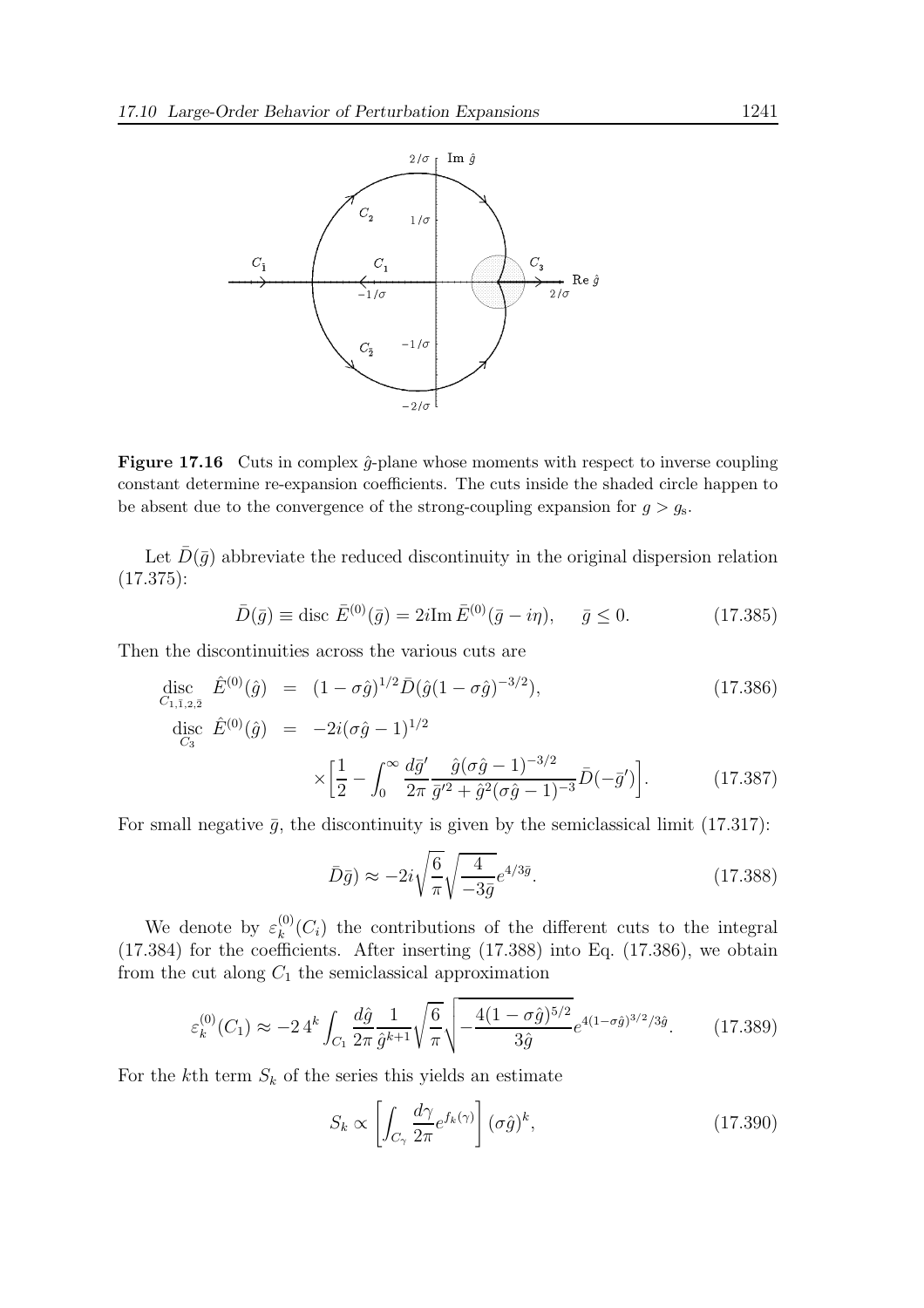

**Figure 17.16** Cuts in complex  $\hat{g}$ -plane whose moments with respect to inverse coupling constant determine re-expansion coefficients. The cuts inside the shaded circle happen to be absent due to the convergence of the strong-coupling expansion for  $g > g<sub>s</sub>$ .

Let  $\bar{D}(\bar{q})$  abbreviate the reduced discontinuity in the original dispersion relation (17.375):

$$
\bar{D}(\bar{g}) \equiv \text{disc } \bar{E}^{(0)}(\bar{g}) = 2i \text{Im } \bar{E}^{(0)}(\bar{g} - i\eta), \quad \bar{g} \le 0. \tag{17.385}
$$

Then the discontinuities across the various cuts are

$$
\begin{aligned}\n\text{disc}_{C_{1,\bar{1},2,\bar{2}}} \hat{E}^{(0)}(\hat{g}) &= (1 - \sigma \hat{g})^{1/2} \bar{D}(\hat{g}(1 - \sigma \hat{g})^{-3/2}), \\
\text{disc}_{C_3} \hat{E}^{(0)}(\hat{g}) &= -2i(\sigma \hat{g} - 1)^{1/2} \\
&\times \left[ \frac{1}{2} - \int_0^\infty \frac{d\bar{g}'}{2\pi} \frac{\hat{g}(\sigma \hat{g} - 1)^{-3/2}}{\bar{g}'^2 + \hat{g}^2(\sigma \hat{g} - 1)^{-3}} \bar{D}(-\bar{g}') \right].\n\end{aligned} \tag{17.386}
$$

For small negative  $\bar{g}$ , the discontinuity is given by the semiclassical limit (17.317):

$$
\bar{D}\bar{g}) \approx -2i\sqrt{\frac{6}{\pi}}\sqrt{\frac{4}{-3\bar{g}}}e^{4/3\bar{g}}.\tag{17.388}
$$

We denote by  $\varepsilon_k^{(0)}$  $k^{(0)}(C_i)$  the contributions of the different cuts to the integral (17.384) for the coefficients. After inserting (17.388) into Eq. (17.386), we obtain from the cut along  $C_1$  the semiclassical approximation

$$
\varepsilon_k^{(0)}(C_1) \approx -24^k \int_{C_1} \frac{d\hat{g}}{2\pi} \frac{1}{\hat{g}^{k+1}} \sqrt{\frac{6}{\pi}} \sqrt{-\frac{4(1-\sigma\hat{g})^{5/2}}{3\hat{g}}} e^{4(1-\sigma\hat{g})^{3/2}/3\hat{g}}.
$$
 (17.389)

For the kth term  $S_k$  of the series this yields an estimate

$$
S_k \propto \left[ \int_{C_\gamma} \frac{d\gamma}{2\pi} e^{f_k(\gamma)} \right] (\sigma \hat{g})^k, \tag{17.390}
$$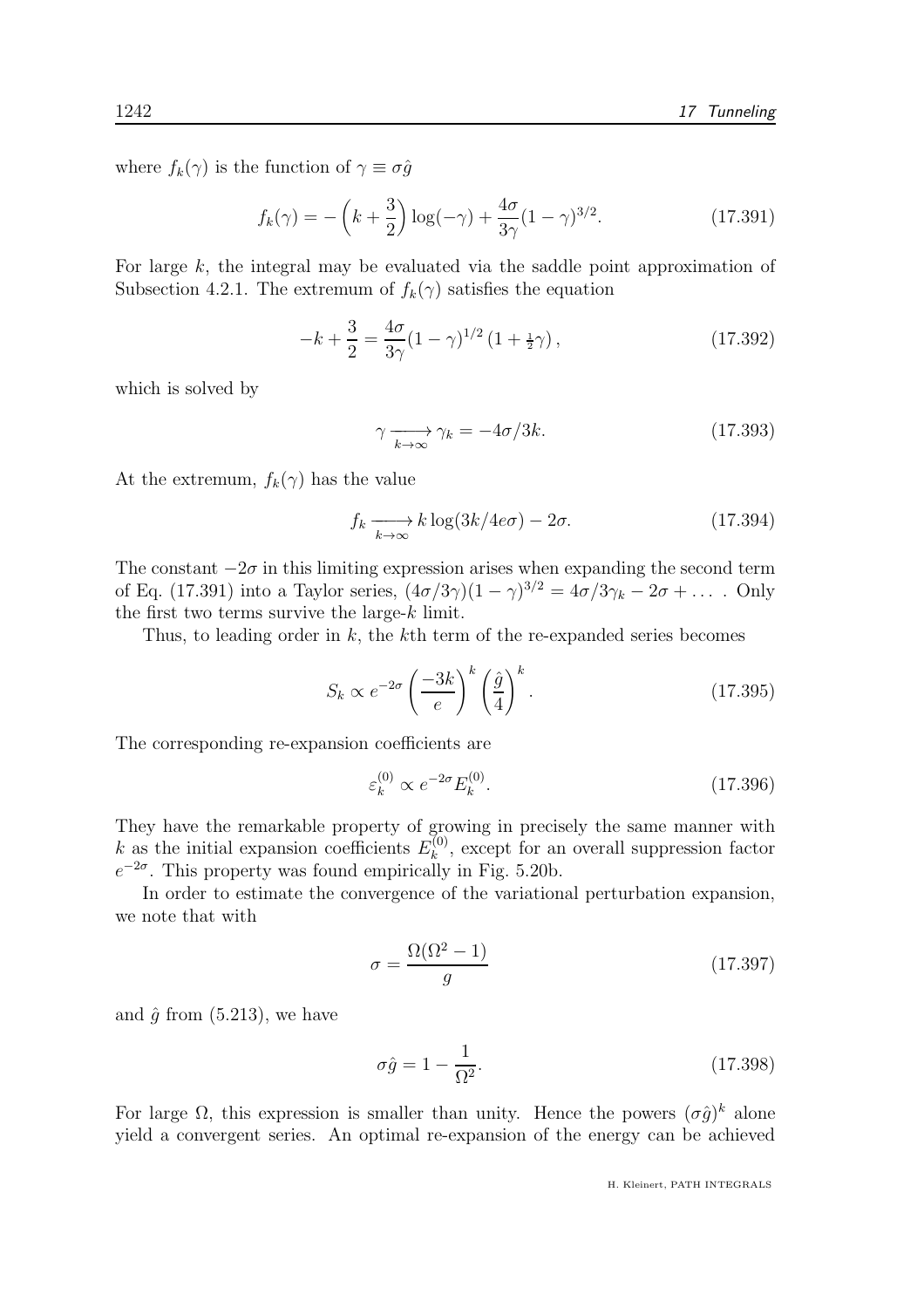where  $f_k(\gamma)$  is the function of  $\gamma \equiv \sigma \hat{g}$ 

$$
f_k(\gamma) = -\left(k + \frac{3}{2}\right)\log(-\gamma) + \frac{4\sigma}{3\gamma}(1 - \gamma)^{3/2}.
$$
 (17.391)

For large  $k$ , the integral may be evaluated via the saddle point approximation of Subsection 4.2.1. The extremum of  $f_k(\gamma)$  satisfies the equation

$$
-k + \frac{3}{2} = \frac{4\sigma}{3\gamma} (1 - \gamma)^{1/2} (1 + \frac{1}{2}\gamma), \qquad (17.392)
$$

which is solved by

$$
\gamma \xrightarrow[k \to \infty]{} \gamma_k = -4\sigma/3k. \tag{17.393}
$$

At the extremum,  $f_k(\gamma)$  has the value

$$
f_k \xrightarrow[k \to \infty]{} k \log(3k/4e\sigma) - 2\sigma. \tag{17.394}
$$

The constant  $-2\sigma$  in this limiting expression arises when expanding the second term of Eq. (17.391) into a Taylor series,  $(4\sigma/3\gamma)(1-\gamma)^{3/2} = 4\sigma/3\gamma_k - 2\sigma + \dots$ . Only the first two terms survive the large- $k$  limit.

Thus, to leading order in  $k$ , the  $k$ <sup>th</sup> term of the re-expanded series becomes

$$
S_k \propto e^{-2\sigma} \left(\frac{-3k}{e}\right)^k \left(\frac{\hat{g}}{4}\right)^k.
$$
 (17.395)

The corresponding re-expansion coefficients are

$$
\varepsilon_k^{(0)} \propto e^{-2\sigma} E_k^{(0)}.\tag{17.396}
$$

They have the remarkable property of growing in precisely the same manner with k as the initial expansion coefficients  $E_k^{(0)}$  $\kappa^{(0)}$ , except for an overall suppression factor  $e^{-2\sigma}$ . This property was found empirically in Fig. 5.20b.

In order to estimate the convergence of the variational perturbation expansion, we note that with

$$
\sigma = \frac{\Omega(\Omega^2 - 1)}{g} \tag{17.397}
$$

and  $\hat{q}$  from (5.213), we have

$$
\sigma \hat{g} = 1 - \frac{1}{\Omega^2}.\tag{17.398}
$$

For large  $\Omega$ , this expression is smaller than unity. Hence the powers  $(\sigma \hat{g})^k$  alone yield a convergent series. An optimal re-expansion of the energy can be achieved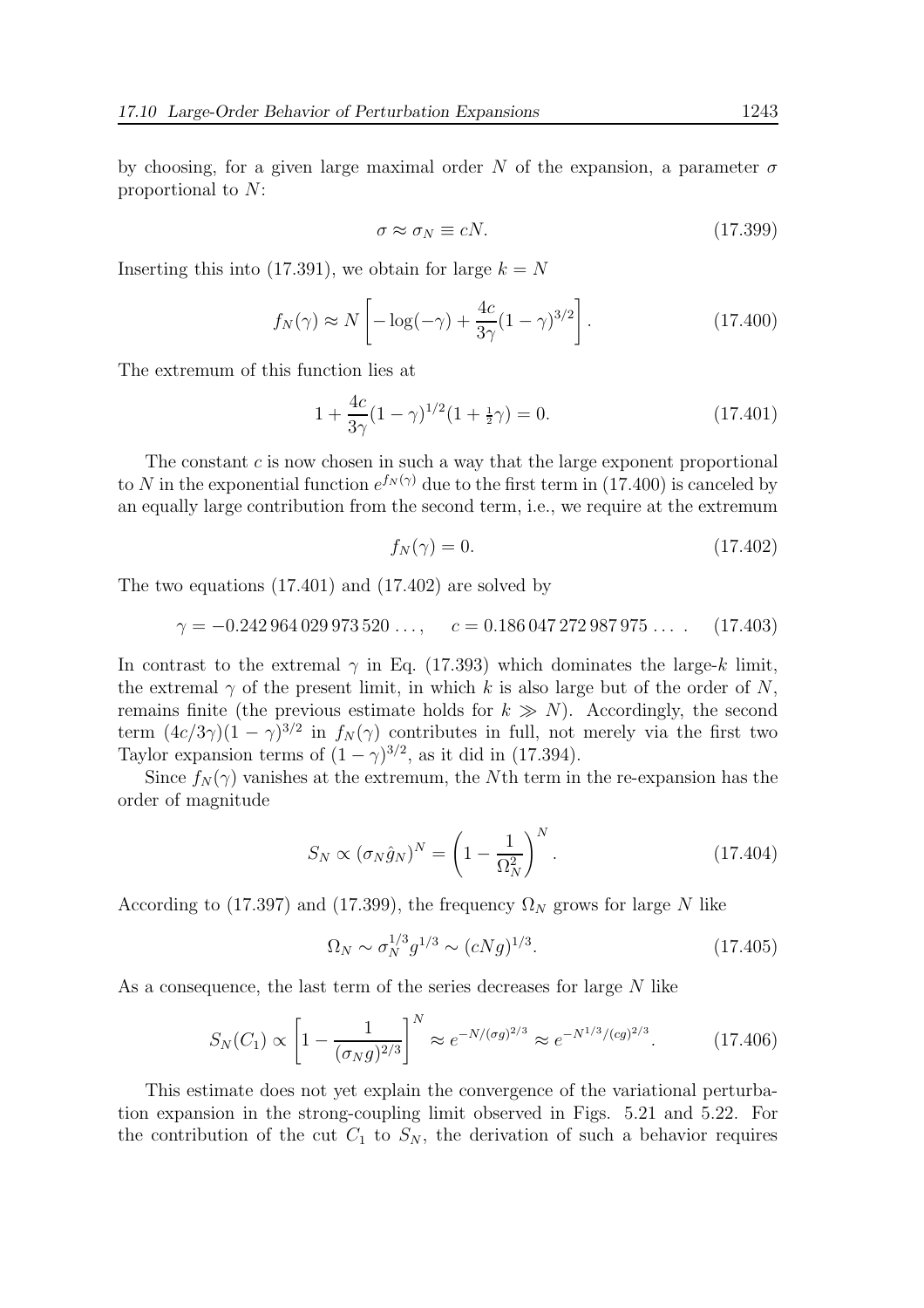by choosing, for a given large maximal order N of the expansion, a parameter  $\sigma$ proportional to N:

$$
\sigma \approx \sigma_N \equiv cN. \tag{17.399}
$$

Inserting this into (17.391), we obtain for large  $k = N$ 

$$
f_N(\gamma) \approx N \left[ -\log(-\gamma) + \frac{4c}{3\gamma} (1 - \gamma)^{3/2} \right].
$$
 (17.400)

The extremum of this function lies at

$$
1 + \frac{4c}{3\gamma}(1 - \gamma)^{1/2}(1 + \frac{1}{2}\gamma) = 0.
$$
 (17.401)

The constant  $c$  is now chosen in such a way that the large exponent proportional to N in the exponential function  $e^{f_N(\gamma)}$  due to the first term in (17.400) is canceled by an equally large contribution from the second term, i.e., we require at the extremum

$$
f_N(\gamma) = 0.\tag{17.402}
$$

The two equations (17.401) and (17.402) are solved by

$$
\gamma = -0.242\,964\,029\,973\,520\,\ldots,\qquad c = 0.186\,047\,272\,987\,975\,\ldots\,\tag{17.403}
$$

In contrast to the extremal  $\gamma$  in Eq. (17.393) which dominates the large-k limit, the extremal  $\gamma$  of the present limit, in which k is also large but of the order of N, remains finite (the previous estimate holds for  $k \gg N$ ). Accordingly, the second term  $(4c/3\gamma)(1-\gamma)^{3/2}$  in  $f_N(\gamma)$  contributes in full, not merely via the first two Taylor expansion terms of  $(1 - \gamma)^{3/2}$ , as it did in (17.394).

Since  $f_N(\gamma)$  vanishes at the extremum, the Nth term in the re-expansion has the order of magnitude

$$
S_N \propto (\sigma_N \hat{g}_N)^N = \left(1 - \frac{1}{\Omega_N^2}\right)^N.
$$
\n(17.404)

According to (17.397) and (17.399), the frequency  $\Omega_N$  grows for large N like

$$
\Omega_N \sim \sigma_N^{1/3} g^{1/3} \sim (cNg)^{1/3}.
$$
\n(17.405)

As a consequence, the last term of the series decreases for large N like

$$
S_N(C_1) \propto \left[1 - \frac{1}{(\sigma_N g)^{2/3}}\right]^N \approx e^{-N/(\sigma g)^{2/3}} \approx e^{-N^{1/3}/(cg)^{2/3}}.\tag{17.406}
$$

This estimate does not yet explain the convergence of the variational perturbation expansion in the strong-coupling limit observed in Figs. 5.21 and 5.22. For the contribution of the cut  $C_1$  to  $S_N$ , the derivation of such a behavior requires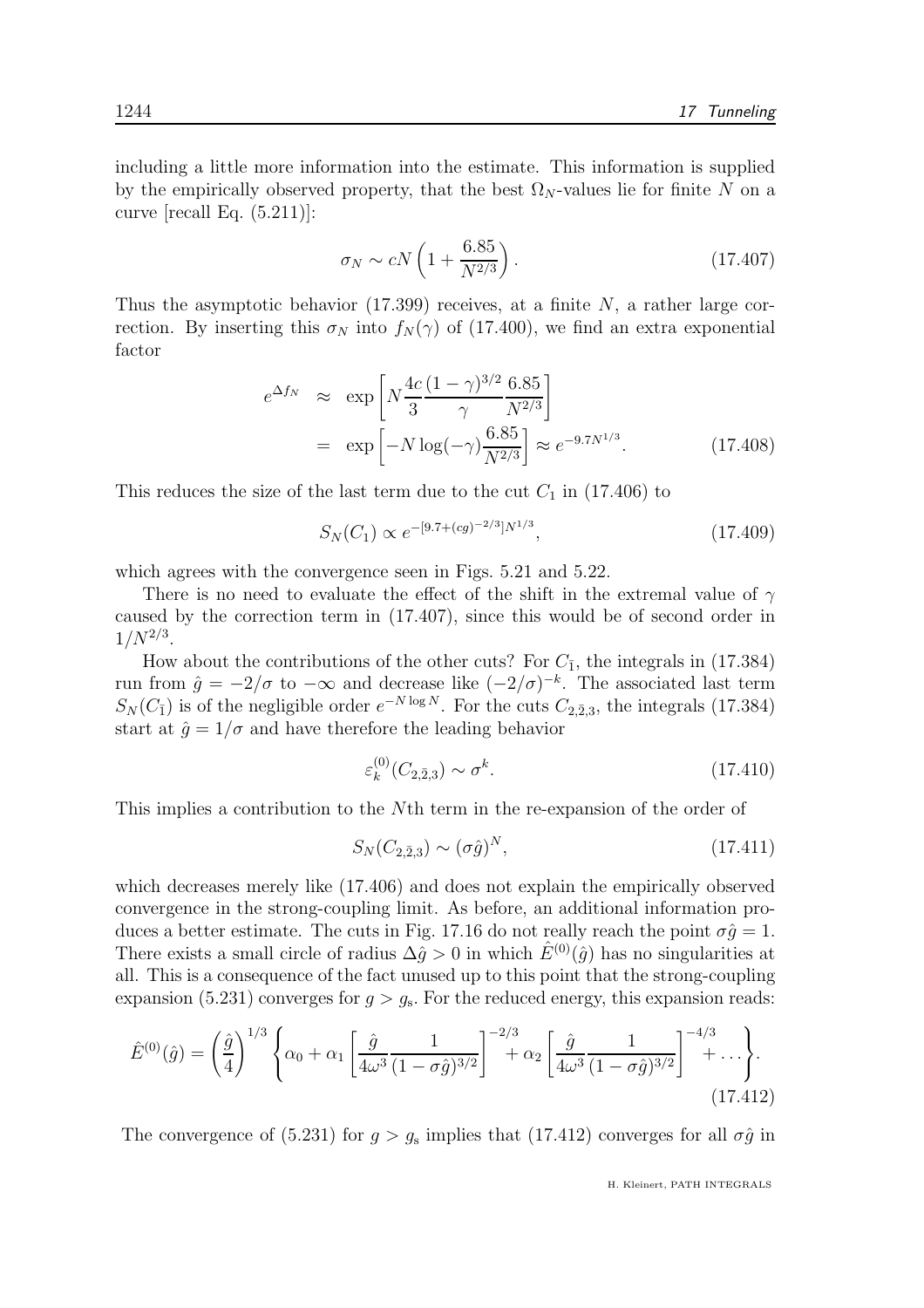including a little more information into the estimate. This information is supplied by the empirically observed property, that the best  $\Omega_N$ -values lie for finite N on a curve  $[recall Eq. (5.211)]$ :

$$
\sigma_N \sim cN\left(1 + \frac{6.85}{N^{2/3}}\right). \tag{17.407}
$$

Thus the asymptotic behavior  $(17.399)$  receives, at a finite N, a rather large correction. By inserting this  $\sigma_N$  into  $f_N(\gamma)$  of (17.400), we find an extra exponential factor

$$
e^{\Delta f_N} \approx \exp\left[N\frac{4c}{3}\frac{(1-\gamma)^{3/2}}{\gamma}\frac{6.85}{N^{2/3}}\right]
$$
  
=  $\exp\left[-N\log(-\gamma)\frac{6.85}{N^{2/3}}\right] \approx e^{-9.7N^{1/3}}.$  (17.408)

This reduces the size of the last term due to the cut  $C_1$  in (17.406) to

$$
S_N(C_1) \propto e^{-[9.7 + (cg)^{-2/3}]N^{1/3}},\tag{17.409}
$$

which agrees with the convergence seen in Figs. 5.21 and 5.22.

There is no need to evaluate the effect of the shift in the extremal value of  $\gamma$ caused by the correction term in (17.407), since this would be of second order in  $1/N^{2/3}$ .

How about the contributions of the other cuts? For  $C_{\bar{1}}$ , the integrals in (17.384) run from  $\hat{g} = -2/\sigma$  to  $-\infty$  and decrease like  $(-2/\sigma)^{-k}$ . The associated last term  $S_N(C_{\bar{1}})$  is of the negligible order  $e^{-N \log N}$ . For the cuts  $C_{2,\bar{2},3}$ , the integrals (17.384) start at  $\hat{g} = 1/\sigma$  and have therefore the leading behavior

$$
\varepsilon_k^{(0)}(C_{2,\bar{2},3}) \sim \sigma^k. \tag{17.410}
$$

This implies a contribution to the Nth term in the re-expansion of the order of

$$
S_N(C_{2,\bar{2},3}) \sim (\sigma \hat{g})^N, \tag{17.411}
$$

which decreases merely like (17.406) and does not explain the empirically observed convergence in the strong-coupling limit. As before, an additional information produces a better estimate. The cuts in Fig. 17.16 do not really reach the point  $\sigma \hat{q} = 1$ . There exists a small circle of radius  $\Delta \hat{g} > 0$  in which  $\hat{E}^{(0)}(\hat{g})$  has no singularities at all. This is a consequence of the fact unused up to this point that the strong-coupling expansion (5.231) converges for  $g > g_s$ . For the reduced energy, this expansion reads:

$$
\hat{E}^{(0)}(\hat{g}) = \left(\frac{\hat{g}}{4}\right)^{1/3} \left\{\alpha_0 + \alpha_1 \left[\frac{\hat{g}}{4\omega^3} \frac{1}{(1-\sigma\hat{g})^{3/2}}\right]^{-2/3} + \alpha_2 \left[\frac{\hat{g}}{4\omega^3} \frac{1}{(1-\sigma\hat{g})^{3/2}}\right]^{-4/3} + \dots\right\}.
$$
\n(17.412)

The convergence of (5.231) for  $g > g_s$  implies that (17.412) converges for all  $\sigma \hat{g}$  in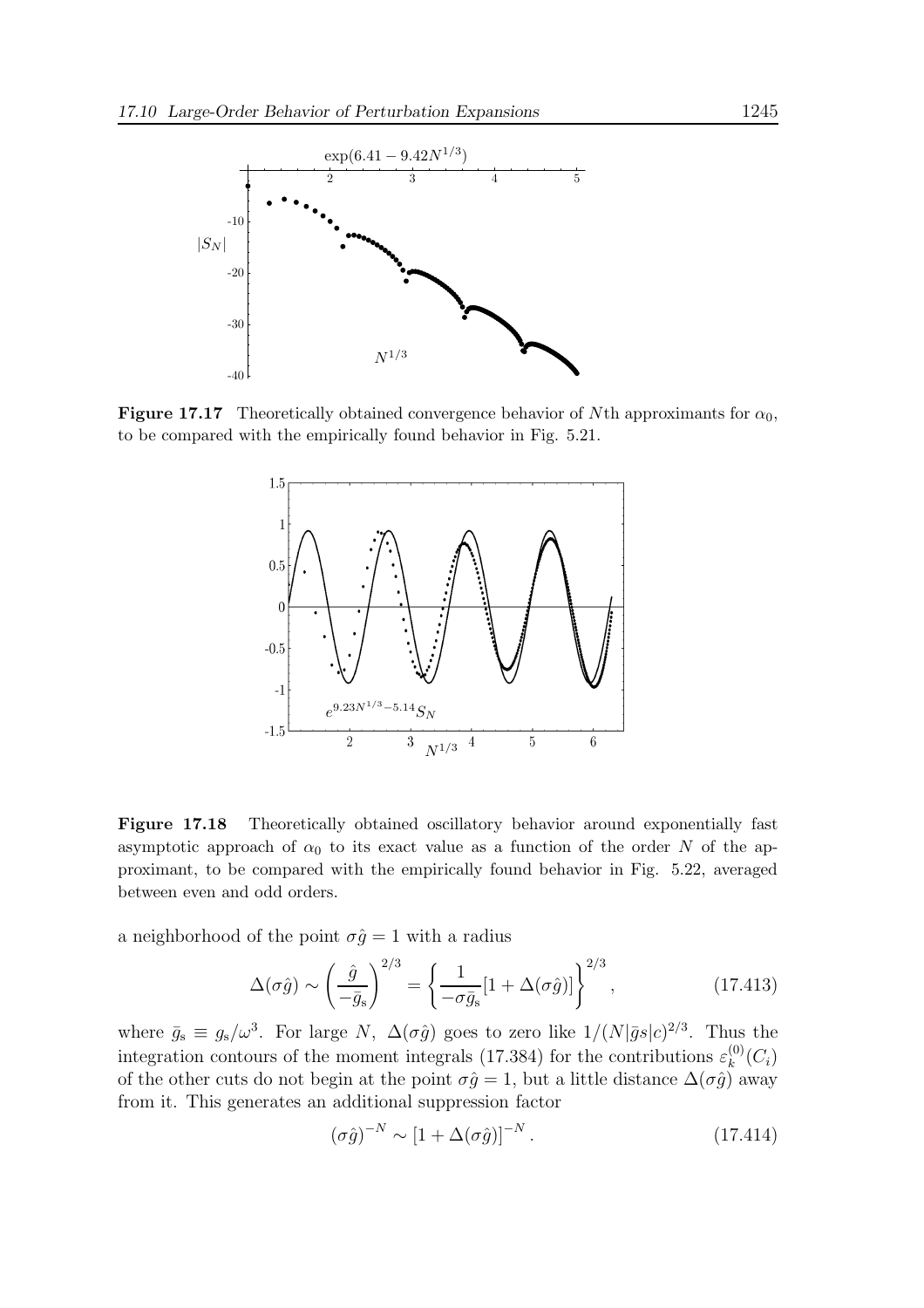

**Figure 17.17** Theoretically obtained convergence behavior of Nth approximants for  $\alpha_0$ , to be compared with the empirically found behavior in Fig. 5.21.



Figure 17.18 Theoretically obtained oscillatory behavior around exponentially fast asymptotic approach of  $\alpha_0$  to its exact value as a function of the order N of the approximant, to be compared with the empirically found behavior in Fig. 5.22, averaged between even and odd orders.

a neighborhood of the point  $\sigma \hat{g} = 1$  with a radius

$$
\Delta(\sigma \hat{g}) \sim \left(\frac{\hat{g}}{-\bar{g}_s}\right)^{2/3} = \left\{\frac{1}{-\sigma \bar{g}_s} [1 + \Delta(\sigma \hat{g})] \right\}^{2/3},\tag{17.413}
$$

where  $\bar{g}_s \equiv g_s/\omega^3$ . For large N,  $\Delta(\sigma \hat{g})$  goes to zero like  $1/(N|\bar{g}s|c)^{2/3}$ . Thus the integration contours of the moment integrals (17.384) for the contributions  $\varepsilon_k^{(0)}$  $_{k}^{\left( 0\right) }\left( C_{i}\right)$ of the other cuts do not begin at the point  $\sigma \hat{g} = 1$ , but a little distance  $\Delta(\sigma \hat{g})$  away from it. This generates an additional suppression factor

$$
(\sigma \hat{g})^{-N} \sim \left[1 + \Delta(\sigma \hat{g})\right]^{-N}.\tag{17.414}
$$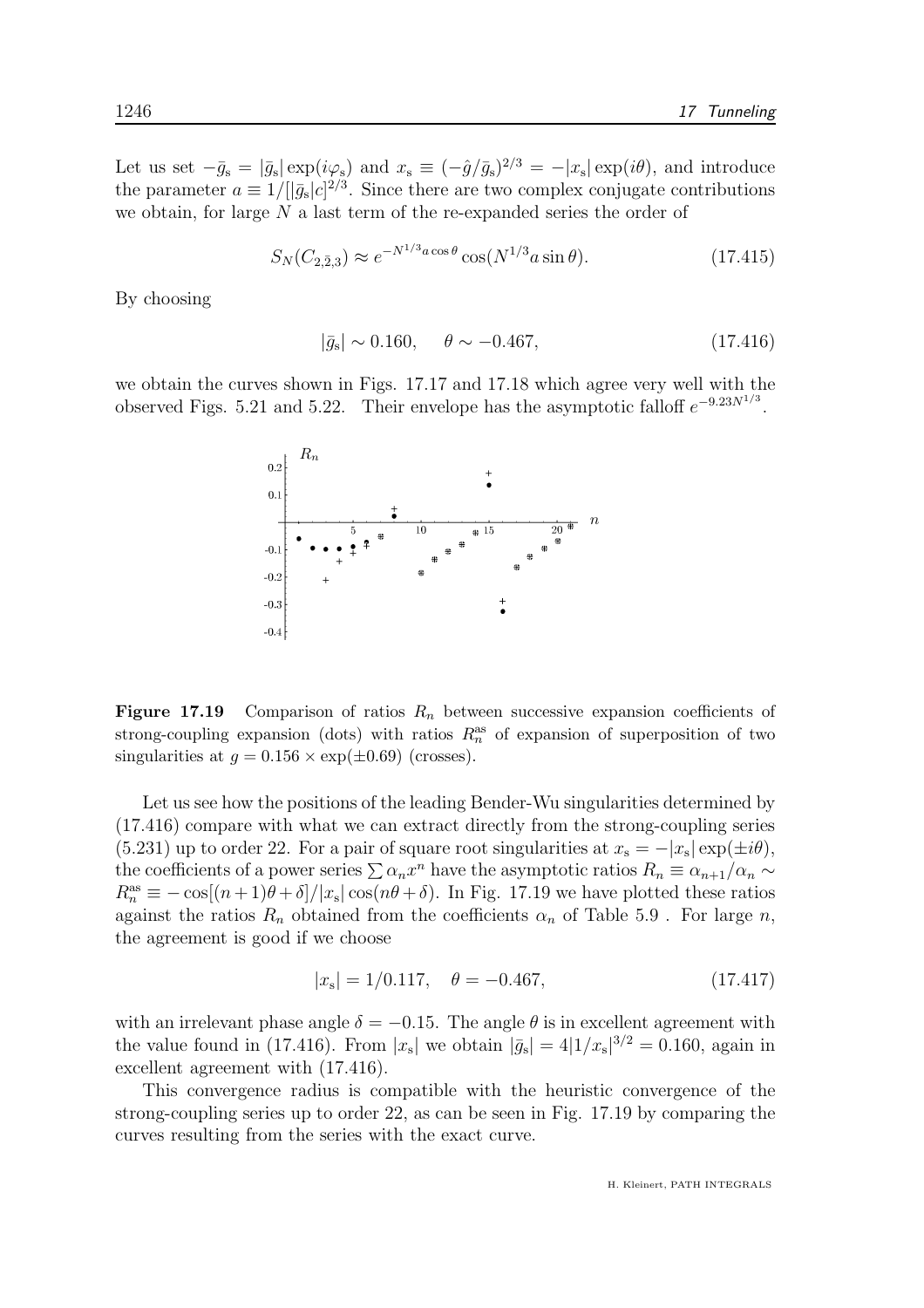Let us set  $-\bar{g}_s = |\bar{g}_s| \exp(i\varphi_s)$  and  $x_s \equiv (-\hat{g}/\bar{g}_s)^{2/3} = -|x_s| \exp(i\theta)$ , and introduce the parameter  $a \equiv 1/[[\bar{g}_s|c]^{2/3}$ . Since there are two complex conjugate contributions we obtain, for large  $N$  a last term of the re-expanded series the order of

$$
S_N(C_{2,\bar{2},3}) \approx e^{-N^{1/3}a\cos\theta} \cos(N^{1/3}a\sin\theta). \tag{17.415}
$$

By choosing

$$
|\bar{g}_s| \sim 0.160, \quad \theta \sim -0.467, \tag{17.416}
$$

we obtain the curves shown in Figs. 17.17 and 17.18 which agree very well with the observed Figs. 5.21 and 5.22. Their envelope has the asymptotic falloff  $e^{-9.23N^{1/3}}$ .



**Figure 17.19** Comparison of ratios  $R_n$  between successive expansion coefficients of strong-coupling expansion (dots) with ratios  $R_n^{\text{as}}$  of expansion of superposition of two singularities at  $q = 0.156 \times \exp(\pm 0.69)$  (crosses).

Let us see how the positions of the leading Bender-Wu singularities determined by (17.416) compare with what we can extract directly from the strong-coupling series (5.231) up to order 22. For a pair of square root singularities at  $x_s = -|x_s| \exp(\pm i\theta)$ , the coefficients of a power series  $\sum \alpha_n x^n$  have the asymptotic ratios  $R_n \equiv \alpha_{n+1}/\alpha_n \sim$  $R_n^{\text{as}} \equiv -\cos[(n+1)\theta + \delta]/|x_{\text{s}}|\cos(n\theta + \delta)$ . In Fig. 17.19 we have plotted these ratios against the ratios  $R_n$  obtained from the coefficients  $\alpha_n$  of Table 5.9. For large n, the agreement is good if we choose

$$
|x_s| = 1/0.117, \quad \theta = -0.467,\tag{17.417}
$$

with an irrelevant phase angle  $\delta = -0.15$ . The angle  $\theta$  is in excellent agreement with the value found in (17.416). From  $|x_s|$  we obtain  $|\bar{g}_s| = 4|1/x_s|^{3/2} = 0.160$ , again in excellent agreement with (17.416).

This convergence radius is compatible with the heuristic convergence of the strong-coupling series up to order 22, as can be seen in Fig. 17.19 by comparing the curves resulting from the series with the exact curve.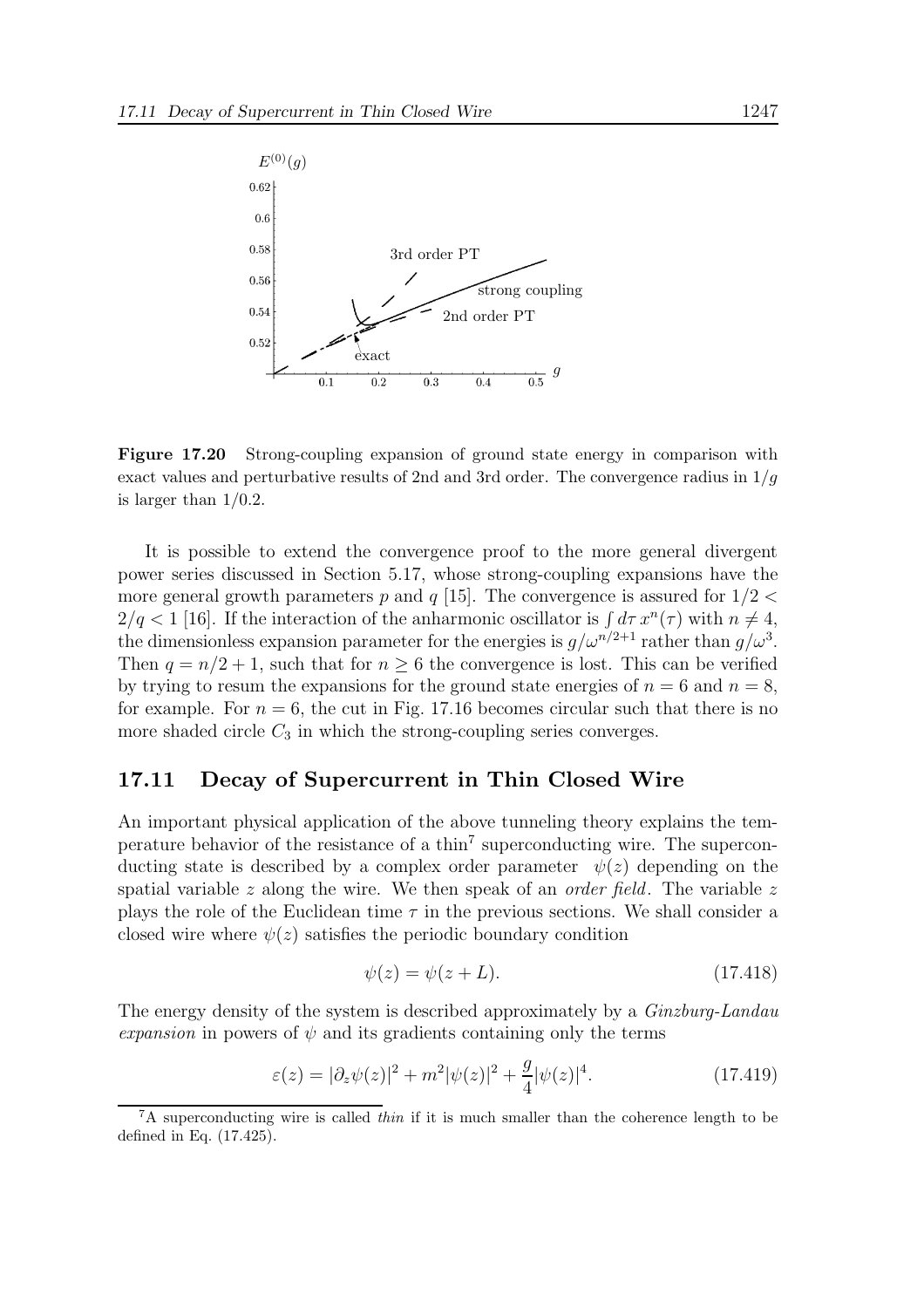

Figure 17.20 Strong-coupling expansion of ground state energy in comparison with exact values and perturbative results of 2nd and 3rd order. The convergence radius in  $1/q$ is larger than 1/0.2.

It is possible to extend the convergence proof to the more general divergent power series discussed in Section 5.17, whose strong-coupling expansions have the more general growth parameters p and q [15]. The convergence is assured for  $1/2 <$  $2/q < 1$  [16]. If the interaction of the anharmonic oscillator is  $\int d\tau x^n(\tau)$  with  $n \neq 4$ , the dimensionless expansion parameter for the energies is  $g/\omega^{n/2+1}$  rather than  $g/\omega^3$ . Then  $q = n/2 + 1$ , such that for  $n \geq 6$  the convergence is lost. This can be verified by trying to resum the expansions for the ground state energies of  $n = 6$  and  $n = 8$ , for example. For  $n = 6$ , the cut in Fig. 17.16 becomes circular such that there is no more shaded circle  $C_3$  in which the strong-coupling series converges.

### 17.11 Decay of Supercurrent in Thin Closed Wire

An important physical application of the above tunneling theory explains the temperature behavior of the resistance of a thin<sup>7</sup> superconducting wire. The superconducting state is described by a complex order parameter  $\psi(z)$  depending on the spatial variable  $z$  along the wire. We then speak of an *order field*. The variable  $z$ plays the role of the Euclidean time  $\tau$  in the previous sections. We shall consider a closed wire where  $\psi(z)$  satisfies the periodic boundary condition

$$
\psi(z) = \psi(z + L). \tag{17.418}
$$

The energy density of the system is described approximately by a *Ginzburg-Landau* expansion in powers of  $\psi$  and its gradients containing only the terms

$$
\varepsilon(z) = |\partial_z \psi(z)|^2 + m^2 |\psi(z)|^2 + \frac{g}{4} |\psi(z)|^4.
$$
 (17.419)

 ${}^{7}$ A superconducting wire is called *thin* if it is much smaller than the coherence length to be defined in Eq. (17.425).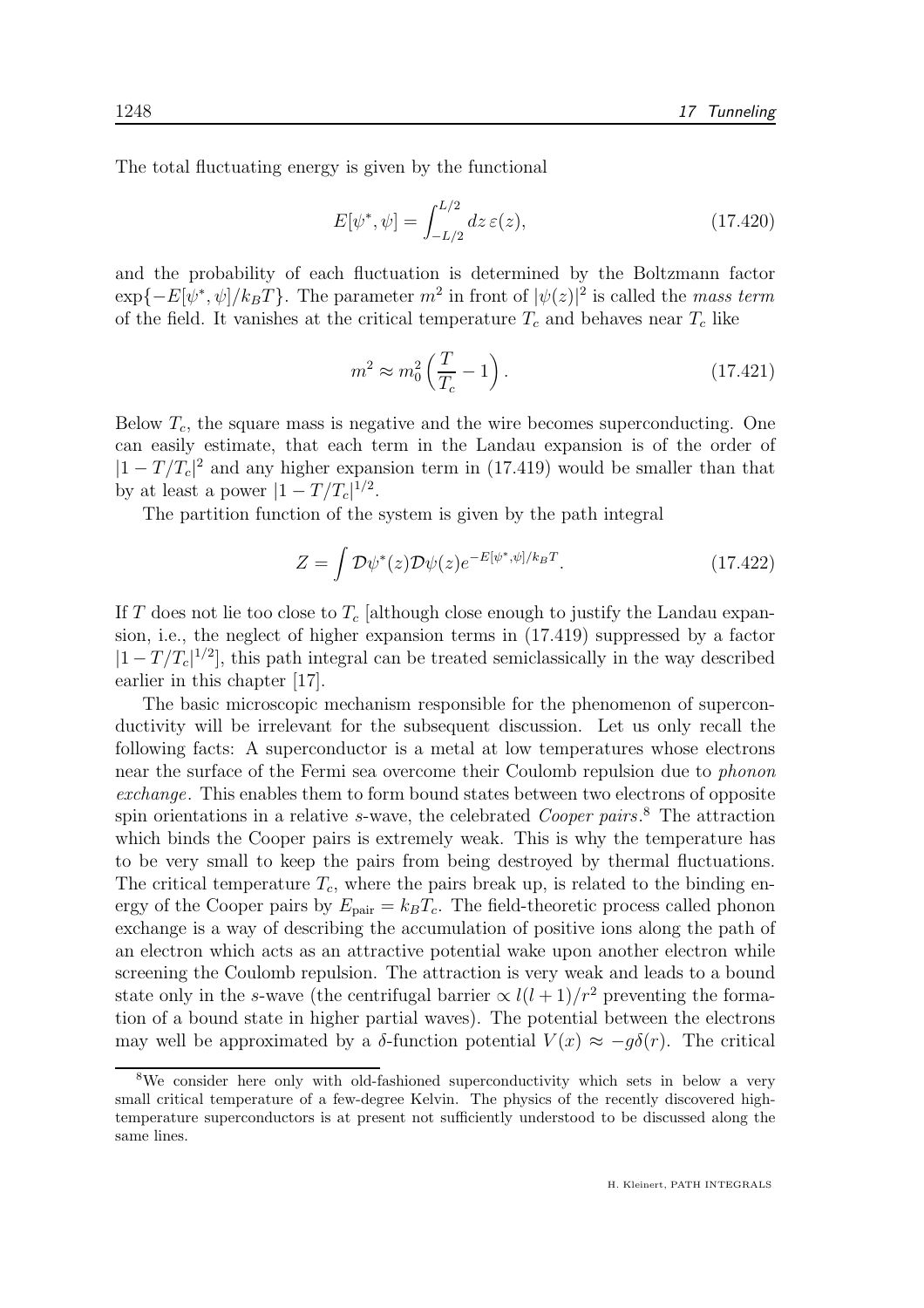The total fluctuating energy is given by the functional

$$
E[\psi^*, \psi] = \int_{-L/2}^{L/2} dz \,\varepsilon(z),\tag{17.420}
$$

and the probability of each fluctuation is determined by the Boltzmann factor  $\exp{-E[\psi^*, \psi]/k_B T}$ . The parameter  $m^2$  in front of  $|\psi(z)|^2$  is called the mass term of the field. It vanishes at the critical temperature  $T_c$  and behaves near  $T_c$  like

$$
m^2 \approx m_0^2 \left(\frac{T}{T_c} - 1\right). \tag{17.421}
$$

Below  $T_c$ , the square mass is negative and the wire becomes superconducting. One can easily estimate, that each term in the Landau expansion is of the order of  $|1 - T/T_c|^2$  and any higher expansion term in (17.419) would be smaller than that by at least a power  $|1 - T/T_c|^{1/2}$ .

The partition function of the system is given by the path integral

$$
Z = \int \mathcal{D}\psi^*(z)\mathcal{D}\psi(z)e^{-E[\psi^*,\psi]/k_BT}.\tag{17.422}
$$

If T does not lie too close to  $T_c$  [although close enough to justify the Landau expansion, i.e., the neglect of higher expansion terms in (17.419) suppressed by a factor  $|1 - T/T_c|^{1/2}$ , this path integral can be treated semiclassically in the way described earlier in this chapter [17].

The basic microscopic mechanism responsible for the phenomenon of superconductivity will be irrelevant for the subsequent discussion. Let us only recall the following facts: A superconductor is a metal at low temperatures whose electrons near the surface of the Fermi sea overcome their Coulomb repulsion due to phonon exchange. This enables them to form bound states between two electrons of opposite spin orientations in a relative s-wave, the celebrated *Cooper pairs*.<sup>8</sup> The attraction which binds the Cooper pairs is extremely weak. This is why the temperature has to be very small to keep the pairs from being destroyed by thermal fluctuations. The critical temperature  $T_c$ , where the pairs break up, is related to the binding energy of the Cooper pairs by  $E_{\text{pair}} = k_B T_c$ . The field-theoretic process called phonon exchange is a way of describing the accumulation of positive ions along the path of an electron which acts as an attractive potential wake upon another electron while screening the Coulomb repulsion. The attraction is very weak and leads to a bound state only in the s-wave (the centrifugal barrier  $\propto l(l+1)/r^2$  preventing the formation of a bound state in higher partial waves). The potential between the electrons may well be approximated by a  $\delta$ -function potential  $V(x) \approx -g\delta(r)$ . The critical

<sup>&</sup>lt;sup>8</sup>We consider here only with old-fashioned superconductivity which sets in below a very small critical temperature of a few-degree Kelvin. The physics of the recently discovered hightemperature superconductors is at present not sufficiently understood to be discussed along the same lines.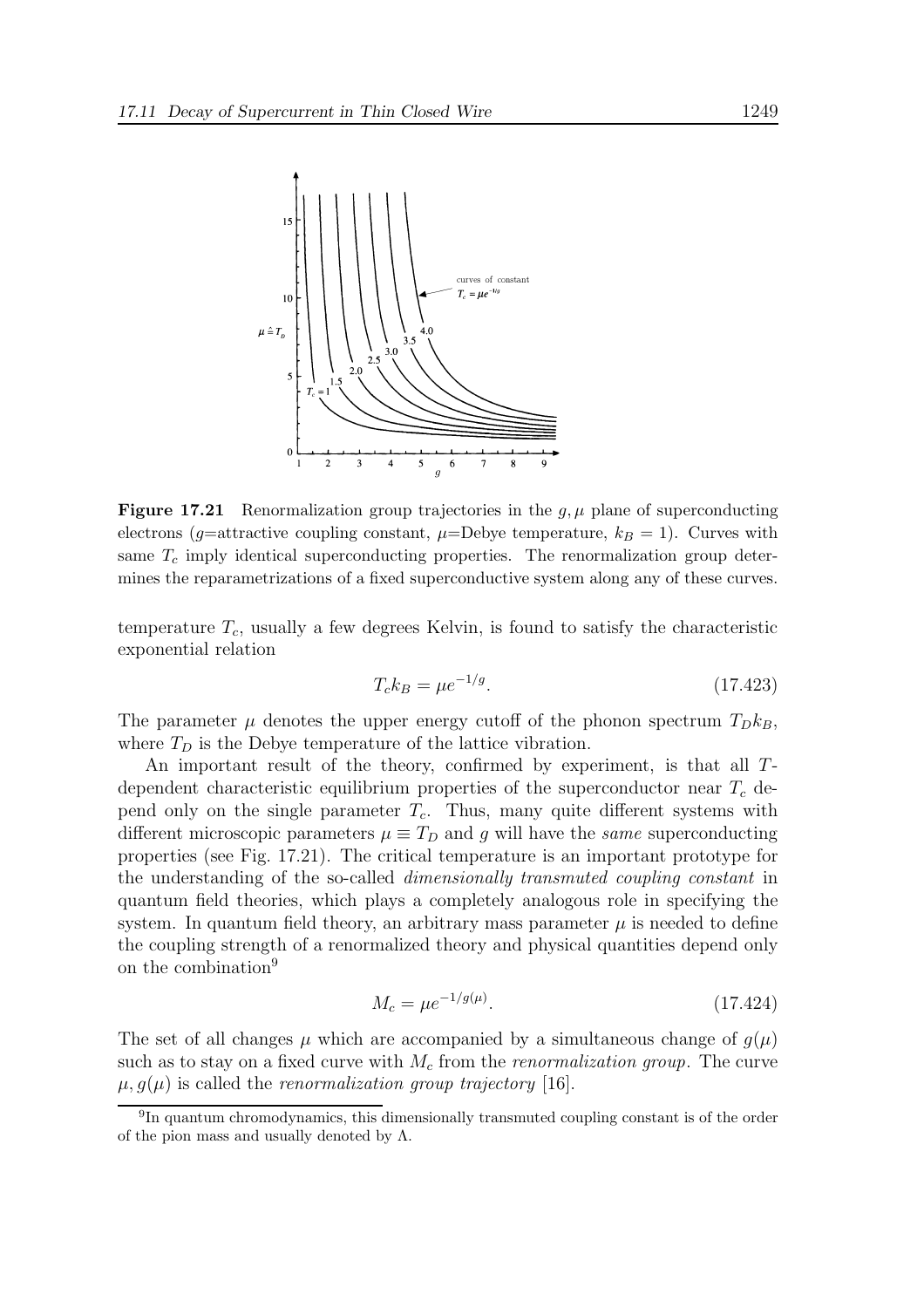

**Figure 17.21** Renormalization group trajectories in the  $g, \mu$  plane of superconducting electrons (g=attractive coupling constant,  $\mu$ =Debye temperature,  $k_B = 1$ ). Curves with same  $T_c$  imply identical superconducting properties. The renormalization group determines the reparametrizations of a fixed superconductive system along any of these curves.

temperature  $T_c$ , usually a few degrees Kelvin, is found to satisfy the characteristic exponential relation

$$
T_c k_B = \mu e^{-1/g}.\tag{17.423}
$$

The parameter  $\mu$  denotes the upper energy cutoff of the phonon spectrum  $T_{D}k_{B}$ , where  $T_D$  is the Debye temperature of the lattice vibration.

An important result of the theory, confirmed by experiment, is that all Tdependent characteristic equilibrium properties of the superconductor near  $T_c$  depend only on the single parameter  $T_c$ . Thus, many quite different systems with different microscopic parameters  $\mu \equiv T_D$  and g will have the same superconducting properties (see Fig. 17.21). The critical temperature is an important prototype for the understanding of the so-called dimensionally transmuted coupling constant in quantum field theories, which plays a completely analogous role in specifying the system. In quantum field theory, an arbitrary mass parameter  $\mu$  is needed to define the coupling strength of a renormalized theory and physical quantities depend only on the combination<sup>9</sup>

$$
M_c = \mu e^{-1/g(\mu)}.\tag{17.424}
$$

The set of all changes  $\mu$  which are accompanied by a simultaneous change of  $g(\mu)$ such as to stay on a fixed curve with  $M_c$  from the *renormalization group*. The curve  $\mu$ ,  $g(\mu)$  is called the *renormalization group trajectory* [16].

<sup>&</sup>lt;sup>9</sup>In quantum chromodynamics, this dimensionally transmuted coupling constant is of the order of the pion mass and usually denoted by  $\Lambda$ .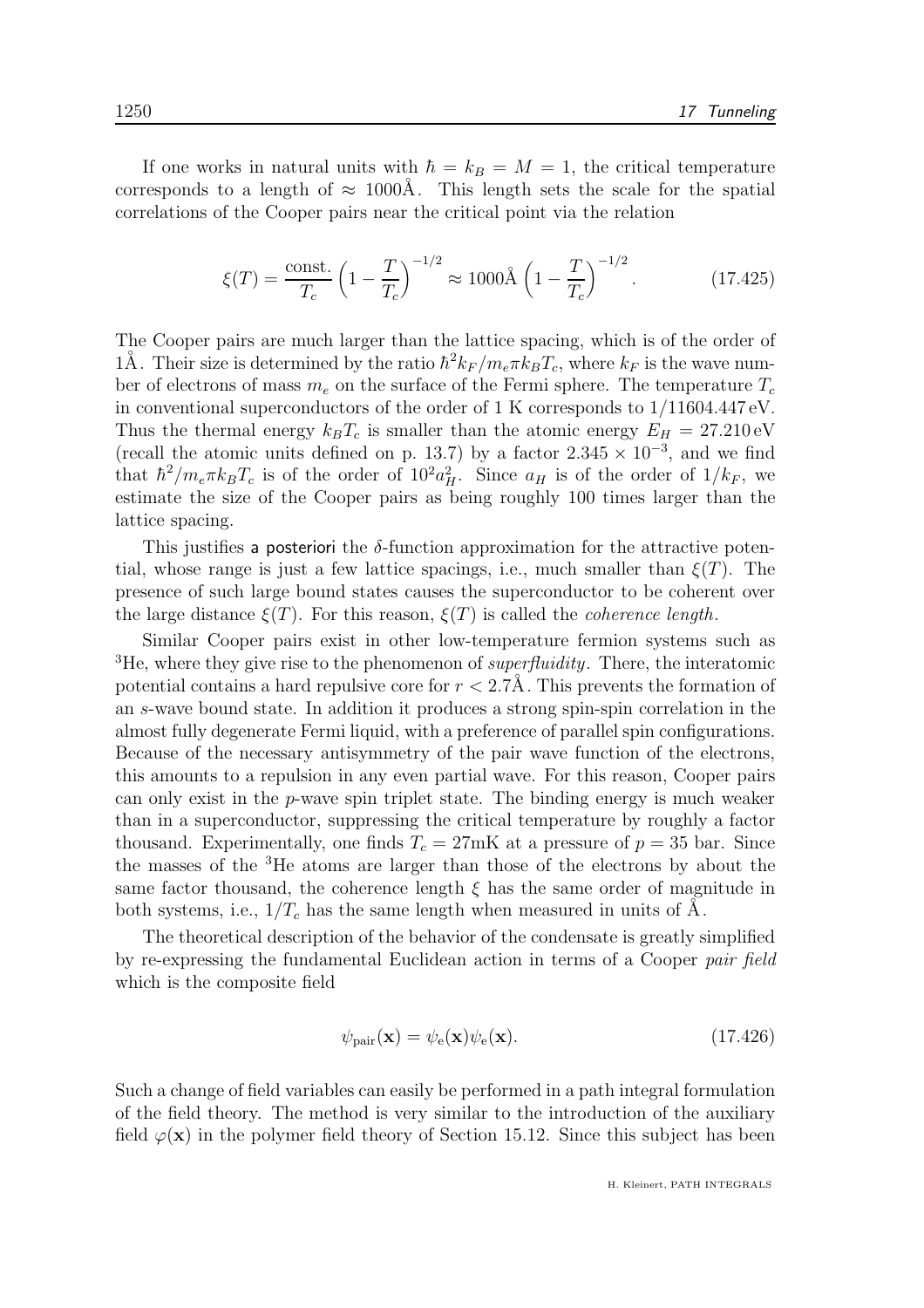If one works in natural units with  $\hbar = k_B = M = 1$ , the critical temperature corresponds to a length of  $\approx 1000$ Å. This length sets the scale for the spatial correlations of the Cooper pairs near the critical point via the relation

$$
\xi(T) = \frac{\text{const.}}{T_c} \left(1 - \frac{T}{T_c}\right)^{-1/2} \approx 1000 \text{\AA} \left(1 - \frac{T}{T_c}\right)^{-1/2}.\tag{17.425}
$$

The Cooper pairs are much larger than the lattice spacing, which is of the order of 1Å. Their size is determined by the ratio  $\hbar^2 k_F / m_e \pi k_B T_c$ , where  $k_F$  is the wave number of electrons of mass  $m_e$  on the surface of the Fermi sphere. The temperature  $T_c$ in conventional superconductors of the order of 1 K corresponds to  $1/11604.447 \text{ eV}$ . Thus the thermal energy  $k_B T_c$  is smaller than the atomic energy  $E_H = 27.210 \text{ eV}$ (recall the atomic units defined on p. 13.7) by a factor  $2.345 \times 10^{-3}$ , and we find that  $\hbar^2/m_e\pi k_B T_c$  is of the order of  $10^2 a_H^2$ . Since  $a_H$  is of the order of  $1/k_F$ , we estimate the size of the Cooper pairs as being roughly 100 times larger than the lattice spacing.

This justifies a posteriori the  $\delta$ -function approximation for the attractive potential, whose range is just a few lattice spacings, i.e., much smaller than  $\xi(T)$ . The presence of such large bound states causes the superconductor to be coherent over the large distance  $\xi(T)$ . For this reason,  $\xi(T)$  is called the *coherence length*.

Similar Cooper pairs exist in other low-temperature fermion systems such as <sup>3</sup>He, where they give rise to the phenomenon of *superfluidity*. There, the interatomic potential contains a hard repulsive core for  $r < 2.7$ Å. This prevents the formation of an s-wave bound state. In addition it produces a strong spin-spin correlation in the almost fully degenerate Fermi liquid, with a preference of parallel spin configurations. Because of the necessary antisymmetry of the pair wave function of the electrons, this amounts to a repulsion in any even partial wave. For this reason, Cooper pairs can only exist in the p-wave spin triplet state. The binding energy is much weaker than in a superconductor, suppressing the critical temperature by roughly a factor thousand. Experimentally, one finds  $T_c = 27 \text{mK}$  at a pressure of  $p = 35$  bar. Since the masses of the <sup>3</sup>He atoms are larger than those of the electrons by about the same factor thousand, the coherence length  $\xi$  has the same order of magnitude in both systems, i.e.,  $1/T_c$  has the same length when measured in units of  $\dot{A}$ .

The theoretical description of the behavior of the condensate is greatly simplified by re-expressing the fundamental Euclidean action in terms of a Cooper pair field which is the composite field

$$
\psi_{\text{pair}}(\mathbf{x}) = \psi_{\text{e}}(\mathbf{x})\psi_{\text{e}}(\mathbf{x}).\tag{17.426}
$$

Such a change of field variables can easily be performed in a path integral formulation of the field theory. The method is very similar to the introduction of the auxiliary field  $\varphi(\mathbf{x})$  in the polymer field theory of Section 15.12. Since this subject has been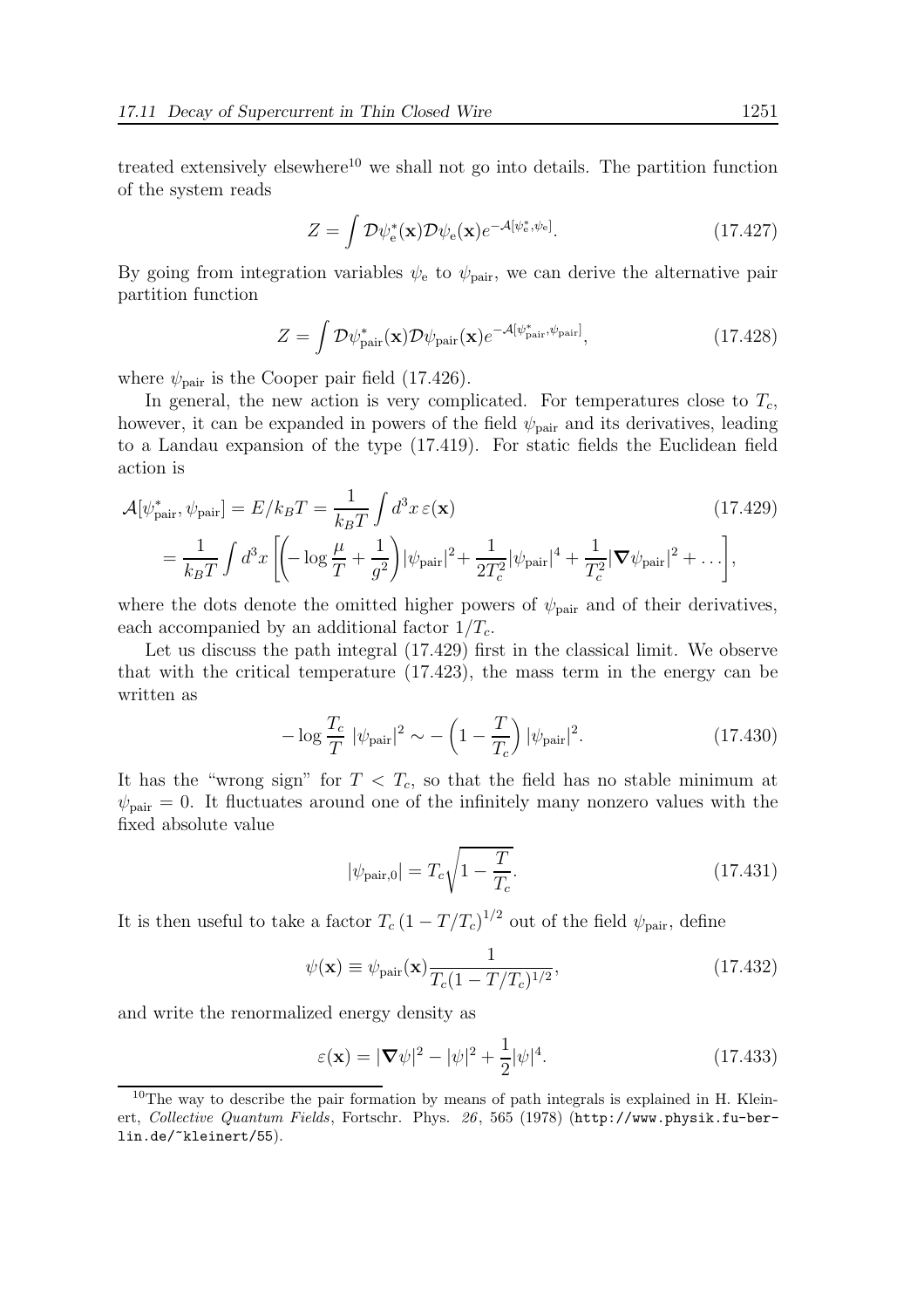treated extensively elsewhere<sup>10</sup> we shall not go into details. The partition function of the system reads

$$
Z = \int \mathcal{D}\psi_{e}^{*}(\mathbf{x}) \mathcal{D}\psi_{e}(\mathbf{x}) e^{-\mathcal{A}[\psi_{e}^{*}, \psi_{e}]}.
$$
 (17.427)

By going from integration variables  $\psi_e$  to  $\psi_{\text{pair}}$ , we can derive the alternative pair partition function

$$
Z = \int \mathcal{D}\psi_{\text{pair}}^{*}(\mathbf{x}) \mathcal{D}\psi_{\text{pair}}(\mathbf{x}) e^{-\mathcal{A}[\psi_{\text{pair}}^{*}, \psi_{\text{pair}}]}, \qquad (17.428)
$$

where  $\psi_{\text{pair}}$  is the Cooper pair field (17.426).

In general, the new action is very complicated. For temperatures close to  $T_c$ , however, it can be expanded in powers of the field  $\psi_{\text{pair}}$  and its derivatives, leading to a Landau expansion of the type (17.419). For static fields the Euclidean field action is

$$
\mathcal{A}[\psi_{\text{pair}}^*, \psi_{\text{pair}}] = E/k_B T = \frac{1}{k_B T} \int d^3x \,\varepsilon(\mathbf{x}) \tag{17.429}
$$
\n
$$
= \frac{1}{k_B T} \int d^3x \left[ \left( -\log \frac{\mu}{T} + \frac{1}{g^2} \right) |\psi_{\text{pair}}|^2 + \frac{1}{2T_c^2} |\psi_{\text{pair}}|^4 + \frac{1}{T_c^2} |\boldsymbol{\nabla} \psi_{\text{pair}}|^2 + \dots \right],
$$

where the dots denote the omitted higher powers of  $\psi_{\text{pair}}$  and of their derivatives, each accompanied by an additional factor  $1/T_c$ .

Let us discuss the path integral (17.429) first in the classical limit. We observe that with the critical temperature (17.423), the mass term in the energy can be written as

$$
-\log\frac{T_c}{T}|\psi_{\text{pair}}|^2 \sim -\left(1 - \frac{T}{T_c}\right)|\psi_{\text{pair}}|^2. \tag{17.430}
$$

It has the "wrong sign" for  $T < T_c$ , so that the field has no stable minimum at  $\psi_{\text{pair}} = 0$ . It fluctuates around one of the infinitely many nonzero values with the fixed absolute value

$$
|\psi_{\text{pair},0}| = T_c \sqrt{1 - \frac{T}{T_c}}.\tag{17.431}
$$

It is then useful to take a factor  $T_c (1 - T/T_c)^{1/2}$  out of the field  $\psi_{\text{pair}}$ , define

$$
\psi(\mathbf{x}) \equiv \psi_{\text{pair}}(\mathbf{x}) \frac{1}{T_c (1 - T/T_c)^{1/2}},\tag{17.432}
$$

and write the renormalized energy density as

$$
\varepsilon(\mathbf{x}) = |\nabla \psi|^2 - |\psi|^2 + \frac{1}{2} |\psi|^4. \tag{17.433}
$$

 $10$ The way to describe the pair formation by means of path integrals is explained in H. Kleinert, Collective Quantum Fields, Fortschr. Phys. 26, 565 (1978) (http://www.physik.fu-berlin.de/~kleinert/55).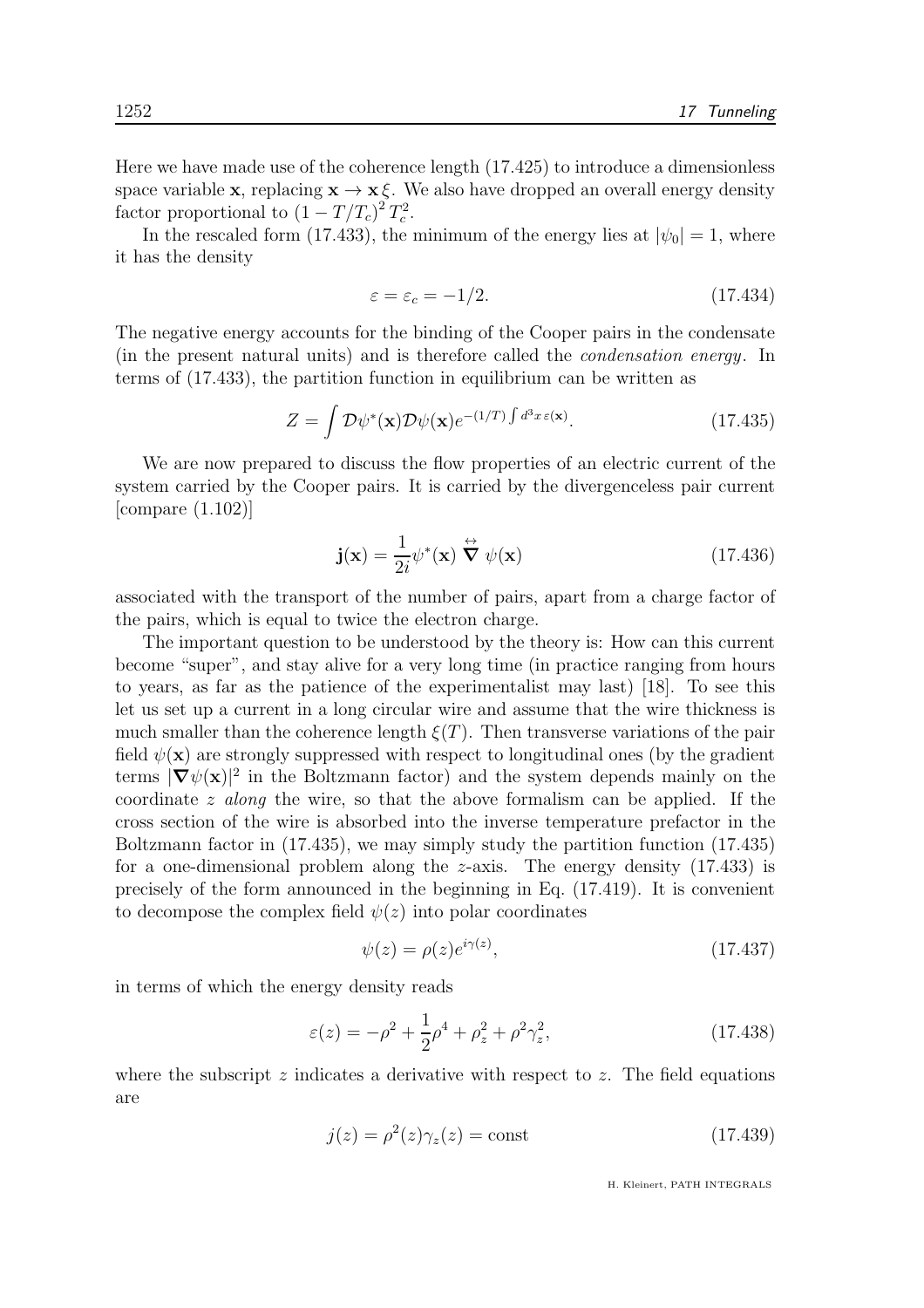Here we have made use of the coherence length (17.425) to introduce a dimensionless space variable **x**, replacing  $\mathbf{x} \to \mathbf{x} \xi$ . We also have dropped an overall energy density factor proportional to  $(1 - T/T_c)^2 T_c^2$ .

In the rescaled form (17.433), the minimum of the energy lies at  $|\psi_0| = 1$ , where it has the density

$$
\varepsilon = \varepsilon_c = -1/2. \tag{17.434}
$$

The negative energy accounts for the binding of the Cooper pairs in the condensate (in the present natural units) and is therefore called the condensation energy. In terms of (17.433), the partition function in equilibrium can be written as

$$
Z = \int \mathcal{D}\psi^*(\mathbf{x}) \mathcal{D}\psi(\mathbf{x}) e^{-(1/T) \int d^3x \,\varepsilon(\mathbf{x})}.
$$
 (17.435)

We are now prepared to discuss the flow properties of an electric current of the system carried by the Cooper pairs. It is carried by the divergenceless pair current [compare (1.102)]

$$
\mathbf{j}(\mathbf{x}) = \frac{1}{2i} \psi^*(\mathbf{x}) \stackrel{\leftrightarrow}{\nabla} \psi(\mathbf{x}) \tag{17.436}
$$

associated with the transport of the number of pairs, apart from a charge factor of the pairs, which is equal to twice the electron charge.

The important question to be understood by the theory is: How can this current become "super", and stay alive for a very long time (in practice ranging from hours to years, as far as the patience of the experimentalist may last) [18]. To see this let us set up a current in a long circular wire and assume that the wire thickness is much smaller than the coherence length  $\xi(T)$ . Then transverse variations of the pair field  $\psi(\mathbf{x})$  are strongly suppressed with respect to longitudinal ones (by the gradient terms  $|\nabla \psi(\mathbf{x})|^2$  in the Boltzmann factor) and the system depends mainly on the coordinate z along the wire, so that the above formalism can be applied. If the cross section of the wire is absorbed into the inverse temperature prefactor in the Boltzmann factor in (17.435), we may simply study the partition function (17.435) for a one-dimensional problem along the z-axis. The energy density (17.433) is precisely of the form announced in the beginning in Eq. (17.419). It is convenient to decompose the complex field  $\psi(z)$  into polar coordinates

$$
\psi(z) = \rho(z)e^{i\gamma(z)},\tag{17.437}
$$

in terms of which the energy density reads

$$
\varepsilon(z) = -\rho^2 + \frac{1}{2}\rho^4 + \rho_z^2 + \rho^2 \gamma_z^2, \tag{17.438}
$$

where the subscript  $z$  indicates a derivative with respect to  $z$ . The field equations are

$$
j(z) = \rho^2(z)\gamma_z(z) = \text{const}
$$
\n(17.439)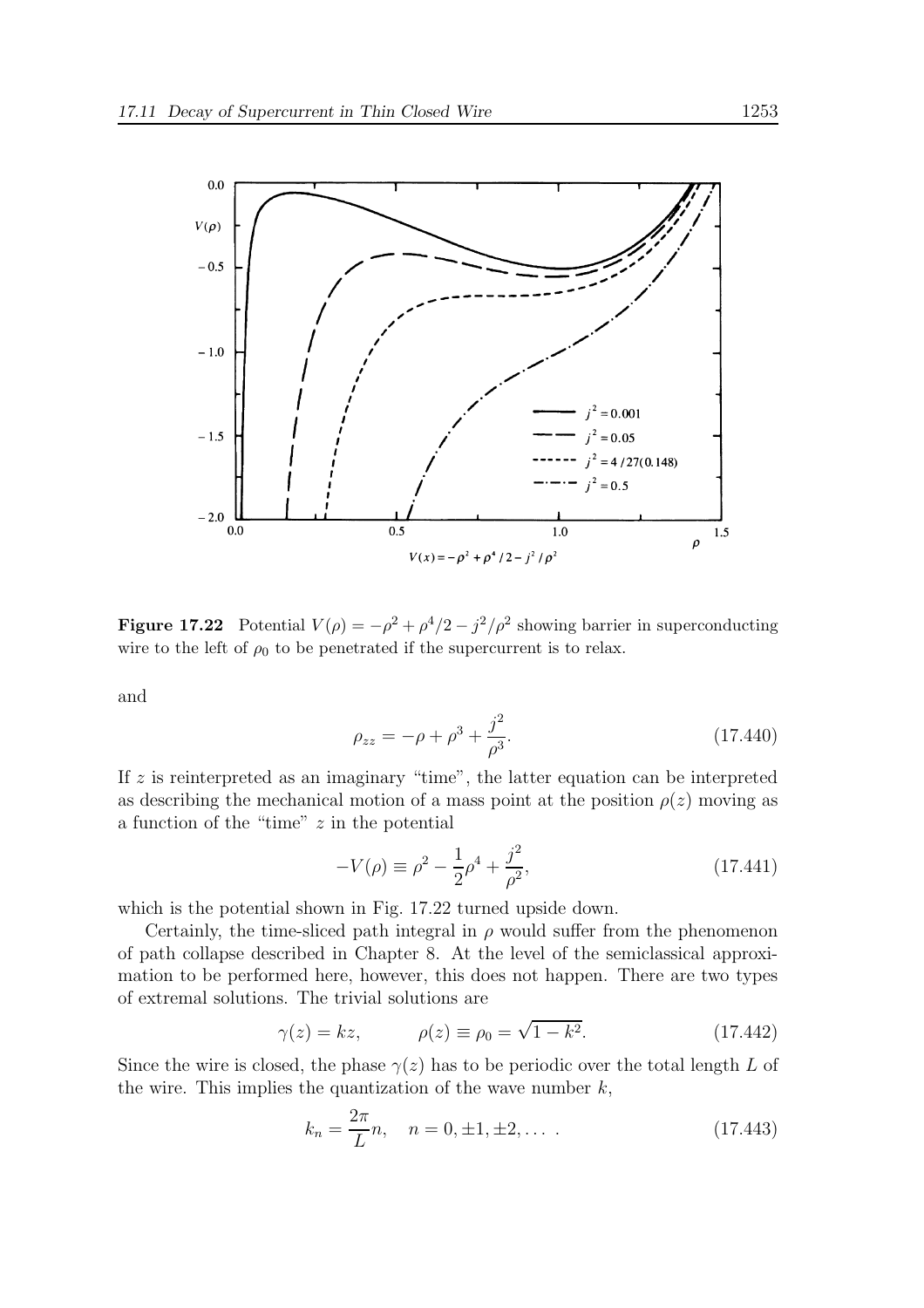

**Figure 17.22** Potential  $V(\rho) = -\rho^2 + \rho^4/2 - j^2/\rho^2$  showing barrier in superconducting wire to the left of  $\rho_0$  to be penetrated if the supercurrent is to relax.

and

$$
\rho_{zz} = -\rho + \rho^3 + \frac{j^2}{\rho^3}.
$$
\n(17.440)

If  $z$  is reinterpreted as an imaginary "time", the latter equation can be interpreted as describing the mechanical motion of a mass point at the position  $\rho(z)$  moving as a function of the "time" z in the potential

$$
-V(\rho) \equiv \rho^2 - \frac{1}{2}\rho^4 + \frac{j^2}{\rho^2},\tag{17.441}
$$

which is the potential shown in Fig. 17.22 turned upside down.

Certainly, the time-sliced path integral in  $\rho$  would suffer from the phenomenon of path collapse described in Chapter 8. At the level of the semiclassical approximation to be performed here, however, this does not happen. There are two types of extremal solutions. The trivial solutions are

$$
\gamma(z) = kz, \qquad \rho(z) \equiv \rho_0 = \sqrt{1 - k^2}.
$$
 (17.442)

Since the wire is closed, the phase  $\gamma(z)$  has to be periodic over the total length L of the wire. This implies the quantization of the wave number  $k$ ,

$$
k_n = \frac{2\pi}{L}n, \quad n = 0, \pm 1, \pm 2, \dots \tag{17.443}
$$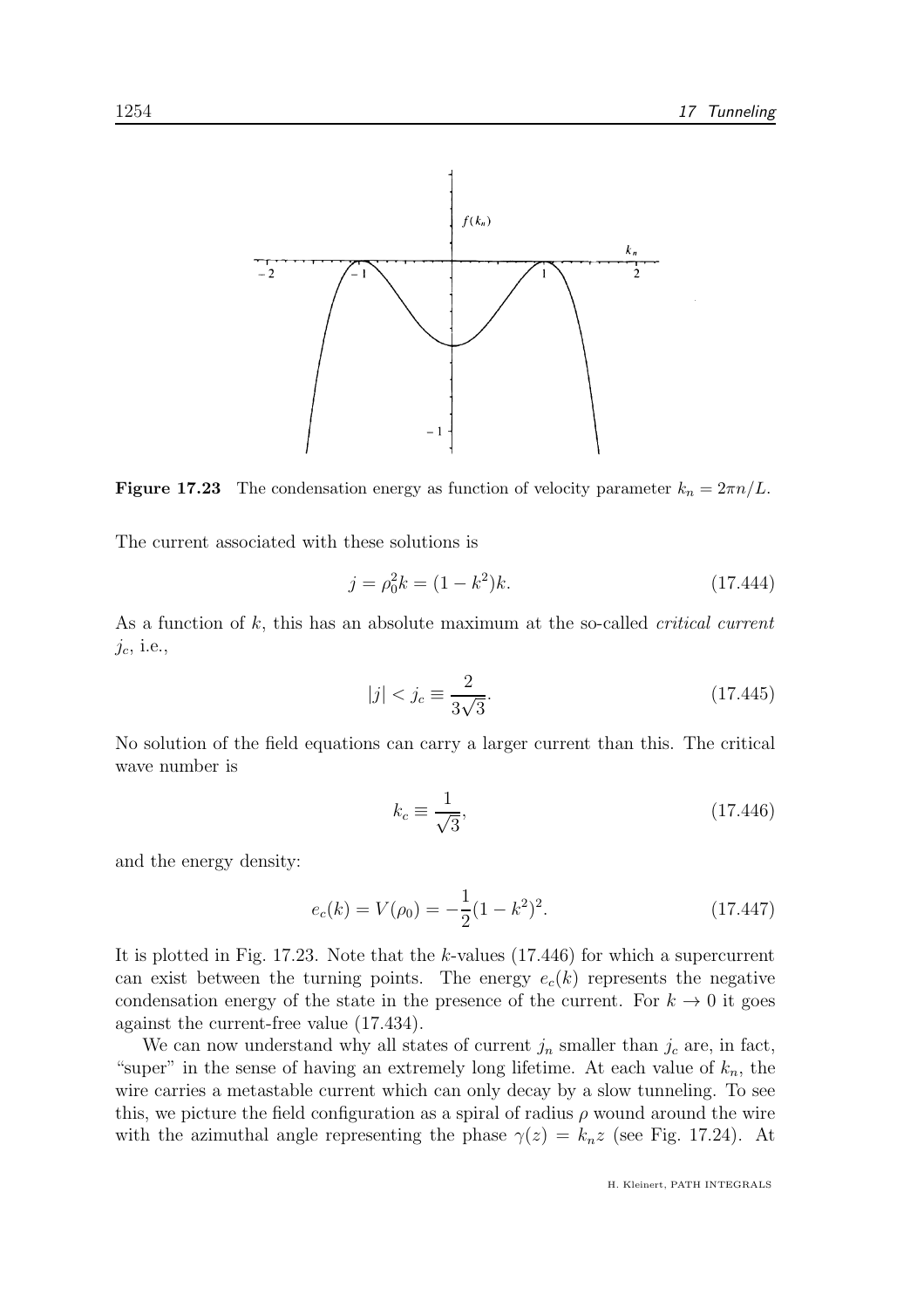

**Figure 17.23** The condensation energy as function of velocity parameter  $k_n = 2\pi n/L$ .

The current associated with these solutions is

$$
j = \rho_0^2 k = (1 - k^2)k. \tag{17.444}
$$

As a function of k, this has an absolute maximum at the so-called *critical current*  $j_c$ , i.e.,

$$
|j| < j_c \equiv \frac{2}{3\sqrt{3}}.\tag{17.445}
$$

No solution of the field equations can carry a larger current than this. The critical wave number is

$$
k_c \equiv \frac{1}{\sqrt{3}},\tag{17.446}
$$

and the energy density:

$$
e_c(k) = V(\rho_0) = -\frac{1}{2}(1 - k^2)^2.
$$
 (17.447)

It is plotted in Fig. 17.23. Note that the k-values (17.446) for which a supercurrent can exist between the turning points. The energy  $e_c(k)$  represents the negative condensation energy of the state in the presence of the current. For  $k \to 0$  it goes against the current-free value (17.434).

We can now understand why all states of current  $j_n$  smaller than  $j_c$  are, in fact, "super" in the sense of having an extremely long lifetime. At each value of  $k_n$ , the wire carries a metastable current which can only decay by a slow tunneling. To see this, we picture the field configuration as a spiral of radius  $\rho$  wound around the wire with the azimuthal angle representing the phase  $\gamma(z) = k_n z$  (see Fig. 17.24). At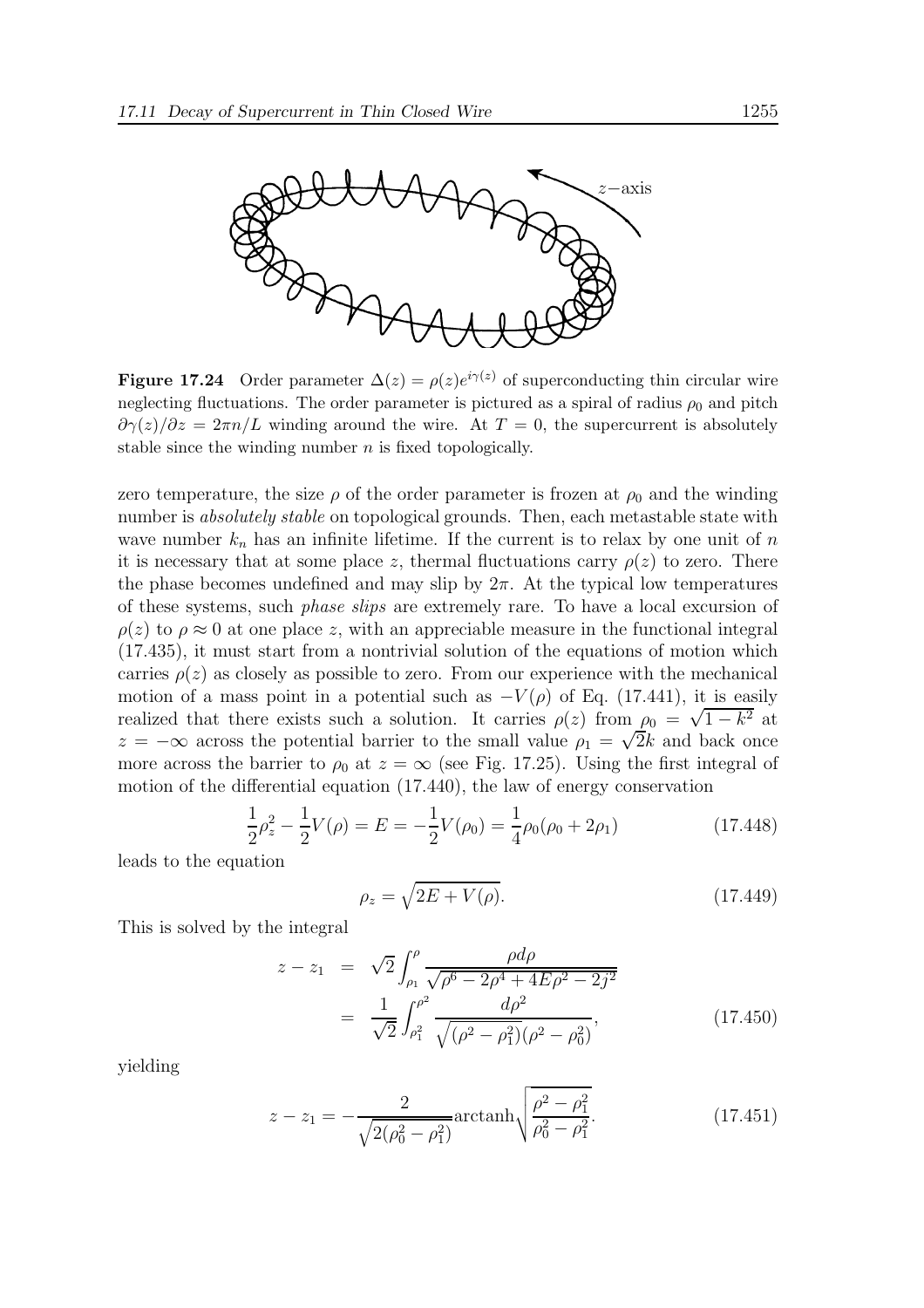

**Figure 17.24** Order parameter  $\Delta(z) = \rho(z)e^{i\gamma(z)}$  of superconducting thin circular wire neglecting fluctuations. The order parameter is pictured as a spiral of radius  $\rho_0$  and pitch  $\partial \gamma(z)/\partial z = 2\pi n/L$  winding around the wire. At  $T = 0$ , the supercurrent is absolutely stable since the winding number  $n$  is fixed topologically.

zero temperature, the size  $\rho$  of the order parameter is frozen at  $\rho_0$  and the winding number is *absolutely stable* on topological grounds. Then, each metastable state with wave number  $k_n$  has an infinite lifetime. If the current is to relax by one unit of n it is necessary that at some place z, thermal fluctuations carry  $\rho(z)$  to zero. There the phase becomes undefined and may slip by  $2\pi$ . At the typical low temperatures of these systems, such phase slips are extremely rare. To have a local excursion of  $\rho(z)$  to  $\rho \approx 0$  at one place z, with an appreciable measure in the functional integral (17.435), it must start from a nontrivial solution of the equations of motion which carries  $\rho(z)$  as closely as possible to zero. From our experience with the mechanical motion of a mass point in a potential such as  $-V(\rho)$  of Eq. (17.441), it is easily realized that there exists such a solution. It carries  $\rho(z)$  from  $\rho_0 = \sqrt{1 - k^2}$  at  $z = -\infty$  across the potential barrier to the small value  $\rho_1 = \sqrt{2k}$  and back once more across the barrier to  $\rho_0$  at  $z = \infty$  (see Fig. 17.25). Using the first integral of motion of the differential equation (17.440), the law of energy conservation

$$
\frac{1}{2}\rho_z^2 - \frac{1}{2}V(\rho) = E = -\frac{1}{2}V(\rho_0) = \frac{1}{4}\rho_0(\rho_0 + 2\rho_1)
$$
\n(17.448)

leads to the equation

$$
\rho_z = \sqrt{2E + V(\rho)}.\tag{17.449}
$$

This is solved by the integral

$$
z - z_1 = \sqrt{2} \int_{\rho_1}^{\rho} \frac{\rho d\rho}{\sqrt{\rho^6 - 2\rho^4 + 4E\rho^2 - 2j^2}}
$$
  
= 
$$
\frac{1}{\sqrt{2}} \int_{\rho_1^2}^{\rho^2} \frac{d\rho^2}{\sqrt{(\rho^2 - \rho_1^2)} (\rho^2 - \rho_0^2)},
$$
(17.450)

yielding

$$
z - z_1 = -\frac{2}{\sqrt{2(\rho_0^2 - \rho_1^2)}} \operatorname{arctanh}\left(\frac{\rho^2 - \rho_1^2}{\rho_0^2 - \rho_1^2}\right)
$$
 (17.451)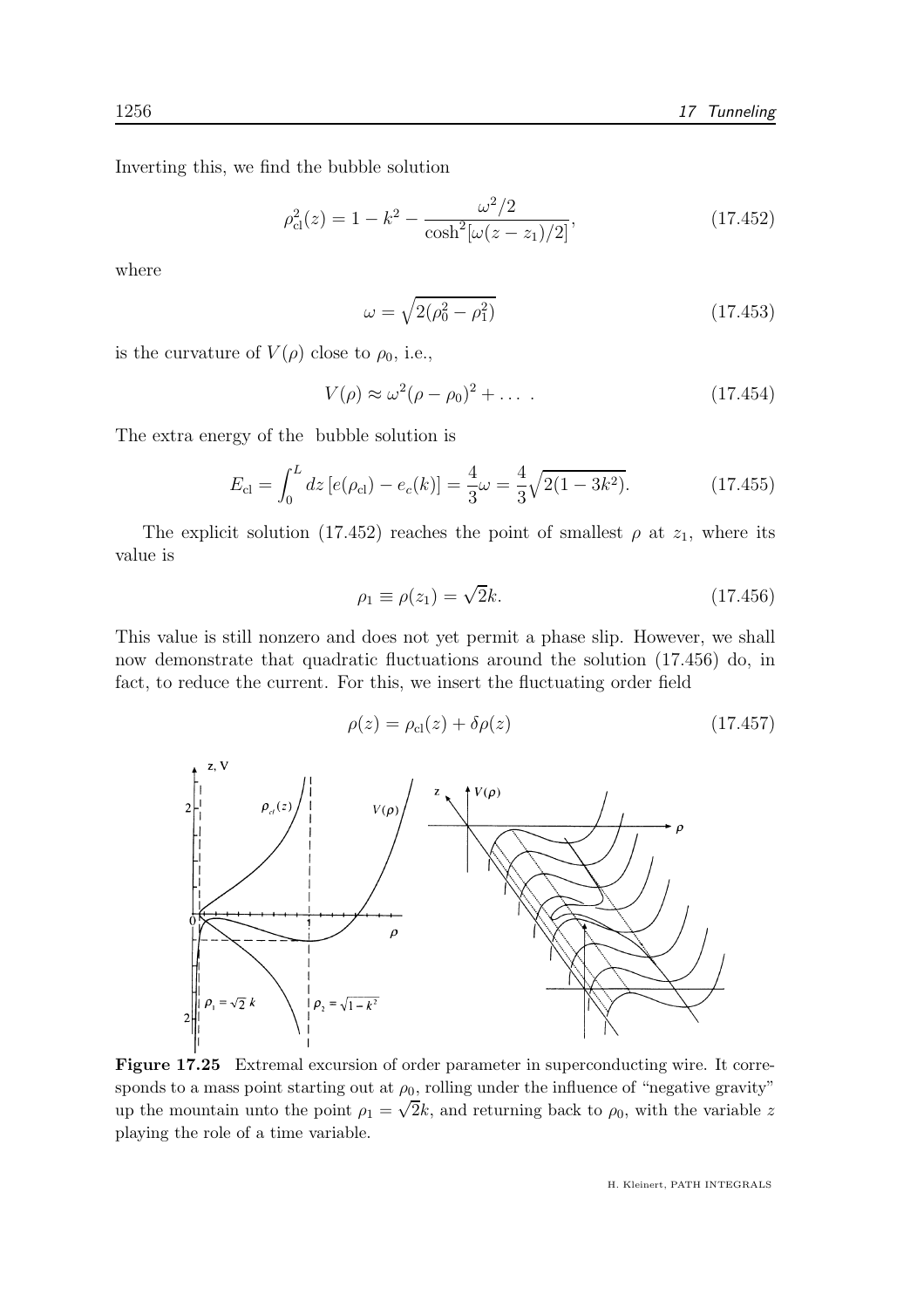Inverting this, we find the bubble solution

$$
\rho_{\rm cl}^2(z) = 1 - k^2 - \frac{\omega^2/2}{\cosh^2[\omega(z - z_1)/2]},\tag{17.452}
$$

where

$$
\omega = \sqrt{2(\rho_0^2 - \rho_1^2)}\tag{17.453}
$$

is the curvature of  $V(\rho)$  close to  $\rho_0$ , i.e.,

$$
V(\rho) \approx \omega^2 (\rho - \rho_0)^2 + \dots \tag{17.454}
$$

The extra energy of the bubble solution is

$$
E_{\rm cl} = \int_0^L dz \left[ e(\rho_{\rm cl}) - e_c(k) \right] = \frac{4}{3}\omega = \frac{4}{3}\sqrt{2(1 - 3k^2)}.
$$
 (17.455)

The explicit solution (17.452) reaches the point of smallest  $\rho$  at  $z_1$ , where its value is

$$
\rho_1 \equiv \rho(z_1) = \sqrt{2}k. \tag{17.456}
$$

This value is still nonzero and does not yet permit a phase slip. However, we shall now demonstrate that quadratic fluctuations around the solution (17.456) do, in fact, to reduce the current. For this, we insert the fluctuating order field

$$
\rho(z) = \rho_{\rm cl}(z) + \delta \rho(z) \tag{17.457}
$$



Figure 17.25 Extremal excursion of order parameter in superconducting wire. It corresponds to a mass point starting out at  $\rho_0$ , rolling under the influence of "negative gravity" up the mountain unto the point  $\rho_1 = \sqrt{2k}$ , and returning back to  $\rho_0$ , with the variable z playing the role of a time variable.

H. Kleinert, PATH INTEGRALS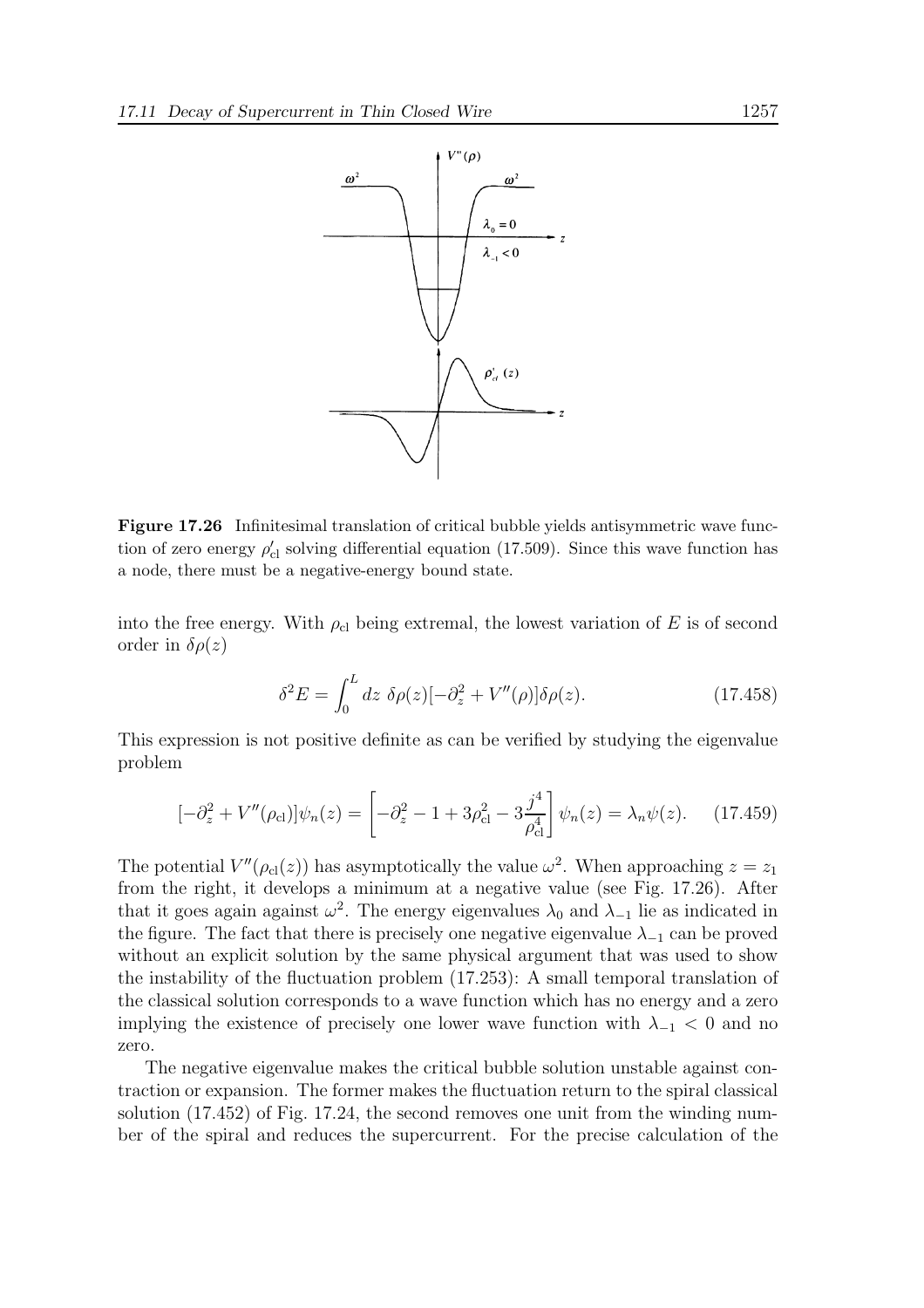

Figure 17.26 Infinitesimal translation of critical bubble yields antisymmetric wave function of zero energy  $\rho'_{\text{cl}}$  solving differential equation (17.509). Since this wave function has a node, there must be a negative-energy bound state.

into the free energy. With  $\rho_{cl}$  being extremal, the lowest variation of E is of second order in  $\delta \rho(z)$ 

$$
\delta^2 E = \int_0^L dz \ \delta\rho(z) [-\partial_z^2 + V''(\rho)] \delta\rho(z). \tag{17.458}
$$

This expression is not positive definite as can be verified by studying the eigenvalue problem

$$
[-\partial_z^2 + V''(\rho_{\rm cl})]\psi_n(z) = \left[-\partial_z^2 - 1 + 3\rho_{\rm cl}^2 - 3\frac{j^4}{\rho_{\rm cl}^4}\right]\psi_n(z) = \lambda_n\psi(z). \quad (17.459)
$$

The potential  $V''(\rho_{cl}(z))$  has asymptotically the value  $\omega^2$ . When approaching  $z = z_1$ from the right, it develops a minimum at a negative value (see Fig. 17.26). After that it goes again against  $\omega^2$ . The energy eigenvalues  $\lambda_0$  and  $\lambda_{-1}$  lie as indicated in the figure. The fact that there is precisely one negative eigenvalue  $\lambda_{-1}$  can be proved without an explicit solution by the same physical argument that was used to show the instability of the fluctuation problem (17.253): A small temporal translation of the classical solution corresponds to a wave function which has no energy and a zero implying the existence of precisely one lower wave function with  $\lambda_{-1} < 0$  and no zero.

The negative eigenvalue makes the critical bubble solution unstable against contraction or expansion. The former makes the fluctuation return to the spiral classical solution (17.452) of Fig. 17.24, the second removes one unit from the winding number of the spiral and reduces the supercurrent. For the precise calculation of the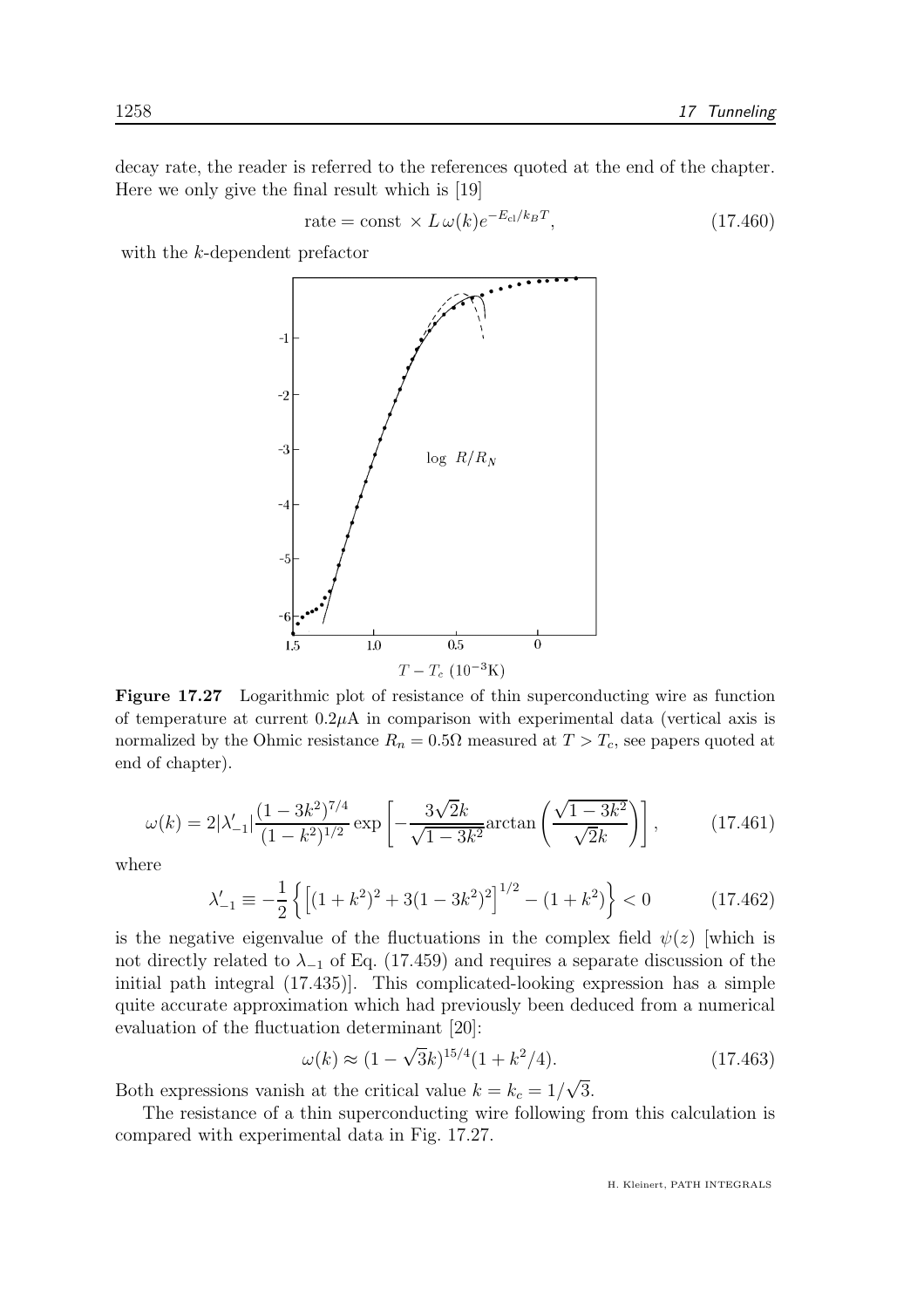decay rate, the reader is referred to the references quoted at the end of the chapter. Here we only give the final result which is [19]

$$
\text{rate} = \text{const} \times L \,\omega(k) e^{-E_{\text{cl}}/k_B T},\tag{17.460}
$$

with the k-dependent prefactor



Figure 17.27 Logarithmic plot of resistance of thin superconducting wire as function of temperature at current  $0.2\mu A$  in comparison with experimental data (vertical axis is normalized by the Ohmic resistance  $R_n = 0.5\Omega$  measured at  $T > T_c$ , see papers quoted at end of chapter).

$$
\omega(k) = 2|\lambda'_{-1}| \frac{(1 - 3k^2)^{7/4}}{(1 - k^2)^{1/2}} \exp\left[-\frac{3\sqrt{2}k}{\sqrt{1 - 3k^2}} \arctan\left(\frac{\sqrt{1 - 3k^2}}{\sqrt{2}k}\right)\right],\tag{17.461}
$$

where

$$
\lambda'_{-1} \equiv -\frac{1}{2} \left\{ \left[ (1+k^2)^2 + 3(1-3k^2)^2 \right]^{1/2} - (1+k^2) \right\} < 0 \tag{17.462}
$$

is the negative eigenvalue of the fluctuations in the complex field  $\psi(z)$  [which is not directly related to  $\lambda_{-1}$  of Eq. (17.459) and requires a separate discussion of the initial path integral (17.435)]. This complicated-looking expression has a simple quite accurate approximation which had previously been deduced from a numerical evaluation of the fluctuation determinant [20]:

$$
\omega(k) \approx (1 - \sqrt{3k})^{15/4} (1 + k^2/4). \tag{17.463}
$$

Both expressions vanish at the critical value  $k = k_c = 1/\sqrt{3}$ .

The resistance of a thin superconducting wire following from this calculation is compared with experimental data in Fig. 17.27.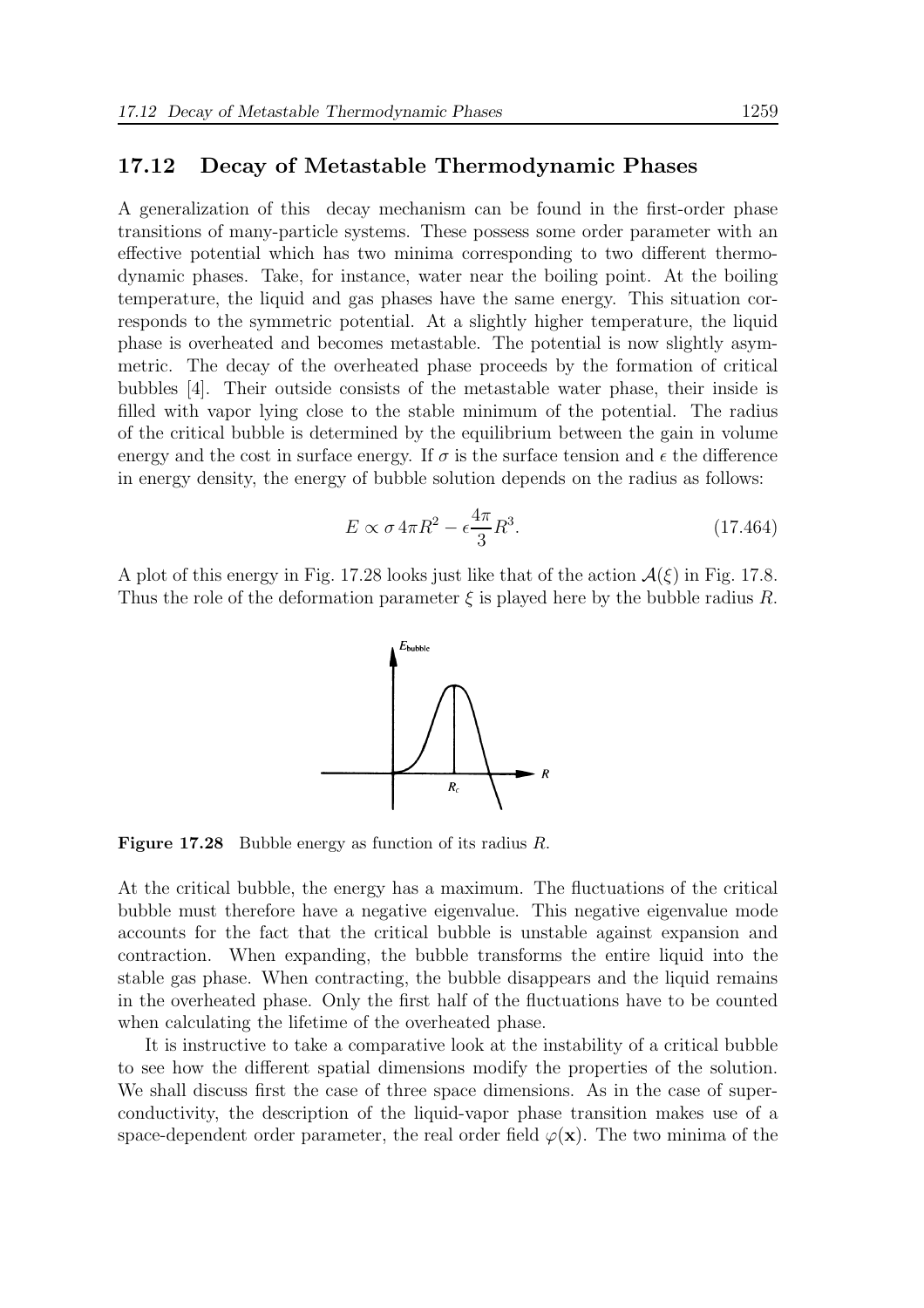#### 17.12 Decay of Metastable Thermodynamic Phases

A generalization of this decay mechanism can be found in the first-order phase transitions of many-particle systems. These possess some order parameter with an effective potential which has two minima corresponding to two different thermodynamic phases. Take, for instance, water near the boiling point. At the boiling temperature, the liquid and gas phases have the same energy. This situation corresponds to the symmetric potential. At a slightly higher temperature, the liquid phase is overheated and becomes metastable. The potential is now slightly asymmetric. The decay of the overheated phase proceeds by the formation of critical bubbles [4]. Their outside consists of the metastable water phase, their inside is filled with vapor lying close to the stable minimum of the potential. The radius of the critical bubble is determined by the equilibrium between the gain in volume energy and the cost in surface energy. If  $\sigma$  is the surface tension and  $\epsilon$  the difference in energy density, the energy of bubble solution depends on the radius as follows:

$$
E \propto \sigma 4\pi R^2 - \epsilon \frac{4\pi}{3} R^3. \tag{17.464}
$$

A plot of this energy in Fig. 17.28 looks just like that of the action  $\mathcal{A}(\xi)$  in Fig. 17.8. Thus the role of the deformation parameter  $\xi$  is played here by the bubble radius R.



Figure 17.28 Bubble energy as function of its radius R.

At the critical bubble, the energy has a maximum. The fluctuations of the critical bubble must therefore have a negative eigenvalue. This negative eigenvalue mode accounts for the fact that the critical bubble is unstable against expansion and contraction. When expanding, the bubble transforms the entire liquid into the stable gas phase. When contracting, the bubble disappears and the liquid remains in the overheated phase. Only the first half of the fluctuations have to be counted when calculating the lifetime of the overheated phase.

It is instructive to take a comparative look at the instability of a critical bubble to see how the different spatial dimensions modify the properties of the solution. We shall discuss first the case of three space dimensions. As in the case of superconductivity, the description of the liquid-vapor phase transition makes use of a space-dependent order parameter, the real order field  $\varphi(\mathbf{x})$ . The two minima of the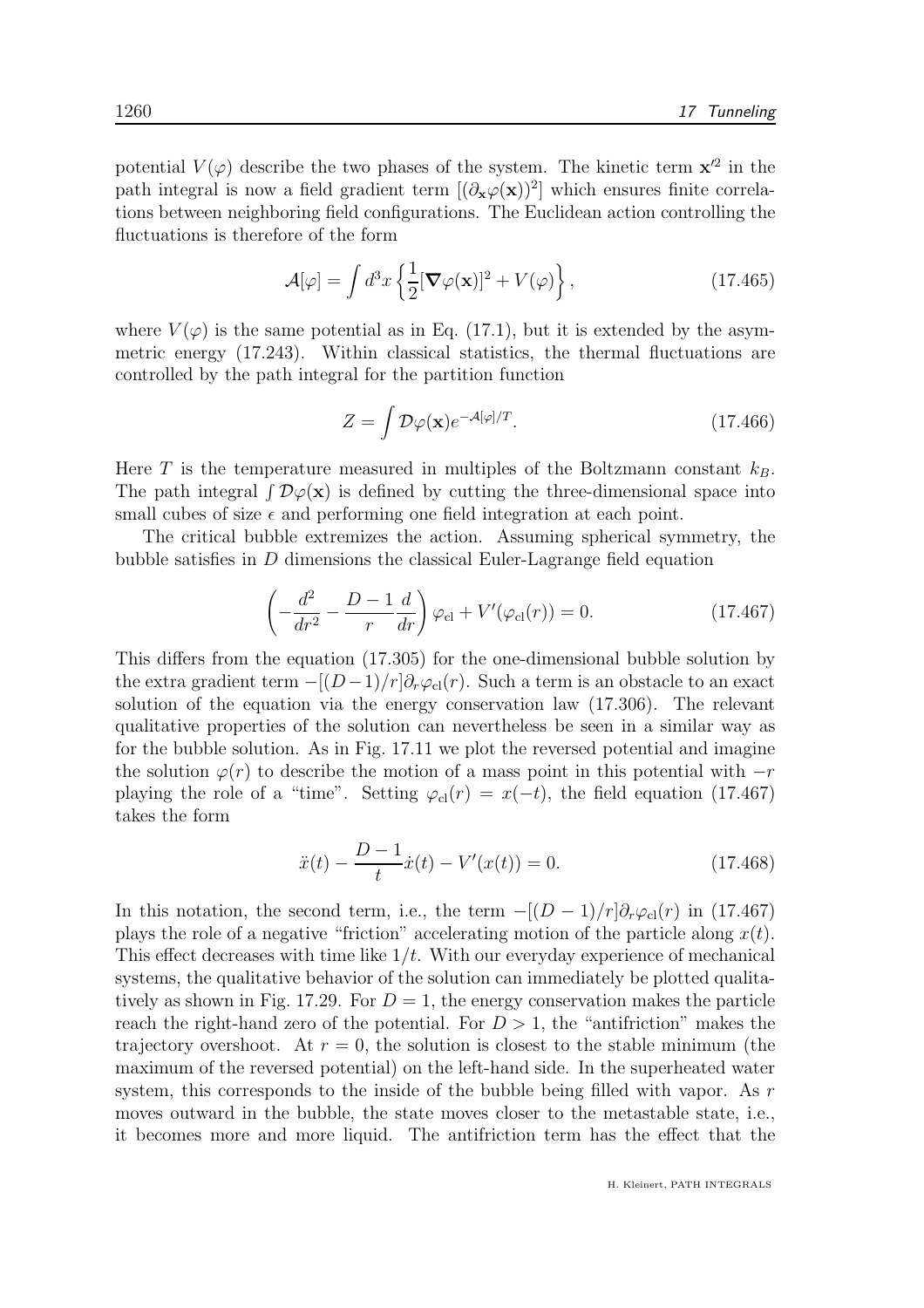potential  $V(\varphi)$  describe the two phases of the system. The kinetic term  $x'^2$  in the path integral is now a field gradient term  $[(\partial_x \varphi(x))^2]$  which ensures finite correlations between neighboring field configurations. The Euclidean action controlling the fluctuations is therefore of the form

$$
\mathcal{A}[\varphi] = \int d^3x \left\{ \frac{1}{2} [\mathbf{\nabla}\varphi(\mathbf{x})]^2 + V(\varphi) \right\},\tag{17.465}
$$

where  $V(\varphi)$  is the same potential as in Eq. (17.1), but it is extended by the asymmetric energy (17.243). Within classical statistics, the thermal fluctuations are controlled by the path integral for the partition function

$$
Z = \int \mathcal{D}\varphi(\mathbf{x})e^{-\mathcal{A}[\varphi]/T}.\tag{17.466}
$$

Here T is the temperature measured in multiples of the Boltzmann constant  $k_B$ . The path integral  $\int \mathcal{D}\varphi(\mathbf{x})$  is defined by cutting the three-dimensional space into small cubes of size  $\epsilon$  and performing one field integration at each point.

The critical bubble extremizes the action. Assuming spherical symmetry, the bubble satisfies in D dimensions the classical Euler-Lagrange field equation

$$
\left(-\frac{d^2}{dr^2} - \frac{D-1}{r}\frac{d}{dr}\right)\varphi_{\rm cl} + V'(\varphi_{\rm cl}(r)) = 0.
$$
 (17.467)

This differs from the equation (17.305) for the one-dimensional bubble solution by the extra gradient term  $-[ (D-1)/r] \partial_r \varphi_{\rm cl}(r)$ . Such a term is an obstacle to an exact solution of the equation via the energy conservation law (17.306). The relevant qualitative properties of the solution can nevertheless be seen in a similar way as for the bubble solution. As in Fig. 17.11 we plot the reversed potential and imagine the solution  $\varphi(r)$  to describe the motion of a mass point in this potential with  $-r$ playing the role of a "time". Setting  $\varphi_{\rm cl}(r) = x(-t)$ , the field equation (17.467) takes the form

$$
\ddot{x}(t) - \frac{D-1}{t}\dot{x}(t) - V'(x(t)) = 0.
$$
\n(17.468)

In this notation, the second term, i.e., the term  $-[ (D-1)/r] \partial_r \varphi_{\text{cl}}(r)$  in (17.467) plays the role of a negative "friction" accelerating motion of the particle along  $x(t)$ . This effect decreases with time like  $1/t$ . With our everyday experience of mechanical systems, the qualitative behavior of the solution can immediately be plotted qualitatively as shown in Fig. 17.29. For  $D = 1$ , the energy conservation makes the particle reach the right-hand zero of the potential. For  $D > 1$ , the "antifriction" makes the trajectory overshoot. At  $r = 0$ , the solution is closest to the stable minimum (the maximum of the reversed potential) on the left-hand side. In the superheated water system, this corresponds to the inside of the bubble being filled with vapor. As  $r$ moves outward in the bubble, the state moves closer to the metastable state, i.e., it becomes more and more liquid. The antifriction term has the effect that the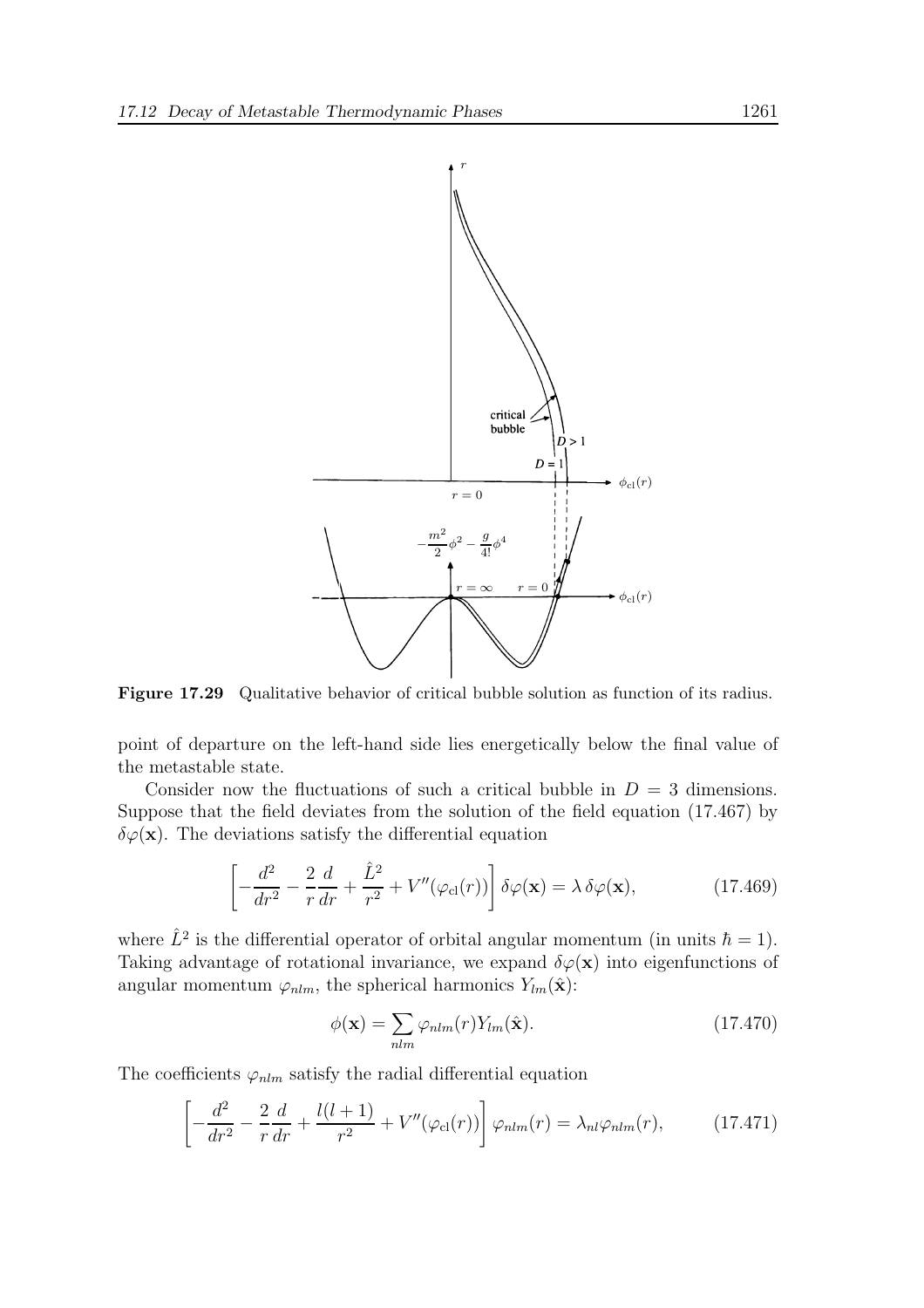

Figure 17.29 Qualitative behavior of critical bubble solution as function of its radius.

point of departure on the left-hand side lies energetically below the final value of the metastable state.

Consider now the fluctuations of such a critical bubble in  $D = 3$  dimensions. Suppose that the field deviates from the solution of the field equation (17.467) by  $\delta\varphi(\mathbf{x})$ . The deviations satisfy the differential equation

$$
\left[ -\frac{d^2}{dr^2} - \frac{2}{r}\frac{d}{dr} + \frac{\hat{L}^2}{r^2} + V''(\varphi_{\rm cl}(r)) \right] \delta\varphi(\mathbf{x}) = \lambda \,\delta\varphi(\mathbf{x}),\tag{17.469}
$$

where  $\hat{L}^2$  is the differential operator of orbital angular momentum (in units  $\hbar = 1$ ). Taking advantage of rotational invariance, we expand  $\delta\varphi(\mathbf{x})$  into eigenfunctions of angular momentum  $\varphi_{nlm}$ , the spherical harmonics  $Y_{lm}(\hat{\mathbf{x}})$ :

$$
\phi(\mathbf{x}) = \sum_{nlm} \varphi_{nlm}(r) Y_{lm}(\hat{\mathbf{x}}).
$$
\n(17.470)

The coefficients  $\varphi_{nlm}$  satisfy the radial differential equation

$$
\left[ -\frac{d^2}{dr^2} - \frac{2}{r}\frac{d}{dr} + \frac{l(l+1)}{r^2} + V''(\varphi_{\rm cl}(r)) \right] \varphi_{nlm}(r) = \lambda_{nl}\varphi_{nlm}(r), \qquad (17.471)
$$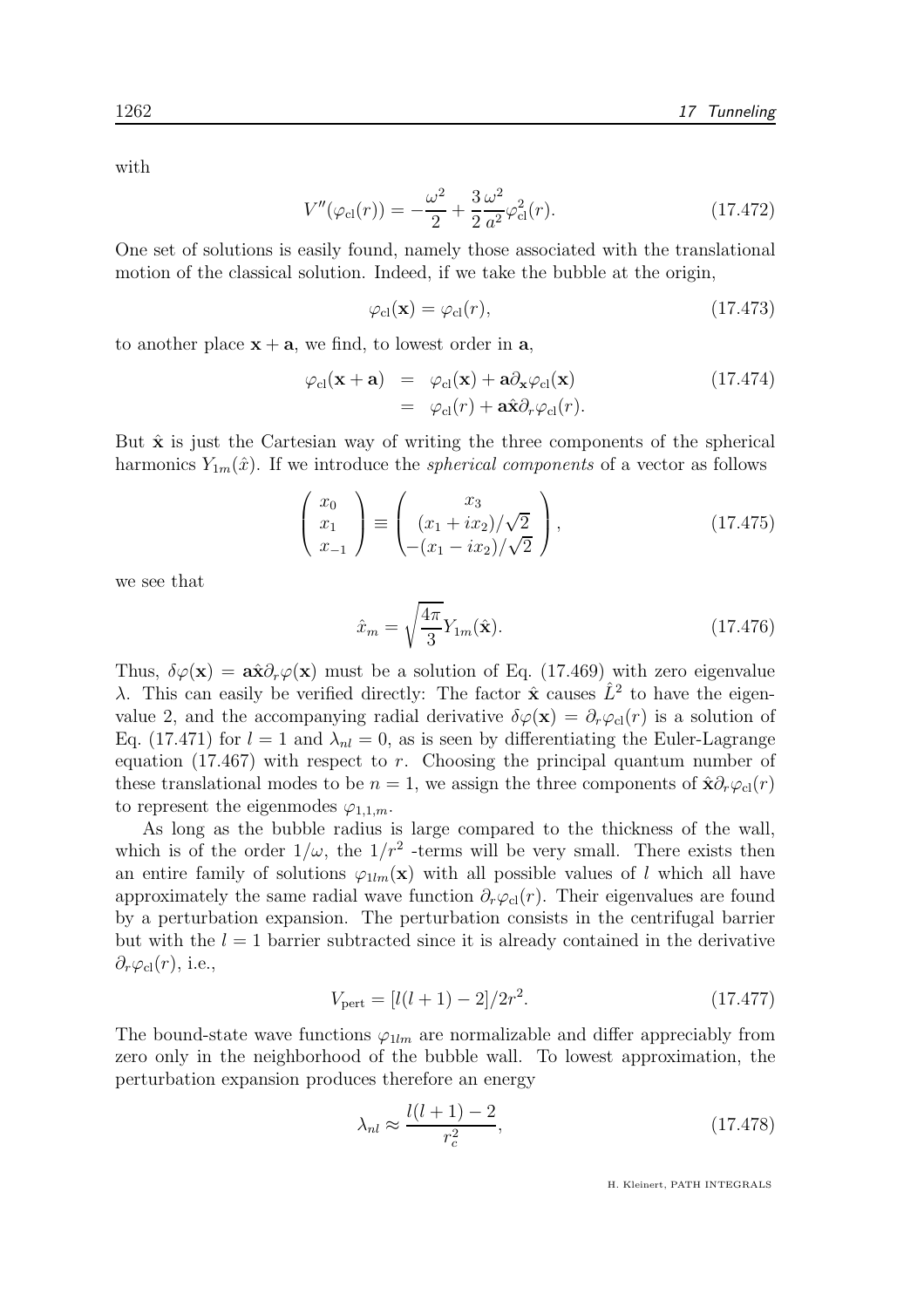with

$$
V''(\varphi_{\rm cl}(r)) = -\frac{\omega^2}{2} + \frac{3}{2} \frac{\omega^2}{a^2} \varphi_{\rm cl}^2(r). \tag{17.472}
$$

One set of solutions is easily found, namely those associated with the translational motion of the classical solution. Indeed, if we take the bubble at the origin,

$$
\varphi_{\rm cl}(\mathbf{x}) = \varphi_{\rm cl}(r),\tag{17.473}
$$

to another place  $x + a$ , we find, to lowest order in a,

$$
\varphi_{\rm cl}(\mathbf{x} + \mathbf{a}) = \varphi_{\rm cl}(\mathbf{x}) + \mathbf{a} \partial_{\mathbf{x}} \varphi_{\rm cl}(\mathbf{x}) \qquad (17.474)
$$

$$
= \varphi_{\rm cl}(r) + \mathbf{a} \hat{\mathbf{x}} \partial_r \varphi_{\rm cl}(r).
$$

But  $\hat{\mathbf{x}}$  is just the Cartesian way of writing the three components of the spherical harmonics  $Y_{1m}(\hat{x})$ . If we introduce the *spherical components* of a vector as follows

$$
\begin{pmatrix} x_0 \\ x_1 \\ x_{-1} \end{pmatrix} \equiv \begin{pmatrix} x_3 \\ (x_1 + ix_2)/\sqrt{2} \\ -(x_1 - ix_2)/\sqrt{2} \end{pmatrix},
$$
(17.475)

we see that

$$
\hat{x}_m = \sqrt{\frac{4\pi}{3}} Y_{1m}(\hat{\mathbf{x}}). \tag{17.476}
$$

Thus,  $\delta\varphi(\mathbf{x}) = \mathbf{a}\hat{\mathbf{x}}\partial_r\varphi(\mathbf{x})$  must be a solution of Eq. (17.469) with zero eigenvalue λ. This can easily be verified directly: The factor  $\hat{\mathbf{x}}$  causes  $\hat{L}^2$  to have the eigenvalue 2, and the accompanying radial derivative  $\delta\varphi(\mathbf{x}) = \partial_r\varphi_{\text{cl}}(r)$  is a solution of Eq. (17.471) for  $l = 1$  and  $\lambda_{nl} = 0$ , as is seen by differentiating the Euler-Lagrange equation  $(17.467)$  with respect to r. Choosing the principal quantum number of these translational modes to be  $n = 1$ , we assign the three components of  $\hat{\mathbf{x}} \partial_r \varphi_{\text{cl}}(r)$ to represent the eigenmodes  $\varphi_{1,1,m}$ .

As long as the bubble radius is large compared to the thickness of the wall, which is of the order  $1/\omega$ , the  $1/r^2$  -terms will be very small. There exists then an entire family of solutions  $\varphi_{1lm}(\mathbf{x})$  with all possible values of l which all have approximately the same radial wave function  $\partial_r \varphi_{\text{cl}}(r)$ . Their eigenvalues are found by a perturbation expansion. The perturbation consists in the centrifugal barrier but with the  $l = 1$  barrier subtracted since it is already contained in the derivative  $\partial_r \varphi_{\rm cl}(r)$ , i.e.,

$$
V_{\text{pert}} = [l(l+1) - 2]/2r^2. \tag{17.477}
$$

The bound-state wave functions  $\varphi_{1lm}$  are normalizable and differ appreciably from zero only in the neighborhood of the bubble wall. To lowest approximation, the perturbation expansion produces therefore an energy

$$
\lambda_{nl} \approx \frac{l(l+1)-2}{r_c^2},\tag{17.478}
$$

H. Kleinert, PATH INTEGRALS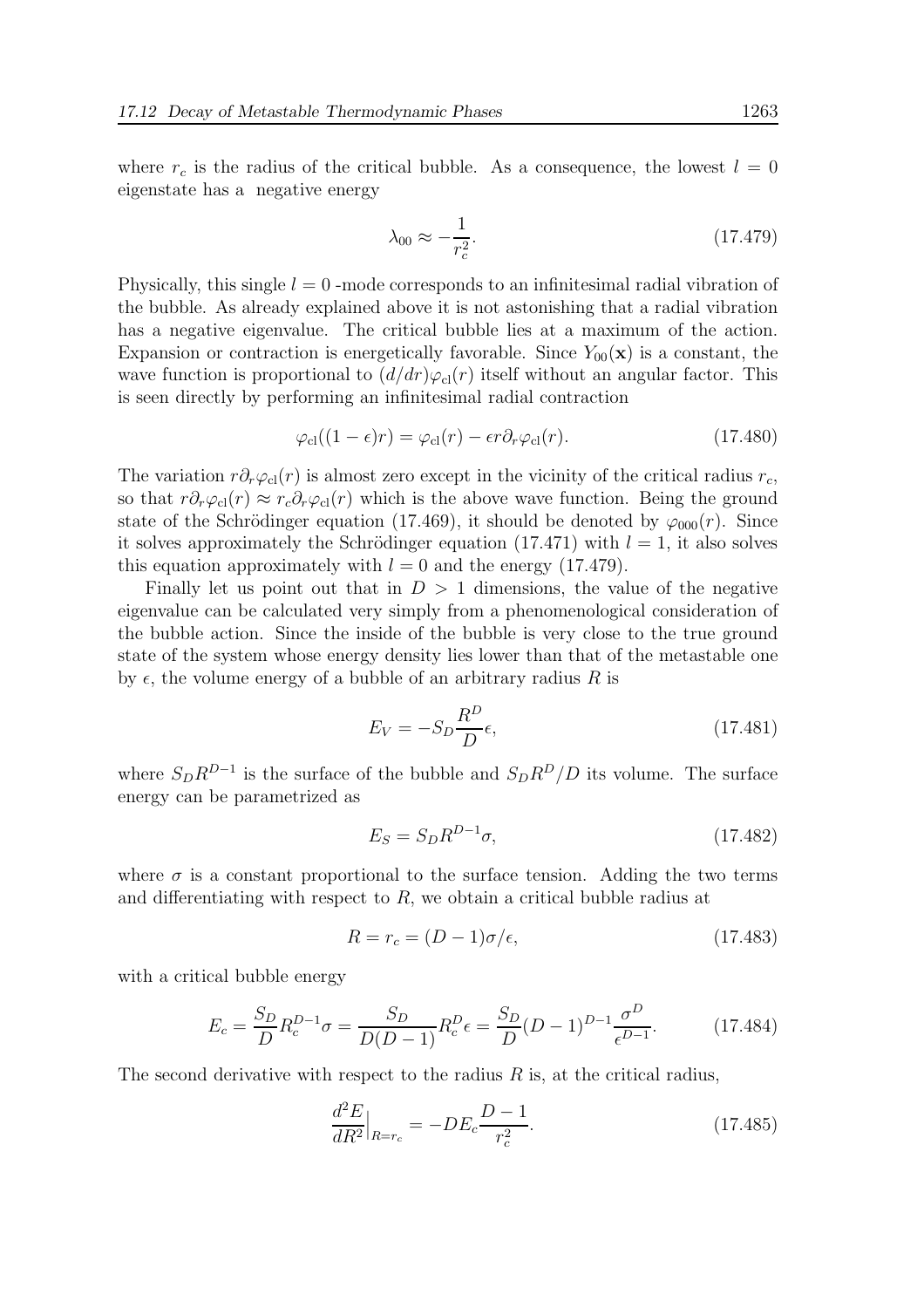$$
\lambda_{00} \approx -\frac{1}{r_c^2}.\tag{17.479}
$$

Physically, this single  $l = 0$  -mode corresponds to an infinitesimal radial vibration of the bubble. As already explained above it is not astonishing that a radial vibration has a negative eigenvalue. The critical bubble lies at a maximum of the action. Expansion or contraction is energetically favorable. Since  $Y_{00}(\mathbf{x})$  is a constant, the wave function is proportional to  $(d/dr)\varphi_{\rm cl}(r)$  itself without an angular factor. This is seen directly by performing an infinitesimal radial contraction

$$
\varphi_{\rm cl}((1-\epsilon)r) = \varphi_{\rm cl}(r) - \epsilon r \partial_r \varphi_{\rm cl}(r). \tag{17.480}
$$

The variation  $r\partial_r\varphi_{\text{cl}}(r)$  is almost zero except in the vicinity of the critical radius  $r_c$ , so that  $r\partial_r\varphi_{\text{cl}}(r) \approx r_c\partial_r\varphi_{\text{cl}}(r)$  which is the above wave function. Being the ground state of the Schrödinger equation (17.469), it should be denoted by  $\varphi_{000}(r)$ . Since it solves approximately the Schrödinger equation  $(17.471)$  with  $l = 1$ , it also solves this equation approximately with  $l = 0$  and the energy (17.479).

Finally let us point out that in  $D > 1$  dimensions, the value of the negative eigenvalue can be calculated very simply from a phenomenological consideration of the bubble action. Since the inside of the bubble is very close to the true ground state of the system whose energy density lies lower than that of the metastable one by  $\epsilon$ , the volume energy of a bubble of an arbitrary radius R is

$$
E_V = -S_D \frac{R^D}{D} \epsilon, \qquad (17.481)
$$

where  $S_D R^{D-1}$  is the surface of the bubble and  $S_D R^D/D$  its volume. The surface energy can be parametrized as

$$
E_S = S_D R^{D-1} \sigma,\tag{17.482}
$$

where  $\sigma$  is a constant proportional to the surface tension. Adding the two terms and differentiating with respect to R, we obtain a critical bubble radius at

$$
R = r_c = (D - 1)\sigma/\epsilon,\tag{17.483}
$$

with a critical bubble energy

$$
E_c = \frac{S_D}{D} R_c^{D-1} \sigma = \frac{S_D}{D(D-1)} R_c^D \epsilon = \frac{S_D}{D} (D-1)^{D-1} \frac{\sigma^D}{\epsilon^{D-1}}.
$$
 (17.484)

The second derivative with respect to the radius  $R$  is, at the critical radius,

$$
\frac{d^2E}{dR^2}\Big|_{R=r_c} = -DE_c \frac{D-1}{r_c^2}.\tag{17.485}
$$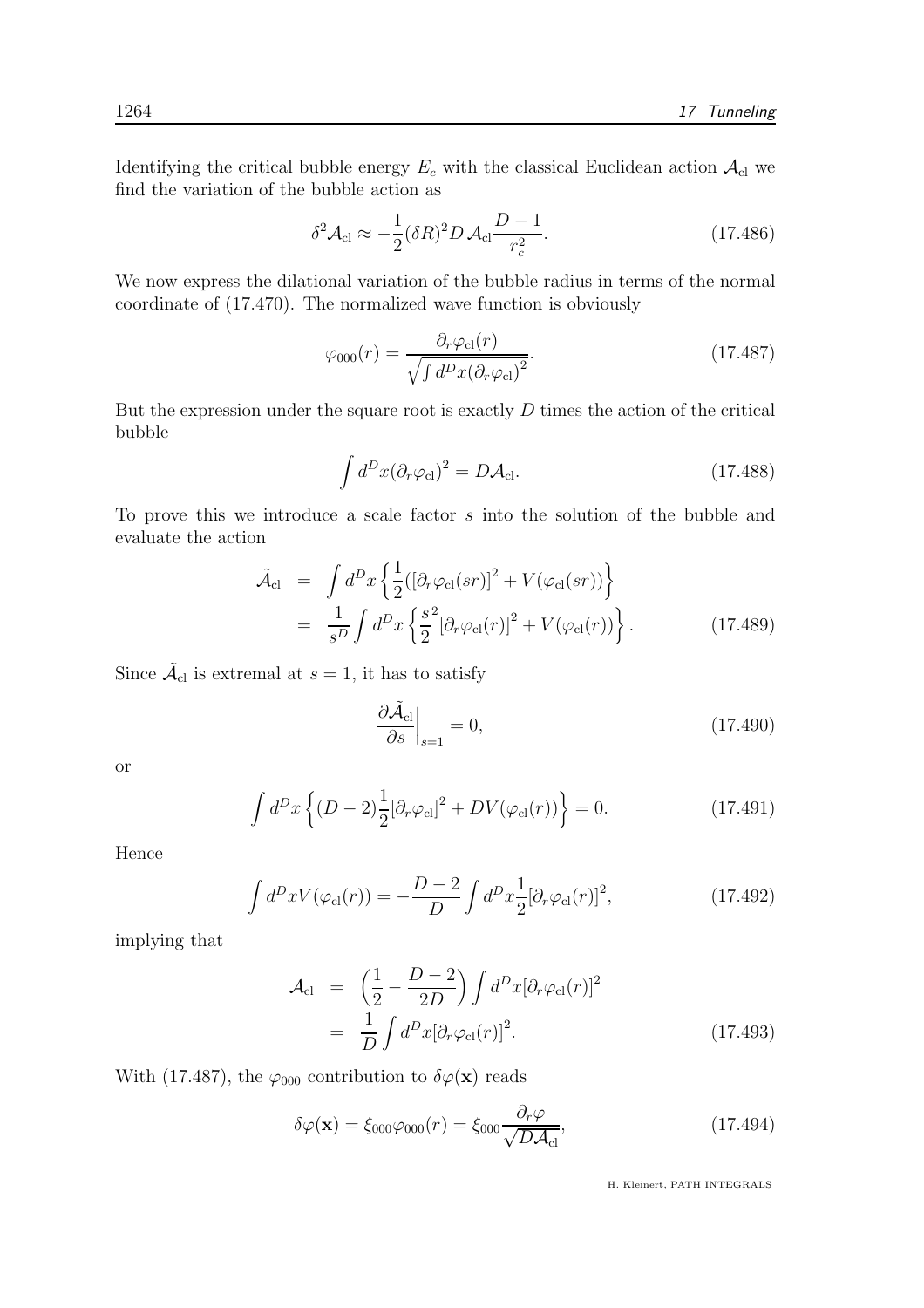Identifying the critical bubble energy  $E_c$  with the classical Euclidean action  $\mathcal{A}_{\text{cl}}$  we find the variation of the bubble action as

$$
\delta^2 \mathcal{A}_{\rm cl} \approx -\frac{1}{2} (\delta R)^2 D \mathcal{A}_{\rm cl} \frac{D-1}{r_c^2}.
$$
 (17.486)

We now express the dilational variation of the bubble radius in terms of the normal coordinate of (17.470). The normalized wave function is obviously

$$
\varphi_{000}(r) = \frac{\partial_r \varphi_{\rm cl}(r)}{\sqrt{\int d^D x (\partial_r \varphi_{\rm cl})^2}}.\tag{17.487}
$$

But the expression under the square root is exactly  $D$  times the action of the critical bubble

$$
\int d^D x (\partial_r \varphi_{\rm cl})^2 = D \mathcal{A}_{\rm cl}.
$$
\n(17.488)

To prove this we introduce a scale factor s into the solution of the bubble and evaluate the action

$$
\tilde{\mathcal{A}}_{\text{cl}} = \int d^D x \left\{ \frac{1}{2} ( [\partial_r \varphi_{\text{cl}}(sr)]^2 + V(\varphi_{\text{cl}}(sr)) \right\} \n= \frac{1}{s^D} \int d^D x \left\{ \frac{s^2}{2} [\partial_r \varphi_{\text{cl}}(r)]^2 + V(\varphi_{\text{cl}}(r)) \right\}.
$$
\n(17.489)

Since  $\tilde{\mathcal{A}}_{\text{cl}}$  is extremal at  $s = 1$ , it has to satisfy

$$
\left. \frac{\partial \tilde{\mathcal{A}}_{\text{cl}}}{\partial s} \right|_{s=1} = 0,\tag{17.490}
$$

or

$$
\int d^D x \left\{ (D-2) \frac{1}{2} [\partial_r \varphi_{\rm cl}]^2 + DV(\varphi_{\rm cl}(r)) \right\} = 0. \tag{17.491}
$$

Hence

$$
\int d^D x V(\varphi_{\rm cl}(r)) = -\frac{D-2}{D} \int d^D x \frac{1}{2} [\partial_r \varphi_{\rm cl}(r)]^2, \qquad (17.492)
$$

implying that

$$
\mathcal{A}_{\text{cl}} = \left(\frac{1}{2} - \frac{D - 2}{2D}\right) \int d^D x [\partial_r \varphi_{\text{cl}}(r)]^2
$$
  
= 
$$
\frac{1}{D} \int d^D x [\partial_r \varphi_{\text{cl}}(r)]^2.
$$
 (17.493)

With (17.487), the  $\varphi_{000}$  contribution to  $\delta\varphi(\mathbf{x})$  reads

$$
\delta\varphi(\mathbf{x}) = \xi_{000}\varphi_{000}(r) = \xi_{000}\frac{\partial_r\varphi}{\sqrt{D\mathcal{A}_{\text{cl}}}},\tag{17.494}
$$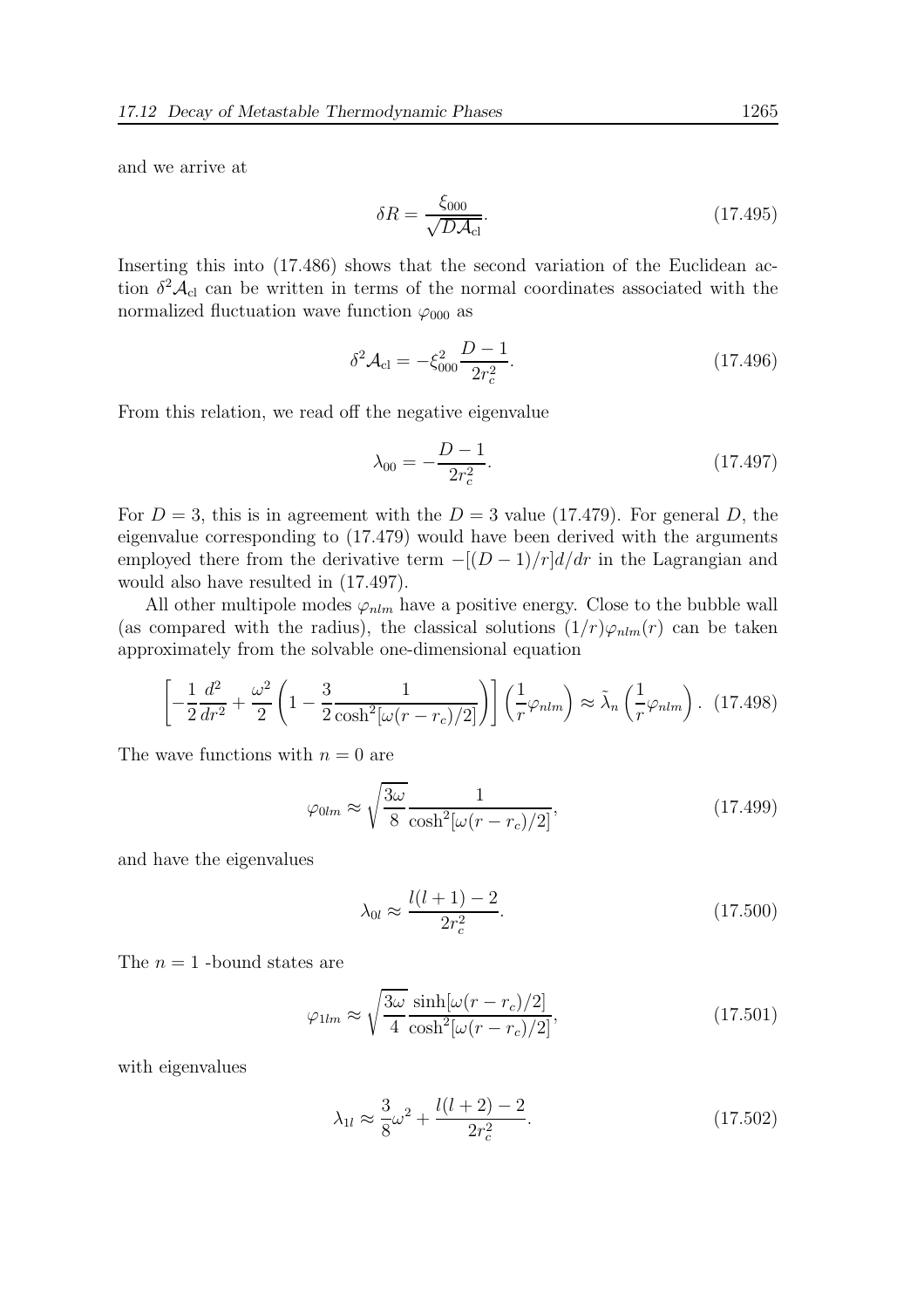and we arrive at

$$
\delta R = \frac{\xi_{000}}{\sqrt{D\mathcal{A}_{\text{cl}}}}.\tag{17.495}
$$

Inserting this into (17.486) shows that the second variation of the Euclidean action  $\delta^2 A_{\text{cl}}$  can be written in terms of the normal coordinates associated with the normalized fluctuation wave function  $\varphi_{000}$  as

$$
\delta^2 \mathcal{A}_{\rm cl} = -\xi_{000}^2 \frac{D-1}{2r_c^2}.
$$
\n(17.496)

From this relation, we read off the negative eigenvalue

$$
\lambda_{00} = -\frac{D-1}{2r_c^2}.\tag{17.497}
$$

For  $D = 3$ , this is in agreement with the  $D = 3$  value (17.479). For general D, the eigenvalue corresponding to (17.479) would have been derived with the arguments employed there from the derivative term  $-[ (D-1)/r]d/dr$  in the Lagrangian and would also have resulted in (17.497).

All other multipole modes  $\varphi_{nlm}$  have a positive energy. Close to the bubble wall (as compared with the radius), the classical solutions  $(1/r)\varphi_{nlm}(r)$  can be taken approximately from the solvable one-dimensional equation

$$
\left[-\frac{1}{2}\frac{d^2}{dr^2} + \frac{\omega^2}{2}\left(1 - \frac{3}{2}\frac{1}{\cosh^2[\omega(r - r_c)/2]}\right)\right]\left(\frac{1}{r}\varphi_{nlm}\right) \approx \tilde{\lambda}_n\left(\frac{1}{r}\varphi_{nlm}\right). \tag{17.498}
$$

The wave functions with  $n = 0$  are

$$
\varphi_{0lm} \approx \sqrt{\frac{3\omega}{8}} \frac{1}{\cosh^2[\omega(r - r_c)/2]},\tag{17.499}
$$

and have the eigenvalues

$$
\lambda_{0l} \approx \frac{l(l+1)-2}{2r_c^2}.\tag{17.500}
$$

The  $n = 1$  -bound states are

$$
\varphi_{1lm} \approx \sqrt{\frac{3\omega}{4}} \frac{\sinh[\omega(r - r_c)/2]}{\cosh^2[\omega(r - r_c)/2]},\tag{17.501}
$$

with eigenvalues

$$
\lambda_{1l} \approx \frac{3}{8}\omega^2 + \frac{l(l+2)-2}{2r_c^2}.\tag{17.502}
$$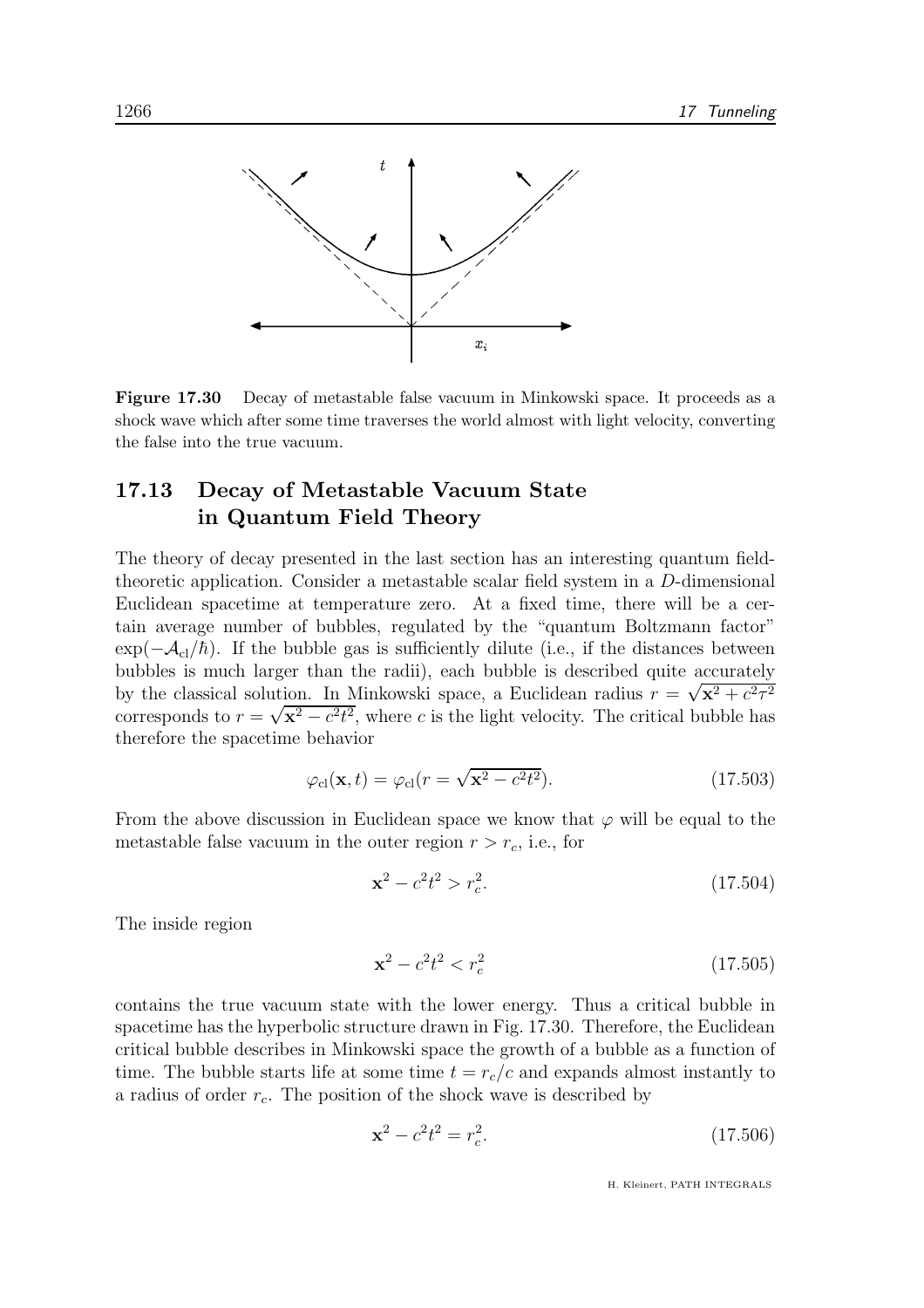

Figure 17.30 Decay of metastable false vacuum in Minkowski space. It proceeds as a shock wave which after some time traverses the world almost with light velocity, converting the false into the true vacuum.

# 17.13 Decay of Metastable Vacuum State in Quantum Field Theory

The theory of decay presented in the last section has an interesting quantum fieldtheoretic application. Consider a metastable scalar field system in a D-dimensional Euclidean spacetime at temperature zero. At a fixed time, there will be a certain average number of bubbles, regulated by the "quantum Boltzmann factor"  $\exp(-\mathcal{A}_{c}/\hbar)$ . If the bubble gas is sufficiently dilute (i.e., if the distances between bubbles is much larger than the radii), each bubble is described quite accurately by the classical solution. In Minkowski space, a Euclidean radius  $r = \sqrt{x^2 + c^2\tau^2}$ corresponds to  $r = \sqrt{x^2 - c^2 t^2}$ , where c is the light velocity. The critical bubble has therefore the spacetime behavior

$$
\varphi_{\rm cl}(\mathbf{x},t) = \varphi_{\rm cl}(r = \sqrt{\mathbf{x}^2 - c^2 t^2}).\tag{17.503}
$$

From the above discussion in Euclidean space we know that  $\varphi$  will be equal to the metastable false vacuum in the outer region  $r > r_c$ , i.e., for

$$
\mathbf{x}^2 - c^2 t^2 > r_c^2. \tag{17.504}
$$

The inside region

$$
\mathbf{x}^2 - c^2 t^2 < r_c^2 \tag{17.505}
$$

contains the true vacuum state with the lower energy. Thus a critical bubble in spacetime has the hyperbolic structure drawn in Fig. 17.30. Therefore, the Euclidean critical bubble describes in Minkowski space the growth of a bubble as a function of time. The bubble starts life at some time  $t = r_c/c$  and expands almost instantly to a radius of order  $r_c$ . The position of the shock wave is described by

$$
\mathbf{x}^2 - c^2 t^2 = r_c^2. \tag{17.506}
$$

H. Kleinert, PATH INTEGRALS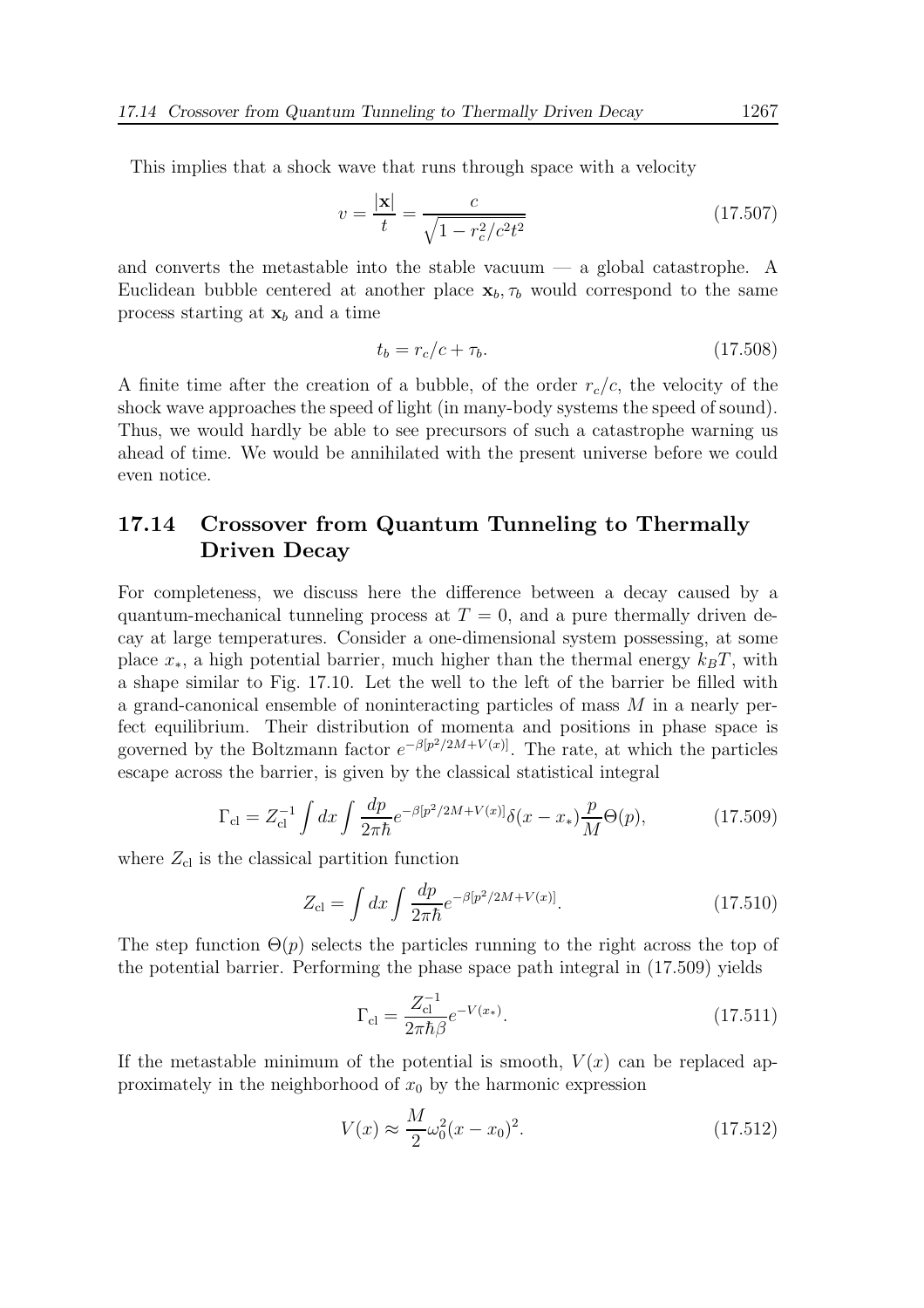This implies that a shock wave that runs through space with a velocity

$$
v = \frac{|\mathbf{x}|}{t} = \frac{c}{\sqrt{1 - r_c^2/c^2 t^2}}
$$
(17.507)

and converts the metastable into the stable vacuum  $-$  a global catastrophe. A Euclidean bubble centered at another place  $x_b, \tau_b$  would correspond to the same process starting at  $x_b$  and a time

$$
t_b = r_c/c + \tau_b. \tag{17.508}
$$

A finite time after the creation of a bubble, of the order  $r_c/c$ , the velocity of the shock wave approaches the speed of light (in many-body systems the speed of sound). Thus, we would hardly be able to see precursors of such a catastrophe warning us ahead of time. We would be annihilated with the present universe before we could even notice.

# 17.14 Crossover from Quantum Tunneling to Thermally Driven Decay

For completeness, we discuss here the difference between a decay caused by a quantum-mechanical tunneling process at  $T = 0$ , and a pure thermally driven decay at large temperatures. Consider a one-dimensional system possessing, at some place  $x_*,$  a high potential barrier, much higher than the thermal energy  $k_BT$ , with a shape similar to Fig. 17.10. Let the well to the left of the barrier be filled with a grand-canonical ensemble of noninteracting particles of mass  $M$  in a nearly perfect equilibrium. Their distribution of momenta and positions in phase space is governed by the Boltzmann factor  $e^{-\beta[p^2/2M+V(x)]}$ . The rate, at which the particles escape across the barrier, is given by the classical statistical integral

$$
\Gamma_{\rm cl} = Z_{\rm cl}^{-1} \int dx \int \frac{dp}{2\pi\hbar} e^{-\beta [p^2/2M + V(x)]} \delta(x - x_*) \frac{p}{M} \Theta(p), \tag{17.509}
$$

where  $Z_{\rm cl}$  is the classical partition function

$$
Z_{\rm cl} = \int dx \int \frac{dp}{2\pi\hbar} e^{-\beta [p^2/2M + V(x)]}.
$$
 (17.510)

The step function  $\Theta(p)$  selects the particles running to the right across the top of the potential barrier. Performing the phase space path integral in (17.509) yields

$$
\Gamma_{\rm cl} = \frac{Z_{\rm cl}^{-1}}{2\pi\hbar\beta}e^{-V(x_*)}.\tag{17.511}
$$

If the metastable minimum of the potential is smooth,  $V(x)$  can be replaced approximately in the neighborhood of  $x_0$  by the harmonic expression

$$
V(x) \approx \frac{M}{2}\omega_0^2 (x - x_0)^2.
$$
 (17.512)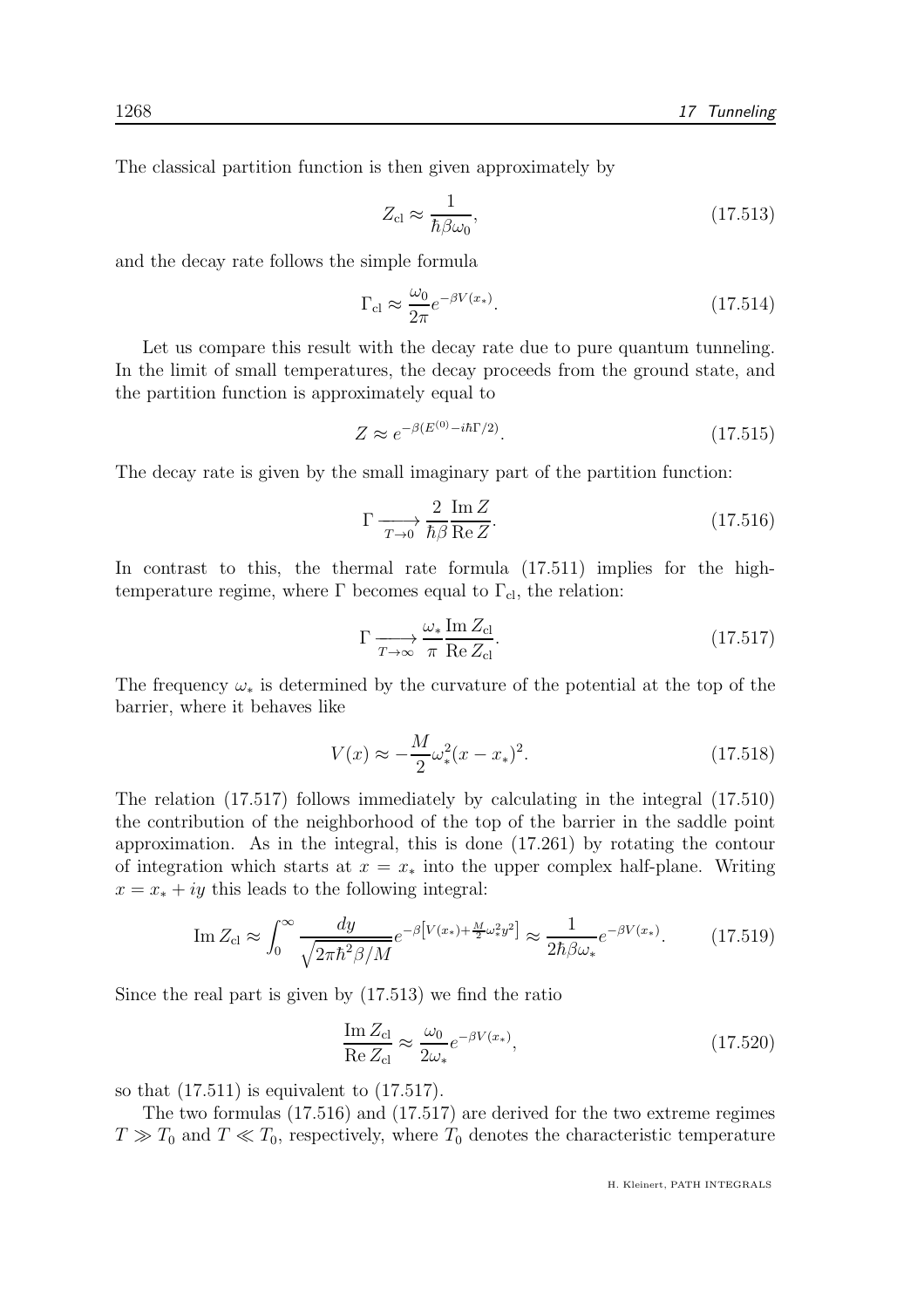The classical partition function is then given approximately by

$$
Z_{\rm cl} \approx \frac{1}{\hbar \beta \omega_0},\tag{17.513}
$$

and the decay rate follows the simple formula

$$
\Gamma_{\rm cl} \approx \frac{\omega_0}{2\pi} e^{-\beta V(x_*)}.\tag{17.514}
$$

Let us compare this result with the decay rate due to pure quantum tunneling. In the limit of small temperatures, the decay proceeds from the ground state, and the partition function is approximately equal to

$$
Z \approx e^{-\beta (E^{(0)} - i\hbar\Gamma/2)}.\tag{17.515}
$$

The decay rate is given by the small imaginary part of the partition function:

$$
\Gamma \xrightarrow[T \to 0]{} \frac{2 \operatorname{Im} Z}{\hbar \beta \operatorname{Re} Z}.
$$
\n(17.516)

In contrast to this, the thermal rate formula (17.511) implies for the hightemperature regime, where  $\Gamma$  becomes equal to  $\Gamma_{\text{cl}}$ , the relation:

$$
\Gamma \xrightarrow[T \to \infty]{} \frac{\omega_* \operatorname{Im} Z_{\text{cl}}}{\pi \operatorname{Re} Z_{\text{cl}}}.
$$
\n(17.517)

The frequency  $\omega_*$  is determined by the curvature of the potential at the top of the barrier, where it behaves like

$$
V(x) \approx -\frac{M}{2}\omega_*^2 (x - x_*)^2. \tag{17.518}
$$

The relation (17.517) follows immediately by calculating in the integral (17.510) the contribution of the neighborhood of the top of the barrier in the saddle point approximation. As in the integral, this is done (17.261) by rotating the contour of integration which starts at  $x = x_*$  into the upper complex half-plane. Writing  $x = x_* + iy$  this leads to the following integral:

$$
\operatorname{Im} Z_{\text{cl}} \approx \int_0^\infty \frac{dy}{\sqrt{2\pi\hbar^2 \beta/M}} e^{-\beta \left[V(x_*) + \frac{M}{2}\omega_*^2 y^2\right]} \approx \frac{1}{2\hbar\beta\omega_*} e^{-\beta V(x_*)}.\tag{17.519}
$$

Since the real part is given by (17.513) we find the ratio

$$
\frac{\operatorname{Im} Z_{\text{cl}}}{\operatorname{Re} Z_{\text{cl}}} \approx \frac{\omega_0}{2\omega_*} e^{-\beta V(x_*)},\tag{17.520}
$$

so that  $(17.511)$  is equivalent to  $(17.517)$ .

The two formulas (17.516) and (17.517) are derived for the two extreme regimes  $T \gg T_0$  and  $T \ll T_0$ , respectively, where  $T_0$  denotes the characteristic temperature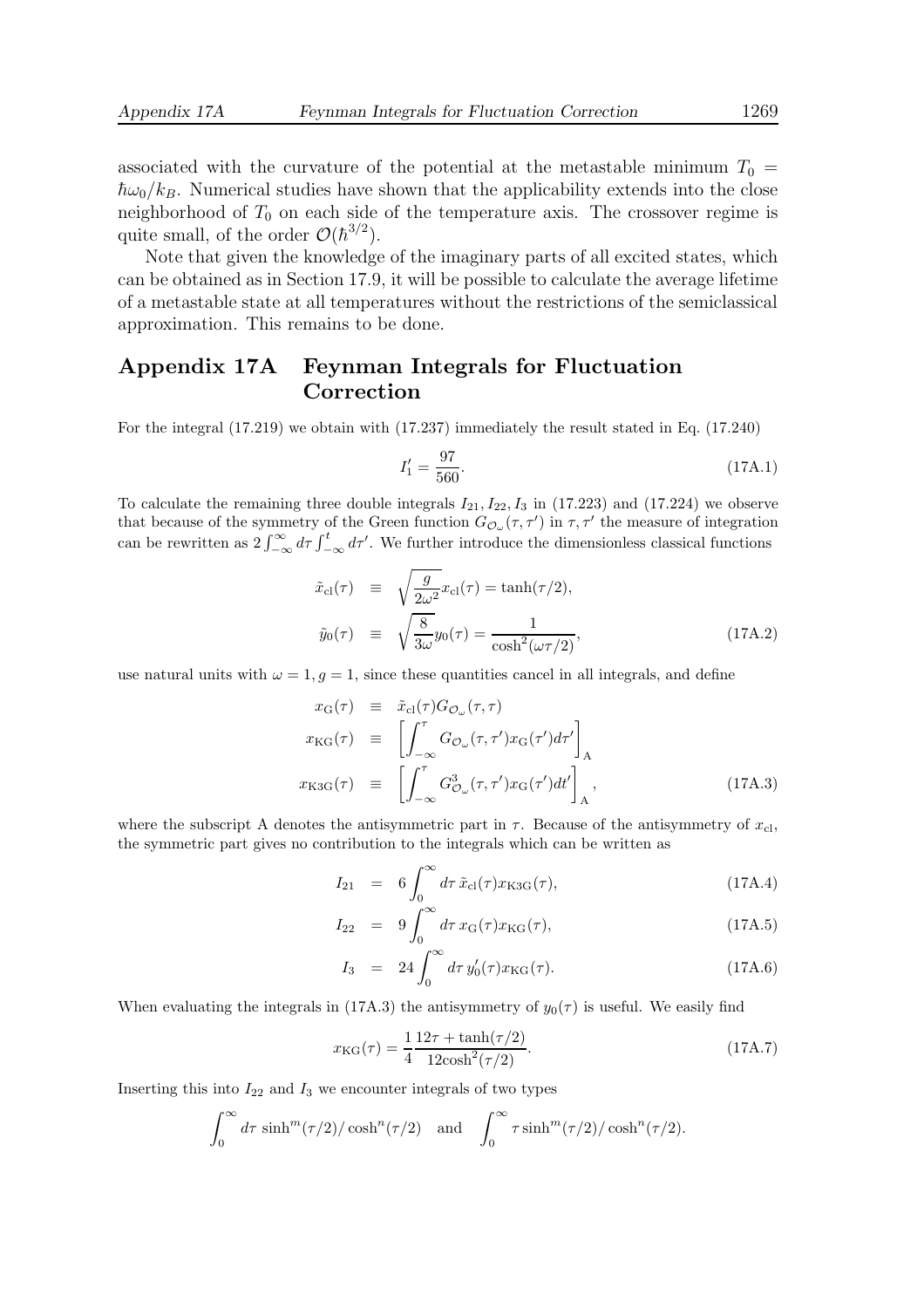associated with the curvature of the potential at the metastable minimum  $T_0 =$  $\hbar\omega_0/k_B$ . Numerical studies have shown that the applicability extends into the close neighborhood of  $T_0$  on each side of the temperature axis. The crossover regime is quite small, of the order  $\mathcal{O}(\hbar^{3/2})$ .

Note that given the knowledge of the imaginary parts of all excited states, which can be obtained as in Section 17.9, it will be possible to calculate the average lifetime of a metastable state at all temperatures without the restrictions of the semiclassical approximation. This remains to be done.

### Appendix 17A Feynman Integrals for Fluctuation Correction

For the integral (17.219) we obtain with (17.237) immediately the result stated in Eq. (17.240)

$$
I_1' = \frac{97}{560}.\tag{17A.1}
$$

To calculate the remaining three double integrals  $I_{21}$ ,  $I_{22}$ ,  $I_3$  in (17.223) and (17.224) we observe that because of the symmetry of the Green function  $G_{\mathcal{O}_{\omega}}(\tau, \tau')$  in  $\tau, \tau'$  the measure of integration can be rewritten as  $2 \int_{-\infty}^{\infty} d\tau \int_{-\infty}^{t} d\tau'$ . We further introduce the dimensionless classical functions

$$
\tilde{x}_{\text{cl}}(\tau) \equiv \sqrt{\frac{g}{2\omega^2}} x_{\text{cl}}(\tau) = \tanh(\tau/2),
$$
\n
$$
\tilde{y}_0(\tau) \equiv \sqrt{\frac{8}{3\omega}} y_0(\tau) = \frac{1}{\cosh^2(\omega \tau/2)},
$$
\n(17A.2)

use natural units with  $\omega = 1$ , g = 1, since these quantities cancel in all integrals, and define

$$
x_{\rm G}(\tau) \equiv \tilde{x}_{\rm cl}(\tau) G_{\mathcal{O}_{\omega}}(\tau, \tau)
$$
  
\n
$$
x_{\rm KG}(\tau) \equiv \left[ \int_{-\infty}^{\tau} G_{\mathcal{O}_{\omega}}(\tau, \tau') x_{\rm G}(\tau') d\tau' \right]_{\rm A}
$$
  
\n
$$
x_{\rm K3G}(\tau) \equiv \left[ \int_{-\infty}^{\tau} G_{\mathcal{O}_{\omega}}^3(\tau, \tau') x_{\rm G}(\tau') d\tau' \right]_{\rm A},
$$
\n(17A.3)

where the subscript A denotes the antisymmetric part in  $\tau$ . Because of the antisymmetry of  $x_{\text{cl}}$ , the symmetric part gives no contribution to the integrals which can be written as

$$
I_{21} = 6 \int_0^\infty d\tau \, \tilde{x}_{cl}(\tau) x_{K3G}(\tau), \tag{17A.4}
$$

$$
I_{22} = 9 \int_0^\infty d\tau \, x_{\rm G}(\tau) x_{\rm KG}(\tau), \tag{17A.5}
$$

$$
I_3 = 24 \int_0^\infty d\tau \, y_0'(\tau) x_{\rm KG}(\tau). \tag{17A.6}
$$

When evaluating the integrals in (17A.3) the antisymmetry of  $y_0(\tau)$  is useful. We easily find

$$
x_{\rm KG}(\tau) = \frac{1}{4} \frac{12\tau + \tanh(\tau/2)}{12\cosh^2(\tau/2)}.
$$
 (17A.7)

Inserting this into  $I_{22}$  and  $I_3$  we encounter integrals of two types

$$
\int_0^\infty d\tau \sinh^m(\tau/2)/\cosh^n(\tau/2) \quad \text{and} \quad \int_0^\infty \tau \sinh^m(\tau/2)/\cosh^n(\tau/2).
$$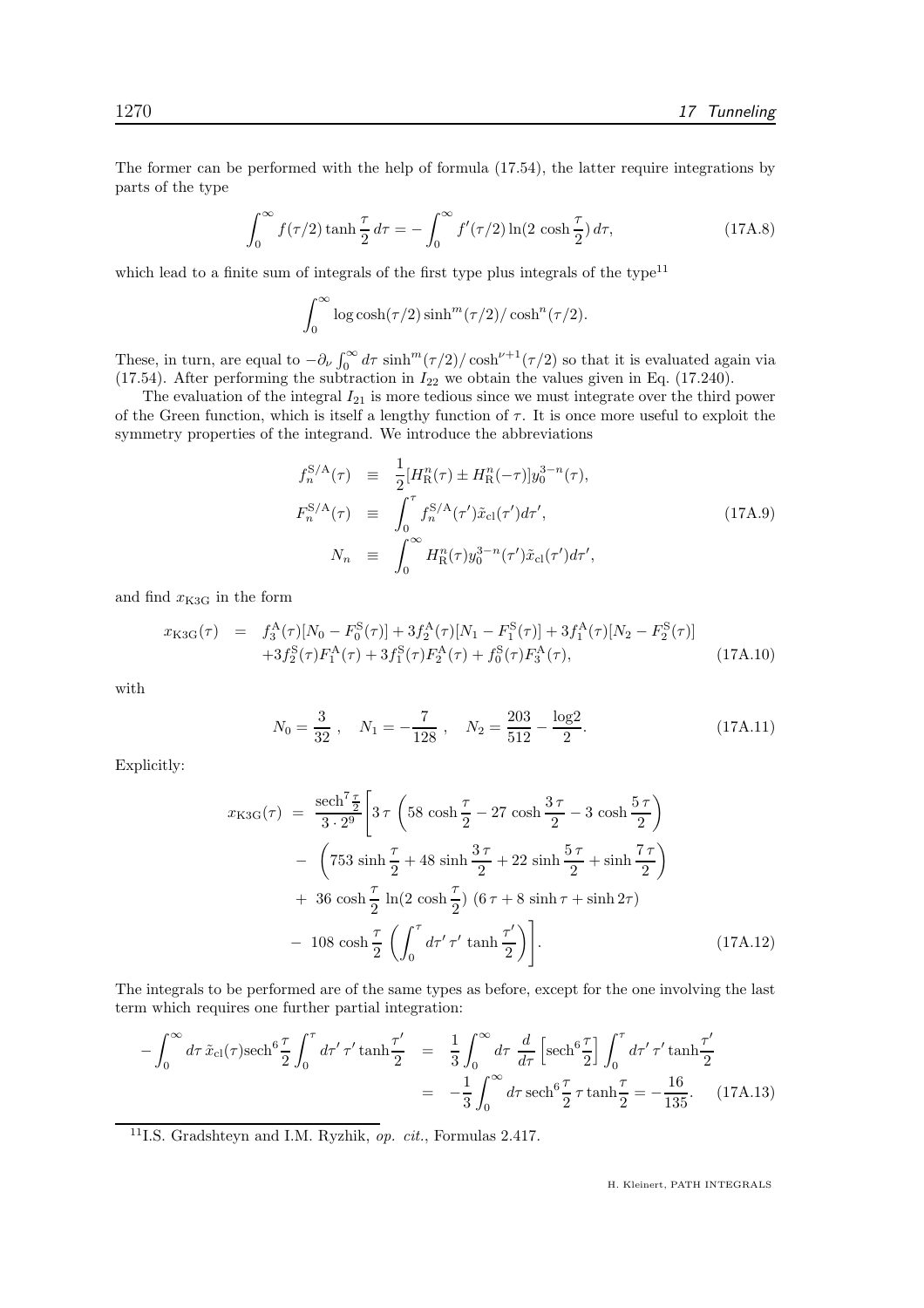The former can be performed with the help of formula (17.54), the latter require integrations by parts of the type

$$
\int_0^\infty f(\tau/2) \tanh\frac{\tau}{2} d\tau = -\int_0^\infty f'(\tau/2) \ln(2 \cosh\frac{\tau}{2}) d\tau,
$$
 (17A.8)

which lead to a finite sum of integrals of the first type plus integrals of the type $11$ 

$$
\int_0^\infty \log \cosh(\tau/2)\sinh^m(\tau/2)/\cosh^n(\tau/2).
$$

These, in turn, are equal to  $-\partial_{\nu} \int_0^{\infty} d\tau \sinh^m(\tau/2) / \cosh^{\nu+1}(\tau/2)$  so that it is evaluated again via (17.54). After performing the subtraction in  $I_{22}$  we obtain the values given in Eq. (17.240).

The evaluation of the integral  $I_{21}$  is more tedious since we must integrate over the third power of the Green function, which is itself a lengthy function of  $\tau$ . It is once more useful to exploit the symmetry properties of the integrand. We introduce the abbreviations

$$
f_n^{S/A}(\tau) \equiv \frac{1}{2} [H_R^n(\tau) \pm H_R^n(-\tau)] y_0^{3-n}(\tau),
$$
  
\n
$$
F_n^{S/A}(\tau) \equiv \int_0^\tau f_n^{S/A}(\tau') \tilde{x}_{cl}(\tau') d\tau',
$$
  
\n
$$
N_n \equiv \int_0^\infty H_R^n(\tau) y_0^{3-n}(\tau') \tilde{x}_{cl}(\tau') d\tau',
$$
\n(17A.9)

and find  $x_{K3G}$  in the form

$$
x_{\rm K3G}(\tau) = f_3^{\rm A}(\tau)[N_0 - F_0^{\rm S}(\tau)] + 3f_2^{\rm A}(\tau)[N_1 - F_1^{\rm S}(\tau)] + 3f_1^{\rm A}(\tau)[N_2 - F_2^{\rm S}(\tau)] + 3f_2^{\rm S}(\tau)F_1^{\rm A}(\tau) + 3f_1^{\rm S}(\tau)F_2^{\rm A}(\tau) + f_0^{\rm S}(\tau)F_3^{\rm A}(\tau), \tag{17A.10}
$$

with

$$
N_0 = \frac{3}{32} , \quad N_1 = -\frac{7}{128} , \quad N_2 = \frac{203}{512} - \frac{\log 2}{2} . \tag{17A.11}
$$

Explicitly:

$$
x_{\text{K3G}}(\tau) = \frac{\text{sech}^7 \frac{\tau}{2}}{3 \cdot 2^9} \left[ 3 \tau \left( 58 \cosh \frac{\tau}{2} - 27 \cosh \frac{3\tau}{2} - 3 \cosh \frac{5\tau}{2} \right) \right. \\
\left. - \left( 753 \sinh \frac{\tau}{2} + 48 \sinh \frac{3\tau}{2} + 22 \sinh \frac{5\tau}{2} + \sinh \frac{7\tau}{2} \right) \right. \\
\left. + 36 \cosh \frac{\tau}{2} \ln(2 \cosh \frac{\tau}{2}) \left( 6\tau + 8 \sinh \tau + \sinh 2\tau \right) \right. \\
\left. - 108 \cosh \frac{\tau}{2} \left( \int_0^{\tau} d\tau' \tau' \tanh \frac{\tau'}{2} \right) \right]. \tag{17A.12}
$$

The integrals to be performed are of the same types as before, except for the one involving the last term which requires one further partial integration:

$$
-\int_0^\infty d\tau \, \tilde{x}_{\text{cl}}(\tau) \text{sech}^6 \frac{\tau}{2} \int_0^\tau d\tau' \, \tau' \tanh \frac{\tau'}{2} = \frac{1}{3} \int_0^\infty d\tau \, \frac{d}{d\tau} \left[ \text{sech}^6 \frac{\tau}{2} \right] \int_0^\tau d\tau' \, \tau' \tanh \frac{\tau'}{2}
$$

$$
= -\frac{1}{3} \int_0^\infty d\tau \, \text{sech}^6 \frac{\tau}{2} \, \tau \tanh \frac{\tau}{2} = -\frac{16}{135}.
$$
 (17A.13)

<sup>11</sup>I.S. Gradshteyn and I.M. Ryzhik, op. cit., Formulas 2.417.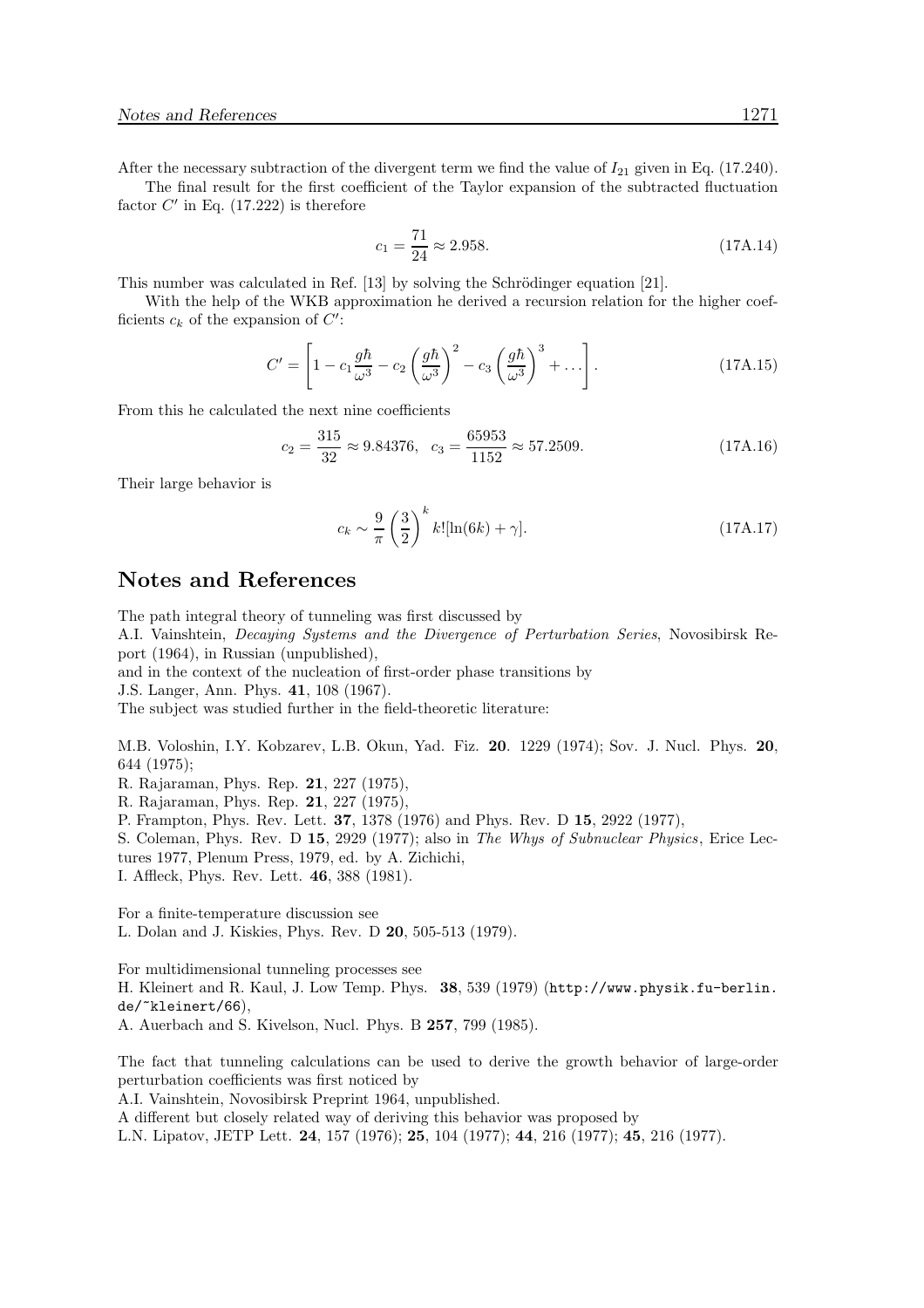After the necessary subtraction of the divergent term we find the value of  $I_{21}$  given in Eq. (17.240).

The final result for the first coefficient of the Taylor expansion of the subtracted fluctuation factor  $C'$  in Eq.  $(17.222)$  is therefore

$$
c_1 = \frac{71}{24} \approx 2.958. \tag{17A.14}
$$

This number was calculated in Ref. [13] by solving the Schrödinger equation [21].

With the help of the WKB approximation he derived a recursion relation for the higher coefficients  $c_k$  of the expansion of  $C'$ :

$$
C' = \left[1 - c_1 \frac{g\hbar}{\omega^3} - c_2 \left(\frac{g\hbar}{\omega^3}\right)^2 - c_3 \left(\frac{g\hbar}{\omega^3}\right)^3 + \dots\right].
$$
 (17A.15)

From this he calculated the next nine coefficients

$$
c_2 = \frac{315}{32} \approx 9.84376, \quad c_3 = \frac{65953}{1152} \approx 57.2509. \tag{17A.16}
$$

Their large behavior is

$$
c_k \sim \frac{9}{\pi} \left(\frac{3}{2}\right)^k k![\ln(6k) + \gamma].
$$
\n(17A.17)

#### Notes and References

The path integral theory of tunneling was first discussed by

A.I. Vainshtein, Decaying Systems and the Divergence of Perturbation Series, Novosibirsk Report (1964), in Russian (unpublished),

and in the context of the nucleation of first-order phase transitions by

J.S. Langer, Ann. Phys. 41, 108 (1967).

The subject was studied further in the field-theoretic literature:

M.B. Voloshin, I.Y. Kobzarev, L.B. Okun, Yad. Fiz. 20. 1229 (1974); Sov. J. Nucl. Phys. 20, 644 (1975);

R. Rajaraman, Phys. Rep. 21, 227 (1975),

R. Rajaraman, Phys. Rep. 21, 227 (1975),

P. Frampton, Phys. Rev. Lett. 37, 1378 (1976) and Phys. Rev. D 15, 2922 (1977),

S. Coleman, Phys. Rev. D 15, 2929 (1977); also in The Whys of Subnuclear Physics, Erice Lec-

tures 1977, Plenum Press, 1979, ed. by A. Zichichi,

I. Affleck, Phys. Rev. Lett. 46, 388 (1981).

For a finite-temperature discussion see L. Dolan and J. Kiskies, Phys. Rev. D 20, 505-513 (1979).

For multidimensional tunneling processes see H. Kleinert and R. Kaul, J. Low Temp. Phys. 38, 539 (1979) (http://www.physik.fu-berlin. de/~kleinert/66), A. Auerbach and S. Kivelson, Nucl. Phys. B 257, 799 (1985).

The fact that tunneling calculations can be used to derive the growth behavior of large-order perturbation coefficients was first noticed by

A.I. Vainshtein, Novosibirsk Preprint 1964, unpublished.

A different but closely related way of deriving this behavior was proposed by

L.N. Lipatov, JETP Lett. 24, 157 (1976); 25, 104 (1977); 44, 216 (1977); 45, 216 (1977).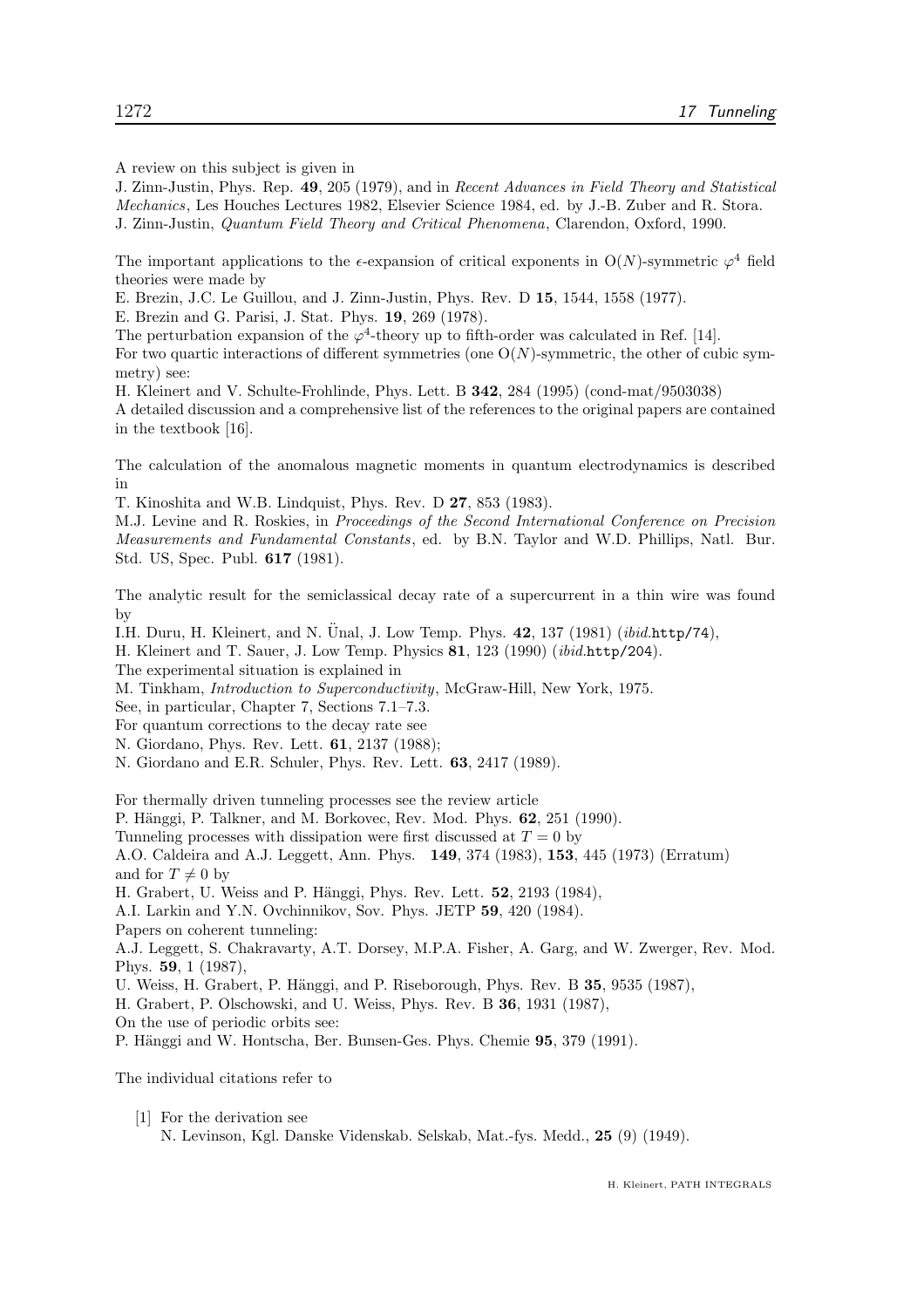A review on this subject is given in

J. Zinn-Justin, Phys. Rep. 49, 205 (1979), and in Recent Advances in Field Theory and Statistical Mechanics, Les Houches Lectures 1982, Elsevier Science 1984, ed. by J.-B. Zuber and R. Stora. J. Zinn-Justin, Quantum Field Theory and Critical Phenomena, Clarendon, Oxford, 1990.

The important applications to the  $\epsilon$ -expansion of critical exponents in O(N)-symmetric  $\varphi^4$  field theories were made by

E. Brezin, J.C. Le Guillou, and J. Zinn-Justin, Phys. Rev. D 15, 1544, 1558 (1977).

E. Brezin and G. Parisi, J. Stat. Phys. 19, 269 (1978).

The perturbation expansion of the  $\varphi^4$ -theory up to fifth-order was calculated in Ref. [14]. For two quartic interactions of different symmetries (one  $O(N)$ -symmetric, the other of cubic symmetry) see:

H. Kleinert and V. Schulte-Frohlinde, Phys. Lett. B 342, 284 (1995) (cond-mat/9503038) A detailed discussion and a comprehensive list of the references to the original papers are contained in the textbook [16].

The calculation of the anomalous magnetic moments in quantum electrodynamics is described in

T. Kinoshita and W.B. Lindquist, Phys. Rev. D 27, 853 (1983).

M.J. Levine and R. Roskies, in Proceedings of the Second International Conference on Precision Measurements and Fundamental Constants, ed. by B.N. Taylor and W.D. Phillips, Natl. Bur. Std. US, Spec. Publ. 617 (1981).

The analytic result for the semiclassical decay rate of a supercurrent in a thin wire was found by

I.H. Duru, H. Kleinert, and N. Unal, J. Low Temp. Phys.  $42$ , 137 (1981) (ibid.http/74),

H. Kleinert and T. Sauer, J. Low Temp. Physics 81, 123 (1990) (ibid.http/204).

The experimental situation is explained in

M. Tinkham, Introduction to Superconductivity, McGraw-Hill, New York, 1975.

See, in particular, Chapter 7, Sections 7.1–7.3.

For quantum corrections to the decay rate see

N. Giordano, Phys. Rev. Lett. 61, 2137 (1988);

N. Giordano and E.R. Schuler, Phys. Rev. Lett. 63, 2417 (1989).

For thermally driven tunneling processes see the review article

P. Hänggi, P. Talkner, and M. Borkovec, Rev. Mod. Phys. 62, 251 (1990).

Tunneling processes with dissipation were first discussed at  $T = 0$  by

A.O. Caldeira and A.J. Leggett, Ann. Phys. 149, 374 (1983), 153, 445 (1973) (Erratum) and for  $T \neq 0$  by

H. Grabert, U. Weiss and P. Hänggi, Phys. Rev. Lett. **52**, 2193 (1984),

A.I. Larkin and Y.N. Ovchinnikov, Sov. Phys. JETP 59, 420 (1984).

Papers on coherent tunneling:

A.J. Leggett, S. Chakravarty, A.T. Dorsey, M.P.A. Fisher, A. Garg, and W. Zwerger, Rev. Mod. Phys. 59, 1 (1987),

U. Weiss, H. Grabert, P. Hänggi, and P. Riseborough, Phys. Rev. B 35, 9535 (1987),

H. Grabert, P. Olschowski, and U. Weiss, Phys. Rev. B 36, 1931 (1987),

On the use of periodic orbits see:

P. Hänggi and W. Hontscha, Ber. Bunsen-Ges. Phys. Chemie 95, 379 (1991).

The individual citations refer to

[1] For the derivation see N. Levinson, Kgl. Danske Videnskab. Selskab, Mat.-fys. Medd., 25 (9) (1949).